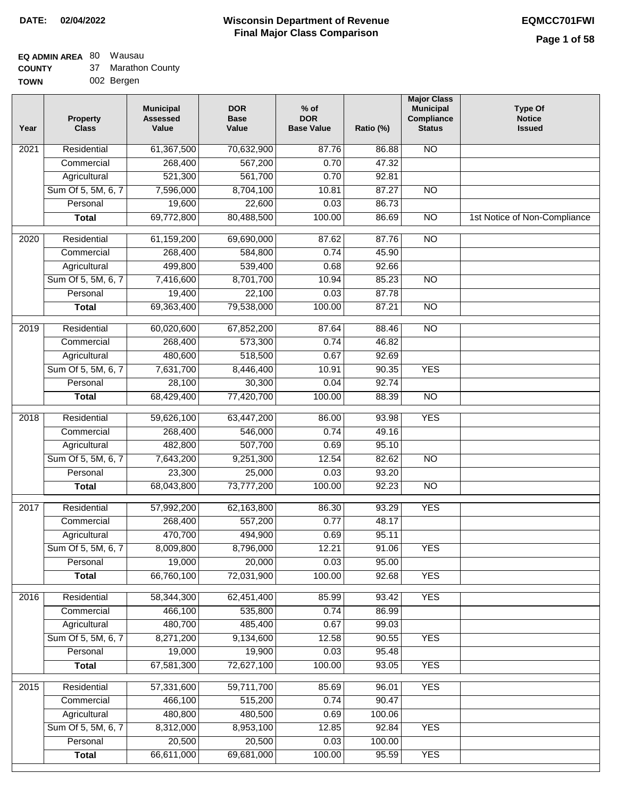## **EQ ADMIN AREA** 80 Wausau

| <b>COUNTY</b> |  |  | ′ Marathon County |
|---------------|--|--|-------------------|
|---------------|--|--|-------------------|

**TOWN** 002 Bergen

| Year              | <b>Property</b><br><b>Class</b> | <b>Municipal</b><br><b>Assessed</b><br>Value | <b>DOR</b><br><b>Base</b><br>Value | $%$ of<br><b>DOR</b><br><b>Base Value</b> | Ratio (%) | <b>Major Class</b><br><b>Municipal</b><br>Compliance<br><b>Status</b> | <b>Type Of</b><br><b>Notice</b><br><b>Issued</b> |
|-------------------|---------------------------------|----------------------------------------------|------------------------------------|-------------------------------------------|-----------|-----------------------------------------------------------------------|--------------------------------------------------|
| 2021              | Residential                     | 61,367,500                                   | 70,632,900                         | 87.76                                     | 86.88     | $\overline{NO}$                                                       |                                                  |
|                   | Commercial                      | 268,400                                      | 567,200                            | 0.70                                      | 47.32     |                                                                       |                                                  |
|                   | Agricultural                    | 521,300                                      | 561,700                            | 0.70                                      | 92.81     |                                                                       |                                                  |
|                   | Sum Of 5, 5M, 6, 7              | 7,596,000                                    | 8,704,100                          | 10.81                                     | 87.27     | $\overline{NO}$                                                       |                                                  |
|                   | Personal                        | 19,600                                       | 22,600                             | 0.03                                      | 86.73     |                                                                       |                                                  |
|                   | <b>Total</b>                    | 69,772,800                                   | 80,488,500                         | 100.00                                    | 86.69     | $\overline{NO}$                                                       | 1st Notice of Non-Compliance                     |
| 2020              | Residential                     | 61,159,200                                   | 69,690,000                         | 87.62                                     | 87.76     | $\overline{NO}$                                                       |                                                  |
|                   | Commercial                      | 268,400                                      | 584,800                            | 0.74                                      | 45.90     |                                                                       |                                                  |
|                   | Agricultural                    | 499,800                                      | 539,400                            | 0.68                                      | 92.66     |                                                                       |                                                  |
|                   | Sum Of 5, 5M, 6, 7              | 7,416,600                                    | 8,701,700                          | 10.94                                     | 85.23     | $\overline{NO}$                                                       |                                                  |
|                   | Personal                        | 19,400                                       | 22,100                             | 0.03                                      | 87.78     |                                                                       |                                                  |
|                   | <b>Total</b>                    | 69,363,400                                   | 79,538,000                         | 100.00                                    | 87.21     | <b>NO</b>                                                             |                                                  |
|                   |                                 |                                              |                                    |                                           |           |                                                                       |                                                  |
| 2019              | Residential                     | 60,020,600                                   | 67,852,200                         | 87.64                                     | 88.46     | <b>NO</b>                                                             |                                                  |
|                   | Commercial                      | 268,400                                      | 573,300                            | 0.74                                      | 46.82     |                                                                       |                                                  |
|                   | Agricultural                    | 480,600                                      | 518,500                            | 0.67                                      | 92.69     |                                                                       |                                                  |
|                   | Sum Of 5, 5M, 6, 7              | 7,631,700                                    | 8,446,400                          | 10.91                                     | 90.35     | <b>YES</b>                                                            |                                                  |
|                   | Personal                        | 28,100                                       | 30,300                             | 0.04                                      | 92.74     |                                                                       |                                                  |
|                   | <b>Total</b>                    | 68,429,400                                   | 77,420,700                         | 100.00                                    | 88.39     | $\overline{NO}$                                                       |                                                  |
| 2018              | Residential                     | 59,626,100                                   | 63,447,200                         | 86.00                                     | 93.98     | <b>YES</b>                                                            |                                                  |
|                   | Commercial                      | 268,400                                      | 546,000                            | 0.74                                      | 49.16     |                                                                       |                                                  |
|                   | Agricultural                    | 482,800                                      | 507,700                            | 0.69                                      | 95.10     |                                                                       |                                                  |
|                   | Sum Of 5, 5M, 6, 7              | 7,643,200                                    | 9,251,300                          | 12.54                                     | 82.62     | <b>NO</b>                                                             |                                                  |
|                   | Personal                        | 23,300                                       | 25,000                             | 0.03                                      | 93.20     |                                                                       |                                                  |
|                   | <b>Total</b>                    | 68,043,800                                   | 73,777,200                         | 100.00                                    | 92.23     | <b>NO</b>                                                             |                                                  |
| 2017              | Residential                     | 57,992,200                                   | 62,163,800                         | 86.30                                     | 93.29     | <b>YES</b>                                                            |                                                  |
|                   | Commercial                      | 268,400                                      | 557,200                            | 0.77                                      | 48.17     |                                                                       |                                                  |
|                   | Agricultural                    | 470,700                                      | 494,900                            | 0.69                                      | 95.11     |                                                                       |                                                  |
|                   | Sum Of 5, 5M, 6, 7              | 8,009,800                                    | 8,796,000                          | 12.21                                     | 91.06     | YES                                                                   |                                                  |
|                   | Personal                        | 19,000                                       | 20,000                             | 0.03                                      | 95.00     |                                                                       |                                                  |
|                   | <b>Total</b>                    | 66,760,100                                   | 72,031,900                         | 100.00                                    | 92.68     | <b>YES</b>                                                            |                                                  |
| 2016              | Residential                     | 58,344,300                                   | 62,451,400                         | 85.99                                     | 93.42     | <b>YES</b>                                                            |                                                  |
|                   | Commercial                      | 466,100                                      | 535,800                            | 0.74                                      | 86.99     |                                                                       |                                                  |
|                   | Agricultural                    | 480,700                                      | 485,400                            | 0.67                                      | 99.03     |                                                                       |                                                  |
|                   | Sum Of 5, 5M, 6, 7              | 8,271,200                                    | 9,134,600                          | 12.58                                     | 90.55     | <b>YES</b>                                                            |                                                  |
|                   | Personal                        | 19,000                                       | 19,900                             | 0.03                                      | 95.48     |                                                                       |                                                  |
|                   | <b>Total</b>                    | 67,581,300                                   | 72,627,100                         | 100.00                                    | 93.05     | <b>YES</b>                                                            |                                                  |
|                   |                                 |                                              |                                    |                                           |           |                                                                       |                                                  |
| $\overline{2015}$ | Residential                     | 57,331,600                                   | 59,711,700                         | 85.69                                     | 96.01     | <b>YES</b>                                                            |                                                  |
|                   | Commercial                      | 466,100                                      | 515,200                            | 0.74                                      | 90.47     |                                                                       |                                                  |
|                   | Agricultural                    | 480,800                                      | 480,500                            | 0.69                                      | 100.06    |                                                                       |                                                  |
|                   | Sum Of 5, 5M, 6, 7              | 8,312,000                                    | 8,953,100                          | 12.85                                     | 92.84     | <b>YES</b>                                                            |                                                  |
|                   | Personal                        | 20,500                                       | 20,500                             | 0.03                                      | 100.00    |                                                                       |                                                  |
|                   | <b>Total</b>                    | 66,611,000                                   | 69,681,000                         | 100.00                                    | 95.59     | <b>YES</b>                                                            |                                                  |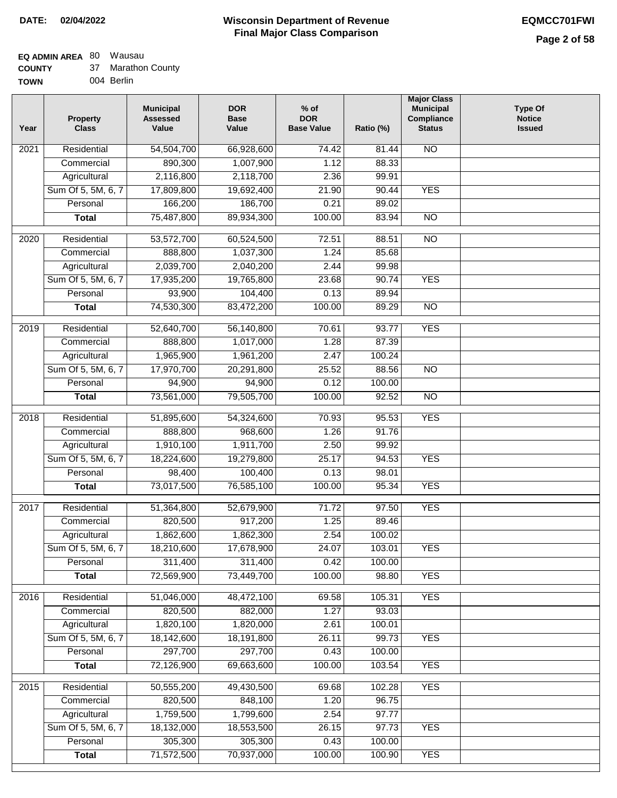#### **Wisconsin Department of Revenue Final Major Class Comparison DATE: 02/04/2022 EQMCC701FWI**

#### **EQ ADMIN AREA** 80 Wausau  $\sim$

| <b>COUNTY</b> | 37 Marathon County |
|---------------|--------------------|
| <b>TOWN</b>   | 004 Berlin         |

| Year              | <b>Property</b><br><b>Class</b> | <b>Municipal</b><br><b>Assessed</b><br>Value | <b>DOR</b><br><b>Base</b><br>Value | $%$ of<br><b>DOR</b><br><b>Base Value</b> | Ratio (%) | <b>Major Class</b><br><b>Municipal</b><br>Compliance<br><b>Status</b> | <b>Type Of</b><br><b>Notice</b><br><b>Issued</b> |
|-------------------|---------------------------------|----------------------------------------------|------------------------------------|-------------------------------------------|-----------|-----------------------------------------------------------------------|--------------------------------------------------|
| 2021              | Residential                     | 54,504,700                                   | 66,928,600                         | 74.42                                     | 81.44     | N <sub>O</sub>                                                        |                                                  |
|                   | Commercial                      | 890,300                                      | 1,007,900                          | 1.12                                      | 88.33     |                                                                       |                                                  |
|                   | Agricultural                    | 2,116,800                                    | 2,118,700                          | 2.36                                      | 99.91     |                                                                       |                                                  |
|                   | Sum Of 5, 5M, 6, 7              | 17,809,800                                   | 19,692,400                         | 21.90                                     | 90.44     | <b>YES</b>                                                            |                                                  |
|                   | Personal                        | 166,200                                      | 186,700                            | 0.21                                      | 89.02     |                                                                       |                                                  |
|                   | <b>Total</b>                    | 75,487,800                                   | 89,934,300                         | 100.00                                    | 83.94     | $\overline{NO}$                                                       |                                                  |
| $\overline{20}20$ | Residential                     | 53,572,700                                   | 60,524,500                         | 72.51                                     | 88.51     | $\overline{N}$                                                        |                                                  |
|                   | Commercial                      | 888,800                                      | 1,037,300                          | 1.24                                      | 85.68     |                                                                       |                                                  |
|                   | Agricultural                    | 2,039,700                                    | 2,040,200                          | 2.44                                      | 99.98     |                                                                       |                                                  |
|                   | Sum Of 5, 5M, 6, 7              | 17,935,200                                   | 19,765,800                         | 23.68                                     | 90.74     | <b>YES</b>                                                            |                                                  |
|                   | Personal                        | 93,900                                       | 104,400                            | 0.13                                      | 89.94     |                                                                       |                                                  |
|                   | <b>Total</b>                    | 74,530,300                                   | 83,472,200                         | 100.00                                    | 89.29     | $\overline{NO}$                                                       |                                                  |
| 2019              | Residential                     | 52,640,700                                   | 56,140,800                         | 70.61                                     | 93.77     | <b>YES</b>                                                            |                                                  |
|                   | Commercial                      | 888,800                                      | 1,017,000                          | 1.28                                      | 87.39     |                                                                       |                                                  |
|                   | Agricultural                    | 1,965,900                                    | 1,961,200                          | 2.47                                      | 100.24    |                                                                       |                                                  |
|                   | Sum Of 5, 5M, 6, 7              | 17,970,700                                   | 20,291,800                         | 25.52                                     | 88.56     | $\overline{NO}$                                                       |                                                  |
|                   | Personal                        | 94,900                                       | 94,900                             | 0.12                                      | 100.00    |                                                                       |                                                  |
|                   | <b>Total</b>                    | 73,561,000                                   | 79,505,700                         | 100.00                                    | 92.52     | $\overline{N}$                                                        |                                                  |
| 2018              | Residential                     | 51,895,600                                   | 54,324,600                         | 70.93                                     | 95.53     | <b>YES</b>                                                            |                                                  |
|                   | Commercial                      | 888,800                                      | 968,600                            | 1.26                                      | 91.76     |                                                                       |                                                  |
|                   | Agricultural                    | 1,910,100                                    | 1,911,700                          | 2.50                                      | 99.92     |                                                                       |                                                  |
|                   | Sum Of 5, 5M, 6, 7              | 18,224,600                                   | 19,279,800                         | 25.17                                     | 94.53     | <b>YES</b>                                                            |                                                  |
|                   | Personal                        | 98,400                                       | 100,400                            | 0.13                                      | 98.01     |                                                                       |                                                  |
|                   | <b>Total</b>                    | 73,017,500                                   | 76,585,100                         | 100.00                                    | 95.34     | <b>YES</b>                                                            |                                                  |
| 2017              | Residential                     | 51,364,800                                   | 52,679,900                         | 71.72                                     | 97.50     | <b>YES</b>                                                            |                                                  |
|                   | Commercial                      | 820,500                                      | 917,200                            | 1.25                                      | 89.46     |                                                                       |                                                  |
|                   | Agricultural                    | 1,862,600                                    | 1,862,300                          | 2.54                                      | 100.02    |                                                                       |                                                  |
|                   | Sum Of 5, 5M, 6, 7              | 18,210,600                                   | 17,678,900                         | 24.07                                     | 103.01    | <b>YES</b>                                                            |                                                  |
|                   | Personal                        | 311,400                                      | 311,400                            | 0.42                                      | 100.00    |                                                                       |                                                  |
|                   | <b>Total</b>                    | 72,569,900                                   | 73,449,700                         | 100.00                                    | 98.80     | <b>YES</b>                                                            |                                                  |
| 2016              | Residential                     | 51,046,000                                   | 48,472,100                         | 69.58                                     | 105.31    | <b>YES</b>                                                            |                                                  |
|                   | Commercial                      | 820,500                                      | 882,000                            | 1.27                                      | 93.03     |                                                                       |                                                  |
|                   | Agricultural                    | 1,820,100                                    | 1,820,000                          | 2.61                                      | 100.01    |                                                                       |                                                  |
|                   | Sum Of 5, 5M, 6, 7              | 18,142,600                                   | 18,191,800                         | 26.11                                     | 99.73     | <b>YES</b>                                                            |                                                  |
|                   | Personal                        | 297,700                                      | 297,700                            | 0.43                                      | 100.00    |                                                                       |                                                  |
|                   | <b>Total</b>                    | 72,126,900                                   | 69,663,600                         | 100.00                                    | 103.54    | <b>YES</b>                                                            |                                                  |
| 2015              | Residential                     | 50,555,200                                   | 49,430,500                         | 69.68                                     | 102.28    | <b>YES</b>                                                            |                                                  |
|                   | Commercial                      | 820,500                                      | 848,100                            | 1.20                                      | 96.75     |                                                                       |                                                  |
|                   | Agricultural                    | 1,759,500                                    | 1,799,600                          | 2.54                                      | 97.77     |                                                                       |                                                  |
|                   | Sum Of 5, 5M, 6, 7              | 18,132,000                                   | 18,553,500                         | 26.15                                     | 97.73     | <b>YES</b>                                                            |                                                  |
|                   | Personal                        | 305,300                                      | 305,300                            | 0.43                                      | 100.00    |                                                                       |                                                  |
|                   | <b>Total</b>                    | 71,572,500                                   | 70,937,000                         | 100.00                                    | 100.90    | <b>YES</b>                                                            |                                                  |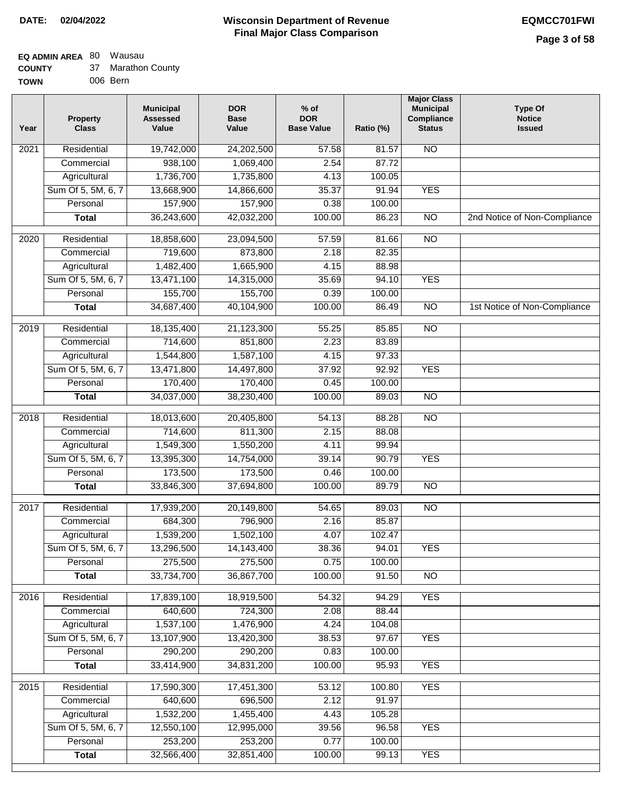#### **Wisconsin Department of Revenue Final Major Class Comparison DATE: 02/04/2022 EQMCC701FWI**

┑

#### **EQ ADMIN AREA** 80 Wausau **COUNTY**

| <b>COUNTY</b> | 37 Marathon County |
|---------------|--------------------|
| <b>TOWN</b>   | 006 Bern           |

| Year              | <b>Property</b><br><b>Class</b> | <b>Municipal</b><br><b>Assessed</b><br>Value | <b>DOR</b><br><b>Base</b><br>Value | $%$ of<br><b>DOR</b><br><b>Base Value</b> | Ratio (%) | <b>Major Class</b><br><b>Municipal</b><br>Compliance<br><b>Status</b> | <b>Type Of</b><br><b>Notice</b><br><b>Issued</b> |
|-------------------|---------------------------------|----------------------------------------------|------------------------------------|-------------------------------------------|-----------|-----------------------------------------------------------------------|--------------------------------------------------|
| 2021              | Residential                     | 19,742,000                                   | 24,202,500                         | 57.58                                     | 81.57     | <b>NO</b>                                                             |                                                  |
|                   | Commercial                      | 938,100                                      | 1,069,400                          | 2.54                                      | 87.72     |                                                                       |                                                  |
|                   | Agricultural                    | 1,736,700                                    | 1,735,800                          | 4.13                                      | 100.05    |                                                                       |                                                  |
|                   | Sum Of 5, 5M, 6, 7              | 13,668,900                                   | 14,866,600                         | 35.37                                     | 91.94     | <b>YES</b>                                                            |                                                  |
|                   | Personal                        | 157,900                                      | 157,900                            | 0.38                                      | 100.00    |                                                                       |                                                  |
|                   | <b>Total</b>                    | 36,243,600                                   | 42,032,200                         | 100.00                                    | 86.23     | $\overline{NO}$                                                       | 2nd Notice of Non-Compliance                     |
| $\overline{2020}$ | Residential                     | 18,858,600                                   | 23,094,500                         | 57.59                                     | 81.66     | NO                                                                    |                                                  |
|                   | Commercial                      | 719,600                                      | 873,800                            | 2.18                                      | 82.35     |                                                                       |                                                  |
|                   | Agricultural                    | 1,482,400                                    | 1,665,900                          | 4.15                                      | 88.98     |                                                                       |                                                  |
|                   | Sum Of 5, 5M, 6, 7              | 13,471,100                                   | 14,315,000                         | 35.69                                     | 94.10     | <b>YES</b>                                                            |                                                  |
|                   | Personal                        | 155,700                                      | 155,700                            | 0.39                                      | 100.00    |                                                                       |                                                  |
|                   | <b>Total</b>                    | 34,687,400                                   | 40,104,900                         | 100.00                                    | 86.49     | $\overline{NO}$                                                       | 1st Notice of Non-Compliance                     |
|                   |                                 |                                              |                                    |                                           |           |                                                                       |                                                  |
| 2019              | Residential                     | 18,135,400                                   | 21,123,300                         | 55.25                                     | 85.85     | $\overline{NO}$                                                       |                                                  |
|                   | Commercial                      | 714,600                                      | 851,800                            | 2.23                                      | 83.89     |                                                                       |                                                  |
|                   | Agricultural                    | 1,544,800                                    | 1,587,100                          | 4.15                                      | 97.33     |                                                                       |                                                  |
|                   | Sum Of 5, 5M, 6, 7              | 13,471,800                                   | 14,497,800                         | 37.92                                     | 92.92     | <b>YES</b>                                                            |                                                  |
|                   | Personal                        | 170,400                                      | 170,400                            | 0.45                                      | 100.00    |                                                                       |                                                  |
|                   | Total                           | 34,037,000                                   | 38,230,400                         | 100.00                                    | 89.03     | $\overline{NO}$                                                       |                                                  |
| 2018              | Residential                     | 18,013,600                                   | 20,405,800                         | 54.13                                     | 88.28     | $\overline{NO}$                                                       |                                                  |
|                   | Commercial                      | 714,600                                      | 811,300                            | 2.15                                      | 88.08     |                                                                       |                                                  |
|                   | Agricultural                    | 1,549,300                                    | 1,550,200                          | 4.11                                      | 99.94     |                                                                       |                                                  |
|                   | Sum Of 5, 5M, 6, 7              | 13,395,300                                   | 14,754,000                         | 39.14                                     | 90.79     | <b>YES</b>                                                            |                                                  |
|                   | Personal                        | 173,500                                      | 173,500                            | 0.46                                      | 100.00    |                                                                       |                                                  |
|                   | <b>Total</b>                    | 33,846,300                                   | 37,694,800                         | 100.00                                    | 89.79     | $\overline{NO}$                                                       |                                                  |
| 2017              | Residential                     | 17,939,200                                   | 20,149,800                         | 54.65                                     | 89.03     | <b>NO</b>                                                             |                                                  |
|                   | Commercial                      | 684,300                                      | 796,900                            | 2.16                                      | 85.87     |                                                                       |                                                  |
|                   | Agricultural                    | 1,539,200                                    | 1,502,100                          | 4.07                                      | 102.47    |                                                                       |                                                  |
|                   | Sum Of 5, 5M, 6, 7              | 13,296,500                                   | 14,143,400                         | 38.36                                     | 94.01     | <b>YES</b>                                                            |                                                  |
|                   | Personal                        | 275,500                                      | 275,500                            | 0.75                                      | 100.00    |                                                                       |                                                  |
|                   | <b>Total</b>                    | 33,734,700                                   | 36,867,700                         | 100.00                                    | 91.50     | N <sub>O</sub>                                                        |                                                  |
| 2016              | Residential                     | 17,839,100                                   | 18,919,500                         | 54.32                                     | 94.29     | <b>YES</b>                                                            |                                                  |
|                   | Commercial                      | 640,600                                      | 724,300                            | 2.08                                      | 88.44     |                                                                       |                                                  |
|                   | Agricultural                    | 1,537,100                                    | 1,476,900                          | 4.24                                      | 104.08    |                                                                       |                                                  |
|                   | Sum Of 5, 5M, 6, 7              | 13,107,900                                   | 13,420,300                         | 38.53                                     | 97.67     | <b>YES</b>                                                            |                                                  |
|                   | Personal                        | 290,200                                      | 290,200                            | 0.83                                      | 100.00    |                                                                       |                                                  |
|                   | <b>Total</b>                    | 33,414,900                                   | 34,831,200                         | 100.00                                    | 95.93     | <b>YES</b>                                                            |                                                  |
| 2015              | Residential                     | 17,590,300                                   | 17,451,300                         | 53.12                                     | 100.80    | <b>YES</b>                                                            |                                                  |
|                   | Commercial                      | 640,600                                      | 696,500                            | 2.12                                      | 91.97     |                                                                       |                                                  |
|                   | Agricultural                    | 1,532,200                                    | 1,455,400                          | 4.43                                      | 105.28    |                                                                       |                                                  |
|                   | Sum Of 5, 5M, 6, 7              | 12,550,100                                   | 12,995,000                         | 39.56                                     | 96.58     | <b>YES</b>                                                            |                                                  |
|                   | Personal                        | 253,200                                      | 253,200                            | 0.77                                      | 100.00    |                                                                       |                                                  |
|                   | <b>Total</b>                    | 32,566,400                                   | 32,851,400                         | 100.00                                    | 99.13     | <b>YES</b>                                                            |                                                  |
|                   |                                 |                                              |                                    |                                           |           |                                                                       |                                                  |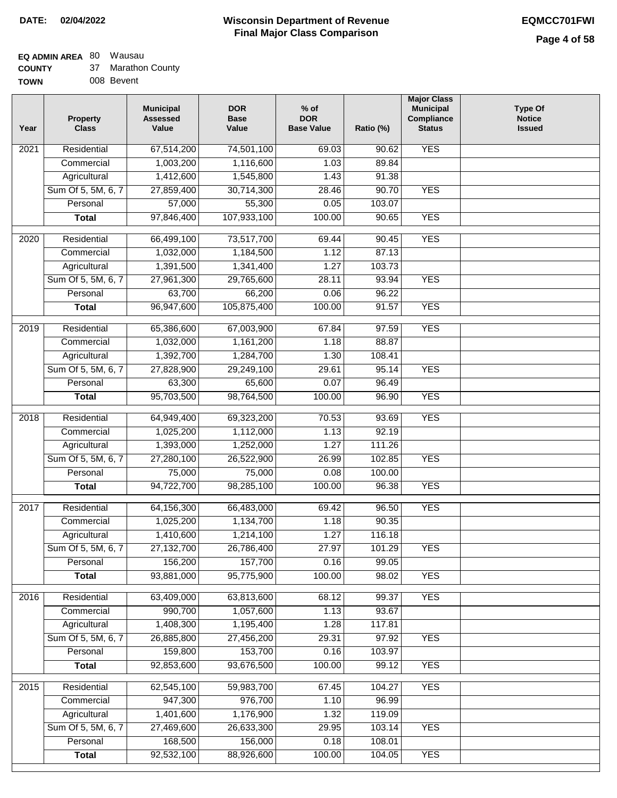### **EQ ADMIN AREA** 80 Wausau

| <b>COUNTY</b> |  | Marathon County |
|---------------|--|-----------------|
|---------------|--|-----------------|

**TOWN** 008 Bevent

| Year | <b>Property</b><br><b>Class</b> | <b>Municipal</b><br><b>Assessed</b><br>Value | <b>DOR</b><br><b>Base</b><br>Value | $%$ of<br><b>DOR</b><br><b>Base Value</b> | Ratio (%)        | <b>Major Class</b><br><b>Municipal</b><br>Compliance<br><b>Status</b> | <b>Type Of</b><br><b>Notice</b><br><b>Issued</b> |
|------|---------------------------------|----------------------------------------------|------------------------------------|-------------------------------------------|------------------|-----------------------------------------------------------------------|--------------------------------------------------|
| 2021 | Residential                     | 67,514,200                                   | 74,501,100                         | 69.03                                     | 90.62            | <b>YES</b>                                                            |                                                  |
|      | Commercial                      | 1,003,200                                    | 1,116,600                          | 1.03                                      | 89.84            |                                                                       |                                                  |
|      | Agricultural                    | 1,412,600                                    | 1,545,800                          | 1.43                                      | 91.38            |                                                                       |                                                  |
|      | Sum Of 5, 5M, 6, 7              | 27,859,400                                   | 30,714,300                         | 28.46                                     | 90.70            | <b>YES</b>                                                            |                                                  |
|      | Personal                        | 57,000                                       | 55,300                             | 0.05                                      | 103.07           |                                                                       |                                                  |
|      | <b>Total</b>                    | 97,846,400                                   | 107,933,100                        | 100.00                                    | 90.65            | <b>YES</b>                                                            |                                                  |
| 2020 | Residential                     | 66,499,100                                   | 73,517,700                         | 69.44                                     | 90.45            | <b>YES</b>                                                            |                                                  |
|      | Commercial                      | 1,032,000                                    | 1,184,500                          | 1.12                                      | 87.13            |                                                                       |                                                  |
|      | Agricultural                    | 1,391,500                                    | 1,341,400                          | 1.27                                      | 103.73           |                                                                       |                                                  |
|      | Sum Of 5, 5M, 6, 7              | 27,961,300                                   | 29,765,600                         | 28.11                                     | 93.94            | <b>YES</b>                                                            |                                                  |
|      | Personal                        | 63,700                                       | 66,200                             | 0.06                                      | 96.22            |                                                                       |                                                  |
|      | <b>Total</b>                    | 96,947,600                                   | 105,875,400                        | 100.00                                    | 91.57            | <b>YES</b>                                                            |                                                  |
| 2019 | Residential                     | 65,386,600                                   | 67,003,900                         | 67.84                                     | 97.59            | <b>YES</b>                                                            |                                                  |
|      | Commercial                      | 1,032,000                                    | 1,161,200                          | 1.18                                      | 88.87            |                                                                       |                                                  |
|      | Agricultural                    | 1,392,700                                    | 1,284,700                          | 1.30                                      | 108.41           |                                                                       |                                                  |
|      | Sum Of 5, 5M, 6, 7              | 27,828,900                                   | 29,249,100                         | 29.61                                     | 95.14            | <b>YES</b>                                                            |                                                  |
|      | Personal                        | 63,300                                       | 65,600                             | 0.07                                      | 96.49            |                                                                       |                                                  |
|      | <b>Total</b>                    | 95,703,500                                   | 98,764,500                         | 100.00                                    | 96.90            | <b>YES</b>                                                            |                                                  |
| 2018 | Residential                     | 64,949,400                                   | 69,323,200                         | 70.53                                     | 93.69            | <b>YES</b>                                                            |                                                  |
|      | Commercial                      | 1,025,200                                    | 1,112,000                          | 1.13                                      | 92.19            |                                                                       |                                                  |
|      | Agricultural                    | 1,393,000                                    | 1,252,000                          | 1.27                                      | 111.26           |                                                                       |                                                  |
|      | Sum Of 5, 5M, 6, 7              | 27,280,100                                   | 26,522,900                         | 26.99                                     | 102.85           | <b>YES</b>                                                            |                                                  |
|      | Personal                        | 75,000                                       | 75,000                             | 0.08                                      | 100.00           |                                                                       |                                                  |
|      | <b>Total</b>                    | 94,722,700                                   | 98,285,100                         | 100.00                                    | 96.38            | <b>YES</b>                                                            |                                                  |
| 2017 | Residential                     | 64,156,300                                   | 66,483,000                         | 69.42                                     | 96.50            | <b>YES</b>                                                            |                                                  |
|      | Commercial                      | 1,025,200                                    | 1,134,700                          | 1.18                                      | 90.35            |                                                                       |                                                  |
|      | Agricultural                    | 1,410,600                                    | 1,214,100                          | 1.27                                      | 116.18           |                                                                       |                                                  |
|      | Sum Of 5, 5M, 6, 7              | 27,132,700                                   | 26,786,400                         | 27.97                                     | 101.29           | <b>YES</b>                                                            |                                                  |
|      | Personal                        | 156,200                                      | 157,700                            | 0.16                                      | 99.05            |                                                                       |                                                  |
|      | <b>Total</b>                    | 93,881,000                                   | 95,775,900                         | 100.00                                    | 98.02            | <b>YES</b>                                                            |                                                  |
|      |                                 |                                              |                                    |                                           |                  |                                                                       |                                                  |
| 2016 | Residential                     | 63,409,000                                   | 63,813,600                         | 68.12                                     | 99.37            | <b>YES</b>                                                            |                                                  |
|      | Commercial                      | 990,700                                      | 1,057,600                          | 1.13                                      | 93.67            |                                                                       |                                                  |
|      | Agricultural                    | 1,408,300                                    | 1,195,400                          | 1.28                                      | 117.81           |                                                                       |                                                  |
|      | Sum Of 5, 5M, 6, 7              | 26,885,800                                   | 27,456,200                         | 29.31                                     | 97.92            | <b>YES</b>                                                            |                                                  |
|      | Personal<br><b>Total</b>        | 159,800                                      | 153,700<br>93,676,500              | 0.16                                      | 103.97           | <b>YES</b>                                                            |                                                  |
|      |                                 | 92,853,600                                   |                                    | 100.00                                    | 99.12            |                                                                       |                                                  |
| 2015 | Residential                     | 62,545,100                                   | 59,983,700                         | 67.45                                     | 104.27           | <b>YES</b>                                                            |                                                  |
|      | Commercial                      | 947,300                                      | 976,700                            | 1.10                                      | 96.99            |                                                                       |                                                  |
|      | Agricultural                    | 1,401,600                                    | 1,176,900                          | 1.32                                      | 119.09           |                                                                       |                                                  |
|      | Sum Of 5, 5M, 6, 7              | 27,469,600                                   | 26,633,300                         | 29.95                                     | 103.14           | <b>YES</b>                                                            |                                                  |
|      | Personal                        | 168,500<br>92,532,100                        | 156,000<br>88,926,600              | 0.18<br>100.00                            | 108.01<br>104.05 | <b>YES</b>                                                            |                                                  |
|      | <b>Total</b>                    |                                              |                                    |                                           |                  |                                                                       |                                                  |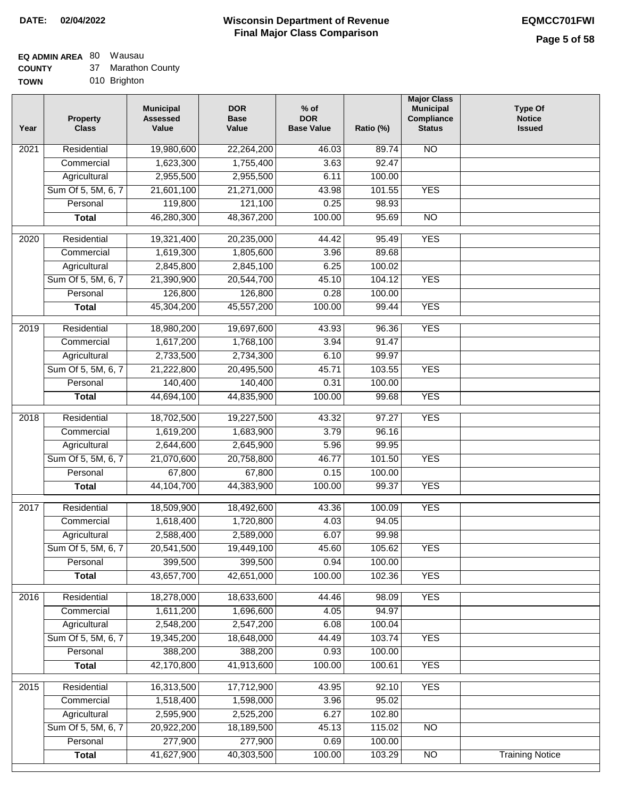#### **Wisconsin Department of Revenue Final Major Class Comparison DATE: 02/04/2022 EQMCC701FWI**

### **EQ ADMIN AREA** 80 Wausau

**COUNTY** 37 Marathon County

**TOWN** 010 Brighton

| Year              | <b>Property</b><br><b>Class</b> | <b>Municipal</b><br><b>Assessed</b><br>Value | <b>DOR</b><br><b>Base</b><br>Value | $%$ of<br><b>DOR</b><br><b>Base Value</b> | Ratio (%) | <b>Municipal</b><br>Compliance<br><b>Status</b> | <b>Type Of</b><br><b>Notice</b><br><b>Issued</b> |
|-------------------|---------------------------------|----------------------------------------------|------------------------------------|-------------------------------------------|-----------|-------------------------------------------------|--------------------------------------------------|
| 2021              | Residential                     | 19,980,600                                   | 22,264,200                         | 46.03                                     | 89.74     | <b>NO</b>                                       |                                                  |
|                   | Commercial                      | 1,623,300                                    | 1,755,400                          | 3.63                                      | 92.47     |                                                 |                                                  |
|                   | Agricultural                    | 2,955,500                                    | 2,955,500                          | 6.11                                      | 100.00    |                                                 |                                                  |
|                   | Sum Of 5, 5M, 6, 7              | 21,601,100                                   | 21,271,000                         | 43.98                                     | 101.55    | <b>YES</b>                                      |                                                  |
|                   | Personal                        | 119,800                                      | 121,100                            | 0.25                                      | 98.93     |                                                 |                                                  |
|                   | <b>Total</b>                    | 46,280,300                                   | 48,367,200                         | 100.00                                    | 95.69     | $\overline{NO}$                                 |                                                  |
| $\overline{2020}$ | Residential                     | 19,321,400                                   | 20,235,000                         | 44.42                                     | 95.49     | <b>YES</b>                                      |                                                  |
|                   | Commercial                      | 1,619,300                                    | 1,805,600                          | 3.96                                      | 89.68     |                                                 |                                                  |
|                   | Agricultural                    | 2,845,800                                    | 2,845,100                          | 6.25                                      | 100.02    |                                                 |                                                  |
|                   | Sum Of 5, 5M, 6, 7              | 21,390,900                                   | 20,544,700                         | 45.10                                     | 104.12    | <b>YES</b>                                      |                                                  |
|                   | Personal                        | 126,800                                      | 126,800                            | 0.28                                      | 100.00    |                                                 |                                                  |
|                   | <b>Total</b>                    | 45,304,200                                   | 45,557,200                         | 100.00                                    | 99.44     | <b>YES</b>                                      |                                                  |
| $\frac{1}{2019}$  | Residential                     | 18,980,200                                   | 19,697,600                         | 43.93                                     | 96.36     | <b>YES</b>                                      |                                                  |
|                   | Commercial                      | 1,617,200                                    | 1,768,100                          | 3.94                                      | 91.47     |                                                 |                                                  |
|                   | Agricultural                    | 2,733,500                                    | 2,734,300                          | 6.10                                      | 99.97     |                                                 |                                                  |
|                   | Sum Of 5, 5M, 6, 7              | 21,222,800                                   | 20,495,500                         | 45.71                                     | 103.55    | <b>YES</b>                                      |                                                  |
|                   | Personal                        | 140,400                                      | 140,400                            | 0.31                                      | 100.00    |                                                 |                                                  |
|                   | <b>Total</b>                    | 44,694,100                                   | 44,835,900                         | 100.00                                    | 99.68     | <b>YES</b>                                      |                                                  |
|                   |                                 |                                              |                                    |                                           |           |                                                 |                                                  |
| 2018              | Residential                     | 18,702,500                                   | 19,227,500                         | 43.32                                     | 97.27     | <b>YES</b>                                      |                                                  |
|                   | Commercial                      | 1,619,200                                    | 1,683,900                          | 3.79                                      | 96.16     |                                                 |                                                  |
|                   | Agricultural                    | 2,644,600                                    | 2,645,900                          | 5.96                                      | 99.95     |                                                 |                                                  |
|                   | Sum Of 5, 5M, 6, 7              | 21,070,600                                   | 20,758,800                         | 46.77                                     | 101.50    | <b>YES</b>                                      |                                                  |
|                   | Personal                        | 67,800                                       | 67,800                             | 0.15                                      | 100.00    |                                                 |                                                  |
|                   | <b>Total</b>                    | 44,104,700                                   | 44,383,900                         | 100.00                                    | 99.37     | <b>YES</b>                                      |                                                  |
| 2017              | Residential                     | 18,509,900                                   | 18,492,600                         | 43.36                                     | 100.09    | <b>YES</b>                                      |                                                  |
|                   | Commercial                      | 1,618,400                                    | 1,720,800                          | 4.03                                      | 94.05     |                                                 |                                                  |
|                   | Agricultural                    | 2,588,400                                    | 2,589,000                          | 6.07                                      | 99.98     |                                                 |                                                  |
|                   | Sum Of 5, 5M, 6, 7              | 20,541,500                                   | 19,449,100                         | 45.60                                     | 105.62    | <b>YES</b>                                      |                                                  |
|                   | Personal                        | 399,500                                      | 399,500                            | 0.94                                      | 100.00    |                                                 |                                                  |
|                   | <b>Total</b>                    | 43,657,700                                   | 42,651,000                         | 100.00                                    | 102.36    | <b>YES</b>                                      |                                                  |
| 2016              | Residential                     | 18,278,000                                   | 18,633,600                         | 44.46                                     | 98.09     | <b>YES</b>                                      |                                                  |
|                   | Commercial                      | 1,611,200                                    | 1,696,600                          | 4.05                                      | 94.97     |                                                 |                                                  |
|                   | Agricultural                    | 2,548,200                                    | 2,547,200                          | 6.08                                      | 100.04    |                                                 |                                                  |
|                   | Sum Of 5, 5M, 6, 7              | 19,345,200                                   | 18,648,000                         | 44.49                                     | 103.74    | <b>YES</b>                                      |                                                  |
|                   | Personal                        | 388,200                                      | 388,200                            | 0.93                                      | 100.00    |                                                 |                                                  |
|                   | <b>Total</b>                    | 42,170,800                                   | 41,913,600                         | 100.00                                    | 100.61    | <b>YES</b>                                      |                                                  |
| 2015              | Residential                     | 16,313,500                                   | 17,712,900                         | 43.95                                     | 92.10     | <b>YES</b>                                      |                                                  |
|                   | Commercial                      | 1,518,400                                    | 1,598,000                          | 3.96                                      | 95.02     |                                                 |                                                  |
|                   | Agricultural                    | 2,595,900                                    | 2,525,200                          | 6.27                                      | 102.80    |                                                 |                                                  |
|                   | Sum Of 5, 5M, 6, 7              | 20,922,200                                   | 18,189,500                         | 45.13                                     | 115.02    | NO                                              |                                                  |
|                   | Personal                        | 277,900                                      | 277,900                            | 0.69                                      | 100.00    |                                                 |                                                  |
|                   | <b>Total</b>                    | 41,627,900                                   | 40,303,500                         | 100.00                                    | 103.29    | N <sub>O</sub>                                  | <b>Training Notice</b>                           |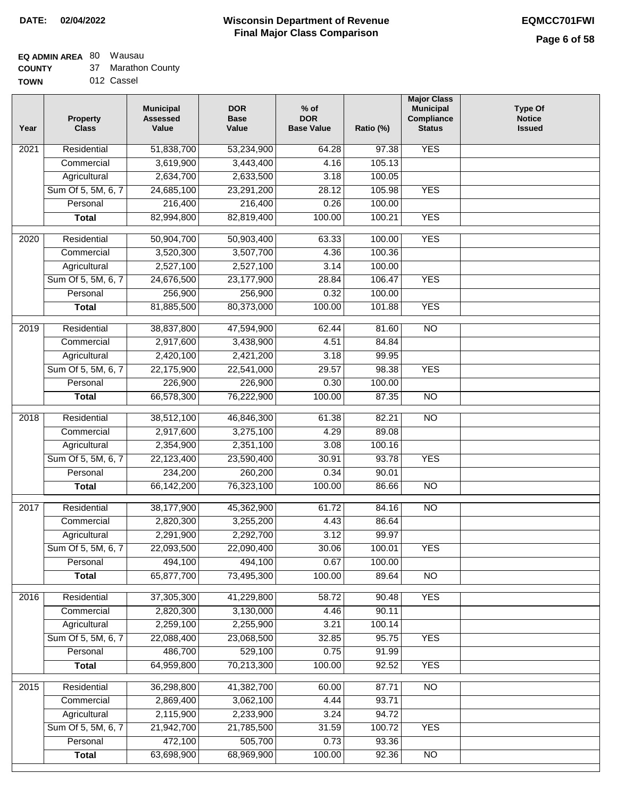## **EQ ADMIN AREA** 80 Wausau

**COUNTY** 37 Marathon County

**TOWN** 012 Cassel

| Year              | <b>Property</b><br><b>Class</b> | <b>Municipal</b><br><b>Assessed</b><br>Value | <b>DOR</b><br><b>Base</b><br>Value | $%$ of<br><b>DOR</b><br><b>Base Value</b> | Ratio (%) | <b>Major Class</b><br><b>Municipal</b><br>Compliance<br><b>Status</b> | <b>Type Of</b><br><b>Notice</b><br><b>Issued</b> |
|-------------------|---------------------------------|----------------------------------------------|------------------------------------|-------------------------------------------|-----------|-----------------------------------------------------------------------|--------------------------------------------------|
| $\overline{202}1$ | Residential                     | 51,838,700                                   | 53,234,900                         | 64.28                                     | 97.38     | <b>YES</b>                                                            |                                                  |
|                   | Commercial                      | 3,619,900                                    | 3,443,400                          | 4.16                                      | 105.13    |                                                                       |                                                  |
|                   | Agricultural                    | 2,634,700                                    | 2,633,500                          | 3.18                                      | 100.05    |                                                                       |                                                  |
|                   | Sum Of 5, 5M, 6, 7              | 24,685,100                                   | 23,291,200                         | 28.12                                     | 105.98    | <b>YES</b>                                                            |                                                  |
|                   | Personal                        | 216,400                                      | 216,400                            | 0.26                                      | 100.00    |                                                                       |                                                  |
|                   | <b>Total</b>                    | 82,994,800                                   | 82,819,400                         | 100.00                                    | 100.21    | <b>YES</b>                                                            |                                                  |
| 2020              | Residential                     | 50,904,700                                   | 50,903,400                         | 63.33                                     | 100.00    | <b>YES</b>                                                            |                                                  |
|                   | Commercial                      | 3,520,300                                    | 3,507,700                          | 4.36                                      | 100.36    |                                                                       |                                                  |
|                   | Agricultural                    | 2,527,100                                    | 2,527,100                          | 3.14                                      | 100.00    |                                                                       |                                                  |
|                   | Sum Of 5, 5M, 6, 7              | 24,676,500                                   | 23,177,900                         | 28.84                                     | 106.47    | <b>YES</b>                                                            |                                                  |
|                   | Personal                        | 256,900                                      | 256,900                            | 0.32                                      | 100.00    |                                                                       |                                                  |
|                   | <b>Total</b>                    | 81,885,500                                   | 80,373,000                         | 100.00                                    | 101.88    | <b>YES</b>                                                            |                                                  |
| 2019              | Residential                     | 38,837,800                                   | 47,594,900                         | 62.44                                     | 81.60     | $\overline{NO}$                                                       |                                                  |
|                   | Commercial                      | 2,917,600                                    | 3,438,900                          | 4.51                                      | 84.84     |                                                                       |                                                  |
|                   | Agricultural                    | 2,420,100                                    | 2,421,200                          | 3.18                                      | 99.95     |                                                                       |                                                  |
|                   | Sum Of 5, 5M, 6, 7              | 22,175,900                                   | 22,541,000                         | 29.57                                     | 98.38     | <b>YES</b>                                                            |                                                  |
|                   | Personal                        | 226,900                                      | 226,900                            | 0.30                                      | 100.00    |                                                                       |                                                  |
|                   | <b>Total</b>                    | 66,578,300                                   | 76,222,900                         | 100.00                                    | 87.35     | $\overline{NO}$                                                       |                                                  |
|                   |                                 |                                              |                                    |                                           |           |                                                                       |                                                  |
| 2018              | Residential                     | 38,512,100                                   | 46,846,300                         | 61.38                                     | 82.21     | $\overline{NO}$                                                       |                                                  |
|                   | Commercial                      | 2,917,600                                    | 3,275,100                          | 4.29                                      | 89.08     |                                                                       |                                                  |
|                   | Agricultural                    | 2,354,900                                    | 2,351,100                          | 3.08                                      | 100.16    |                                                                       |                                                  |
|                   | Sum Of 5, 5M, 6, 7              | 22,123,400                                   | 23,590,400                         | 30.91                                     | 93.78     | <b>YES</b>                                                            |                                                  |
|                   | Personal                        | 234,200                                      | 260,200                            | 0.34                                      | 90.01     |                                                                       |                                                  |
|                   | <b>Total</b>                    | 66,142,200                                   | 76,323,100                         | 100.00                                    | 86.66     | <b>NO</b>                                                             |                                                  |
| $\overline{2017}$ | Residential                     | 38,177,900                                   | 45,362,900                         | 61.72                                     | 84.16     | $\overline{NO}$                                                       |                                                  |
|                   | Commercial                      | 2,820,300                                    | 3,255,200                          | 4.43                                      | 86.64     |                                                                       |                                                  |
|                   | Agricultural                    | 2,291,900                                    | 2,292,700                          | 3.12                                      | 99.97     |                                                                       |                                                  |
|                   | Sum Of 5, 5M, 6, 7              | 22,093,500                                   | 22,090,400                         | 30.06                                     | 100.01    | <b>YES</b>                                                            |                                                  |
|                   | Personal                        | 494,100                                      | 494,100                            | 0.67                                      | 100.00    |                                                                       |                                                  |
|                   | <b>Total</b>                    | 65,877,700                                   | 73,495,300                         | 100.00                                    | 89.64     | <b>NO</b>                                                             |                                                  |
| 2016              | Residential                     | 37,305,300                                   | 41,229,800                         | 58.72                                     | 90.48     | <b>YES</b>                                                            |                                                  |
|                   | Commercial                      | 2,820,300                                    | 3,130,000                          | 4.46                                      | 90.11     |                                                                       |                                                  |
|                   | Agricultural                    | 2,259,100                                    | 2,255,900                          | 3.21                                      | 100.14    |                                                                       |                                                  |
|                   | Sum Of 5, 5M, 6, 7              | 22,088,400                                   | 23,068,500                         | 32.85                                     | 95.75     | <b>YES</b>                                                            |                                                  |
|                   | Personal                        | 486,700                                      | 529,100                            | 0.75                                      | 91.99     |                                                                       |                                                  |
|                   | <b>Total</b>                    | 64,959,800                                   | 70,213,300                         | 100.00                                    | 92.52     | <b>YES</b>                                                            |                                                  |
| 2015              | Residential                     | 36,298,800                                   | 41,382,700                         | 60.00                                     | 87.71     | $\overline{NO}$                                                       |                                                  |
|                   | Commercial                      | 2,869,400                                    | 3,062,100                          | 4.44                                      | 93.71     |                                                                       |                                                  |
|                   | Agricultural                    | 2,115,900                                    | 2,233,900                          | 3.24                                      | 94.72     |                                                                       |                                                  |
|                   | Sum Of 5, 5M, 6, 7              | 21,942,700                                   | 21,785,500                         | 31.59                                     | 100.72    | <b>YES</b>                                                            |                                                  |
|                   | Personal                        | 472,100                                      | 505,700                            | 0.73                                      | 93.36     |                                                                       |                                                  |
|                   | <b>Total</b>                    | 63,698,900                                   | 68,969,900                         | 100.00                                    | 92.36     | NO                                                                    |                                                  |
|                   |                                 |                                              |                                    |                                           |           |                                                                       |                                                  |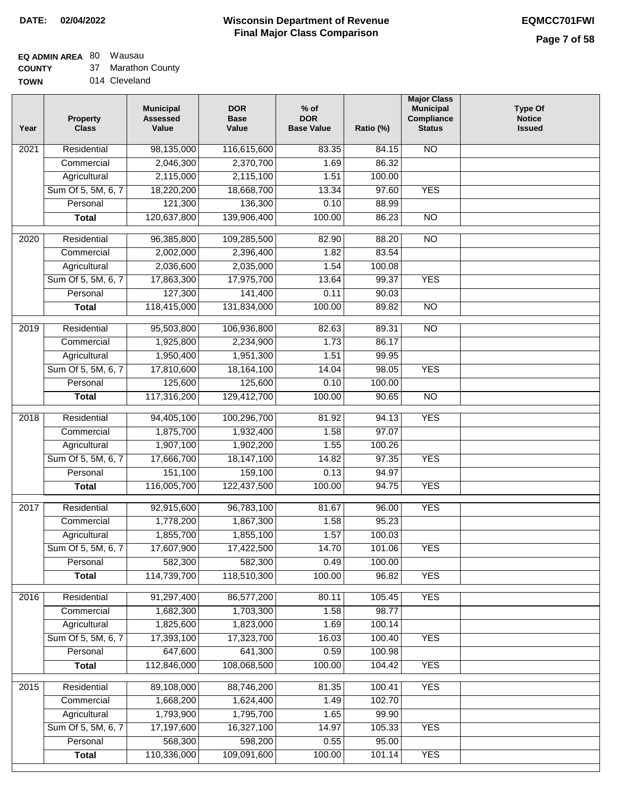### **EQ ADMIN AREA** 80 Wausau

**COUNTY** 37 Marathon County

| <b>TOWN</b> |  | 014 Cleveland |
|-------------|--|---------------|
|-------------|--|---------------|

| Year              | <b>Property</b><br><b>Class</b> | <b>Municipal</b><br><b>Assessed</b><br>Value | <b>DOR</b><br><b>Base</b><br>Value | $%$ of<br><b>DOR</b><br><b>Base Value</b> | Ratio (%) | <b>Major Class</b><br><b>Municipal</b><br>Compliance<br><b>Status</b> | <b>Type Of</b><br><b>Notice</b><br><b>Issued</b> |
|-------------------|---------------------------------|----------------------------------------------|------------------------------------|-------------------------------------------|-----------|-----------------------------------------------------------------------|--------------------------------------------------|
| 2021              | Residential                     | 98,135,000                                   | 116,615,600                        | 83.35                                     | 84.15     | $\overline{NO}$                                                       |                                                  |
|                   | Commercial                      | 2,046,300                                    | 2,370,700                          | 1.69                                      | 86.32     |                                                                       |                                                  |
|                   | Agricultural                    | 2,115,000                                    | 2,115,100                          | 1.51                                      | 100.00    |                                                                       |                                                  |
|                   | Sum Of 5, 5M, 6, 7              | 18,220,200                                   | 18,668,700                         | 13.34                                     | 97.60     | <b>YES</b>                                                            |                                                  |
|                   | Personal                        | 121,300                                      | 136,300                            | 0.10                                      | 88.99     |                                                                       |                                                  |
|                   | <b>Total</b>                    | 120,637,800                                  | 139,906,400                        | 100.00                                    | 86.23     | $\overline{NO}$                                                       |                                                  |
| $\overline{2020}$ | Residential                     | 96,385,800                                   | 109,285,500                        | 82.90                                     | 88.20     | $\overline{NO}$                                                       |                                                  |
|                   | Commercial                      | 2,002,000                                    | 2,396,400                          | 1.82                                      | 83.54     |                                                                       |                                                  |
|                   | Agricultural                    | 2,036,600                                    | 2,035,000                          | 1.54                                      | 100.08    |                                                                       |                                                  |
|                   | Sum Of 5, 5M, 6, 7              | 17,863,300                                   | 17,975,700                         | 13.64                                     | 99.37     | <b>YES</b>                                                            |                                                  |
|                   | Personal                        | 127,300                                      | 141,400                            | 0.11                                      | 90.03     |                                                                       |                                                  |
|                   | <b>Total</b>                    | 118,415,000                                  | 131,834,000                        | 100.00                                    | 89.82     | $\overline{NO}$                                                       |                                                  |
|                   |                                 |                                              |                                    |                                           |           |                                                                       |                                                  |
| $\frac{1}{2019}$  | Residential                     | 95,503,800                                   | 106,936,800                        | 82.63                                     | 89.31     | $\overline{NO}$                                                       |                                                  |
|                   | Commercial                      | 1,925,800                                    | 2,234,900                          | 1.73                                      | 86.17     |                                                                       |                                                  |
|                   | Agricultural                    | 1,950,400                                    | 1,951,300                          | 1.51                                      | 99.95     |                                                                       |                                                  |
|                   | Sum Of 5, 5M, 6, 7              | 17,810,600                                   | 18,164,100                         | 14.04                                     | 98.05     | <b>YES</b>                                                            |                                                  |
|                   | Personal                        | 125,600                                      | 125,600                            | 0.10                                      | 100.00    |                                                                       |                                                  |
|                   | <b>Total</b>                    | 117,316,200                                  | 129,412,700                        | 100.00                                    | 90.65     | $\overline{NO}$                                                       |                                                  |
| 2018              | Residential                     | 94,405,100                                   | 100,296,700                        | 81.92                                     | 94.13     | <b>YES</b>                                                            |                                                  |
|                   | Commercial                      | 1,875,700                                    | 1,932,400                          | 1.58                                      | 97.07     |                                                                       |                                                  |
|                   | Agricultural                    | 1,907,100                                    | 1,902,200                          | 1.55                                      | 100.26    |                                                                       |                                                  |
|                   | Sum Of 5, 5M, 6, 7              | 17,666,700                                   | 18,147,100                         | 14.82                                     | 97.35     | <b>YES</b>                                                            |                                                  |
|                   | Personal                        | 151,100                                      | 159,100                            | 0.13                                      | 94.97     |                                                                       |                                                  |
|                   | <b>Total</b>                    | 116,005,700                                  | 122,437,500                        | 100.00                                    | 94.75     | <b>YES</b>                                                            |                                                  |
| 2017              | Residential                     | 92,915,600                                   | 96,783,100                         | 81.67                                     | 96.00     | <b>YES</b>                                                            |                                                  |
|                   | Commercial                      | 1,778,200                                    | 1,867,300                          | 1.58                                      | 95.23     |                                                                       |                                                  |
|                   | Agricultural                    | 1,855,700                                    | 1,855,100                          | 1.57                                      | 100.03    |                                                                       |                                                  |
|                   | Sum Of 5, 5M, 6, 7              | 17,607,900                                   | 17,422,500                         | 14.70                                     | 101.06    | YES                                                                   |                                                  |
|                   | Personal                        | 582,300                                      | 582,300                            | 0.49                                      | 100.00    |                                                                       |                                                  |
|                   | <b>Total</b>                    | 114,739,700                                  | 118,510,300                        | 100.00                                    | 96.82     | <b>YES</b>                                                            |                                                  |
| 2016              | Residential                     | 91,297,400                                   | 86,577,200                         | 80.11                                     | 105.45    | <b>YES</b>                                                            |                                                  |
|                   | Commercial                      | 1,682,300                                    | 1,703,300                          | 1.58                                      | 98.77     |                                                                       |                                                  |
|                   | Agricultural                    | 1,825,600                                    | 1,823,000                          | 1.69                                      | 100.14    |                                                                       |                                                  |
|                   | Sum Of 5, 5M, 6, 7              | 17,393,100                                   | 17,323,700                         | 16.03                                     | 100.40    | <b>YES</b>                                                            |                                                  |
|                   | Personal                        | 647,600                                      | 641,300                            | 0.59                                      | 100.98    |                                                                       |                                                  |
|                   | <b>Total</b>                    | 112,846,000                                  | 108,068,500                        | 100.00                                    | 104.42    | <b>YES</b>                                                            |                                                  |
|                   |                                 |                                              |                                    |                                           |           |                                                                       |                                                  |
| 2015              | Residential                     | 89,108,000                                   | 88,746,200                         | 81.35                                     | 100.41    | <b>YES</b>                                                            |                                                  |
|                   | Commercial                      | 1,668,200                                    | 1,624,400                          | 1.49                                      | 102.70    |                                                                       |                                                  |
|                   | Agricultural                    | 1,793,900                                    | 1,795,700                          | 1.65                                      | 99.90     |                                                                       |                                                  |
|                   | Sum Of 5, 5M, 6, 7              | 17,197,600                                   | 16,327,100                         | 14.97                                     | 105.33    | <b>YES</b>                                                            |                                                  |
|                   | Personal                        | 568,300                                      | 598,200                            | 0.55                                      | 95.00     |                                                                       |                                                  |
|                   | <b>Total</b>                    | 110,336,000                                  | 109,091,600                        | 100.00                                    | 101.14    | <b>YES</b>                                                            |                                                  |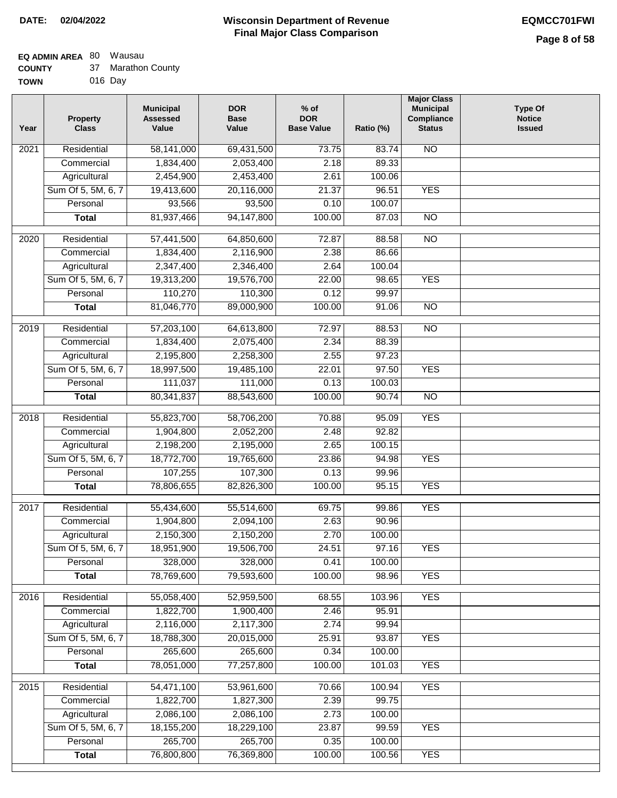### **EQ ADMIN AREA** 80 Wausau

| <b>COUNTY</b> |  | Marathon County |
|---------------|--|-----------------|
|---------------|--|-----------------|

**TOWN** 016 Day

| Year | <b>Property</b><br><b>Class</b>    | <b>Municipal</b><br><b>Assessed</b><br>Value | <b>DOR</b><br><b>Base</b><br>Value | $%$ of<br><b>DOR</b><br><b>Base Value</b> | Ratio (%) | <b>Major Class</b><br><b>Municipal</b><br>Compliance<br><b>Status</b> | <b>Type Of</b><br><b>Notice</b><br><b>Issued</b> |
|------|------------------------------------|----------------------------------------------|------------------------------------|-------------------------------------------|-----------|-----------------------------------------------------------------------|--------------------------------------------------|
| 2021 | Residential                        | 58,141,000                                   | 69,431,500                         | 73.75                                     | 83.74     | <b>NO</b>                                                             |                                                  |
|      | Commercial                         | 1,834,400                                    | 2,053,400                          | 2.18                                      | 89.33     |                                                                       |                                                  |
|      | Agricultural                       | 2,454,900                                    | 2,453,400                          | 2.61                                      | 100.06    |                                                                       |                                                  |
|      | Sum Of 5, 5M, 6, 7                 | 19,413,600                                   | 20,116,000                         | 21.37                                     | 96.51     | <b>YES</b>                                                            |                                                  |
|      | Personal                           | 93,566                                       | 93,500                             | 0.10                                      | 100.07    |                                                                       |                                                  |
|      | <b>Total</b>                       | 81,937,466                                   | 94,147,800                         | 100.00                                    | 87.03     | $\overline{NO}$                                                       |                                                  |
| 2020 | Residential                        | 57,441,500                                   | 64,850,600                         | 72.87                                     | 88.58     | $\overline{NO}$                                                       |                                                  |
|      | Commercial                         | 1,834,400                                    | 2,116,900                          | 2.38                                      | 86.66     |                                                                       |                                                  |
|      | Agricultural                       | 2,347,400                                    | 2,346,400                          | 2.64                                      | 100.04    |                                                                       |                                                  |
|      | Sum Of 5, 5M, 6, 7                 | 19,313,200                                   | 19,576,700                         | 22.00                                     | 98.65     | <b>YES</b>                                                            |                                                  |
|      | Personal                           | 110,270                                      | 110,300                            | 0.12                                      | 99.97     |                                                                       |                                                  |
|      | <b>Total</b>                       | 81,046,770                                   | 89,000,900                         | 100.00                                    | 91.06     | $\overline{NO}$                                                       |                                                  |
| 2019 | Residential                        | 57,203,100                                   | 64,613,800                         | 72.97                                     | 88.53     | $\overline{3}$                                                        |                                                  |
|      | Commercial                         | 1,834,400                                    | 2,075,400                          | 2.34                                      | 88.39     |                                                                       |                                                  |
|      |                                    | 2,195,800                                    | 2,258,300                          | 2.55                                      | 97.23     |                                                                       |                                                  |
|      | Agricultural<br>Sum Of 5, 5M, 6, 7 | 18,997,500                                   | 19,485,100                         | 22.01                                     | 97.50     | <b>YES</b>                                                            |                                                  |
|      | Personal                           | 111,037                                      | 111,000                            | 0.13                                      | 100.03    |                                                                       |                                                  |
|      | <b>Total</b>                       | 80, 341, 837                                 | 88,543,600                         | 100.00                                    | 90.74     | $\overline{NO}$                                                       |                                                  |
|      |                                    |                                              |                                    |                                           |           |                                                                       |                                                  |
| 2018 | Residential                        | 55,823,700                                   | 58,706,200                         | 70.88                                     | 95.09     | <b>YES</b>                                                            |                                                  |
|      | Commercial                         | 1,904,800                                    | 2,052,200                          | 2.48                                      | 92.82     |                                                                       |                                                  |
|      | Agricultural                       | 2,198,200                                    | 2,195,000                          | 2.65                                      | 100.15    |                                                                       |                                                  |
|      | Sum Of 5, 5M, 6, 7                 | 18,772,700                                   | 19,765,600                         | 23.86                                     | 94.98     | <b>YES</b>                                                            |                                                  |
|      | Personal                           | 107,255                                      | 107,300                            | 0.13                                      | 99.96     |                                                                       |                                                  |
|      | <b>Total</b>                       | 78,806,655                                   | 82,826,300                         | 100.00                                    | 95.15     | <b>YES</b>                                                            |                                                  |
| 2017 | Residential                        | 55,434,600                                   | 55,514,600                         | 69.75                                     | 99.86     | <b>YES</b>                                                            |                                                  |
|      | Commercial                         | 1,904,800                                    | 2,094,100                          | 2.63                                      | 90.96     |                                                                       |                                                  |
|      | Agricultural                       | 2,150,300                                    | 2,150,200                          | 2.70                                      | 100.00    |                                                                       |                                                  |
|      | Sum Of 5, 5M, 6, 7                 | 18,951,900                                   | 19,506,700                         | 24.51                                     | 97.16     | <b>YES</b>                                                            |                                                  |
|      | Personal                           | 328,000                                      | 328,000                            | 0.41                                      | 100.00    |                                                                       |                                                  |
|      | <b>Total</b>                       | 78,769,600                                   | 79,593,600                         | 100.00                                    | 98.96     | <b>YES</b>                                                            |                                                  |
| 2016 | Residential                        | 55,058,400                                   | 52,959,500                         | 68.55                                     | 103.96    | <b>YES</b>                                                            |                                                  |
|      | Commercial                         | 1,822,700                                    | 1,900,400                          | 2.46                                      | 95.91     |                                                                       |                                                  |
|      | Agricultural                       | 2,116,000                                    | 2,117,300                          | 2.74                                      | 99.94     |                                                                       |                                                  |
|      | Sum Of 5, 5M, 6, 7                 | 18,788,300                                   | 20,015,000                         | 25.91                                     | 93.87     | <b>YES</b>                                                            |                                                  |
|      | Personal                           | 265,600                                      | 265,600                            | 0.34                                      | 100.00    |                                                                       |                                                  |
|      | <b>Total</b>                       | 78,051,000                                   | 77,257,800                         | 100.00                                    | 101.03    | <b>YES</b>                                                            |                                                  |
| 2015 | Residential                        | 54,471,100                                   | 53,961,600                         | 70.66                                     | 100.94    | <b>YES</b>                                                            |                                                  |
|      | Commercial                         | 1,822,700                                    | 1,827,300                          | 2.39                                      | 99.75     |                                                                       |                                                  |
|      | Agricultural                       | 2,086,100                                    | 2,086,100                          | 2.73                                      | 100.00    |                                                                       |                                                  |
|      | Sum Of 5, 5M, 6, 7                 | 18,155,200                                   | 18,229,100                         | 23.87                                     | 99.59     | <b>YES</b>                                                            |                                                  |
|      | Personal                           | 265,700                                      | 265,700                            | 0.35                                      | 100.00    |                                                                       |                                                  |
|      | <b>Total</b>                       | 76,800,800                                   | 76,369,800                         | 100.00                                    | 100.56    | <b>YES</b>                                                            |                                                  |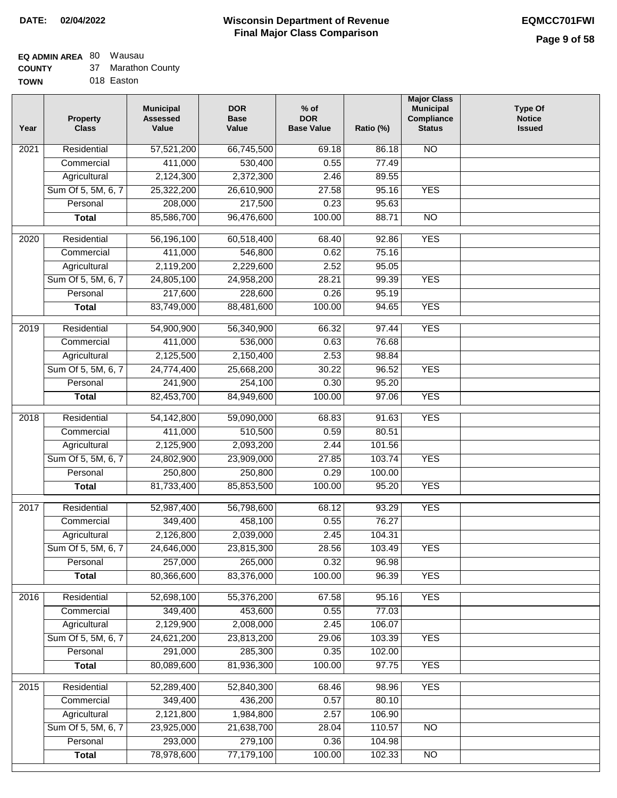### **EQ ADMIN AREA** 80 Wausau

| <b>COUNTY</b> |  | Marathon County |
|---------------|--|-----------------|
|---------------|--|-----------------|

**TOWN** 018 Easton

| Year              | <b>Property</b><br><b>Class</b> | <b>Municipal</b><br><b>Assessed</b><br>Value | <b>DOR</b><br><b>Base</b><br>Value | $%$ of<br><b>DOR</b><br><b>Base Value</b> | Ratio (%) | <b>Major Class</b><br><b>Municipal</b><br>Compliance<br><b>Status</b> | <b>Type Of</b><br><b>Notice</b><br><b>Issued</b> |
|-------------------|---------------------------------|----------------------------------------------|------------------------------------|-------------------------------------------|-----------|-----------------------------------------------------------------------|--------------------------------------------------|
| 2021              | Residential                     | 57,521,200                                   | 66,745,500                         | 69.18                                     | 86.18     | N <sub>O</sub>                                                        |                                                  |
|                   | Commercial                      | 411,000                                      | 530,400                            | 0.55                                      | 77.49     |                                                                       |                                                  |
|                   | Agricultural                    | 2,124,300                                    | 2,372,300                          | 2.46                                      | 89.55     |                                                                       |                                                  |
|                   | Sum Of 5, 5M, 6, 7              | 25,322,200                                   | 26,610,900                         | 27.58                                     | 95.16     | <b>YES</b>                                                            |                                                  |
|                   | Personal                        | 208,000                                      | 217,500                            | 0.23                                      | 95.63     |                                                                       |                                                  |
|                   | <b>Total</b>                    | 85,586,700                                   | 96,476,600                         | 100.00                                    | 88.71     | <b>NO</b>                                                             |                                                  |
| 2020              | Residential                     | 56,196,100                                   | 60,518,400                         | 68.40                                     | 92.86     | <b>YES</b>                                                            |                                                  |
|                   | Commercial                      | 411,000                                      | 546,800                            | 0.62                                      | 75.16     |                                                                       |                                                  |
|                   | Agricultural                    | 2,119,200                                    | 2,229,600                          | 2.52                                      | 95.05     |                                                                       |                                                  |
|                   | Sum Of 5, 5M, 6, 7              | 24,805,100                                   | 24,958,200                         | 28.21                                     | 99.39     | <b>YES</b>                                                            |                                                  |
|                   | Personal                        | 217,600                                      | 228,600                            | 0.26                                      | 95.19     |                                                                       |                                                  |
|                   | <b>Total</b>                    | 83,749,000                                   | 88,481,600                         | 100.00                                    | 94.65     | <b>YES</b>                                                            |                                                  |
| 2019              | Residential                     | 54,900,900                                   | 56,340,900                         | 66.32                                     | 97.44     | <b>YES</b>                                                            |                                                  |
|                   | Commercial                      | 411,000                                      | 536,000                            | 0.63                                      | 76.68     |                                                                       |                                                  |
|                   | Agricultural                    | 2,125,500                                    | 2,150,400                          | 2.53                                      | 98.84     |                                                                       |                                                  |
|                   | Sum Of 5, 5M, 6, 7              | 24,774,400                                   | 25,668,200                         | 30.22                                     | 96.52     | <b>YES</b>                                                            |                                                  |
|                   | Personal                        | 241,900                                      | 254,100                            | 0.30                                      | 95.20     |                                                                       |                                                  |
|                   | <b>Total</b>                    | 82,453,700                                   | 84,949,600                         | 100.00                                    | 97.06     | <b>YES</b>                                                            |                                                  |
|                   |                                 |                                              |                                    |                                           |           |                                                                       |                                                  |
| $\overline{2018}$ | Residential                     | 54,142,800                                   | 59,090,000                         | 68.83                                     | 91.63     | <b>YES</b>                                                            |                                                  |
|                   | Commercial                      | 411,000                                      | 510,500                            | 0.59                                      | 80.51     |                                                                       |                                                  |
|                   | Agricultural                    | 2,125,900                                    | 2,093,200                          | 2.44                                      | 101.56    |                                                                       |                                                  |
|                   | Sum Of 5, 5M, 6, 7              | 24,802,900                                   | 23,909,000                         | 27.85                                     | 103.74    | <b>YES</b>                                                            |                                                  |
|                   | Personal                        | 250,800                                      | 250,800                            | 0.29                                      | 100.00    |                                                                       |                                                  |
|                   | <b>Total</b>                    | 81,733,400                                   | 85,853,500                         | 100.00                                    | 95.20     | <b>YES</b>                                                            |                                                  |
| 2017              | Residential                     | 52,987,400                                   | 56,798,600                         | 68.12                                     | 93.29     | <b>YES</b>                                                            |                                                  |
|                   | Commercial                      | 349,400                                      | 458,100                            | 0.55                                      | 76.27     |                                                                       |                                                  |
|                   | Agricultural                    | 2,126,800                                    | 2,039,000                          | 2.45                                      | 104.31    |                                                                       |                                                  |
|                   | Sum Of 5, 5M, 6, 7              | 24,646,000                                   | 23,815,300                         | 28.56                                     | 103.49    | <b>YES</b>                                                            |                                                  |
|                   | Personal                        | 257,000                                      | 265,000                            | 0.32                                      | 96.98     |                                                                       |                                                  |
|                   | <b>Total</b>                    | 80,366,600                                   | 83,376,000                         | 100.00                                    | 96.39     | <b>YES</b>                                                            |                                                  |
| 2016              | Residential                     | 52,698,100                                   | 55,376,200                         | 67.58                                     | 95.16     | <b>YES</b>                                                            |                                                  |
|                   | Commercial                      | 349,400                                      | 453,600                            | 0.55                                      | 77.03     |                                                                       |                                                  |
|                   | Agricultural                    | 2,129,900                                    | 2,008,000                          | 2.45                                      | 106.07    |                                                                       |                                                  |
|                   | Sum Of 5, 5M, 6, 7              | 24,621,200                                   | 23,813,200                         | 29.06                                     | 103.39    | <b>YES</b>                                                            |                                                  |
|                   | Personal                        | 291,000                                      | 285,300                            | 0.35                                      | 102.00    |                                                                       |                                                  |
|                   | <b>Total</b>                    | 80,089,600                                   | 81,936,300                         | 100.00                                    | 97.75     | <b>YES</b>                                                            |                                                  |
| 2015              | Residential                     | 52,289,400                                   | 52,840,300                         | 68.46                                     | 98.96     | <b>YES</b>                                                            |                                                  |
|                   | Commercial                      | 349,400                                      | 436,200                            | 0.57                                      | 80.10     |                                                                       |                                                  |
|                   | Agricultural                    | 2,121,800                                    | 1,984,800                          | 2.57                                      | 106.90    |                                                                       |                                                  |
|                   | Sum Of 5, 5M, 6, 7              | 23,925,000                                   | 21,638,700                         | 28.04                                     | 110.57    | <b>NO</b>                                                             |                                                  |
|                   | Personal                        | 293,000                                      | 279,100                            | 0.36                                      | 104.98    |                                                                       |                                                  |
|                   | <b>Total</b>                    | 78,978,600                                   | 77,179,100                         | 100.00                                    | 102.33    | N <sub>O</sub>                                                        |                                                  |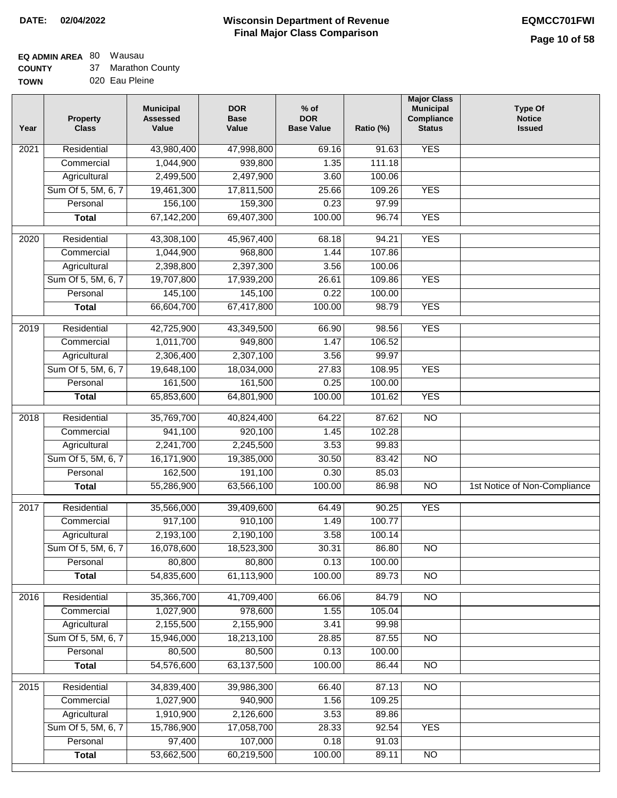**EQ ADMIN AREA** 80 Wausau

**COUNTY TOWN** 37 Marathon County

020 Eau Pleine

| Year              | <b>Property</b><br><b>Class</b>    | <b>Municipal</b><br><b>Assessed</b><br>Value | <b>DOR</b><br><b>Base</b><br>Value | % of<br><b>DOR</b><br><b>Base Value</b> | Ratio (%)      | <b>Major Class</b><br><b>Municipal</b><br>Compliance<br><b>Status</b> | <b>Type Of</b><br><b>Notice</b><br><b>Issued</b> |
|-------------------|------------------------------------|----------------------------------------------|------------------------------------|-----------------------------------------|----------------|-----------------------------------------------------------------------|--------------------------------------------------|
| $\overline{202}1$ | Residential                        | 43,980,400                                   | 47,998,800                         | 69.16                                   | 91.63          | <b>YES</b>                                                            |                                                  |
|                   | Commercial                         | 1,044,900                                    | 939,800                            | 1.35                                    | 111.18         |                                                                       |                                                  |
|                   | Agricultural                       | 2,499,500                                    | 2,497,900                          | 3.60                                    | 100.06         |                                                                       |                                                  |
|                   | Sum Of 5, 5M, 6, 7                 | 19,461,300                                   | 17,811,500                         | 25.66                                   | 109.26         | <b>YES</b>                                                            |                                                  |
|                   | Personal                           | 156,100                                      | 159,300                            | 0.23                                    | 97.99          |                                                                       |                                                  |
|                   | <b>Total</b>                       | 67,142,200                                   | 69,407,300                         | 100.00                                  | 96.74          | <b>YES</b>                                                            |                                                  |
| $\overline{2020}$ | Residential                        | 43,308,100                                   | 45,967,400                         | 68.18                                   | 94.21          | <b>YES</b>                                                            |                                                  |
|                   | Commercial                         | 1,044,900                                    | 968,800                            | 1.44                                    | 107.86         |                                                                       |                                                  |
|                   | Agricultural                       | 2,398,800                                    | 2,397,300                          | 3.56                                    | 100.06         |                                                                       |                                                  |
|                   | Sum Of 5, 5M, 6, 7                 | 19,707,800                                   | 17,939,200                         | 26.61                                   | 109.86         | <b>YES</b>                                                            |                                                  |
|                   | Personal                           | 145,100                                      | 145,100                            | 0.22                                    | 100.00         |                                                                       |                                                  |
|                   | <b>Total</b>                       | 66,604,700                                   | 67,417,800                         | 100.00                                  | 98.79          | <b>YES</b>                                                            |                                                  |
|                   |                                    |                                              |                                    |                                         |                |                                                                       |                                                  |
| $\frac{1}{2019}$  | Residential                        | 42,725,900                                   | 43,349,500                         | 66.90                                   | 98.56          | <b>YES</b>                                                            |                                                  |
|                   | Commercial                         | 1,011,700                                    | 949,800                            | 1.47                                    | 106.52         |                                                                       |                                                  |
|                   | Agricultural                       | 2,306,400                                    | 2,307,100                          | 3.56                                    | 99.97          |                                                                       |                                                  |
|                   | Sum Of 5, 5M, 6, 7                 | 19,648,100                                   | 18,034,000                         | 27.83                                   | 108.95         | <b>YES</b>                                                            |                                                  |
|                   | Personal                           | 161,500                                      | 161,500                            | 0.25                                    | 100.00         |                                                                       |                                                  |
|                   | <b>Total</b>                       | 65,853,600                                   | 64,801,900                         | 100.00                                  | 101.62         | <b>YES</b>                                                            |                                                  |
| 2018              | Residential                        | 35,769,700                                   | 40,824,400                         | 64.22                                   | 87.62          | $\overline{10}$                                                       |                                                  |
|                   | Commercial                         | 941,100                                      | 920,100                            | 1.45                                    | 102.28         |                                                                       |                                                  |
|                   | Agricultural                       | 2,241,700                                    | 2,245,500                          | 3.53                                    | 99.83          |                                                                       |                                                  |
|                   | Sum Of 5, 5M, 6, 7                 | 16,171,900                                   | 19,385,000                         | 30.50                                   | 83.42          | $\overline{3}$                                                        |                                                  |
|                   | Personal                           | 162,500                                      | 191,100                            | 0.30                                    | 85.03          |                                                                       |                                                  |
|                   | <b>Total</b>                       | 55,286,900                                   | 63,566,100                         | 100.00                                  | 86.98          | $\overline{10}$                                                       | 1st Notice of Non-Compliance                     |
| $\overline{2017}$ | Residential                        | 35,566,000                                   | 39,409,600                         | 64.49                                   | 90.25          | <b>YES</b>                                                            |                                                  |
|                   | Commercial                         | 917,100                                      | 910,100                            | 1.49                                    | 100.77         |                                                                       |                                                  |
|                   | Agricultural                       | 2,193,100                                    | 2,190,100                          | 3.58                                    | 100.14         |                                                                       |                                                  |
|                   | Sum Of 5, 5M, 6, 7                 | 16,078,600                                   | 18,523,300                         | 30.31                                   | 86.80          | <b>NO</b>                                                             |                                                  |
|                   | Personal                           | 80,800                                       | 80,800                             | 0.13                                    | 100.00         |                                                                       |                                                  |
|                   | <b>Total</b>                       | 54,835,600                                   | 61,113,900                         | 100.00                                  | 89.73          | <b>NO</b>                                                             |                                                  |
| 2016              | Residential                        | 35,366,700                                   | 41,709,400                         | 66.06                                   | 84.79          | N <sub>O</sub>                                                        |                                                  |
|                   | Commercial                         | 1,027,900                                    | 978,600                            | 1.55                                    | 105.04         |                                                                       |                                                  |
|                   | Agricultural                       | 2,155,500                                    | 2,155,900                          | 3.41                                    | 99.98          |                                                                       |                                                  |
|                   | Sum Of 5, 5M, 6, 7                 | 15,946,000                                   | 18,213,100                         | 28.85                                   | 87.55          | $\overline{NO}$                                                       |                                                  |
|                   | Personal                           | 80,500                                       | 80,500                             | 0.13                                    | 100.00         |                                                                       |                                                  |
|                   | <b>Total</b>                       | 54,576,600                                   | 63,137,500                         | 100.00                                  | 86.44          | $\overline{NO}$                                                       |                                                  |
|                   |                                    |                                              |                                    |                                         |                |                                                                       |                                                  |
| 2015              | Residential                        | 34,839,400                                   | 39,986,300                         | 66.40                                   | 87.13          | N <sub>O</sub>                                                        |                                                  |
|                   | Commercial                         | 1,027,900                                    | 940,900                            | 1.56                                    | 109.25         |                                                                       |                                                  |
|                   | Agricultural<br>Sum Of 5, 5M, 6, 7 | 1,910,900<br>15,786,900                      | 2,126,600<br>17,058,700            | 3.53<br>28.33                           | 89.86<br>92.54 | <b>YES</b>                                                            |                                                  |
|                   | Personal                           | 97,400                                       | 107,000                            | 0.18                                    | 91.03          |                                                                       |                                                  |
|                   | <b>Total</b>                       | 53,662,500                                   | 60,219,500                         | 100.00                                  | 89.11          | N <sub>O</sub>                                                        |                                                  |
|                   |                                    |                                              |                                    |                                         |                |                                                                       |                                                  |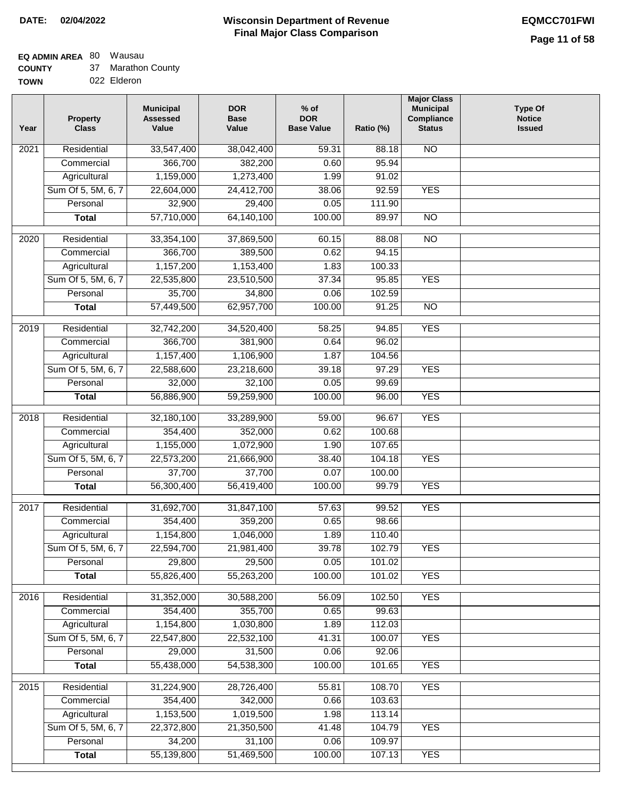## **EQ ADMIN AREA** 80 Wausau

**COUNTY** 37 Marathon County

**TOWN** 022 Elderon

| Year              | <b>Property</b><br><b>Class</b> | <b>Municipal</b><br><b>Assessed</b><br>Value | <b>DOR</b><br><b>Base</b><br>Value | % of<br><b>DOR</b><br><b>Base Value</b> | Ratio (%) | <b>Major Class</b><br><b>Municipal</b><br>Compliance<br><b>Status</b> | <b>Type Of</b><br><b>Notice</b><br><b>Issued</b> |
|-------------------|---------------------------------|----------------------------------------------|------------------------------------|-----------------------------------------|-----------|-----------------------------------------------------------------------|--------------------------------------------------|
| $\overline{202}1$ | Residential                     | 33,547,400                                   | 38,042,400                         | 59.31                                   | 88.18     | <b>NO</b>                                                             |                                                  |
|                   | Commercial                      | 366,700                                      | 382,200                            | 0.60                                    | 95.94     |                                                                       |                                                  |
|                   | Agricultural                    | 1,159,000                                    | 1,273,400                          | 1.99                                    | 91.02     |                                                                       |                                                  |
|                   | Sum Of 5, 5M, 6, 7              | 22,604,000                                   | 24,412,700                         | 38.06                                   | 92.59     | <b>YES</b>                                                            |                                                  |
|                   | Personal                        | 32,900                                       | 29,400                             | 0.05                                    | 111.90    |                                                                       |                                                  |
|                   | <b>Total</b>                    | 57,710,000                                   | 64,140,100                         | 100.00                                  | 89.97     | $\overline{NO}$                                                       |                                                  |
| $\overline{2020}$ | Residential                     | 33,354,100                                   | 37,869,500                         | 60.15                                   | 88.08     | $\overline{NO}$                                                       |                                                  |
|                   | Commercial                      | 366,700                                      | 389,500                            | 0.62                                    | 94.15     |                                                                       |                                                  |
|                   | Agricultural                    | 1,157,200                                    | 1,153,400                          | 1.83                                    | 100.33    |                                                                       |                                                  |
|                   | Sum Of 5, 5M, 6, 7              | 22,535,800                                   | 23,510,500                         | 37.34                                   | 95.85     | <b>YES</b>                                                            |                                                  |
|                   | Personal                        | 35,700                                       | 34,800                             | 0.06                                    | 102.59    |                                                                       |                                                  |
|                   | <b>Total</b>                    | 57,449,500                                   | 62,957,700                         | 100.00                                  | 91.25     | $\overline{NO}$                                                       |                                                  |
| $\frac{2019}{ }$  | Residential                     | 32,742,200                                   | 34,520,400                         | 58.25                                   | 94.85     | <b>YES</b>                                                            |                                                  |
|                   | Commercial                      | 366,700                                      | 381,900                            | 0.64                                    | 96.02     |                                                                       |                                                  |
|                   | Agricultural                    | 1,157,400                                    | 1,106,900                          | 1.87                                    | 104.56    |                                                                       |                                                  |
|                   | Sum Of 5, 5M, 6, 7              | 22,588,600                                   | 23,218,600                         | 39.18                                   | 97.29     | <b>YES</b>                                                            |                                                  |
|                   | Personal                        | 32,000                                       | 32,100                             | 0.05                                    | 99.69     |                                                                       |                                                  |
|                   | <b>Total</b>                    | 56,886,900                                   | 59,259,900                         | 100.00                                  | 96.00     | <b>YES</b>                                                            |                                                  |
| 2018              | Residential                     | 32,180,100                                   | 33,289,900                         | 59.00                                   | 96.67     | <b>YES</b>                                                            |                                                  |
|                   | Commercial                      | 354,400                                      | 352,000                            | 0.62                                    | 100.68    |                                                                       |                                                  |
|                   | Agricultural                    | 1,155,000                                    | 1,072,900                          | 1.90                                    | 107.65    |                                                                       |                                                  |
|                   | Sum Of 5, 5M, 6, 7              | 22,573,200                                   | 21,666,900                         | 38.40                                   | 104.18    | <b>YES</b>                                                            |                                                  |
|                   | Personal                        | 37,700                                       | 37,700                             | 0.07                                    | 100.00    |                                                                       |                                                  |
|                   | <b>Total</b>                    | 56,300,400                                   | 56,419,400                         | 100.00                                  | 99.79     | <b>YES</b>                                                            |                                                  |
| $\overline{2017}$ | Residential                     | 31,692,700                                   | 31,847,100                         | 57.63                                   | 99.52     | <b>YES</b>                                                            |                                                  |
|                   | Commercial                      | 354,400                                      | 359,200                            | 0.65                                    | 98.66     |                                                                       |                                                  |
|                   | Agricultural                    | 1,154,800                                    | 1,046,000                          | 1.89                                    | 110.40    |                                                                       |                                                  |
|                   | Sum Of 5, 5M, 6, 7              | 22,594,700                                   | 21,981,400                         | 39.78                                   | 102.79    | <b>YES</b>                                                            |                                                  |
|                   | Personal                        | 29,800                                       | 29,500                             | 0.05                                    | 101.02    |                                                                       |                                                  |
|                   | <b>Total</b>                    | 55,826,400                                   | 55,263,200                         | 100.00                                  | 101.02    | <b>YES</b>                                                            |                                                  |
| 2016              | Residential                     | 31,352,000                                   | 30,588,200                         | 56.09                                   | 102.50    | <b>YES</b>                                                            |                                                  |
|                   | Commercial                      | 354,400                                      | 355,700                            | 0.65                                    | 99.63     |                                                                       |                                                  |
|                   | Agricultural                    | 1,154,800                                    | 1,030,800                          | 1.89                                    | 112.03    |                                                                       |                                                  |
|                   | Sum Of 5, 5M, 6, 7              | 22,547,800                                   | 22,532,100                         | 41.31                                   | 100.07    | <b>YES</b>                                                            |                                                  |
|                   | Personal                        | 29,000                                       | 31,500                             | 0.06                                    | 92.06     |                                                                       |                                                  |
|                   | <b>Total</b>                    | 55,438,000                                   | 54,538,300                         | 100.00                                  | 101.65    | <b>YES</b>                                                            |                                                  |
| 2015              | Residential                     | 31,224,900                                   | 28,726,400                         | 55.81                                   | 108.70    | <b>YES</b>                                                            |                                                  |
|                   | Commercial                      | 354,400                                      | 342,000                            | 0.66                                    | 103.63    |                                                                       |                                                  |
|                   | Agricultural                    | 1,153,500                                    | 1,019,500                          | 1.98                                    | 113.14    |                                                                       |                                                  |
|                   | Sum Of 5, 5M, 6, 7              | 22,372,800                                   | 21,350,500                         | 41.48                                   | 104.79    | <b>YES</b>                                                            |                                                  |
|                   | Personal                        | 34,200                                       | 31,100                             | 0.06                                    | 109.97    |                                                                       |                                                  |
|                   | <b>Total</b>                    | 55,139,800                                   | 51,469,500                         | 100.00                                  | 107.13    | <b>YES</b>                                                            |                                                  |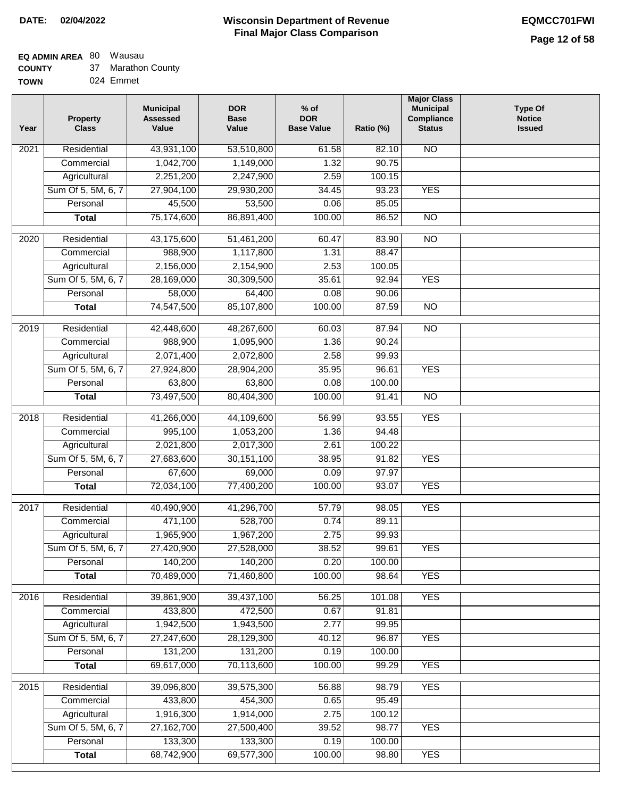# **EQ ADMIN AREA** 80 Wausau

**COUNTY TOW** 37 Marathon County

| ٧Ν | 024 Emmet |
|----|-----------|
|    |           |

| Year              | <b>Property</b><br><b>Class</b> | <b>Municipal</b><br><b>Assessed</b><br>Value | <b>DOR</b><br><b>Base</b><br>Value | $%$ of<br><b>DOR</b><br><b>Base Value</b> | Ratio (%) | <b>Major Class</b><br><b>Municipal</b><br>Compliance<br><b>Status</b> | <b>Type Of</b><br><b>Notice</b><br><b>Issued</b> |
|-------------------|---------------------------------|----------------------------------------------|------------------------------------|-------------------------------------------|-----------|-----------------------------------------------------------------------|--------------------------------------------------|
| 2021              | Residential                     | 43,931,100                                   | 53,510,800                         | 61.58                                     | 82.10     | <b>NO</b>                                                             |                                                  |
|                   | Commercial                      | 1,042,700                                    | 1,149,000                          | 1.32                                      | 90.75     |                                                                       |                                                  |
|                   | Agricultural                    | 2,251,200                                    | 2,247,900                          | 2.59                                      | 100.15    |                                                                       |                                                  |
|                   | Sum Of 5, 5M, 6, 7              | 27,904,100                                   | 29,930,200                         | 34.45                                     | 93.23     | <b>YES</b>                                                            |                                                  |
|                   | Personal                        | 45,500                                       | 53,500                             | 0.06                                      | 85.05     |                                                                       |                                                  |
|                   | <b>Total</b>                    | 75,174,600                                   | 86,891,400                         | 100.00                                    | 86.52     | $\overline{NO}$                                                       |                                                  |
| $\overline{2020}$ | Residential                     | 43,175,600                                   | 51,461,200                         | 60.47                                     | 83.90     | NO                                                                    |                                                  |
|                   | Commercial                      | 988,900                                      | 1,117,800                          | 1.31                                      | 88.47     |                                                                       |                                                  |
|                   | Agricultural                    | 2,156,000                                    | 2,154,900                          | 2.53                                      | 100.05    |                                                                       |                                                  |
|                   | Sum Of 5, 5M, 6, 7              | 28,169,000                                   | 30,309,500                         | 35.61                                     | 92.94     | <b>YES</b>                                                            |                                                  |
|                   | Personal                        | 58,000                                       | 64,400                             | 0.08                                      | 90.06     |                                                                       |                                                  |
|                   | <b>Total</b>                    | 74,547,500                                   | 85,107,800                         | 100.00                                    | 87.59     | <b>NO</b>                                                             |                                                  |
|                   |                                 |                                              |                                    |                                           |           |                                                                       |                                                  |
| $\frac{1}{2019}$  | Residential                     | 42,448,600                                   | 48,267,600                         | 60.03                                     | 87.94     | $\overline{NO}$                                                       |                                                  |
|                   | Commercial                      | 988,900                                      | 1,095,900                          | 1.36                                      | 90.24     |                                                                       |                                                  |
|                   | Agricultural                    | 2,071,400                                    | 2,072,800                          | 2.58                                      | 99.93     |                                                                       |                                                  |
|                   | Sum Of 5, 5M, 6, 7              | 27,924,800                                   | 28,904,200                         | 35.95                                     | 96.61     | <b>YES</b>                                                            |                                                  |
|                   | Personal                        | 63,800                                       | 63,800                             | 0.08                                      | 100.00    |                                                                       |                                                  |
|                   | <b>Total</b>                    | 73,497,500                                   | 80,404,300                         | 100.00                                    | 91.41     | $\overline{NO}$                                                       |                                                  |
| 2018              | Residential                     | 41,266,000                                   | 44,109,600                         | 56.99                                     | 93.55     | <b>YES</b>                                                            |                                                  |
|                   | Commercial                      | 995,100                                      | 1,053,200                          | 1.36                                      | 94.48     |                                                                       |                                                  |
|                   | Agricultural                    | 2,021,800                                    | 2,017,300                          | 2.61                                      | 100.22    |                                                                       |                                                  |
|                   | Sum Of 5, 5M, 6, 7              | 27,683,600                                   | 30,151,100                         | 38.95                                     | 91.82     | <b>YES</b>                                                            |                                                  |
|                   | Personal                        | 67,600                                       | 69,000                             | 0.09                                      | 97.97     |                                                                       |                                                  |
|                   | <b>Total</b>                    | 72,034,100                                   | 77,400,200                         | 100.00                                    | 93.07     | <b>YES</b>                                                            |                                                  |
| 2017              | Residential                     | 40,490,900                                   | 41,296,700                         | 57.79                                     | 98.05     | <b>YES</b>                                                            |                                                  |
|                   | Commercial                      | 471,100                                      | 528,700                            | 0.74                                      | 89.11     |                                                                       |                                                  |
|                   | Agricultural                    | 1,965,900                                    | 1,967,200                          | 2.75                                      | 99.93     |                                                                       |                                                  |
|                   | Sum Of 5, 5M, 6, 7              | 27,420,900                                   | 27,528,000                         | 38.52                                     | 99.61     | <b>YES</b>                                                            |                                                  |
|                   | Personal                        | 140,200                                      | 140,200                            | 0.20                                      | 100.00    |                                                                       |                                                  |
|                   | <b>Total</b>                    | 70,489,000                                   | 71,460,800                         | 100.00                                    | 98.64     | <b>YES</b>                                                            |                                                  |
| 2016              | Residential                     | 39,861,900                                   | 39,437,100                         | 56.25                                     | 101.08    | <b>YES</b>                                                            |                                                  |
|                   | Commercial                      | 433,800                                      | 472,500                            | 0.67                                      | 91.81     |                                                                       |                                                  |
|                   | Agricultural                    | 1,942,500                                    | 1,943,500                          | 2.77                                      | 99.95     |                                                                       |                                                  |
|                   | Sum Of 5, 5M, 6, 7              | 27,247,600                                   | 28,129,300                         | 40.12                                     | 96.87     | <b>YES</b>                                                            |                                                  |
|                   | Personal                        | 131,200                                      | 131,200                            | 0.19                                      | 100.00    |                                                                       |                                                  |
|                   | <b>Total</b>                    | 69,617,000                                   | 70,113,600                         | 100.00                                    | 99.29     | <b>YES</b>                                                            |                                                  |
| 2015              | Residential                     | 39,096,800                                   | 39,575,300                         | 56.88                                     | 98.79     | <b>YES</b>                                                            |                                                  |
|                   | Commercial                      | 433,800                                      | 454,300                            | 0.65                                      | 95.49     |                                                                       |                                                  |
|                   | Agricultural                    | 1,916,300                                    | 1,914,000                          | 2.75                                      | 100.12    |                                                                       |                                                  |
|                   | Sum Of 5, 5M, 6, 7              | 27, 162, 700                                 | 27,500,400                         | 39.52                                     | 98.77     | <b>YES</b>                                                            |                                                  |
|                   | Personal                        | 133,300                                      | 133,300                            | 0.19                                      | 100.00    |                                                                       |                                                  |
|                   | <b>Total</b>                    | 68,742,900                                   | 69,577,300                         | 100.00                                    | 98.80     | <b>YES</b>                                                            |                                                  |
|                   |                                 |                                              |                                    |                                           |           |                                                                       |                                                  |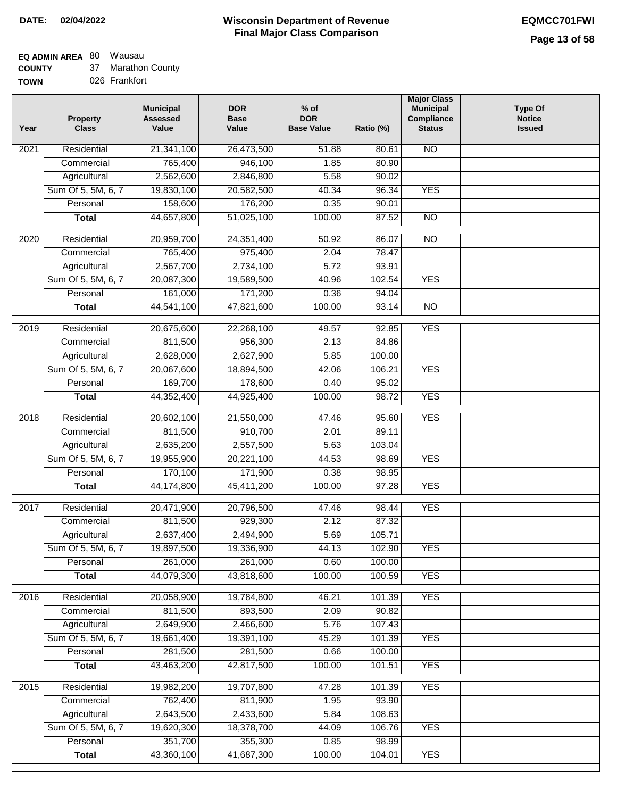# **EQ ADMIN AREA** 80 Wausau

**COUNTY** 37 Marathon County

| <b>TOWN</b> | 026 Frankfort |
|-------------|---------------|
|             |               |

| Year             | <b>Property</b><br><b>Class</b> | <b>Municipal</b><br><b>Assessed</b><br>Value | <b>DOR</b><br><b>Base</b><br>Value | $%$ of<br><b>DOR</b><br><b>Base Value</b> | Ratio (%) | <b>Major Class</b><br><b>Municipal</b><br>Compliance<br><b>Status</b> | <b>Type Of</b><br><b>Notice</b><br><b>Issued</b> |
|------------------|---------------------------------|----------------------------------------------|------------------------------------|-------------------------------------------|-----------|-----------------------------------------------------------------------|--------------------------------------------------|
| 2021             | Residential                     | 21,341,100                                   | 26,473,500                         | 51.88                                     | 80.61     | $\overline{NO}$                                                       |                                                  |
|                  | Commercial                      | 765,400                                      | 946,100                            | 1.85                                      | 80.90     |                                                                       |                                                  |
|                  | Agricultural                    | 2,562,600                                    | 2,846,800                          | 5.58                                      | 90.02     |                                                                       |                                                  |
|                  | Sum Of 5, 5M, 6, 7              | 19,830,100                                   | 20,582,500                         | 40.34                                     | 96.34     | <b>YES</b>                                                            |                                                  |
|                  | Personal                        | 158,600                                      | 176,200                            | 0.35                                      | 90.01     |                                                                       |                                                  |
|                  | <b>Total</b>                    | 44,657,800                                   | 51,025,100                         | 100.00                                    | 87.52     | $\overline{NO}$                                                       |                                                  |
| 2020             | Residential                     | 20,959,700                                   | 24,351,400                         | 50.92                                     | 86.07     | $\overline{NO}$                                                       |                                                  |
|                  | Commercial                      | 765,400                                      | 975,400                            | 2.04                                      | 78.47     |                                                                       |                                                  |
|                  | Agricultural                    | 2,567,700                                    | 2,734,100                          | 5.72                                      | 93.91     |                                                                       |                                                  |
|                  | Sum Of 5, 5M, 6, 7              | 20,087,300                                   | 19,589,500                         | 40.96                                     | 102.54    | <b>YES</b>                                                            |                                                  |
|                  | Personal                        | 161,000                                      | 171,200                            | 0.36                                      | 94.04     |                                                                       |                                                  |
|                  | <b>Total</b>                    | 44,541,100                                   | 47,821,600                         | 100.00                                    | 93.14     | $\overline{NO}$                                                       |                                                  |
|                  |                                 |                                              |                                    |                                           |           |                                                                       |                                                  |
| $\frac{1}{2019}$ | Residential                     | 20,675,600                                   | 22,268,100                         | 49.57                                     | 92.85     | <b>YES</b>                                                            |                                                  |
|                  | Commercial                      | 811,500                                      | 956,300                            | 2.13                                      | 84.86     |                                                                       |                                                  |
|                  | Agricultural                    | 2,628,000                                    | 2,627,900                          | 5.85                                      | 100.00    |                                                                       |                                                  |
|                  | Sum Of 5, 5M, 6, 7              | 20,067,600                                   | 18,894,500                         | 42.06                                     | 106.21    | <b>YES</b>                                                            |                                                  |
|                  | Personal                        | 169,700                                      | 178,600                            | 0.40                                      | 95.02     |                                                                       |                                                  |
|                  | <b>Total</b>                    | 44,352,400                                   | 44,925,400                         | 100.00                                    | 98.72     | <b>YES</b>                                                            |                                                  |
| 2018             | Residential                     | 20,602,100                                   | 21,550,000                         | 47.46                                     | 95.60     | <b>YES</b>                                                            |                                                  |
|                  | Commercial                      | 811,500                                      | 910,700                            | 2.01                                      | 89.11     |                                                                       |                                                  |
|                  | Agricultural                    | 2,635,200                                    | 2,557,500                          | 5.63                                      | 103.04    |                                                                       |                                                  |
|                  | Sum Of 5, 5M, 6, 7              | 19,955,900                                   | 20,221,100                         | 44.53                                     | 98.69     | <b>YES</b>                                                            |                                                  |
|                  | Personal                        | 170,100                                      | 171,900                            | 0.38                                      | 98.95     |                                                                       |                                                  |
|                  | <b>Total</b>                    | 44,174,800                                   | 45,411,200                         | 100.00                                    | 97.28     | <b>YES</b>                                                            |                                                  |
|                  |                                 |                                              |                                    |                                           |           |                                                                       |                                                  |
| 2017             | Residential                     | 20,471,900                                   | 20,796,500                         | 47.46                                     | 98.44     | <b>YES</b>                                                            |                                                  |
|                  | Commercial                      | 811,500                                      | 929,300                            | 2.12                                      | 87.32     |                                                                       |                                                  |
|                  | Agricultural                    | 2,637,400                                    | 2,494,900                          | 5.69                                      | 105.71    |                                                                       |                                                  |
|                  | Sum Of 5, 5M, 6, 7              | 19,897,500                                   | 19,336,900                         | 44.13                                     | 102.90    | YES                                                                   |                                                  |
|                  | Personal                        | 261,000                                      | 261,000                            | 0.60                                      | 100.00    |                                                                       |                                                  |
|                  | <b>Total</b>                    | 44,079,300                                   | 43,818,600                         | 100.00                                    | 100.59    | <b>YES</b>                                                            |                                                  |
| 2016             | Residential                     | 20,058,900                                   | 19,784,800                         | 46.21                                     | 101.39    | <b>YES</b>                                                            |                                                  |
|                  | Commercial                      | 811,500                                      | 893,500                            | 2.09                                      | 90.82     |                                                                       |                                                  |
|                  | Agricultural                    | 2,649,900                                    | 2,466,600                          | 5.76                                      | 107.43    |                                                                       |                                                  |
|                  | Sum Of 5, 5M, 6, 7              | 19,661,400                                   | 19,391,100                         | 45.29                                     | 101.39    | <b>YES</b>                                                            |                                                  |
|                  | Personal                        | 281,500                                      | 281,500                            | 0.66                                      | 100.00    |                                                                       |                                                  |
|                  | <b>Total</b>                    | 43,463,200                                   | 42,817,500                         | 100.00                                    | 101.51    | <b>YES</b>                                                            |                                                  |
| 2015             | Residential                     | 19,982,200                                   | 19,707,800                         | 47.28                                     | 101.39    | <b>YES</b>                                                            |                                                  |
|                  | Commercial                      | 762,400                                      | 811,900                            | 1.95                                      | 93.90     |                                                                       |                                                  |
|                  | Agricultural                    | 2,643,500                                    | 2,433,600                          | 5.84                                      | 108.63    |                                                                       |                                                  |
|                  | Sum Of 5, 5M, 6, 7              | 19,620,300                                   | 18,378,700                         | 44.09                                     | 106.76    | <b>YES</b>                                                            |                                                  |
|                  | Personal                        | 351,700                                      | 355,300                            | 0.85                                      | 98.99     |                                                                       |                                                  |
|                  | <b>Total</b>                    | 43,360,100                                   | 41,687,300                         | 100.00                                    | 104.01    | <b>YES</b>                                                            |                                                  |
|                  |                                 |                                              |                                    |                                           |           |                                                                       |                                                  |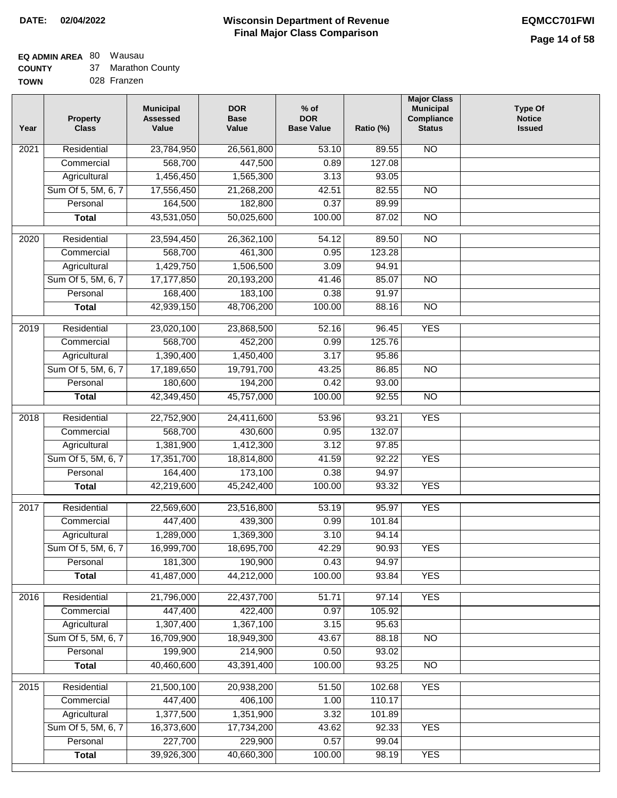### **EQ ADMIN AREA** 80 Wausau

| <b>COUNTY</b> | 37 Marathon County |
|---------------|--------------------|
| <b>TOWN</b>   | 028 Franzen        |

| Year              | <b>Property</b><br><b>Class</b> | <b>Municipal</b><br><b>Assessed</b><br>Value | <b>DOR</b><br><b>Base</b><br>Value | $%$ of<br><b>DOR</b><br><b>Base Value</b> | Ratio (%) | <b>Major Class</b><br><b>Municipal</b><br>Compliance<br><b>Status</b> | <b>Type Of</b><br><b>Notice</b><br><b>Issued</b> |
|-------------------|---------------------------------|----------------------------------------------|------------------------------------|-------------------------------------------|-----------|-----------------------------------------------------------------------|--------------------------------------------------|
| 2021              | Residential                     | 23,784,950                                   | 26,561,800                         | 53.10                                     | 89.55     | $\overline{NO}$                                                       |                                                  |
|                   | Commercial                      | 568,700                                      | 447,500                            | 0.89                                      | 127.08    |                                                                       |                                                  |
|                   | Agricultural                    | 1,456,450                                    | 1,565,300                          | 3.13                                      | 93.05     |                                                                       |                                                  |
|                   | Sum Of 5, 5M, 6, 7              | 17,556,450                                   | 21,268,200                         | 42.51                                     | 82.55     | $\overline{NO}$                                                       |                                                  |
|                   | Personal                        | 164,500                                      | 182,800                            | 0.37                                      | 89.99     |                                                                       |                                                  |
|                   | <b>Total</b>                    | 43,531,050                                   | 50,025,600                         | 100.00                                    | 87.02     | $\overline{NO}$                                                       |                                                  |
| $\overline{2020}$ | Residential                     | 23,594,450                                   | 26,362,100                         | 54.12                                     | 89.50     | $\overline{NO}$                                                       |                                                  |
|                   | Commercial                      | 568,700                                      | 461,300                            | 0.95                                      | 123.28    |                                                                       |                                                  |
|                   | Agricultural                    | 1,429,750                                    | 1,506,500                          | 3.09                                      | 94.91     |                                                                       |                                                  |
|                   | Sum Of 5, 5M, 6, 7              | 17,177,850                                   | 20,193,200                         | 41.46                                     | 85.07     | $\overline{NO}$                                                       |                                                  |
|                   | Personal                        | 168,400                                      | 183,100                            | 0.38                                      | 91.97     |                                                                       |                                                  |
|                   | <b>Total</b>                    | 42,939,150                                   | 48,706,200                         | 100.00                                    | 88.16     | $\overline{NO}$                                                       |                                                  |
|                   |                                 |                                              |                                    |                                           |           |                                                                       |                                                  |
| $\frac{1}{2019}$  | Residential                     | 23,020,100                                   | 23,868,500                         | 52.16                                     | 96.45     | <b>YES</b>                                                            |                                                  |
|                   | Commercial                      | 568,700                                      | 452,200                            | 0.99                                      | 125.76    |                                                                       |                                                  |
|                   | Agricultural                    | 1,390,400                                    | 1,450,400                          | 3.17                                      | 95.86     |                                                                       |                                                  |
|                   | Sum Of 5, 5M, 6, 7              | 17,189,650                                   | 19,791,700                         | 43.25                                     | 86.85     | $\overline{NO}$                                                       |                                                  |
|                   | Personal                        | 180,600                                      | 194,200                            | 0.42                                      | 93.00     |                                                                       |                                                  |
|                   | <b>Total</b>                    | 42,349,450                                   | 45,757,000                         | 100.00                                    | 92.55     | $\overline{NO}$                                                       |                                                  |
| 2018              | Residential                     | 22,752,900                                   | 24,411,600                         | 53.96                                     | 93.21     | <b>YES</b>                                                            |                                                  |
|                   | Commercial                      | 568,700                                      | 430,600                            | 0.95                                      | 132.07    |                                                                       |                                                  |
|                   | Agricultural                    | 1,381,900                                    | 1,412,300                          | 3.12                                      | 97.85     |                                                                       |                                                  |
|                   | Sum Of 5, 5M, 6, 7              | 17,351,700                                   | 18,814,800                         | 41.59                                     | 92.22     | <b>YES</b>                                                            |                                                  |
|                   | Personal                        | 164,400                                      | 173,100                            | 0.38                                      | 94.97     |                                                                       |                                                  |
|                   | <b>Total</b>                    | 42,219,600                                   | 45,242,400                         | 100.00                                    | 93.32     | <b>YES</b>                                                            |                                                  |
| 2017              | Residential                     | 22,569,600                                   | 23,516,800                         | 53.19                                     | 95.97     | <b>YES</b>                                                            |                                                  |
|                   | Commercial                      | 447,400                                      | 439,300                            | 0.99                                      | 101.84    |                                                                       |                                                  |
|                   | Agricultural                    | 1,289,000                                    | 1,369,300                          | 3.10                                      | 94.14     |                                                                       |                                                  |
|                   | Sum Of 5, 5M, 6, 7              | 16,999,700                                   | 18,695,700                         | 42.29                                     | 90.93     | YES                                                                   |                                                  |
|                   | Personal                        | 181,300                                      | 190,900                            | 0.43                                      | 94.97     |                                                                       |                                                  |
|                   | <b>Total</b>                    | 41,487,000                                   | 44,212,000                         | 100.00                                    | 93.84     | <b>YES</b>                                                            |                                                  |
| 2016              | Residential                     | 21,796,000                                   | 22,437,700                         | 51.71                                     | 97.14     | <b>YES</b>                                                            |                                                  |
|                   | Commercial                      | 447,400                                      | 422,400                            | 0.97                                      | 105.92    |                                                                       |                                                  |
|                   | Agricultural                    | 1,307,400                                    | 1,367,100                          | 3.15                                      | 95.63     |                                                                       |                                                  |
|                   | Sum Of 5, 5M, 6, 7              | 16,709,900                                   | 18,949,300                         | 43.67                                     | 88.18     | <b>NO</b>                                                             |                                                  |
|                   | Personal                        | 199,900                                      | 214,900                            | 0.50                                      | 93.02     |                                                                       |                                                  |
|                   | <b>Total</b>                    | 40,460,600                                   | 43,391,400                         | 100.00                                    | 93.25     | $\overline{NO}$                                                       |                                                  |
| 2015              | Residential                     | 21,500,100                                   | 20,938,200                         | 51.50                                     | 102.68    | <b>YES</b>                                                            |                                                  |
|                   | Commercial                      | 447,400                                      | 406,100                            | 1.00                                      | 110.17    |                                                                       |                                                  |
|                   | Agricultural                    | 1,377,500                                    | 1,351,900                          | 3.32                                      | 101.89    |                                                                       |                                                  |
|                   | Sum Of 5, 5M, 6, 7              | 16,373,600                                   | 17,734,200                         | 43.62                                     | 92.33     | <b>YES</b>                                                            |                                                  |
|                   | Personal                        | 227,700                                      | 229,900                            | 0.57                                      | 99.04     |                                                                       |                                                  |
|                   | <b>Total</b>                    | 39,926,300                                   | 40,660,300                         | 100.00                                    | 98.19     | <b>YES</b>                                                            |                                                  |
|                   |                                 |                                              |                                    |                                           |           |                                                                       |                                                  |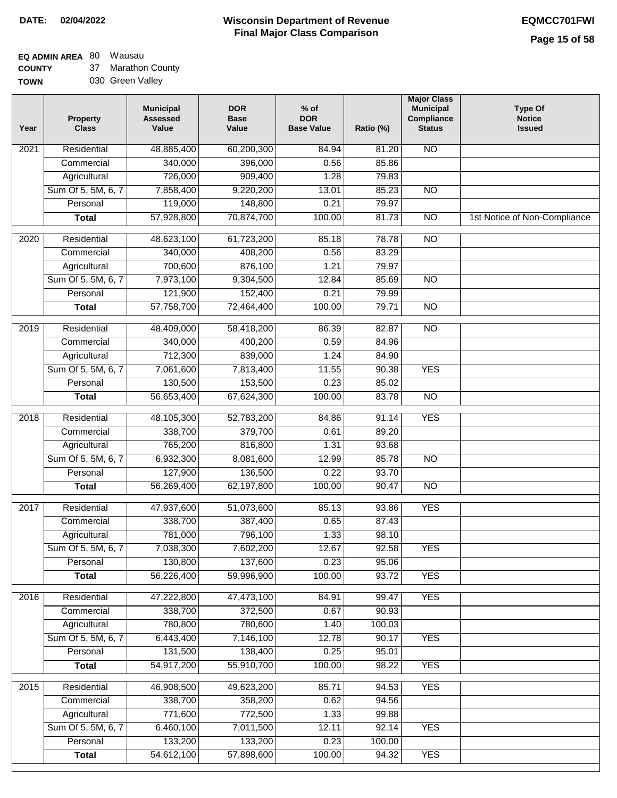**EQ ADMIN AREA** 80 Wausau

**COUNTY TOWN** 37 Marathon County 030 Green Valley

| Year              | <b>Property</b><br><b>Class</b> | <b>Municipal</b><br><b>Assessed</b><br>Value | <b>DOR</b><br><b>Base</b><br>Value | % of<br><b>DOR</b><br><b>Base Value</b> | Ratio (%) | <b>Major Class</b><br><b>Municipal</b><br>Compliance<br><b>Status</b> | <b>Type Of</b><br><b>Notice</b><br><b>Issued</b> |
|-------------------|---------------------------------|----------------------------------------------|------------------------------------|-----------------------------------------|-----------|-----------------------------------------------------------------------|--------------------------------------------------|
| $\overline{202}1$ | Residential                     | 48,885,400                                   | 60,200,300                         | 84.94                                   | 81.20     | <b>NO</b>                                                             |                                                  |
|                   | Commercial                      | 340,000                                      | 396,000                            | 0.56                                    | 85.86     |                                                                       |                                                  |
|                   | Agricultural                    | 726,000                                      | 909,400                            | 1.28                                    | 79.83     |                                                                       |                                                  |
|                   | Sum Of 5, 5M, 6, 7              | 7,858,400                                    | 9,220,200                          | 13.01                                   | 85.23     | N <sub>O</sub>                                                        |                                                  |
|                   | Personal                        | 119,000                                      | 148,800                            | 0.21                                    | 79.97     |                                                                       |                                                  |
|                   | <b>Total</b>                    | 57,928,800                                   | 70,874,700                         | 100.00                                  | 81.73     | $\overline{NO}$                                                       | 1st Notice of Non-Compliance                     |
| $\overline{2020}$ | Residential                     | 48,623,100                                   | 61,723,200                         | 85.18                                   | 78.78     | $\overline{NO}$                                                       |                                                  |
|                   | Commercial                      | 340,000                                      | 408,200                            | 0.56                                    | 83.29     |                                                                       |                                                  |
|                   | Agricultural                    | 700,600                                      | 876,100                            | 1.21                                    | 79.97     |                                                                       |                                                  |
|                   | Sum Of 5, 5M, 6, 7              | 7,973,100                                    | 9,304,500                          | 12.84                                   | 85.69     | $\overline{NO}$                                                       |                                                  |
|                   | Personal                        | 121,900                                      | 152,400                            | 0.21                                    | 79.99     |                                                                       |                                                  |
|                   | <b>Total</b>                    | 57,758,700                                   | 72,464,400                         | 100.00                                  | 79.71     | $\overline{NO}$                                                       |                                                  |
| 2019              | Residential                     | 48,409,000                                   | 58,418,200                         | 86.39                                   | 82.87     | $\overline{N}$                                                        |                                                  |
|                   | Commercial                      | 340,000                                      | 400,200                            | 0.59                                    | 84.96     |                                                                       |                                                  |
|                   | Agricultural                    | 712,300                                      | 839,000                            | 1.24                                    | 84.90     |                                                                       |                                                  |
|                   | Sum Of 5, 5M, 6, 7              | 7,061,600                                    | 7,813,400                          | 11.55                                   | 90.38     | <b>YES</b>                                                            |                                                  |
|                   | Personal                        | 130,500                                      | 153,500                            | 0.23                                    | 85.02     |                                                                       |                                                  |
|                   | <b>Total</b>                    | 56,653,400                                   | 67,624,300                         | 100.00                                  | 83.78     | $\overline{NO}$                                                       |                                                  |
| 2018              | Residential                     | 48,105,300                                   | 52,783,200                         | 84.86                                   | 91.14     | <b>YES</b>                                                            |                                                  |
|                   | Commercial                      | 338,700                                      | 379,700                            | 0.61                                    | 89.20     |                                                                       |                                                  |
|                   | Agricultural                    | 765,200                                      | 816,800                            | 1.31                                    | 93.68     |                                                                       |                                                  |
|                   | Sum Of 5, 5M, 6, 7              | 6,932,300                                    | 8,081,600                          | 12.99                                   | 85.78     | $\overline{10}$                                                       |                                                  |
|                   | Personal                        | 127,900                                      | 136,500                            | 0.22                                    | 93.70     |                                                                       |                                                  |
|                   | <b>Total</b>                    | 56,269,400                                   | 62,197,800                         | 100.00                                  | 90.47     | <b>NO</b>                                                             |                                                  |
| 2017              | Residential                     | 47,937,600                                   | 51,073,600                         | 85.13                                   | 93.86     | <b>YES</b>                                                            |                                                  |
|                   | Commercial                      | 338,700                                      | 387,400                            | 0.65                                    | 87.43     |                                                                       |                                                  |
|                   | Agricultural                    | 781,000                                      | 796,100                            | 1.33                                    | 98.10     |                                                                       |                                                  |
|                   | Sum Of 5, 5M, 6, 7              | 7,038,300                                    | 7,602,200                          | 12.67                                   | 92.58     | <b>YES</b>                                                            |                                                  |
|                   | Personal                        | 130,800                                      | 137,600                            | 0.23                                    | 95.06     |                                                                       |                                                  |
|                   | <b>Total</b>                    | 56,226,400                                   | 59,996,900                         | 100.00                                  | 93.72     | <b>YES</b>                                                            |                                                  |
| 2016              | Residential                     | 47,222,800                                   | 47,473,100                         | 84.91                                   | 99.47     | <b>YES</b>                                                            |                                                  |
|                   | Commercial                      | 338,700                                      | 372,500                            | 0.67                                    | 90.93     |                                                                       |                                                  |
|                   | Agricultural                    | 780,800                                      | 780,600                            | 1.40                                    | 100.03    |                                                                       |                                                  |
|                   | Sum Of 5, 5M, 6, 7              | 6,443,400                                    | 7,146,100                          | 12.78                                   | 90.17     | <b>YES</b>                                                            |                                                  |
|                   | Personal                        | 131,500                                      | 138,400                            | 0.25                                    | 95.01     |                                                                       |                                                  |
|                   | <b>Total</b>                    | 54,917,200                                   | 55,910,700                         | 100.00                                  | 98.22     | <b>YES</b>                                                            |                                                  |
| 2015              | Residential                     | 46,908,500                                   | 49,623,200                         | 85.71                                   | 94.53     | <b>YES</b>                                                            |                                                  |
|                   | Commercial                      | 338,700                                      | 358,200                            | 0.62                                    | 94.56     |                                                                       |                                                  |
|                   | Agricultural                    | 771,600                                      | 772,500                            | 1.33                                    | 99.88     |                                                                       |                                                  |
|                   | Sum Of 5, 5M, 6, 7              | 6,460,100                                    | 7,011,500                          | 12.11                                   | 92.14     | <b>YES</b>                                                            |                                                  |
|                   | Personal                        | 133,200                                      | 133,200                            | 0.23                                    | 100.00    |                                                                       |                                                  |
|                   | <b>Total</b>                    | 54,612,100                                   | 57,898,600                         | 100.00                                  | 94.32     | <b>YES</b>                                                            |                                                  |
|                   |                                 |                                              |                                    |                                         |           |                                                                       |                                                  |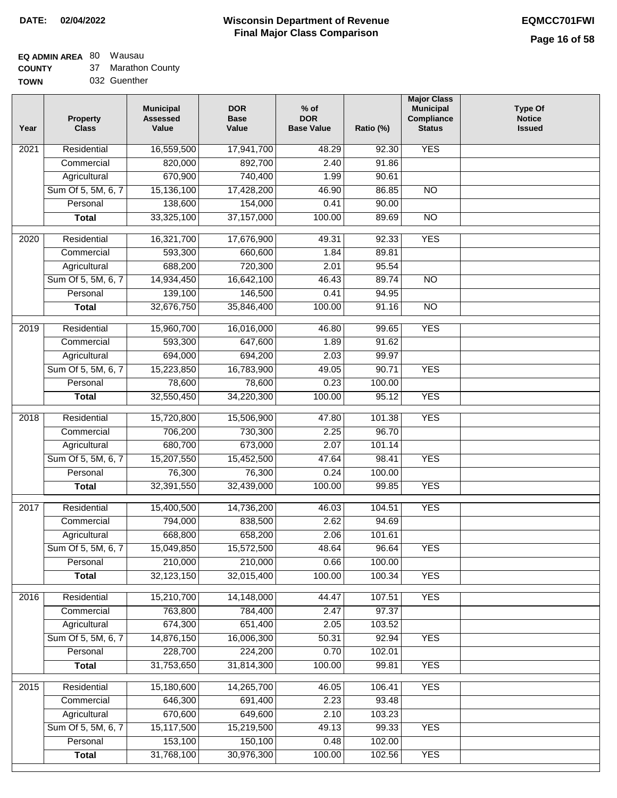### **EQ ADMIN AREA** 80 Wausau

**COUNTY TOWN** 37 Marathon County

032 Guenther

| Year | <b>Property</b><br><b>Class</b> | <b>Municipal</b><br><b>Assessed</b><br>Value | <b>DOR</b><br><b>Base</b><br>Value | $%$ of<br><b>DOR</b><br><b>Base Value</b> | Ratio (%) | <b>Major Class</b><br><b>Municipal</b><br>Compliance<br><b>Status</b> | <b>Type Of</b><br><b>Notice</b><br><b>Issued</b> |
|------|---------------------------------|----------------------------------------------|------------------------------------|-------------------------------------------|-----------|-----------------------------------------------------------------------|--------------------------------------------------|
| 2021 | Residential                     | 16,559,500                                   | 17,941,700                         | 48.29                                     | 92.30     | <b>YES</b>                                                            |                                                  |
|      | Commercial                      | 820,000                                      | 892,700                            | 2.40                                      | 91.86     |                                                                       |                                                  |
|      | Agricultural                    | 670,900                                      | 740,400                            | 1.99                                      | 90.61     |                                                                       |                                                  |
|      | Sum Of 5, 5M, 6, 7              | 15,136,100                                   | 17,428,200                         | 46.90                                     | 86.85     | N <sub>O</sub>                                                        |                                                  |
|      | Personal                        | 138,600                                      | 154,000                            | 0.41                                      | 90.00     |                                                                       |                                                  |
|      | <b>Total</b>                    | 33,325,100                                   | 37,157,000                         | 100.00                                    | 89.69     | $\overline{NO}$                                                       |                                                  |
| 2020 | Residential                     | 16,321,700                                   | 17,676,900                         | 49.31                                     | 92.33     | <b>YES</b>                                                            |                                                  |
|      | Commercial                      | 593,300                                      | 660,600                            | 1.84                                      | 89.81     |                                                                       |                                                  |
|      | Agricultural                    | 688,200                                      | 720,300                            | 2.01                                      | 95.54     |                                                                       |                                                  |
|      | Sum Of 5, 5M, 6, 7              | 14,934,450                                   | 16,642,100                         | 46.43                                     | 89.74     | <b>NO</b>                                                             |                                                  |
|      | Personal                        | 139,100                                      | 146,500                            | 0.41                                      | 94.95     |                                                                       |                                                  |
|      | <b>Total</b>                    | 32,676,750                                   | 35,846,400                         | 100.00                                    | 91.16     | $\overline{NO}$                                                       |                                                  |
| 2019 | Residential                     | 15,960,700                                   | 16,016,000                         | 46.80                                     | 99.65     | <b>YES</b>                                                            |                                                  |
|      | Commercial                      | 593,300                                      | 647,600                            | 1.89                                      | 91.62     |                                                                       |                                                  |
|      | Agricultural                    | 694,000                                      | 694,200                            | 2.03                                      | 99.97     |                                                                       |                                                  |
|      | Sum Of 5, 5M, 6, 7              | 15,223,850                                   | 16,783,900                         | 49.05                                     | 90.71     | <b>YES</b>                                                            |                                                  |
|      | Personal                        | 78,600                                       | 78,600                             | 0.23                                      | 100.00    |                                                                       |                                                  |
|      | <b>Total</b>                    | 32,550,450                                   | 34,220,300                         | 100.00                                    | 95.12     | <b>YES</b>                                                            |                                                  |
|      |                                 |                                              |                                    |                                           |           |                                                                       |                                                  |
| 2018 | Residential                     | 15,720,800                                   | 15,506,900                         | 47.80                                     | 101.38    | <b>YES</b>                                                            |                                                  |
|      | Commercial                      | 706,200                                      | 730,300                            | 2.25                                      | 96.70     |                                                                       |                                                  |
|      | Agricultural                    | 680,700                                      | 673,000                            | 2.07                                      | 101.14    |                                                                       |                                                  |
|      | Sum Of 5, 5M, 6, 7              | 15,207,550                                   | 15,452,500                         | 47.64                                     | 98.41     | <b>YES</b>                                                            |                                                  |
|      | Personal                        | 76,300                                       | 76,300                             | 0.24                                      | 100.00    |                                                                       |                                                  |
|      | <b>Total</b>                    | 32,391,550                                   | 32,439,000                         | 100.00                                    | 99.85     | <b>YES</b>                                                            |                                                  |
| 2017 | Residential                     | 15,400,500                                   | 14,736,200                         | 46.03                                     | 104.51    | <b>YES</b>                                                            |                                                  |
|      | Commercial                      | 794,000                                      | 838,500                            | 2.62                                      | 94.69     |                                                                       |                                                  |
|      | Agricultural                    | 668,800                                      | 658,200                            | 2.06                                      | 101.61    |                                                                       |                                                  |
|      | Sum Of 5, 5M, 6, 7              | 15,049,850                                   | 15,572,500                         | 48.64                                     | 96.64     | <b>YES</b>                                                            |                                                  |
|      | Personal                        | 210,000                                      | 210,000                            | 0.66                                      | 100.00    |                                                                       |                                                  |
|      | <b>Total</b>                    | 32,123,150                                   | 32,015,400                         | 100.00                                    | 100.34    | <b>YES</b>                                                            |                                                  |
| 2016 | Residential                     | 15,210,700                                   | 14,148,000                         | 44.47                                     | 107.51    | <b>YES</b>                                                            |                                                  |
|      | Commercial                      | 763,800                                      | 784,400                            | 2.47                                      | 97.37     |                                                                       |                                                  |
|      | Agricultural                    | 674,300                                      | 651,400                            | 2.05                                      | 103.52    |                                                                       |                                                  |
|      | Sum Of 5, 5M, 6, 7              | 14,876,150                                   | 16,006,300                         | 50.31                                     | 92.94     | <b>YES</b>                                                            |                                                  |
|      | Personal                        | 228,700                                      | 224,200                            | 0.70                                      | 102.01    |                                                                       |                                                  |
|      | <b>Total</b>                    | 31,753,650                                   | 31,814,300                         | 100.00                                    | 99.81     | <b>YES</b>                                                            |                                                  |
| 2015 | Residential                     | 15,180,600                                   | 14,265,700                         | 46.05                                     | 106.41    | <b>YES</b>                                                            |                                                  |
|      | Commercial                      | 646,300                                      | 691,400                            | 2.23                                      | 93.48     |                                                                       |                                                  |
|      | Agricultural                    | 670,600                                      | 649,600                            | 2.10                                      | 103.23    |                                                                       |                                                  |
|      | Sum Of 5, 5M, 6, 7              | 15,117,500                                   | 15,219,500                         | 49.13                                     | 99.33     | <b>YES</b>                                                            |                                                  |
|      | Personal                        | 153,100                                      | 150,100                            | 0.48                                      | 102.00    |                                                                       |                                                  |
|      | <b>Total</b>                    | 31,768,100                                   | 30,976,300                         | 100.00                                    | 102.56    | <b>YES</b>                                                            |                                                  |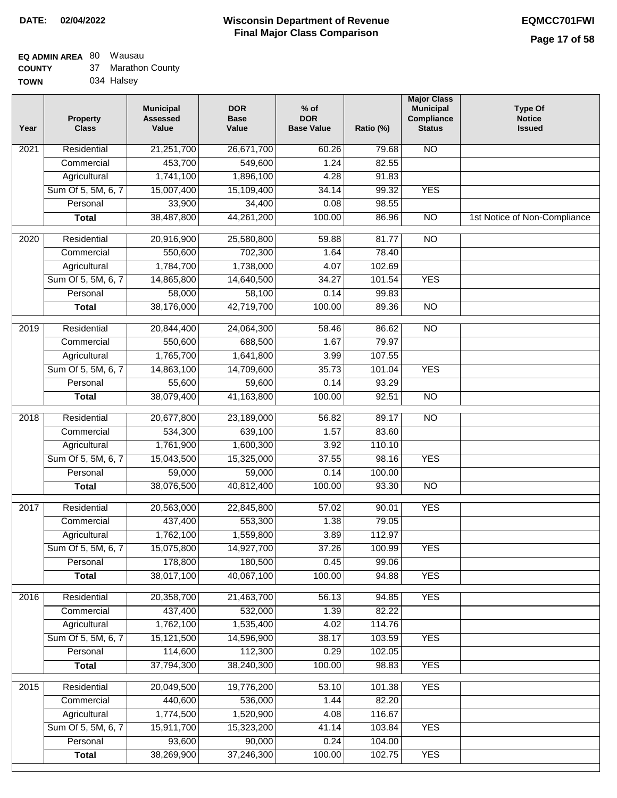#### **EQ ADMIN AREA** 80 Wausau

| <b>COUNTY</b> | 37 Marathon County |
|---------------|--------------------|
| <b>TOWN</b>   | 034 Halsey         |

| Year              | <b>Property</b><br><b>Class</b> | <b>Municipal</b><br><b>Assessed</b><br>Value | <b>DOR</b><br><b>Base</b><br>Value | $%$ of<br><b>DOR</b><br><b>Base Value</b> | Ratio (%) | <b>Major Class</b><br><b>Municipal</b><br>Compliance<br><b>Status</b> | <b>Type Of</b><br><b>Notice</b><br><b>Issued</b> |
|-------------------|---------------------------------|----------------------------------------------|------------------------------------|-------------------------------------------|-----------|-----------------------------------------------------------------------|--------------------------------------------------|
| 2021              | Residential                     | 21,251,700                                   | 26,671,700                         | 60.26                                     | 79.68     | $\overline{NO}$                                                       |                                                  |
|                   | Commercial                      | 453,700                                      | 549,600                            | 1.24                                      | 82.55     |                                                                       |                                                  |
|                   | Agricultural                    | 1,741,100                                    | 1,896,100                          | 4.28                                      | 91.83     |                                                                       |                                                  |
|                   | Sum Of 5, 5M, 6, 7              | 15,007,400                                   | 15,109,400                         | 34.14                                     | 99.32     | <b>YES</b>                                                            |                                                  |
|                   | Personal                        | 33,900                                       | 34,400                             | 0.08                                      | 98.55     |                                                                       |                                                  |
|                   | <b>Total</b>                    | 38,487,800                                   | 44,261,200                         | 100.00                                    | 86.96     | $\overline{NO}$                                                       | 1st Notice of Non-Compliance                     |
| 2020              | Residential                     | 20,916,900                                   | 25,580,800                         | 59.88                                     | 81.77     | $\overline{NO}$                                                       |                                                  |
|                   | Commercial                      | 550,600                                      | 702,300                            | 1.64                                      | 78.40     |                                                                       |                                                  |
|                   | Agricultural                    | 1,784,700                                    | 1,738,000                          | 4.07                                      | 102.69    |                                                                       |                                                  |
|                   | Sum Of 5, 5M, 6, 7              | 14,865,800                                   | 14,640,500                         | 34.27                                     | 101.54    | <b>YES</b>                                                            |                                                  |
|                   | Personal                        | 58,000                                       | 58,100                             | 0.14                                      | 99.83     |                                                                       |                                                  |
|                   | <b>Total</b>                    | 38,176,000                                   | 42,719,700                         | 100.00                                    | 89.36     | $\overline{NO}$                                                       |                                                  |
| 2019              | Residential                     | 20,844,400                                   | 24,064,300                         | $\frac{1}{58.46}$                         | 86.62     | NO                                                                    |                                                  |
|                   | Commercial                      | 550,600                                      | 688,500                            | 1.67                                      | 79.97     |                                                                       |                                                  |
|                   | Agricultural                    | 1,765,700                                    | 1,641,800                          | 3.99                                      | 107.55    |                                                                       |                                                  |
|                   | Sum Of 5, 5M, 6, 7              | 14,863,100                                   | 14,709,600                         | 35.73                                     | 101.04    | <b>YES</b>                                                            |                                                  |
|                   | Personal                        | 55,600                                       | 59,600                             | 0.14                                      | 93.29     |                                                                       |                                                  |
|                   | <b>Total</b>                    | 38,079,400                                   | 41,163,800                         | 100.00                                    | 92.51     | N <sub>O</sub>                                                        |                                                  |
| 2018              | Residential                     | 20,677,800                                   | 23,189,000                         | 56.82                                     | 89.17     | NO                                                                    |                                                  |
|                   | Commercial                      | 534,300                                      | 639,100                            | 1.57                                      | 83.60     |                                                                       |                                                  |
|                   | Agricultural                    | 1,761,900                                    | 1,600,300                          | 3.92                                      | 110.10    |                                                                       |                                                  |
|                   | Sum Of 5, 5M, 6, 7              | 15,043,500                                   | 15,325,000                         | 37.55                                     | 98.16     | <b>YES</b>                                                            |                                                  |
|                   | Personal                        | 59,000                                       | 59,000                             | 0.14                                      | 100.00    |                                                                       |                                                  |
|                   | <b>Total</b>                    | 38,076,500                                   | 40,812,400                         | 100.00                                    | 93.30     | <b>NO</b>                                                             |                                                  |
| $\overline{2017}$ | Residential                     | 20,563,000                                   | 22,845,800                         | 57.02                                     | 90.01     | <b>YES</b>                                                            |                                                  |
|                   | Commercial                      | 437,400                                      | 553,300                            | 1.38                                      | 79.05     |                                                                       |                                                  |
|                   | Agricultural                    | 1,762,100                                    | 1,559,800                          | 3.89                                      | 112.97    |                                                                       |                                                  |
|                   | Sum Of 5, 5M, 6, 7              | 15,075,800                                   | 14,927,700                         | 37.26                                     | 100.99    | <b>YES</b>                                                            |                                                  |
|                   | Personal                        | 178,800                                      | 180,500                            | 0.45                                      | 99.06     |                                                                       |                                                  |
|                   | <b>Total</b>                    | 38,017,100                                   | 40,067,100                         | 100.00                                    | 94.88     | <b>YES</b>                                                            |                                                  |
| 2016              | Residential                     | 20,358,700                                   | 21,463,700                         | 56.13                                     | 94.85     | <b>YES</b>                                                            |                                                  |
|                   | Commercial                      | 437,400                                      | 532,000                            | 1.39                                      | 82.22     |                                                                       |                                                  |
|                   | Agricultural                    | 1,762,100                                    | 1,535,400                          | 4.02                                      | 114.76    |                                                                       |                                                  |
|                   | Sum Of 5, 5M, 6, 7              | 15,121,500                                   | 14,596,900                         | 38.17                                     | 103.59    | <b>YES</b>                                                            |                                                  |
|                   | Personal                        | 114,600                                      | 112,300                            | 0.29                                      | 102.05    |                                                                       |                                                  |
|                   | <b>Total</b>                    | 37,794,300                                   | 38,240,300                         | 100.00                                    | 98.83     | <b>YES</b>                                                            |                                                  |
| 2015              | Residential                     | 20,049,500                                   | 19,776,200                         | 53.10                                     | 101.38    | <b>YES</b>                                                            |                                                  |
|                   | Commercial                      | 440,600                                      | 536,000                            | 1.44                                      | 82.20     |                                                                       |                                                  |
|                   | Agricultural                    | 1,774,500                                    | 1,520,900                          | 4.08                                      | 116.67    |                                                                       |                                                  |
|                   | Sum Of 5, 5M, 6, 7              | 15,911,700                                   | 15,323,200                         | 41.14                                     | 103.84    | <b>YES</b>                                                            |                                                  |
|                   | Personal                        | 93,600                                       | 90,000                             | 0.24                                      | 104.00    |                                                                       |                                                  |
|                   | <b>Total</b>                    | 38,269,900                                   | 37,246,300                         | 100.00                                    | 102.75    | <b>YES</b>                                                            |                                                  |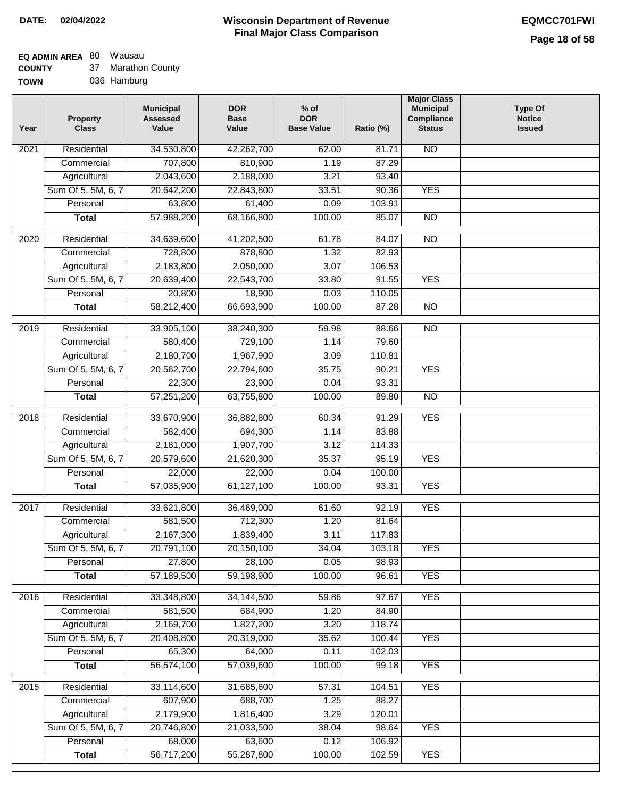62.00

**Ratio (%)** 

81.71

**Major Class Municipal Compliance Status**

NO

**Type Of Notice Issued**

#### **EQ ADMIN AREA** 80 Wausau  $\sim$

| <b>COUNTY</b> | 37 Marathon County |
|---------------|--------------------|
| $T^{\prime}$  | $026$ Hamburg      |

| <b>TOWN</b> | 036 Hamburg                     |                                              |                                    |                                           |
|-------------|---------------------------------|----------------------------------------------|------------------------------------|-------------------------------------------|
| Year        | <b>Property</b><br><b>Class</b> | <b>Municipal</b><br><b>Assessed</b><br>Value | <b>DOR</b><br><b>Base</b><br>Value | $%$ of<br><b>DOR</b><br><b>Base Value</b> |
| 2021        | Residential                     | 34,530,800                                   | 42,262,700                         | 62(                                       |
|             | Commercial                      | 707,800                                      | 810,900                            | 1.1                                       |
|             | Agricultural                    | 2,043,600                                    | 2,188,000                          | 3.2                                       |
|             | Sum Of 5, 5M, 6, 7              | 20,642,200                                   | 22,843,800                         | 33.5                                      |

|                   | Commercial         | 707,800    | 810,900    | 1.19   | 87.29  |                 |  |
|-------------------|--------------------|------------|------------|--------|--------|-----------------|--|
|                   | Agricultural       | 2,043,600  | 2,188,000  | 3.21   | 93.40  |                 |  |
|                   | Sum Of 5, 5M, 6, 7 | 20,642,200 | 22,843,800 | 33.51  | 90.36  | <b>YES</b>      |  |
|                   | Personal           | 63,800     | 61,400     | 0.09   | 103.91 |                 |  |
|                   | <b>Total</b>       | 57,988,200 | 68,166,800 | 100.00 | 85.07  | <b>NO</b>       |  |
| $\overline{2020}$ | Residential        | 34,639,600 | 41,202,500 | 61.78  | 84.07  | $\overline{NO}$ |  |
|                   | Commercial         | 728,800    | 878,800    | 1.32   | 82.93  |                 |  |
|                   | Agricultural       | 2,183,800  | 2,050,000  | 3.07   | 106.53 |                 |  |
|                   | Sum Of 5, 5M, 6, 7 | 20,639,400 | 22,543,700 | 33.80  | 91.55  | <b>YES</b>      |  |
|                   | Personal           | 20,800     | 18,900     | 0.03   | 110.05 |                 |  |
|                   | <b>Total</b>       | 58,212,400 | 66,693,900 | 100.00 | 87.28  | $\overline{NO}$ |  |
|                   |                    |            |            |        |        |                 |  |
| 2019              | Residential        | 33,905,100 | 38,240,300 | 59.98  | 88.66  | $\overline{NO}$ |  |
|                   | Commercial         | 580,400    | 729,100    | 1.14   | 79.60  |                 |  |
|                   | Agricultural       | 2,180,700  | 1,967,900  | 3.09   | 110.81 |                 |  |
|                   | Sum Of 5, 5M, 6, 7 | 20,562,700 | 22,794,600 | 35.75  | 90.21  | <b>YES</b>      |  |
|                   | Personal           | 22,300     | 23,900     | 0.04   | 93.31  |                 |  |
|                   | <b>Total</b>       | 57,251,200 | 63,755,800 | 100.00 | 89.80  | $\overline{NO}$ |  |
| $\overline{2018}$ | Residential        | 33,670,900 | 36,882,800 | 60.34  | 91.29  | <b>YES</b>      |  |
|                   | Commercial         | 582,400    | 694,300    | 1.14   | 83.88  |                 |  |
|                   | Agricultural       | 2,181,000  | 1,907,700  | 3.12   | 114.33 |                 |  |
|                   | Sum Of 5, 5M, 6, 7 | 20,579,600 | 21,620,300 | 35.37  | 95.19  | <b>YES</b>      |  |
|                   | Personal           | 22,000     | 22,000     | 0.04   | 100.00 |                 |  |
|                   | <b>Total</b>       | 57,035,900 | 61,127,100 | 100.00 | 93.31  | <b>YES</b>      |  |
|                   |                    |            |            |        |        |                 |  |
| $\overline{20}17$ | Residential        | 33,621,800 | 36,469,000 | 61.60  | 92.19  | <b>YES</b>      |  |
|                   | Commercial         | 581,500    | 712,300    | 1.20   | 81.64  |                 |  |
|                   | Agricultural       | 2,167,300  | 1,839,400  | 3.11   | 117.83 |                 |  |
|                   | Sum Of 5, 5M, 6, 7 | 20,791,100 | 20,150,100 | 34.04  | 103.18 | <b>YES</b>      |  |
|                   | Personal           | 27,800     | 28,100     | 0.05   | 98.93  |                 |  |
|                   | <b>Total</b>       | 57,189,500 | 59,198,900 | 100.00 | 96.61  | <b>YES</b>      |  |
| 2016              | Residential        | 33,348,800 | 34,144,500 | 59.86  | 97.67  | <b>YES</b>      |  |
|                   | Commercial         | 581,500    | 684,900    | 1.20   | 84.90  |                 |  |
|                   | Agricultural       | 2,169,700  | 1,827,200  | 3.20   | 118.74 |                 |  |
|                   | Sum Of 5, 5M, 6, 7 | 20,408,800 | 20,319,000 | 35.62  | 100.44 | <b>YES</b>      |  |
|                   | Personal           | 65,300     | 64,000     | 0.11   | 102.03 |                 |  |
|                   | <b>Total</b>       | 56,574,100 | 57,039,600 | 100.00 | 99.18  | <b>YES</b>      |  |
| 2015              | Residential        | 33,114,600 | 31,685,600 | 57.31  | 104.51 | <b>YES</b>      |  |
|                   | Commercial         | 607,900    | 688,700    | 1.25   | 88.27  |                 |  |
|                   | Agricultural       | 2,179,900  | 1,816,400  | 3.29   | 120.01 |                 |  |
|                   | Sum Of 5, 5M, 6, 7 | 20,746,800 | 21,033,500 | 38.04  | 98.64  | <b>YES</b>      |  |
|                   | Personal           | 68,000     | 63,600     | 0.12   | 106.92 |                 |  |
|                   | <b>Total</b>       | 56,717,200 | 55,287,800 | 100.00 | 102.59 | <b>YES</b>      |  |
|                   |                    |            |            |        |        |                 |  |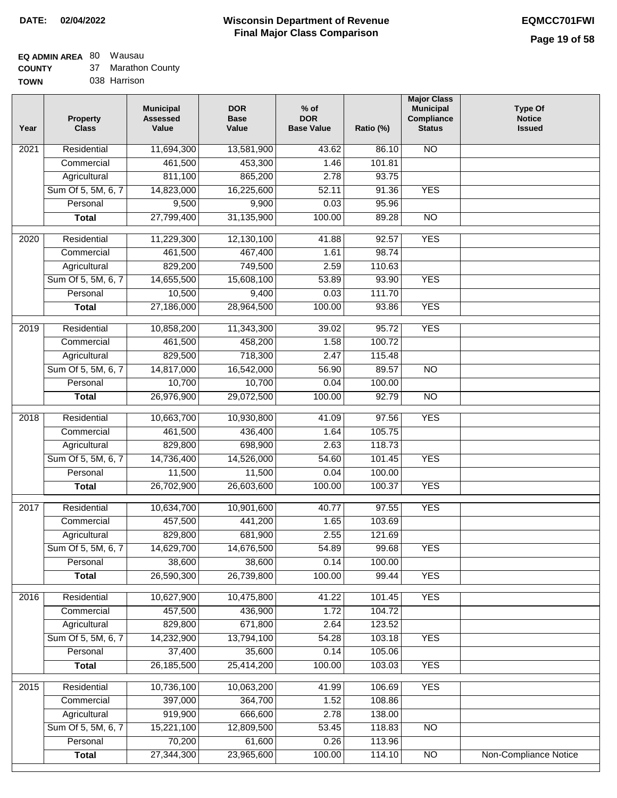# **EQ ADMIN AREA** 80 Wausau

**COUNTY** 37 Marathon County

**TOWN** 038 Harrison

| Year              | <b>Property</b><br><b>Class</b> | <b>Municipal</b><br><b>Assessed</b><br>Value | <b>DOR</b><br><b>Base</b><br>Value | % of<br><b>DOR</b><br><b>Base Value</b> | Ratio (%) | <b>Major Class</b><br><b>Municipal</b><br>Compliance<br><b>Status</b> | <b>Type Of</b><br><b>Notice</b><br><b>Issued</b> |
|-------------------|---------------------------------|----------------------------------------------|------------------------------------|-----------------------------------------|-----------|-----------------------------------------------------------------------|--------------------------------------------------|
| $\overline{202}1$ | Residential                     | 11,694,300                                   | 13,581,900                         | 43.62                                   | 86.10     | <b>NO</b>                                                             |                                                  |
|                   | Commercial                      | 461,500                                      | 453,300                            | 1.46                                    | 101.81    |                                                                       |                                                  |
|                   | Agricultural                    | 811,100                                      | 865,200                            | 2.78                                    | 93.75     |                                                                       |                                                  |
|                   | Sum Of 5, 5M, 6, 7              | 14,823,000                                   | 16,225,600                         | 52.11                                   | 91.36     | <b>YES</b>                                                            |                                                  |
|                   | Personal                        | 9,500                                        | 9,900                              | 0.03                                    | 95.96     |                                                                       |                                                  |
|                   | <b>Total</b>                    | 27,799,400                                   | 31,135,900                         | 100.00                                  | 89.28     | $\overline{NO}$                                                       |                                                  |
| $\overline{2020}$ | Residential                     | 11,229,300                                   | 12,130,100                         | 41.88                                   | 92.57     | <b>YES</b>                                                            |                                                  |
|                   | Commercial                      | 461,500                                      | 467,400                            | 1.61                                    | 98.74     |                                                                       |                                                  |
|                   | Agricultural                    | 829,200                                      | 749,500                            | 2.59                                    | 110.63    |                                                                       |                                                  |
|                   | Sum Of 5, 5M, 6, 7              | 14,655,500                                   | 15,608,100                         | 53.89                                   | 93.90     | <b>YES</b>                                                            |                                                  |
|                   | Personal                        | 10,500                                       | 9,400                              | 0.03                                    | 111.70    |                                                                       |                                                  |
|                   | <b>Total</b>                    | 27,186,000                                   | 28,964,500                         | 100.00                                  | 93.86     | <b>YES</b>                                                            |                                                  |
| $\frac{2019}{ }$  | Residential                     | 10,858,200                                   | 11,343,300                         | 39.02                                   | 95.72     | <b>YES</b>                                                            |                                                  |
|                   | Commercial                      | 461,500                                      | 458,200                            | 1.58                                    | 100.72    |                                                                       |                                                  |
|                   | Agricultural                    | 829,500                                      | 718,300                            | 2.47                                    | 115.48    |                                                                       |                                                  |
|                   | Sum Of 5, 5M, 6, 7              | 14,817,000                                   | 16,542,000                         | 56.90                                   | 89.57     | $\overline{NO}$                                                       |                                                  |
|                   | Personal                        | 10,700                                       | 10,700                             | 0.04                                    | 100.00    |                                                                       |                                                  |
|                   | <b>Total</b>                    | 26,976,900                                   | 29,072,500                         | 100.00                                  | 92.79     | $\overline{NO}$                                                       |                                                  |
| 2018              | Residential                     | 10,663,700                                   | 10,930,800                         | 41.09                                   | 97.56     | <b>YES</b>                                                            |                                                  |
|                   | Commercial                      | 461,500                                      | 436,400                            | 1.64                                    | 105.75    |                                                                       |                                                  |
|                   | Agricultural                    | 829,800                                      | 698,900                            | 2.63                                    | 118.73    |                                                                       |                                                  |
|                   | Sum Of 5, 5M, 6, 7              | 14,736,400                                   | 14,526,000                         | 54.60                                   | 101.45    | <b>YES</b>                                                            |                                                  |
|                   | Personal                        | 11,500                                       | 11,500                             | 0.04                                    | 100.00    |                                                                       |                                                  |
|                   | <b>Total</b>                    | 26,702,900                                   | 26,603,600                         | 100.00                                  | 100.37    | <b>YES</b>                                                            |                                                  |
| $\overline{2017}$ | Residential                     | 10,634,700                                   | 10,901,600                         | 40.77                                   | 97.55     | <b>YES</b>                                                            |                                                  |
|                   | Commercial                      | 457,500                                      | 441,200                            | 1.65                                    | 103.69    |                                                                       |                                                  |
|                   | Agricultural                    | 829,800                                      | 681,900                            | 2.55                                    | 121.69    |                                                                       |                                                  |
|                   | Sum Of 5, 5M, 6, 7              | 14,629,700                                   | 14,676,500                         | 54.89                                   | 99.68     | <b>YES</b>                                                            |                                                  |
|                   | Personal                        | 38,600                                       | 38,600                             | 0.14                                    | 100.00    |                                                                       |                                                  |
|                   | <b>Total</b>                    | 26,590,300                                   | 26,739,800                         | 100.00                                  | 99.44     | <b>YES</b>                                                            |                                                  |
| 2016              | Residential                     | 10,627,900                                   | 10,475,800                         | 41.22                                   | 101.45    | <b>YES</b>                                                            |                                                  |
|                   | Commercial                      | 457,500                                      | 436,900                            | 1.72                                    | 104.72    |                                                                       |                                                  |
|                   | Agricultural                    | 829,800                                      | 671,800                            | 2.64                                    | 123.52    |                                                                       |                                                  |
|                   | Sum Of 5, 5M, 6, 7              | 14,232,900                                   | 13,794,100                         | 54.28                                   | 103.18    | <b>YES</b>                                                            |                                                  |
|                   | Personal                        | 37,400                                       | 35,600                             | 0.14                                    | 105.06    |                                                                       |                                                  |
|                   | <b>Total</b>                    | 26,185,500                                   | 25,414,200                         | 100.00                                  | 103.03    | <b>YES</b>                                                            |                                                  |
| 2015              | Residential                     | 10,736,100                                   | 10,063,200                         | 41.99                                   | 106.69    | <b>YES</b>                                                            |                                                  |
|                   | Commercial                      | 397,000                                      | 364,700                            | 1.52                                    | 108.86    |                                                                       |                                                  |
|                   | Agricultural                    | 919,900                                      | 666,600                            | 2.78                                    | 138.00    |                                                                       |                                                  |
|                   | Sum Of 5, 5M, 6, 7              | 15,221,100                                   | 12,809,500                         | 53.45                                   | 118.83    | <b>NO</b>                                                             |                                                  |
|                   | Personal                        | 70,200                                       | 61,600                             | 0.26                                    | 113.96    |                                                                       |                                                  |
|                   | <b>Total</b>                    | 27,344,300                                   | 23,965,600                         | 100.00                                  | 114.10    | N <sub>O</sub>                                                        | <b>Non-Compliance Notice</b>                     |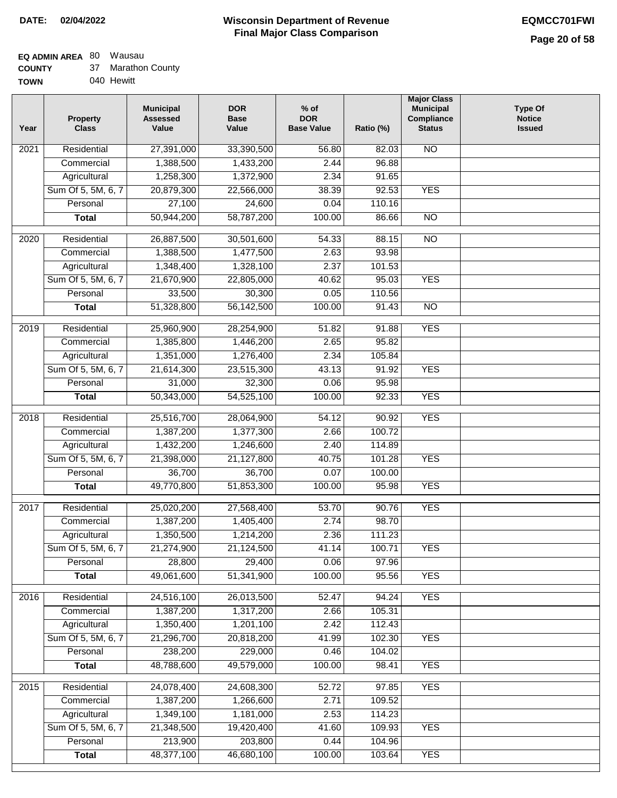#### **Wisconsin Department of Revenue Final Major Class Comparison DATE: 02/04/2022 EQMCC701FWI**

#### **EQ ADMIN AREA** 80 Wausau  $\sim$

| <b>COUNTY</b> | 37 Marathon County |
|---------------|--------------------|
| <b>TOWN</b>   | 040 Hewitt         |

| Year             | <b>Property</b><br><b>Class</b> | <b>Municipal</b><br><b>Assessed</b><br>Value | <b>DOR</b><br><b>Base</b><br>Value | $%$ of<br><b>DOR</b><br><b>Base Value</b> | Ratio (%) | <b>Major Class</b><br><b>Municipal</b><br><b>Compliance</b><br><b>Status</b> | <b>Type Of</b><br><b>Notice</b><br><b>Issued</b> |
|------------------|---------------------------------|----------------------------------------------|------------------------------------|-------------------------------------------|-----------|------------------------------------------------------------------------------|--------------------------------------------------|
| 2021             | Residential                     | 27,391,000                                   | 33,390,500                         | 56.80                                     | 82.03     | <b>NO</b>                                                                    |                                                  |
|                  | Commercial                      | 1,388,500                                    | 1,433,200                          | 2.44                                      | 96.88     |                                                                              |                                                  |
|                  | Agricultural                    | 1,258,300                                    | 1,372,900                          | 2.34                                      | 91.65     |                                                                              |                                                  |
|                  | Sum Of 5, 5M, 6, 7              | 20,879,300                                   | 22,566,000                         | 38.39                                     | 92.53     | <b>YES</b>                                                                   |                                                  |
|                  | Personal                        | 27,100                                       | 24,600                             | 0.04                                      | 110.16    |                                                                              |                                                  |
|                  | <b>Total</b>                    | 50,944,200                                   | 58,787,200                         | 100.00                                    | 86.66     | $\overline{NO}$                                                              |                                                  |
| 2020             | Residential                     | 26,887,500                                   | 30,501,600                         | 54.33                                     | 88.15     | $\overline{10}$                                                              |                                                  |
|                  | Commercial                      | 1,388,500                                    | 1,477,500                          | 2.63                                      | 93.98     |                                                                              |                                                  |
|                  | Agricultural                    | 1,348,400                                    | 1,328,100                          | 2.37                                      | 101.53    |                                                                              |                                                  |
|                  | Sum Of 5, 5M, 6, 7              | 21,670,900                                   | 22,805,000                         | 40.62                                     | 95.03     | <b>YES</b>                                                                   |                                                  |
|                  | Personal                        | 33,500                                       | 30,300                             | 0.05                                      | 110.56    |                                                                              |                                                  |
|                  | <b>Total</b>                    | 51,328,800                                   | 56,142,500                         | 100.00                                    | 91.43     | $\overline{NO}$                                                              |                                                  |
| $\frac{1}{2019}$ | Residential                     | 25,960,900                                   | 28,254,900                         | 51.82                                     | 91.88     | <b>YES</b>                                                                   |                                                  |
|                  | Commercial                      | 1,385,800                                    | 1,446,200                          | 2.65                                      | 95.82     |                                                                              |                                                  |
|                  | Agricultural                    | 1,351,000                                    | 1,276,400                          | 2.34                                      | 105.84    |                                                                              |                                                  |
|                  | Sum Of 5, 5M, 6, 7              | 21,614,300                                   | 23,515,300                         | 43.13                                     | 91.92     | <b>YES</b>                                                                   |                                                  |
|                  | Personal                        | 31,000                                       | 32,300                             | 0.06                                      | 95.98     |                                                                              |                                                  |
|                  | <b>Total</b>                    | 50,343,000                                   | 54,525,100                         | 100.00                                    | 92.33     | <b>YES</b>                                                                   |                                                  |
| 2018             | Residential                     | 25,516,700                                   | 28,064,900                         | 54.12                                     | 90.92     | <b>YES</b>                                                                   |                                                  |
|                  | Commercial                      | 1,387,200                                    | 1,377,300                          | 2.66                                      | 100.72    |                                                                              |                                                  |
|                  | Agricultural                    | 1,432,200                                    | 1,246,600                          | 2.40                                      | 114.89    |                                                                              |                                                  |
|                  | Sum Of 5, 5M, 6, 7              | 21,398,000                                   | 21,127,800                         | 40.75                                     | 101.28    | <b>YES</b>                                                                   |                                                  |
|                  | Personal                        | 36,700                                       | 36,700                             | 0.07                                      | 100.00    |                                                                              |                                                  |
|                  | <b>Total</b>                    | 49,770,800                                   | 51,853,300                         | 100.00                                    | 95.98     | <b>YES</b>                                                                   |                                                  |
| 2017             | Residential                     | 25,020,200                                   | 27,568,400                         | 53.70                                     | 90.76     | <b>YES</b>                                                                   |                                                  |
|                  | Commercial                      | 1,387,200                                    | 1,405,400                          | 2.74                                      | 98.70     |                                                                              |                                                  |
|                  | Agricultural                    | 1,350,500                                    | 1,214,200                          | 2.36                                      | 111.23    |                                                                              |                                                  |
|                  | Sum Of 5, 5M, 6, 7              | 21,274,900                                   | 21,124,500                         | 41.14                                     | 100.71    | <b>YES</b>                                                                   |                                                  |
|                  | Personal                        | 28,800                                       | 29,400                             | 0.06                                      | 97.96     |                                                                              |                                                  |
|                  | <b>Total</b>                    | 49,061,600                                   | 51,341,900                         | 100.00                                    | 95.56     | <b>YES</b>                                                                   |                                                  |
|                  |                                 |                                              |                                    |                                           |           |                                                                              |                                                  |
| 2016             | Residential                     | 24,516,100                                   | 26,013,500                         | 52.47                                     | 94.24     | <b>YES</b>                                                                   |                                                  |
|                  | Commercial                      | 1,387,200                                    | 1,317,200                          | 2.66                                      | 105.31    |                                                                              |                                                  |
|                  | Agricultural                    | 1,350,400                                    | 1,201,100                          | 2.42                                      | 112.43    |                                                                              |                                                  |
|                  | Sum Of 5, 5M, 6, 7              | 21,296,700                                   | 20,818,200                         | 41.99                                     | 102.30    | <b>YES</b>                                                                   |                                                  |
|                  | Personal                        | 238,200                                      | 229,000                            | 0.46                                      | 104.02    |                                                                              |                                                  |
|                  | <b>Total</b>                    | 48,788,600                                   | 49,579,000                         | 100.00                                    | 98.41     | <b>YES</b>                                                                   |                                                  |
| 2015             | Residential                     | 24,078,400                                   | 24,608,300                         | 52.72                                     | 97.85     | <b>YES</b>                                                                   |                                                  |
|                  | Commercial                      | 1,387,200                                    | 1,266,600                          | 2.71                                      | 109.52    |                                                                              |                                                  |
|                  | Agricultural                    | 1,349,100                                    | 1,181,000                          | 2.53                                      | 114.23    |                                                                              |                                                  |
|                  | Sum Of 5, 5M, 6, 7              | 21,348,500                                   | 19,420,400                         | 41.60                                     | 109.93    | <b>YES</b>                                                                   |                                                  |
|                  | Personal                        | 213,900                                      | 203,800                            | 0.44                                      | 104.96    |                                                                              |                                                  |
|                  | <b>Total</b>                    | 48,377,100                                   | 46,680,100                         | 100.00                                    | 103.64    | <b>YES</b>                                                                   |                                                  |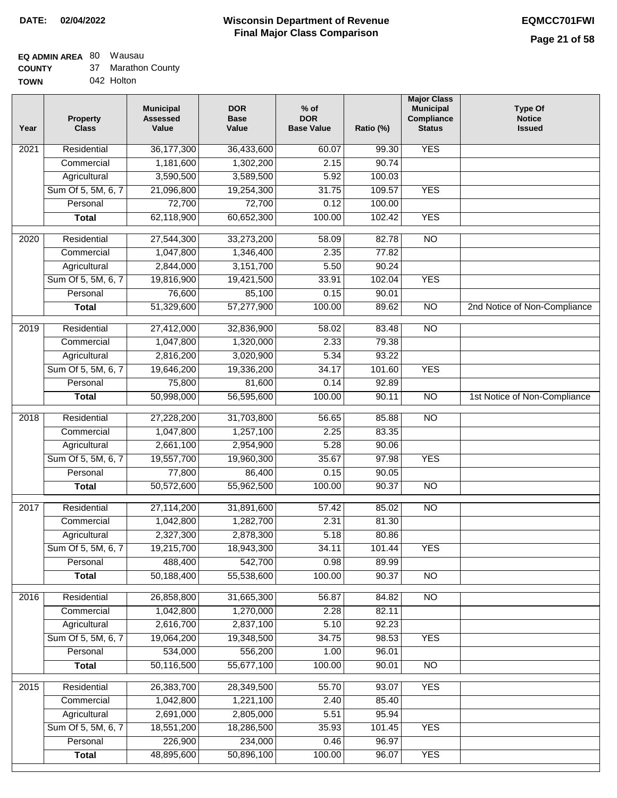### **Wisconsin Department of Revenue DATE: 02/04/2022 EQMCC701FWI Final Major Class Comparison**

# **EQ ADMIN AREA** 80 Wausau

**Total**

48,895,600

50,896,100

100.00

96.07

YES

| <b>COUNTY</b> | 37 Marathon County |
|---------------|--------------------|
| <b>TOWN</b>   | 042 Holton         |

| Year              | <b>Property</b><br><b>Class</b> | <b>Municipal</b><br><b>Assessed</b><br>Value | <b>DOR</b><br><b>Base</b><br>Value | $%$ of<br><b>DOR</b><br><b>Base Value</b> | Ratio (%) | <b>Major Class</b><br><b>Municipal</b><br>Compliance<br><b>Status</b> | <b>Type Of</b><br><b>Notice</b><br><b>Issued</b> |
|-------------------|---------------------------------|----------------------------------------------|------------------------------------|-------------------------------------------|-----------|-----------------------------------------------------------------------|--------------------------------------------------|
| 2021              | Residential                     | 36,177,300                                   | 36,433,600                         | 60.07                                     | 99.30     | <b>YES</b>                                                            |                                                  |
|                   | Commercial                      | 1,181,600                                    | 1,302,200                          | 2.15                                      | 90.74     |                                                                       |                                                  |
|                   | Agricultural                    | 3,590,500                                    | 3,589,500                          | 5.92                                      | 100.03    |                                                                       |                                                  |
|                   | Sum Of 5, 5M, 6, 7              | 21,096,800                                   | 19,254,300                         | 31.75                                     | 109.57    | <b>YES</b>                                                            |                                                  |
|                   | Personal                        | 72,700                                       | 72,700                             | 0.12                                      | 100.00    |                                                                       |                                                  |
|                   | <b>Total</b>                    | 62,118,900                                   | 60,652,300                         | 100.00                                    | 102.42    | <b>YES</b>                                                            |                                                  |
| $\overline{2020}$ | Residential                     | 27,544,300                                   | 33,273,200                         | 58.09                                     | 82.78     | $\overline{NO}$                                                       |                                                  |
|                   | Commercial                      | 1,047,800                                    | 1,346,400                          | 2.35                                      | 77.82     |                                                                       |                                                  |
|                   | Agricultural                    | 2,844,000                                    | 3,151,700                          | 5.50                                      | 90.24     |                                                                       |                                                  |
|                   | Sum Of 5, 5M, 6, 7              | 19,816,900                                   | 19,421,500                         | 33.91                                     | 102.04    | <b>YES</b>                                                            |                                                  |
|                   | Personal                        | 76,600                                       | 85,100                             | 0.15                                      | 90.01     |                                                                       |                                                  |
|                   | <b>Total</b>                    | 51,329,600                                   | 57,277,900                         | 100.00                                    | 89.62     | $\overline{NO}$                                                       | 2nd Notice of Non-Compliance                     |
| 2019              | Residential                     | 27,412,000                                   | 32,836,900                         | 58.02                                     | 83.48     | $\overline{NO}$                                                       |                                                  |
|                   | Commercial                      | 1,047,800                                    | 1,320,000                          | 2.33                                      | 79.38     |                                                                       |                                                  |
|                   | Agricultural                    | 2,816,200                                    | 3,020,900                          | 5.34                                      | 93.22     |                                                                       |                                                  |
|                   | Sum Of 5, 5M, 6, 7              | 19,646,200                                   | 19,336,200                         | 34.17                                     | 101.60    | <b>YES</b>                                                            |                                                  |
|                   | Personal                        | 75,800                                       | 81,600                             | 0.14                                      | 92.89     |                                                                       |                                                  |
|                   | <b>Total</b>                    | 50,998,000                                   | 56,595,600                         | 100.00                                    | 90.11     | $\overline{NO}$                                                       | 1st Notice of Non-Compliance                     |
| 2018              | Residential                     | 27,228,200                                   | 31,703,800                         | 56.65                                     | 85.88     | $\overline{10}$                                                       |                                                  |
|                   | Commercial                      | 1,047,800                                    | 1,257,100                          | 2.25                                      | 83.35     |                                                                       |                                                  |
|                   | Agricultural                    | 2,661,100                                    | 2,954,900                          | 5.28                                      | 90.06     |                                                                       |                                                  |
|                   | Sum Of 5, 5M, 6, 7              | 19,557,700                                   | 19,960,300                         | 35.67                                     | 97.98     | <b>YES</b>                                                            |                                                  |
|                   | Personal                        | 77,800                                       | 86,400                             | 0.15                                      | 90.05     |                                                                       |                                                  |
|                   | <b>Total</b>                    | 50,572,600                                   | 55,962,500                         | 100.00                                    | 90.37     | <b>NO</b>                                                             |                                                  |
| $\overline{2017}$ | Residential                     | 27,114,200                                   | 31,891,600                         | 57.42                                     | 85.02     | $\overline{NO}$                                                       |                                                  |
|                   | Commercial                      | 1,042,800                                    | 1,282,700                          | 2.31                                      | 81.30     |                                                                       |                                                  |
|                   | Agricultural                    | 2,327,300                                    | 2,878,300                          | 5.18                                      | 80.86     |                                                                       |                                                  |
|                   | Sum Of 5, 5M, 6, 7              | 19,215,700                                   | 18,943,300                         | 34.11                                     | 101.44    | <b>YES</b>                                                            |                                                  |
|                   | Personal                        | 488,400                                      | 542,700                            | 0.98                                      | 89.99     |                                                                       |                                                  |
|                   | <b>Total</b>                    | 50,188,400                                   | 55,538,600                         | 100.00                                    | 90.37     | $\overline{NO}$                                                       |                                                  |
| 2016              | Residential                     | 26,858,800                                   | 31,665,300                         | 56.87                                     | 84.82     | N <sub>O</sub>                                                        |                                                  |
|                   | Commercial                      | 1,042,800                                    | 1,270,000                          | 2.28                                      | 82.11     |                                                                       |                                                  |
|                   | Agricultural                    | 2,616,700                                    | 2,837,100                          | 5.10                                      | 92.23     |                                                                       |                                                  |
|                   | Sum Of 5, 5M, 6, 7              | 19,064,200                                   | 19,348,500                         | 34.75                                     | 98.53     | <b>YES</b>                                                            |                                                  |
|                   | Personal                        | 534,000                                      | 556,200                            | 1.00                                      | 96.01     |                                                                       |                                                  |
|                   | <b>Total</b>                    | 50,116,500                                   | 55,677,100                         | 100.00                                    | 90.01     | N <sub>O</sub>                                                        |                                                  |
| 2015              | Residential                     | 26,383,700                                   | 28,349,500                         | 55.70                                     | 93.07     | <b>YES</b>                                                            |                                                  |
|                   | Commercial                      | 1,042,800                                    | 1,221,100                          | 2.40                                      | 85.40     |                                                                       |                                                  |
|                   | Agricultural                    | 2,691,000                                    | 2,805,000                          | 5.51                                      | 95.94     |                                                                       |                                                  |
|                   | Sum Of 5, 5M, 6, 7              | 18,551,200                                   | 18,286,500                         | 35.93                                     | 101.45    | <b>YES</b>                                                            |                                                  |
|                   | Personal                        | 226,900                                      | 234,000                            | 0.46                                      | 96.97     |                                                                       |                                                  |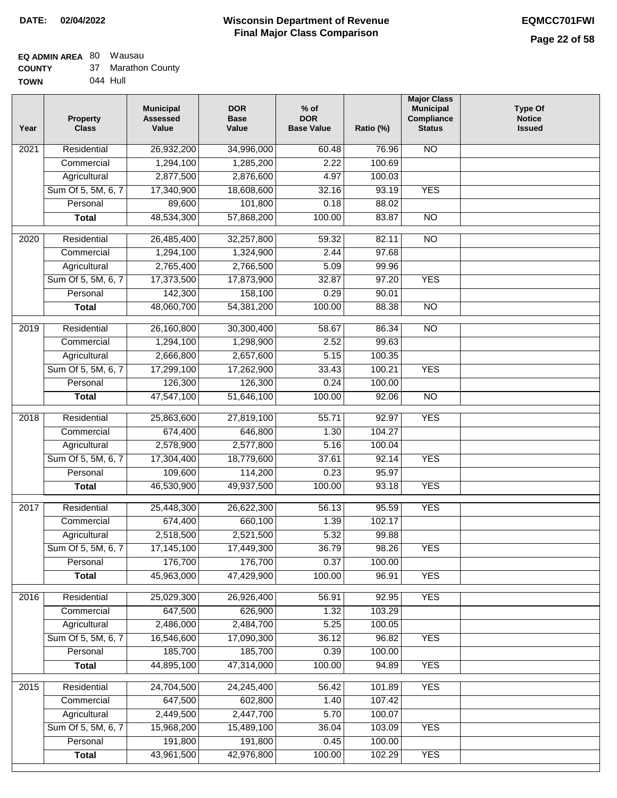# **EQ ADMIN AREA** 80 Wausau

Sum Of 5, 5M, 6, 7 **Personal Total**

 15,968,200 191,800 43,961,500

 15,489,100 191,800 42,976,800

 36.04 0.45 100.00

 103.09 100.00 102.29

YES

YES

| <b>COUNTY</b> | 37 Marathon County |
|---------------|--------------------|
| <b>TOWN</b>   | 044 Hull           |

| Year | <b>Property</b><br><b>Class</b> | <b>Municipal</b><br><b>Assessed</b><br>Value | <b>DOR</b><br><b>Base</b><br>Value | $%$ of<br><b>DOR</b><br><b>Base Value</b> | Ratio (%) | <b>Major Class</b><br><b>Municipal</b><br>Compliance<br><b>Status</b> | <b>Type Of</b><br><b>Notice</b><br><b>Issued</b> |
|------|---------------------------------|----------------------------------------------|------------------------------------|-------------------------------------------|-----------|-----------------------------------------------------------------------|--------------------------------------------------|
| 2021 | Residential                     | 26,932,200                                   | 34,996,000                         | 60.48                                     | 76.96     | $\overline{NO}$                                                       |                                                  |
|      | Commercial                      | 1,294,100                                    | 1,285,200                          | 2.22                                      | 100.69    |                                                                       |                                                  |
|      | Agricultural                    | 2,877,500                                    | 2,876,600                          | 4.97                                      | 100.03    |                                                                       |                                                  |
|      | Sum Of 5, 5M, 6, 7              | 17,340,900                                   | 18,608,600                         | 32.16                                     | 93.19     | <b>YES</b>                                                            |                                                  |
|      | Personal                        | 89,600                                       | 101,800                            | 0.18                                      | 88.02     |                                                                       |                                                  |
|      | <b>Total</b>                    | 48,534,300                                   | 57,868,200                         | 100.00                                    | 83.87     | $\overline{NO}$                                                       |                                                  |
| 2020 | Residential                     | 26,485,400                                   | 32,257,800                         | 59.32                                     | 82.11     | $\overline{NO}$                                                       |                                                  |
|      | Commercial                      | 1,294,100                                    | 1,324,900                          | 2.44                                      | 97.68     |                                                                       |                                                  |
|      | Agricultural                    | 2,765,400                                    | 2,766,500                          | 5.09                                      | 99.96     |                                                                       |                                                  |
|      | Sum Of 5, 5M, 6, 7              | 17,373,500                                   | 17,873,900                         | 32.87                                     | 97.20     | <b>YES</b>                                                            |                                                  |
|      | Personal                        | 142,300                                      | 158,100                            | 0.29                                      | 90.01     |                                                                       |                                                  |
|      | <b>Total</b>                    | 48,060,700                                   | 54,381,200                         | 100.00                                    | 88.38     | $\overline{NO}$                                                       |                                                  |
| 2019 | Residential                     | 26,160,800                                   | 30,300,400                         | 58.67                                     | 86.34     | $\overline{NO}$                                                       |                                                  |
|      | Commercial                      | 1,294,100                                    | 1,298,900                          | 2.52                                      | 99.63     |                                                                       |                                                  |
|      | Agricultural                    | 2,666,800                                    | 2,657,600                          | 5.15                                      | 100.35    |                                                                       |                                                  |
|      | Sum Of 5, 5M, 6, 7              | 17,299,100                                   | 17,262,900                         | 33.43                                     | 100.21    | <b>YES</b>                                                            |                                                  |
|      | Personal                        | 126,300                                      | 126,300                            | 0.24                                      | 100.00    |                                                                       |                                                  |
|      | Total                           | 47,547,100                                   | 51,646,100                         | 100.00                                    | 92.06     | $\overline{NO}$                                                       |                                                  |
| 2018 | Residential                     | 25,863,600                                   | 27,819,100                         | 55.71                                     | 92.97     | <b>YES</b>                                                            |                                                  |
|      | Commercial                      | 674,400                                      | 646,800                            | 1.30                                      | 104.27    |                                                                       |                                                  |
|      | Agricultural                    | 2,578,900                                    | 2,577,800                          | 5.16                                      | 100.04    |                                                                       |                                                  |
|      | Sum Of 5, 5M, 6, 7              | 17,304,400                                   | 18,779,600                         | 37.61                                     | 92.14     | <b>YES</b>                                                            |                                                  |
|      | Personal                        | 109,600                                      | 114,200                            | 0.23                                      | 95.97     |                                                                       |                                                  |
|      | <b>Total</b>                    | 46,530,900                                   | 49,937,500                         | 100.00                                    | 93.18     | <b>YES</b>                                                            |                                                  |
| 2017 | Residential                     | 25,448,300                                   | 26,622,300                         | 56.13                                     | 95.59     | <b>YES</b>                                                            |                                                  |
|      | Commercial                      | 674,400                                      | 660,100                            | 1.39                                      | 102.17    |                                                                       |                                                  |
|      | Agricultural                    | 2,518,500                                    | 2,521,500                          | 5.32                                      | 99.88     |                                                                       |                                                  |
|      | Sum Of 5, 5M, 6, 7              | 17,145,100                                   | 17,449,300                         | 36.79                                     | 98.26     | <b>YES</b>                                                            |                                                  |
|      | Personal                        | 176,700                                      | 176,700                            | 0.37                                      | 100.00    |                                                                       |                                                  |
|      | <b>Total</b>                    | 45,963,000                                   | 47,429,900                         | 100.00                                    | 96.91     | <b>YES</b>                                                            |                                                  |
| 2016 | Residential                     | 25,029,300                                   | 26,926,400                         | 56.91                                     | 92.95     | <b>YES</b>                                                            |                                                  |
|      | Commercial                      | 647,500                                      | 626,900                            | 1.32                                      | 103.29    |                                                                       |                                                  |
|      | Agricultural                    | 2,486,000                                    | 2,484,700                          | 5.25                                      | 100.05    |                                                                       |                                                  |
|      | Sum Of 5, 5M, 6, 7              | 16,546,600                                   | 17,090,300                         | 36.12                                     | 96.82     | <b>YES</b>                                                            |                                                  |
|      | Personal                        | 185,700                                      | 185,700                            | 0.39                                      | 100.00    |                                                                       |                                                  |
|      | <b>Total</b>                    | 44,895,100                                   | 47,314,000                         | 100.00                                    | 94.89     | <b>YES</b>                                                            |                                                  |
| 2015 | Residential                     | 24,704,500                                   | 24,245,400                         | 56.42                                     | 101.89    | <b>YES</b>                                                            |                                                  |
|      | Commercial                      | 647,500                                      | 602,800                            | 1.40                                      | 107.42    |                                                                       |                                                  |
|      | Agricultural                    | 2,449,500                                    | 2,447,700                          | 5.70                                      | 100.07    |                                                                       |                                                  |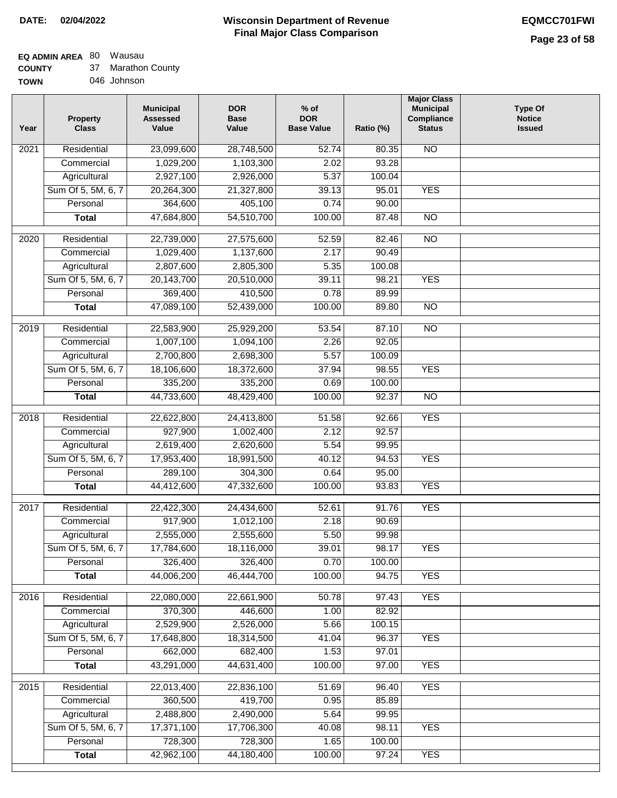#### **Wisconsin Department of Revenue Final Major Class Comparison DATE: 02/04/2022 EQMCC701FWI**

#### **EQ ADMIN AREA** 80 Wausau **COUNTY**  $27 - M_{21}$

| <b>COUNTY</b> | 37 | <b>Marathon County</b> |
|---------------|----|------------------------|
| TOWN          |    | 046 Johnson            |

| Year              | <b>Property</b><br><b>Class</b> | <b>Municipal</b><br><b>Assessed</b><br>Value | <b>DOR</b><br><b>Base</b><br>Value | $%$ of<br><b>DOR</b><br><b>Base Value</b> | Ratio (%) | <b>Major Class</b><br><b>Municipal</b><br>Compliance<br><b>Status</b> | <b>Type Of</b><br><b>Notice</b><br><b>Issued</b> |
|-------------------|---------------------------------|----------------------------------------------|------------------------------------|-------------------------------------------|-----------|-----------------------------------------------------------------------|--------------------------------------------------|
| 2021              | Residential                     | 23,099,600                                   | 28,748,500                         | 52.74                                     | 80.35     | <b>NO</b>                                                             |                                                  |
|                   | Commercial                      | 1,029,200                                    | 1,103,300                          | 2.02                                      | 93.28     |                                                                       |                                                  |
|                   | Agricultural                    | 2,927,100                                    | 2,926,000                          | 5.37                                      | 100.04    |                                                                       |                                                  |
|                   | Sum Of 5, 5M, 6, 7              | 20,264,300                                   | 21,327,800                         | 39.13                                     | 95.01     | <b>YES</b>                                                            |                                                  |
|                   | Personal                        | 364,600                                      | 405,100                            | 0.74                                      | 90.00     |                                                                       |                                                  |
|                   | <b>Total</b>                    | 47,684,800                                   | 54,510,700                         | 100.00                                    | 87.48     | $\overline{NO}$                                                       |                                                  |
| $\overline{2020}$ | Residential                     | 22,739,000                                   | 27,575,600                         | 52.59                                     | 82.46     | $\overline{NO}$                                                       |                                                  |
|                   | Commercial                      | 1,029,400                                    | 1,137,600                          | 2.17                                      | 90.49     |                                                                       |                                                  |
|                   | Agricultural                    | 2,807,600                                    | 2,805,300                          | 5.35                                      | 100.08    |                                                                       |                                                  |
|                   | Sum Of 5, 5M, 6, 7              | 20,143,700                                   | 20,510,000                         | 39.11                                     | 98.21     | <b>YES</b>                                                            |                                                  |
|                   | Personal                        | 369,400                                      | 410,500                            | 0.78                                      | 89.99     |                                                                       |                                                  |
|                   | <b>Total</b>                    | 47,089,100                                   | 52,439,000                         | 100.00                                    | 89.80     | <b>NO</b>                                                             |                                                  |
|                   |                                 |                                              |                                    |                                           |           |                                                                       |                                                  |
| $\frac{1}{2019}$  | Residential                     | 22,583,900                                   | 25,929,200                         | 53.54                                     | 87.10     | $\overline{NO}$                                                       |                                                  |
|                   | Commercial                      | 1,007,100                                    | 1,094,100                          | 2.26                                      | 92.05     |                                                                       |                                                  |
|                   | Agricultural                    | 2,700,800                                    | 2,698,300                          | 5.57                                      | 100.09    |                                                                       |                                                  |
|                   | Sum Of 5, 5M, 6, 7              | 18,106,600                                   | 18,372,600                         | 37.94                                     | 98.55     | <b>YES</b>                                                            |                                                  |
|                   | Personal                        | 335,200                                      | 335,200                            | 0.69                                      | 100.00    |                                                                       |                                                  |
|                   | <b>Total</b>                    | 44,733,600                                   | 48,429,400                         | 100.00                                    | 92.37     | $\overline{NO}$                                                       |                                                  |
| 2018              | Residential                     | 22,622,800                                   | 24,413,800                         | 51.58                                     | 92.66     | <b>YES</b>                                                            |                                                  |
|                   | Commercial                      | 927,900                                      | 1,002,400                          | 2.12                                      | 92.57     |                                                                       |                                                  |
|                   | Agricultural                    | 2,619,400                                    | 2,620,600                          | 5.54                                      | 99.95     |                                                                       |                                                  |
|                   | Sum Of 5, 5M, 6, 7              | 17,953,400                                   | 18,991,500                         | 40.12                                     | 94.53     | <b>YES</b>                                                            |                                                  |
|                   | Personal                        | 289,100                                      | 304,300                            | 0.64                                      | 95.00     |                                                                       |                                                  |
|                   | <b>Total</b>                    | 44,412,600                                   | 47,332,600                         | 100.00                                    | 93.83     | <b>YES</b>                                                            |                                                  |
| 2017              | Residential                     | 22,422,300                                   | 24,434,600                         | 52.61                                     | 91.76     | <b>YES</b>                                                            |                                                  |
|                   | Commercial                      | 917,900                                      | 1,012,100                          | 2.18                                      | 90.69     |                                                                       |                                                  |
|                   | Agricultural                    | 2,555,000                                    | 2,555,600                          | 5.50                                      | 99.98     |                                                                       |                                                  |
|                   | Sum Of 5, 5M, 6, 7              | 17,784,600                                   | 18,116,000                         | 39.01                                     | 98.17     | <b>YES</b>                                                            |                                                  |
|                   | Personal                        | 326,400                                      | 326,400                            | 0.70                                      | 100.00    |                                                                       |                                                  |
|                   | <b>Total</b>                    | 44,006,200                                   | 46,444,700                         | 100.00                                    | 94.75     | <b>YES</b>                                                            |                                                  |
| 2016              | Residential                     | 22,080,000                                   | 22,661,900                         | 50.78                                     | 97.43     | <b>YES</b>                                                            |                                                  |
|                   | Commercial                      | 370,300                                      | 446,600                            | 1.00                                      | 82.92     |                                                                       |                                                  |
|                   | Agricultural                    | 2,529,900                                    | 2,526,000                          | 5.66                                      | 100.15    |                                                                       |                                                  |
|                   | Sum Of 5, 5M, 6, 7              | 17,648,800                                   | 18,314,500                         | 41.04                                     | 96.37     | <b>YES</b>                                                            |                                                  |
|                   | Personal                        | 662,000                                      | 682,400                            | 1.53                                      | 97.01     |                                                                       |                                                  |
|                   | <b>Total</b>                    | 43,291,000                                   | 44,631,400                         | 100.00                                    | 97.00     | <b>YES</b>                                                            |                                                  |
| 2015              | Residential                     | 22,013,400                                   | 22,836,100                         | 51.69                                     | 96.40     | <b>YES</b>                                                            |                                                  |
|                   | Commercial                      | 360,500                                      | 419,700                            | 0.95                                      | 85.89     |                                                                       |                                                  |
|                   | Agricultural                    | 2,488,800                                    | 2,490,000                          | 5.64                                      | 99.95     |                                                                       |                                                  |
|                   | Sum Of 5, 5M, 6, 7              | 17,371,100                                   | 17,706,300                         | 40.08                                     | 98.11     | <b>YES</b>                                                            |                                                  |
|                   | Personal                        | 728,300                                      | 728,300                            | 1.65                                      | 100.00    |                                                                       |                                                  |
|                   | <b>Total</b>                    | 42,962,100                                   | 44,180,400                         | 100.00                                    | 97.24     | <b>YES</b>                                                            |                                                  |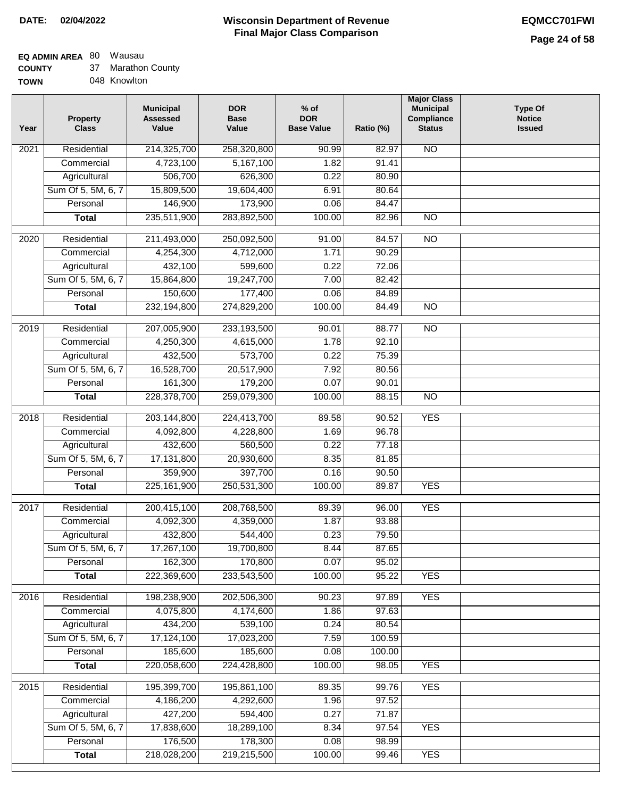# **EQ ADMIN AREA** 80 Wausau

**COUNTY TOW** 37 Marathon County

| ''' ' | . | יט ווטוומשוטו |
|-------|---|---------------|
| /Ν    |   | 048 Knowlton  |

| Year             | <b>Property</b><br><b>Class</b> | <b>Municipal</b><br><b>Assessed</b><br>Value | <b>DOR</b><br><b>Base</b><br>Value | $%$ of<br><b>DOR</b><br><b>Base Value</b> | Ratio (%) | <b>Major Class</b><br><b>Municipal</b><br>Compliance<br><b>Status</b> | <b>Type Of</b><br><b>Notice</b><br><b>Issued</b> |
|------------------|---------------------------------|----------------------------------------------|------------------------------------|-------------------------------------------|-----------|-----------------------------------------------------------------------|--------------------------------------------------|
| 2021             | Residential                     | 214,325,700                                  | 258,320,800                        | 90.99                                     | 82.97     | $\overline{NO}$                                                       |                                                  |
|                  | Commercial                      | 4,723,100                                    | 5,167,100                          | 1.82                                      | 91.41     |                                                                       |                                                  |
|                  | Agricultural                    | 506,700                                      | 626,300                            | 0.22                                      | 80.90     |                                                                       |                                                  |
|                  | Sum Of 5, 5M, 6, 7              | 15,809,500                                   | 19,604,400                         | 6.91                                      | 80.64     |                                                                       |                                                  |
|                  | Personal                        | 146,900                                      | 173,900                            | 0.06                                      | 84.47     |                                                                       |                                                  |
|                  | <b>Total</b>                    | 235,511,900                                  | 283,892,500                        | 100.00                                    | 82.96     | <b>NO</b>                                                             |                                                  |
| 2020             | Residential                     | 211,493,000                                  | 250,092,500                        | 91.00                                     | 84.57     | <b>NO</b>                                                             |                                                  |
|                  | Commercial                      | 4,254,300                                    | 4,712,000                          | 1.71                                      | 90.29     |                                                                       |                                                  |
|                  | Agricultural                    | 432,100                                      | 599,600                            | 0.22                                      | 72.06     |                                                                       |                                                  |
|                  | Sum Of 5, 5M, 6, 7              | 15,864,800                                   | 19,247,700                         | 7.00                                      | 82.42     |                                                                       |                                                  |
|                  | Personal                        | 150,600                                      | 177,400                            | 0.06                                      | 84.89     |                                                                       |                                                  |
|                  | <b>Total</b>                    | 232,194,800                                  | 274,829,200                        | 100.00                                    | 84.49     | $\overline{NO}$                                                       |                                                  |
|                  |                                 |                                              |                                    |                                           |           |                                                                       |                                                  |
| $\frac{1}{2019}$ | Residential                     | 207,005,900                                  | 233,193,500                        | 90.01                                     | 88.77     | $\overline{NO}$                                                       |                                                  |
|                  | Commercial                      | 4,250,300                                    | 4,615,000                          | 1.78                                      | 92.10     |                                                                       |                                                  |
|                  | Agricultural                    | 432,500                                      | 573,700                            | 0.22                                      | 75.39     |                                                                       |                                                  |
|                  | Sum Of 5, 5M, 6, 7              | 16,528,700                                   | 20,517,900                         | 7.92                                      | 80.56     |                                                                       |                                                  |
|                  | Personal                        | 161,300                                      | 179,200                            | 0.07                                      | 90.01     |                                                                       |                                                  |
|                  | <b>Total</b>                    | 228,378,700                                  | 259,079,300                        | 100.00                                    | 88.15     | $\overline{NO}$                                                       |                                                  |
| 2018             | Residential                     | 203,144,800                                  | 224,413,700                        | 89.58                                     | 90.52     | <b>YES</b>                                                            |                                                  |
|                  | Commercial                      | 4,092,800                                    | 4,228,800                          | 1.69                                      | 96.78     |                                                                       |                                                  |
|                  | Agricultural                    | 432,600                                      | 560,500                            | 0.22                                      | 77.18     |                                                                       |                                                  |
|                  | Sum Of 5, 5M, 6, 7              | 17,131,800                                   | 20,930,600                         | 8.35                                      | 81.85     |                                                                       |                                                  |
|                  | Personal                        | 359,900                                      | 397,700                            | 0.16                                      | 90.50     |                                                                       |                                                  |
|                  | <b>Total</b>                    | 225, 161, 900                                | 250,531,300                        | 100.00                                    | 89.87     | <b>YES</b>                                                            |                                                  |
| 2017             | Residential                     | 200,415,100                                  | 208,768,500                        | 89.39                                     | 96.00     | <b>YES</b>                                                            |                                                  |
|                  | Commercial                      | 4,092,300                                    | 4,359,000                          | 1.87                                      | 93.88     |                                                                       |                                                  |
|                  | Agricultural                    | 432,800                                      | 544,400                            | 0.23                                      | 79.50     |                                                                       |                                                  |
|                  | Sum Of 5, 5M, 6, 7              | 17,267,100                                   | 19,700,800                         | 8.44                                      | 87.65     |                                                                       |                                                  |
|                  | Personal                        | 162,300                                      | 170,800                            | 0.07                                      | 95.02     |                                                                       |                                                  |
|                  | <b>Total</b>                    | 222,369,600                                  | 233,543,500                        | 100.00                                    | 95.22     | <b>YES</b>                                                            |                                                  |
|                  |                                 |                                              |                                    |                                           |           |                                                                       |                                                  |
| 2016             | Residential                     | 198,238,900                                  | 202,506,300                        | 90.23                                     | 97.89     | <b>YES</b>                                                            |                                                  |
|                  | Commercial                      | 4,075,800                                    | 4,174,600                          | 1.86                                      | 97.63     |                                                                       |                                                  |
|                  | Agricultural                    | 434,200                                      | 539,100                            | 0.24                                      | 80.54     |                                                                       |                                                  |
|                  | Sum Of 5, 5M, 6, 7              | 17,124,100                                   | 17,023,200                         | 7.59                                      | 100.59    |                                                                       |                                                  |
|                  | Personal                        | 185,600                                      | 185,600                            | 0.08                                      | 100.00    |                                                                       |                                                  |
|                  | <b>Total</b>                    | 220,058,600                                  | 224,428,800                        | 100.00                                    | 98.05     | <b>YES</b>                                                            |                                                  |
| 2015             | Residential                     | 195,399,700                                  | 195,861,100                        | 89.35                                     | 99.76     | <b>YES</b>                                                            |                                                  |
|                  | Commercial                      | 4,186,200                                    | 4,292,600                          | 1.96                                      | 97.52     |                                                                       |                                                  |
|                  | Agricultural                    | 427,200                                      | 594,400                            | 0.27                                      | 71.87     |                                                                       |                                                  |
|                  | Sum Of 5, 5M, 6, 7              | 17,838,600                                   | 18,289,100                         | 8.34                                      | 97.54     | <b>YES</b>                                                            |                                                  |
|                  | Personal                        | 176,500                                      | 178,300                            | 0.08                                      | 98.99     |                                                                       |                                                  |
|                  | <b>Total</b>                    | 218,028,200                                  | 219,215,500                        | 100.00                                    | 99.46     | <b>YES</b>                                                            |                                                  |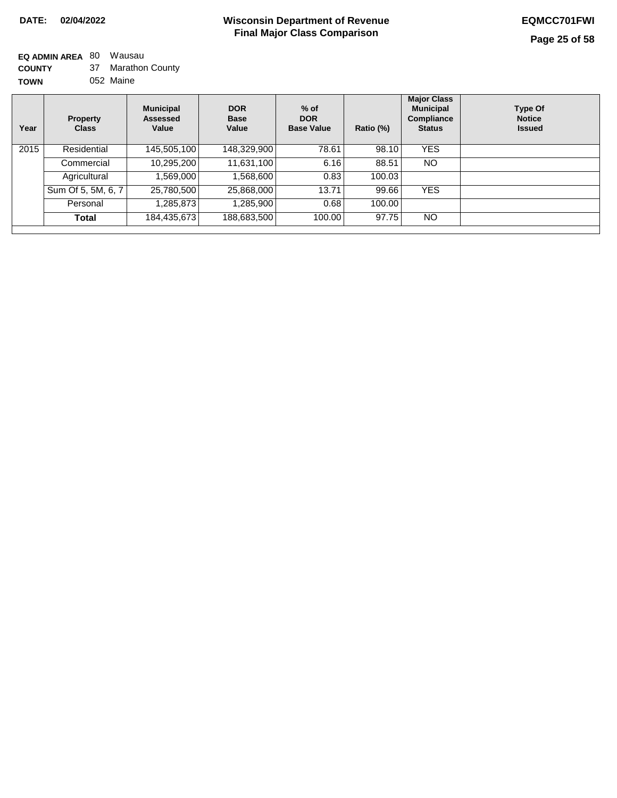**EQ ADMIN AREA** 80 Wausau **COUNTY TOWN** 37 Marathon County 052 Maine

| Year | Property<br><b>Class</b> | <b>Municipal</b><br>Assessed<br>Value | <b>DOR</b><br><b>Base</b><br>Value | $%$ of<br><b>DOR</b><br><b>Base Value</b> | Ratio (%) | <b>Major Class</b><br><b>Municipal</b><br>Compliance<br><b>Status</b> | <b>Type Of</b><br><b>Notice</b><br><b>Issued</b> |
|------|--------------------------|---------------------------------------|------------------------------------|-------------------------------------------|-----------|-----------------------------------------------------------------------|--------------------------------------------------|
| 2015 | Residential              | 145,505,100                           | 148,329,900                        | 78.61                                     | 98.10     | <b>YES</b>                                                            |                                                  |
|      | Commercial               | 10,295,200                            | 11,631,100                         | 6.16                                      | 88.51     | NO                                                                    |                                                  |
|      | Agricultural             | ,569,000                              | 1,568,600                          | 0.83                                      | 100.03    |                                                                       |                                                  |
|      | Sum Of 5, 5M, 6, 7       | 25,780,500                            | 25,868,000                         | 13.71                                     | 99.66     | <b>YES</b>                                                            |                                                  |
|      | Personal                 | ,285,873                              | 1,285,900                          | 0.68                                      | 100.00    |                                                                       |                                                  |
|      | <b>Total</b>             | 184,435,673                           | 188,683,500                        | 100.00                                    | 97.75     | <b>NO</b>                                                             |                                                  |
|      |                          |                                       |                                    |                                           |           |                                                                       |                                                  |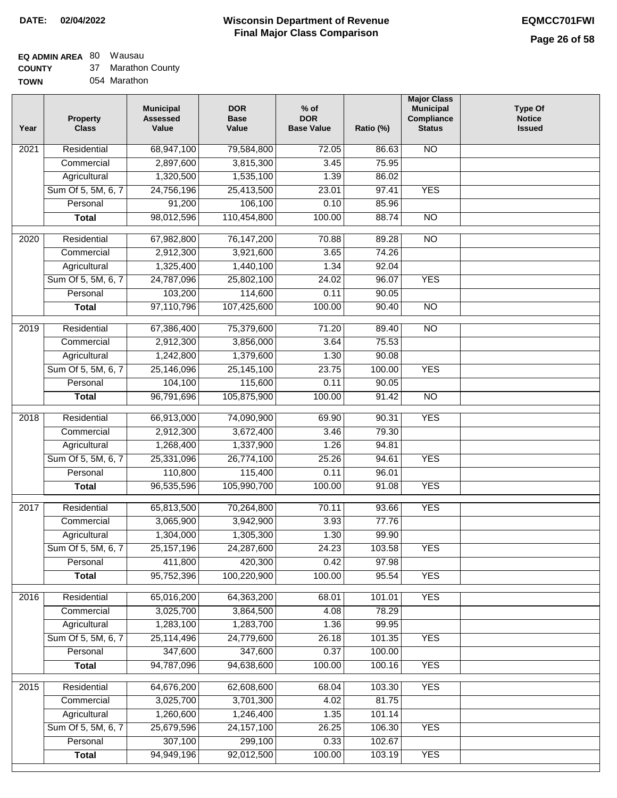## **EQ ADMIN AREA** 80 Wausau

**COUNTY TOWN** 37 Marathon County

054 Marathon

| Residential<br><b>NO</b><br>$\overline{202}1$<br>68,947,100<br>79,584,800<br>72.05<br>86.63<br>2,897,600<br>3,815,300<br>3.45<br>75.95<br>Commercial<br>1,320,500<br>Agricultural<br>1,535,100<br>1.39<br>86.02<br>Sum Of 5, 5M, 6, 7<br>24,756,196<br>25,413,500<br>23.01<br>97.41<br><b>YES</b><br>91,200<br>106,100<br>Personal<br>0.10<br>85.96<br>98,012,596<br>110,454,800<br>100.00<br>88.74<br>$\overline{NO}$<br><b>Total</b><br>$\overline{2020}$<br>Residential<br>67,982,800<br>76,147,200<br>70.88<br>89.28<br>$\overline{10}$<br>2,912,300<br>Commercial<br>3,921,600<br>3.65<br>74.26<br>1.34<br>1,325,400<br>1,440,100<br>92.04<br>Agricultural<br>Sum Of 5, 5M, 6, 7<br>24,787,096<br>25,802,100<br>24.02<br>96.07<br><b>YES</b><br>103,200<br>114,600<br>0.11<br>Personal<br>90.05<br>97,110,796<br>107,425,600<br>100.00<br>$\overline{NO}$<br><b>Total</b><br>90.40<br>2019<br>Residential<br>67,386,400<br>75,379,600<br>71.20<br>89.40<br>$\overline{NO}$<br>2,912,300<br>3,856,000<br>3.64<br>75.53<br>Commercial<br>1,242,800<br>1,379,600<br>1.30<br>90.08<br>Agricultural<br><b>YES</b><br>Sum Of 5, 5M, 6, 7<br>25,146,096<br>25,145,100<br>23.75<br>100.00<br>104,100<br>115,600<br>Personal<br>0.11<br>90.05<br>96,791,696<br>105,875,900<br>100.00<br><b>Total</b><br>91.42<br>$\overline{NO}$<br>Residential<br>66,913,000<br>74,090,900<br><b>YES</b><br>2018<br>69.90<br>90.31<br>2,912,300<br>Commercial<br>3,672,400<br>3.46<br>79.30<br>1,268,400<br>1,337,900<br>Agricultural<br>1.26<br>94.81<br>Sum Of 5, 5M, 6, 7<br>25,331,096<br>26,774,100<br>25.26<br>94.61<br><b>YES</b><br>Personal<br>110,800<br>115,400<br>0.11<br>96.01<br>96,535,596<br>105,990,700<br>100.00<br><b>YES</b><br><b>Total</b><br>91.08<br>2017<br>Residential<br>65,813,500<br>70,264,800<br>93.66<br><b>YES</b><br>70.11<br>Commercial<br>3,065,900<br>3,942,900<br>3.93<br>77.76<br>1,304,000<br>1,305,300<br>1.30<br>99.90<br>Agricultural<br>25, 157, 196<br>24.23<br>103.58<br>Sum Of 5, 5M, 6, 7<br>24,287,600<br><b>YES</b><br>411,800<br>0.42<br>Personal<br>420,300<br>97.98<br>95,752,396<br>100,220,900<br>100.00<br>95.54<br><b>YES</b><br><b>Total</b><br><b>YES</b><br>Residential<br>65,016,200<br>64,363,200<br>2016<br>68.01<br>101.01<br>3,025,700<br>4.08<br>78.29<br>Commercial<br>3,864,500<br>1,283,100<br>1,283,700<br>1.36<br>99.95<br>Agricultural<br>Sum Of 5, 5M, 6, 7<br>25,114,496<br>24,779,600<br>26.18<br><b>YES</b><br>101.35<br>347,600<br>347,600<br>100.00<br>Personal<br>0.37<br>94,787,096<br>94,638,600<br>100.00<br><b>YES</b><br><b>Total</b><br>100.16<br><b>YES</b><br>Residential<br>64,676,200<br>62,608,600<br>68.04<br>103.30<br>2015<br>3,025,700<br>3,701,300<br>4.02<br>81.75<br>Commercial<br>1,260,600<br>1,246,400<br>1.35<br>101.14<br>Agricultural<br>Sum Of 5, 5M, 6, 7<br>25,679,596<br>24, 157, 100<br>26.25<br>106.30<br><b>YES</b><br>307,100<br>299,100<br>102.67<br>Personal<br>0.33<br>94,949,196<br>92,012,500<br>100.00<br><b>YES</b><br><b>Total</b><br>103.19 | Year | <b>Property</b><br><b>Class</b> | <b>Municipal</b><br><b>Assessed</b><br>Value | <b>DOR</b><br><b>Base</b><br>Value | $%$ of<br><b>DOR</b><br><b>Base Value</b> | Ratio (%) | <b>Major Class</b><br><b>Municipal</b><br>Compliance<br><b>Status</b> | <b>Type Of</b><br><b>Notice</b><br><b>Issued</b> |
|--------------------------------------------------------------------------------------------------------------------------------------------------------------------------------------------------------------------------------------------------------------------------------------------------------------------------------------------------------------------------------------------------------------------------------------------------------------------------------------------------------------------------------------------------------------------------------------------------------------------------------------------------------------------------------------------------------------------------------------------------------------------------------------------------------------------------------------------------------------------------------------------------------------------------------------------------------------------------------------------------------------------------------------------------------------------------------------------------------------------------------------------------------------------------------------------------------------------------------------------------------------------------------------------------------------------------------------------------------------------------------------------------------------------------------------------------------------------------------------------------------------------------------------------------------------------------------------------------------------------------------------------------------------------------------------------------------------------------------------------------------------------------------------------------------------------------------------------------------------------------------------------------------------------------------------------------------------------------------------------------------------------------------------------------------------------------------------------------------------------------------------------------------------------------------------------------------------------------------------------------------------------------------------------------------------------------------------------------------------------------------------------------------------------------------------------------------------------------------------------------------------------------------------------------------------------------------------------------------------------------------------------------------------------------------------------------------------------------------------------------------------------------------------------------------------------------------------------------------------------------------------------------------------------------------------------------------------------------------------------------------------------------------------------------|------|---------------------------------|----------------------------------------------|------------------------------------|-------------------------------------------|-----------|-----------------------------------------------------------------------|--------------------------------------------------|
|                                                                                                                                                                                                                                                                                                                                                                                                                                                                                                                                                                                                                                                                                                                                                                                                                                                                                                                                                                                                                                                                                                                                                                                                                                                                                                                                                                                                                                                                                                                                                                                                                                                                                                                                                                                                                                                                                                                                                                                                                                                                                                                                                                                                                                                                                                                                                                                                                                                                                                                                                                                                                                                                                                                                                                                                                                                                                                                                                                                                                                                  |      |                                 |                                              |                                    |                                           |           |                                                                       |                                                  |
|                                                                                                                                                                                                                                                                                                                                                                                                                                                                                                                                                                                                                                                                                                                                                                                                                                                                                                                                                                                                                                                                                                                                                                                                                                                                                                                                                                                                                                                                                                                                                                                                                                                                                                                                                                                                                                                                                                                                                                                                                                                                                                                                                                                                                                                                                                                                                                                                                                                                                                                                                                                                                                                                                                                                                                                                                                                                                                                                                                                                                                                  |      |                                 |                                              |                                    |                                           |           |                                                                       |                                                  |
|                                                                                                                                                                                                                                                                                                                                                                                                                                                                                                                                                                                                                                                                                                                                                                                                                                                                                                                                                                                                                                                                                                                                                                                                                                                                                                                                                                                                                                                                                                                                                                                                                                                                                                                                                                                                                                                                                                                                                                                                                                                                                                                                                                                                                                                                                                                                                                                                                                                                                                                                                                                                                                                                                                                                                                                                                                                                                                                                                                                                                                                  |      |                                 |                                              |                                    |                                           |           |                                                                       |                                                  |
|                                                                                                                                                                                                                                                                                                                                                                                                                                                                                                                                                                                                                                                                                                                                                                                                                                                                                                                                                                                                                                                                                                                                                                                                                                                                                                                                                                                                                                                                                                                                                                                                                                                                                                                                                                                                                                                                                                                                                                                                                                                                                                                                                                                                                                                                                                                                                                                                                                                                                                                                                                                                                                                                                                                                                                                                                                                                                                                                                                                                                                                  |      |                                 |                                              |                                    |                                           |           |                                                                       |                                                  |
|                                                                                                                                                                                                                                                                                                                                                                                                                                                                                                                                                                                                                                                                                                                                                                                                                                                                                                                                                                                                                                                                                                                                                                                                                                                                                                                                                                                                                                                                                                                                                                                                                                                                                                                                                                                                                                                                                                                                                                                                                                                                                                                                                                                                                                                                                                                                                                                                                                                                                                                                                                                                                                                                                                                                                                                                                                                                                                                                                                                                                                                  |      |                                 |                                              |                                    |                                           |           |                                                                       |                                                  |
|                                                                                                                                                                                                                                                                                                                                                                                                                                                                                                                                                                                                                                                                                                                                                                                                                                                                                                                                                                                                                                                                                                                                                                                                                                                                                                                                                                                                                                                                                                                                                                                                                                                                                                                                                                                                                                                                                                                                                                                                                                                                                                                                                                                                                                                                                                                                                                                                                                                                                                                                                                                                                                                                                                                                                                                                                                                                                                                                                                                                                                                  |      |                                 |                                              |                                    |                                           |           |                                                                       |                                                  |
|                                                                                                                                                                                                                                                                                                                                                                                                                                                                                                                                                                                                                                                                                                                                                                                                                                                                                                                                                                                                                                                                                                                                                                                                                                                                                                                                                                                                                                                                                                                                                                                                                                                                                                                                                                                                                                                                                                                                                                                                                                                                                                                                                                                                                                                                                                                                                                                                                                                                                                                                                                                                                                                                                                                                                                                                                                                                                                                                                                                                                                                  |      |                                 |                                              |                                    |                                           |           |                                                                       |                                                  |
|                                                                                                                                                                                                                                                                                                                                                                                                                                                                                                                                                                                                                                                                                                                                                                                                                                                                                                                                                                                                                                                                                                                                                                                                                                                                                                                                                                                                                                                                                                                                                                                                                                                                                                                                                                                                                                                                                                                                                                                                                                                                                                                                                                                                                                                                                                                                                                                                                                                                                                                                                                                                                                                                                                                                                                                                                                                                                                                                                                                                                                                  |      |                                 |                                              |                                    |                                           |           |                                                                       |                                                  |
|                                                                                                                                                                                                                                                                                                                                                                                                                                                                                                                                                                                                                                                                                                                                                                                                                                                                                                                                                                                                                                                                                                                                                                                                                                                                                                                                                                                                                                                                                                                                                                                                                                                                                                                                                                                                                                                                                                                                                                                                                                                                                                                                                                                                                                                                                                                                                                                                                                                                                                                                                                                                                                                                                                                                                                                                                                                                                                                                                                                                                                                  |      |                                 |                                              |                                    |                                           |           |                                                                       |                                                  |
|                                                                                                                                                                                                                                                                                                                                                                                                                                                                                                                                                                                                                                                                                                                                                                                                                                                                                                                                                                                                                                                                                                                                                                                                                                                                                                                                                                                                                                                                                                                                                                                                                                                                                                                                                                                                                                                                                                                                                                                                                                                                                                                                                                                                                                                                                                                                                                                                                                                                                                                                                                                                                                                                                                                                                                                                                                                                                                                                                                                                                                                  |      |                                 |                                              |                                    |                                           |           |                                                                       |                                                  |
|                                                                                                                                                                                                                                                                                                                                                                                                                                                                                                                                                                                                                                                                                                                                                                                                                                                                                                                                                                                                                                                                                                                                                                                                                                                                                                                                                                                                                                                                                                                                                                                                                                                                                                                                                                                                                                                                                                                                                                                                                                                                                                                                                                                                                                                                                                                                                                                                                                                                                                                                                                                                                                                                                                                                                                                                                                                                                                                                                                                                                                                  |      |                                 |                                              |                                    |                                           |           |                                                                       |                                                  |
|                                                                                                                                                                                                                                                                                                                                                                                                                                                                                                                                                                                                                                                                                                                                                                                                                                                                                                                                                                                                                                                                                                                                                                                                                                                                                                                                                                                                                                                                                                                                                                                                                                                                                                                                                                                                                                                                                                                                                                                                                                                                                                                                                                                                                                                                                                                                                                                                                                                                                                                                                                                                                                                                                                                                                                                                                                                                                                                                                                                                                                                  |      |                                 |                                              |                                    |                                           |           |                                                                       |                                                  |
|                                                                                                                                                                                                                                                                                                                                                                                                                                                                                                                                                                                                                                                                                                                                                                                                                                                                                                                                                                                                                                                                                                                                                                                                                                                                                                                                                                                                                                                                                                                                                                                                                                                                                                                                                                                                                                                                                                                                                                                                                                                                                                                                                                                                                                                                                                                                                                                                                                                                                                                                                                                                                                                                                                                                                                                                                                                                                                                                                                                                                                                  |      |                                 |                                              |                                    |                                           |           |                                                                       |                                                  |
|                                                                                                                                                                                                                                                                                                                                                                                                                                                                                                                                                                                                                                                                                                                                                                                                                                                                                                                                                                                                                                                                                                                                                                                                                                                                                                                                                                                                                                                                                                                                                                                                                                                                                                                                                                                                                                                                                                                                                                                                                                                                                                                                                                                                                                                                                                                                                                                                                                                                                                                                                                                                                                                                                                                                                                                                                                                                                                                                                                                                                                                  |      |                                 |                                              |                                    |                                           |           |                                                                       |                                                  |
|                                                                                                                                                                                                                                                                                                                                                                                                                                                                                                                                                                                                                                                                                                                                                                                                                                                                                                                                                                                                                                                                                                                                                                                                                                                                                                                                                                                                                                                                                                                                                                                                                                                                                                                                                                                                                                                                                                                                                                                                                                                                                                                                                                                                                                                                                                                                                                                                                                                                                                                                                                                                                                                                                                                                                                                                                                                                                                                                                                                                                                                  |      |                                 |                                              |                                    |                                           |           |                                                                       |                                                  |
|                                                                                                                                                                                                                                                                                                                                                                                                                                                                                                                                                                                                                                                                                                                                                                                                                                                                                                                                                                                                                                                                                                                                                                                                                                                                                                                                                                                                                                                                                                                                                                                                                                                                                                                                                                                                                                                                                                                                                                                                                                                                                                                                                                                                                                                                                                                                                                                                                                                                                                                                                                                                                                                                                                                                                                                                                                                                                                                                                                                                                                                  |      |                                 |                                              |                                    |                                           |           |                                                                       |                                                  |
|                                                                                                                                                                                                                                                                                                                                                                                                                                                                                                                                                                                                                                                                                                                                                                                                                                                                                                                                                                                                                                                                                                                                                                                                                                                                                                                                                                                                                                                                                                                                                                                                                                                                                                                                                                                                                                                                                                                                                                                                                                                                                                                                                                                                                                                                                                                                                                                                                                                                                                                                                                                                                                                                                                                                                                                                                                                                                                                                                                                                                                                  |      |                                 |                                              |                                    |                                           |           |                                                                       |                                                  |
|                                                                                                                                                                                                                                                                                                                                                                                                                                                                                                                                                                                                                                                                                                                                                                                                                                                                                                                                                                                                                                                                                                                                                                                                                                                                                                                                                                                                                                                                                                                                                                                                                                                                                                                                                                                                                                                                                                                                                                                                                                                                                                                                                                                                                                                                                                                                                                                                                                                                                                                                                                                                                                                                                                                                                                                                                                                                                                                                                                                                                                                  |      |                                 |                                              |                                    |                                           |           |                                                                       |                                                  |
|                                                                                                                                                                                                                                                                                                                                                                                                                                                                                                                                                                                                                                                                                                                                                                                                                                                                                                                                                                                                                                                                                                                                                                                                                                                                                                                                                                                                                                                                                                                                                                                                                                                                                                                                                                                                                                                                                                                                                                                                                                                                                                                                                                                                                                                                                                                                                                                                                                                                                                                                                                                                                                                                                                                                                                                                                                                                                                                                                                                                                                                  |      |                                 |                                              |                                    |                                           |           |                                                                       |                                                  |
|                                                                                                                                                                                                                                                                                                                                                                                                                                                                                                                                                                                                                                                                                                                                                                                                                                                                                                                                                                                                                                                                                                                                                                                                                                                                                                                                                                                                                                                                                                                                                                                                                                                                                                                                                                                                                                                                                                                                                                                                                                                                                                                                                                                                                                                                                                                                                                                                                                                                                                                                                                                                                                                                                                                                                                                                                                                                                                                                                                                                                                                  |      |                                 |                                              |                                    |                                           |           |                                                                       |                                                  |
|                                                                                                                                                                                                                                                                                                                                                                                                                                                                                                                                                                                                                                                                                                                                                                                                                                                                                                                                                                                                                                                                                                                                                                                                                                                                                                                                                                                                                                                                                                                                                                                                                                                                                                                                                                                                                                                                                                                                                                                                                                                                                                                                                                                                                                                                                                                                                                                                                                                                                                                                                                                                                                                                                                                                                                                                                                                                                                                                                                                                                                                  |      |                                 |                                              |                                    |                                           |           |                                                                       |                                                  |
|                                                                                                                                                                                                                                                                                                                                                                                                                                                                                                                                                                                                                                                                                                                                                                                                                                                                                                                                                                                                                                                                                                                                                                                                                                                                                                                                                                                                                                                                                                                                                                                                                                                                                                                                                                                                                                                                                                                                                                                                                                                                                                                                                                                                                                                                                                                                                                                                                                                                                                                                                                                                                                                                                                                                                                                                                                                                                                                                                                                                                                                  |      |                                 |                                              |                                    |                                           |           |                                                                       |                                                  |
|                                                                                                                                                                                                                                                                                                                                                                                                                                                                                                                                                                                                                                                                                                                                                                                                                                                                                                                                                                                                                                                                                                                                                                                                                                                                                                                                                                                                                                                                                                                                                                                                                                                                                                                                                                                                                                                                                                                                                                                                                                                                                                                                                                                                                                                                                                                                                                                                                                                                                                                                                                                                                                                                                                                                                                                                                                                                                                                                                                                                                                                  |      |                                 |                                              |                                    |                                           |           |                                                                       |                                                  |
|                                                                                                                                                                                                                                                                                                                                                                                                                                                                                                                                                                                                                                                                                                                                                                                                                                                                                                                                                                                                                                                                                                                                                                                                                                                                                                                                                                                                                                                                                                                                                                                                                                                                                                                                                                                                                                                                                                                                                                                                                                                                                                                                                                                                                                                                                                                                                                                                                                                                                                                                                                                                                                                                                                                                                                                                                                                                                                                                                                                                                                                  |      |                                 |                                              |                                    |                                           |           |                                                                       |                                                  |
|                                                                                                                                                                                                                                                                                                                                                                                                                                                                                                                                                                                                                                                                                                                                                                                                                                                                                                                                                                                                                                                                                                                                                                                                                                                                                                                                                                                                                                                                                                                                                                                                                                                                                                                                                                                                                                                                                                                                                                                                                                                                                                                                                                                                                                                                                                                                                                                                                                                                                                                                                                                                                                                                                                                                                                                                                                                                                                                                                                                                                                                  |      |                                 |                                              |                                    |                                           |           |                                                                       |                                                  |
|                                                                                                                                                                                                                                                                                                                                                                                                                                                                                                                                                                                                                                                                                                                                                                                                                                                                                                                                                                                                                                                                                                                                                                                                                                                                                                                                                                                                                                                                                                                                                                                                                                                                                                                                                                                                                                                                                                                                                                                                                                                                                                                                                                                                                                                                                                                                                                                                                                                                                                                                                                                                                                                                                                                                                                                                                                                                                                                                                                                                                                                  |      |                                 |                                              |                                    |                                           |           |                                                                       |                                                  |
|                                                                                                                                                                                                                                                                                                                                                                                                                                                                                                                                                                                                                                                                                                                                                                                                                                                                                                                                                                                                                                                                                                                                                                                                                                                                                                                                                                                                                                                                                                                                                                                                                                                                                                                                                                                                                                                                                                                                                                                                                                                                                                                                                                                                                                                                                                                                                                                                                                                                                                                                                                                                                                                                                                                                                                                                                                                                                                                                                                                                                                                  |      |                                 |                                              |                                    |                                           |           |                                                                       |                                                  |
|                                                                                                                                                                                                                                                                                                                                                                                                                                                                                                                                                                                                                                                                                                                                                                                                                                                                                                                                                                                                                                                                                                                                                                                                                                                                                                                                                                                                                                                                                                                                                                                                                                                                                                                                                                                                                                                                                                                                                                                                                                                                                                                                                                                                                                                                                                                                                                                                                                                                                                                                                                                                                                                                                                                                                                                                                                                                                                                                                                                                                                                  |      |                                 |                                              |                                    |                                           |           |                                                                       |                                                  |
|                                                                                                                                                                                                                                                                                                                                                                                                                                                                                                                                                                                                                                                                                                                                                                                                                                                                                                                                                                                                                                                                                                                                                                                                                                                                                                                                                                                                                                                                                                                                                                                                                                                                                                                                                                                                                                                                                                                                                                                                                                                                                                                                                                                                                                                                                                                                                                                                                                                                                                                                                                                                                                                                                                                                                                                                                                                                                                                                                                                                                                                  |      |                                 |                                              |                                    |                                           |           |                                                                       |                                                  |
|                                                                                                                                                                                                                                                                                                                                                                                                                                                                                                                                                                                                                                                                                                                                                                                                                                                                                                                                                                                                                                                                                                                                                                                                                                                                                                                                                                                                                                                                                                                                                                                                                                                                                                                                                                                                                                                                                                                                                                                                                                                                                                                                                                                                                                                                                                                                                                                                                                                                                                                                                                                                                                                                                                                                                                                                                                                                                                                                                                                                                                                  |      |                                 |                                              |                                    |                                           |           |                                                                       |                                                  |
|                                                                                                                                                                                                                                                                                                                                                                                                                                                                                                                                                                                                                                                                                                                                                                                                                                                                                                                                                                                                                                                                                                                                                                                                                                                                                                                                                                                                                                                                                                                                                                                                                                                                                                                                                                                                                                                                                                                                                                                                                                                                                                                                                                                                                                                                                                                                                                                                                                                                                                                                                                                                                                                                                                                                                                                                                                                                                                                                                                                                                                                  |      |                                 |                                              |                                    |                                           |           |                                                                       |                                                  |
|                                                                                                                                                                                                                                                                                                                                                                                                                                                                                                                                                                                                                                                                                                                                                                                                                                                                                                                                                                                                                                                                                                                                                                                                                                                                                                                                                                                                                                                                                                                                                                                                                                                                                                                                                                                                                                                                                                                                                                                                                                                                                                                                                                                                                                                                                                                                                                                                                                                                                                                                                                                                                                                                                                                                                                                                                                                                                                                                                                                                                                                  |      |                                 |                                              |                                    |                                           |           |                                                                       |                                                  |
|                                                                                                                                                                                                                                                                                                                                                                                                                                                                                                                                                                                                                                                                                                                                                                                                                                                                                                                                                                                                                                                                                                                                                                                                                                                                                                                                                                                                                                                                                                                                                                                                                                                                                                                                                                                                                                                                                                                                                                                                                                                                                                                                                                                                                                                                                                                                                                                                                                                                                                                                                                                                                                                                                                                                                                                                                                                                                                                                                                                                                                                  |      |                                 |                                              |                                    |                                           |           |                                                                       |                                                  |
|                                                                                                                                                                                                                                                                                                                                                                                                                                                                                                                                                                                                                                                                                                                                                                                                                                                                                                                                                                                                                                                                                                                                                                                                                                                                                                                                                                                                                                                                                                                                                                                                                                                                                                                                                                                                                                                                                                                                                                                                                                                                                                                                                                                                                                                                                                                                                                                                                                                                                                                                                                                                                                                                                                                                                                                                                                                                                                                                                                                                                                                  |      |                                 |                                              |                                    |                                           |           |                                                                       |                                                  |
|                                                                                                                                                                                                                                                                                                                                                                                                                                                                                                                                                                                                                                                                                                                                                                                                                                                                                                                                                                                                                                                                                                                                                                                                                                                                                                                                                                                                                                                                                                                                                                                                                                                                                                                                                                                                                                                                                                                                                                                                                                                                                                                                                                                                                                                                                                                                                                                                                                                                                                                                                                                                                                                                                                                                                                                                                                                                                                                                                                                                                                                  |      |                                 |                                              |                                    |                                           |           |                                                                       |                                                  |
|                                                                                                                                                                                                                                                                                                                                                                                                                                                                                                                                                                                                                                                                                                                                                                                                                                                                                                                                                                                                                                                                                                                                                                                                                                                                                                                                                                                                                                                                                                                                                                                                                                                                                                                                                                                                                                                                                                                                                                                                                                                                                                                                                                                                                                                                                                                                                                                                                                                                                                                                                                                                                                                                                                                                                                                                                                                                                                                                                                                                                                                  |      |                                 |                                              |                                    |                                           |           |                                                                       |                                                  |
|                                                                                                                                                                                                                                                                                                                                                                                                                                                                                                                                                                                                                                                                                                                                                                                                                                                                                                                                                                                                                                                                                                                                                                                                                                                                                                                                                                                                                                                                                                                                                                                                                                                                                                                                                                                                                                                                                                                                                                                                                                                                                                                                                                                                                                                                                                                                                                                                                                                                                                                                                                                                                                                                                                                                                                                                                                                                                                                                                                                                                                                  |      |                                 |                                              |                                    |                                           |           |                                                                       |                                                  |
|                                                                                                                                                                                                                                                                                                                                                                                                                                                                                                                                                                                                                                                                                                                                                                                                                                                                                                                                                                                                                                                                                                                                                                                                                                                                                                                                                                                                                                                                                                                                                                                                                                                                                                                                                                                                                                                                                                                                                                                                                                                                                                                                                                                                                                                                                                                                                                                                                                                                                                                                                                                                                                                                                                                                                                                                                                                                                                                                                                                                                                                  |      |                                 |                                              |                                    |                                           |           |                                                                       |                                                  |
|                                                                                                                                                                                                                                                                                                                                                                                                                                                                                                                                                                                                                                                                                                                                                                                                                                                                                                                                                                                                                                                                                                                                                                                                                                                                                                                                                                                                                                                                                                                                                                                                                                                                                                                                                                                                                                                                                                                                                                                                                                                                                                                                                                                                                                                                                                                                                                                                                                                                                                                                                                                                                                                                                                                                                                                                                                                                                                                                                                                                                                                  |      |                                 |                                              |                                    |                                           |           |                                                                       |                                                  |
|                                                                                                                                                                                                                                                                                                                                                                                                                                                                                                                                                                                                                                                                                                                                                                                                                                                                                                                                                                                                                                                                                                                                                                                                                                                                                                                                                                                                                                                                                                                                                                                                                                                                                                                                                                                                                                                                                                                                                                                                                                                                                                                                                                                                                                                                                                                                                                                                                                                                                                                                                                                                                                                                                                                                                                                                                                                                                                                                                                                                                                                  |      |                                 |                                              |                                    |                                           |           |                                                                       |                                                  |
|                                                                                                                                                                                                                                                                                                                                                                                                                                                                                                                                                                                                                                                                                                                                                                                                                                                                                                                                                                                                                                                                                                                                                                                                                                                                                                                                                                                                                                                                                                                                                                                                                                                                                                                                                                                                                                                                                                                                                                                                                                                                                                                                                                                                                                                                                                                                                                                                                                                                                                                                                                                                                                                                                                                                                                                                                                                                                                                                                                                                                                                  |      |                                 |                                              |                                    |                                           |           |                                                                       |                                                  |
|                                                                                                                                                                                                                                                                                                                                                                                                                                                                                                                                                                                                                                                                                                                                                                                                                                                                                                                                                                                                                                                                                                                                                                                                                                                                                                                                                                                                                                                                                                                                                                                                                                                                                                                                                                                                                                                                                                                                                                                                                                                                                                                                                                                                                                                                                                                                                                                                                                                                                                                                                                                                                                                                                                                                                                                                                                                                                                                                                                                                                                                  |      |                                 |                                              |                                    |                                           |           |                                                                       |                                                  |
|                                                                                                                                                                                                                                                                                                                                                                                                                                                                                                                                                                                                                                                                                                                                                                                                                                                                                                                                                                                                                                                                                                                                                                                                                                                                                                                                                                                                                                                                                                                                                                                                                                                                                                                                                                                                                                                                                                                                                                                                                                                                                                                                                                                                                                                                                                                                                                                                                                                                                                                                                                                                                                                                                                                                                                                                                                                                                                                                                                                                                                                  |      |                                 |                                              |                                    |                                           |           |                                                                       |                                                  |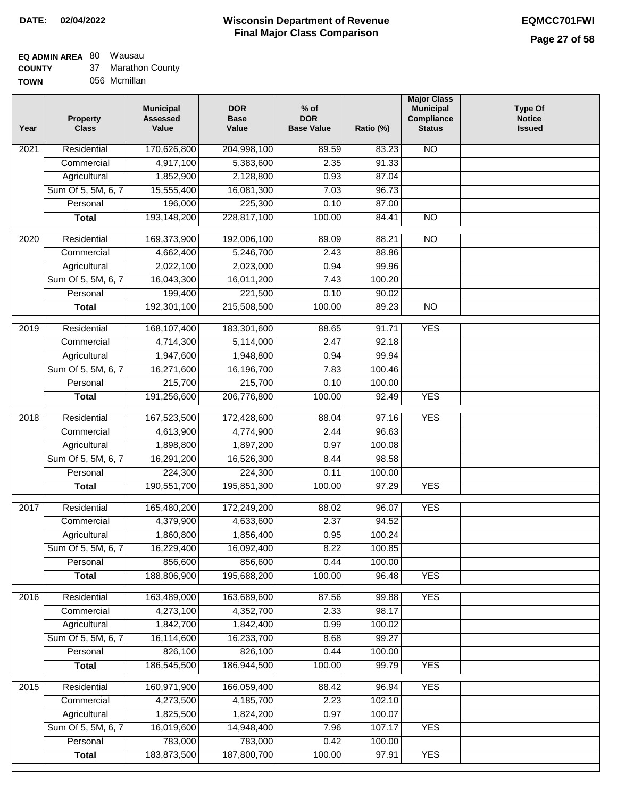#### **EQ ADMIN AREA** 80 Wausau  $\sim$

| <b>COUNTY</b> | 37 | Marathon County |
|---------------|----|-----------------|
| <b>TOWN</b>   |    | 056 Mcmillan    |

| N <sub>O</sub><br>$\overline{202}1$<br>Residential<br>170,626,800<br>204,998,100<br>89.59<br>83.23<br>4,917,100<br>2.35<br>91.33<br>Commercial<br>5,383,600<br>Agricultural<br>1,852,900<br>2,128,800<br>0.93<br>87.04<br>Sum Of 5, 5M, 6, 7<br>15,555,400<br>16,081,300<br>7.03<br>96.73<br>196,000<br>225,300<br>Personal<br>0.10<br>87.00<br>193,148,200<br>228,817,100<br>100.00<br>$\overline{NO}$<br><b>Total</b><br>84.41<br>192,006,100<br>2020<br>Residential<br>169,373,900<br>89.09<br>88.21<br>$\overline{10}$<br>4,662,400<br>5,246,700<br>2.43<br>88.86<br>Commercial<br>2,022,100<br>2,023,000<br>0.94<br>99.96<br>Agricultural<br>Sum Of 5, 5M, 6, 7<br>16,011,200<br>16,043,300<br>7.43<br>100.20<br>199,400<br>221,500<br>Personal<br>0.10<br>90.02<br>192,301,100<br>215,508,500<br>100.00<br>89.23<br>$\overline{NO}$<br><b>Total</b><br><b>YES</b><br>2019<br>Residential<br>168,107,400<br>183,301,600<br>88.65<br>91.71<br>4,714,300<br>2.47<br>92.18<br>Commercial<br>5,114,000<br>1,947,600<br>1,948,800<br>0.94<br>99.94<br>Agricultural<br>Sum Of 5, 5M, 6, 7<br>16,271,600<br>16,196,700<br>7.83<br>100.46<br>215,700<br>215,700<br>Personal<br>0.10<br>100.00<br>191,256,600<br>206,776,800<br>100.00<br><b>YES</b><br>92.49<br><b>Total</b><br>2018<br>Residential<br>167,523,500<br>172,428,600<br>97.16<br><b>YES</b><br>88.04 |  |
|----------------------------------------------------------------------------------------------------------------------------------------------------------------------------------------------------------------------------------------------------------------------------------------------------------------------------------------------------------------------------------------------------------------------------------------------------------------------------------------------------------------------------------------------------------------------------------------------------------------------------------------------------------------------------------------------------------------------------------------------------------------------------------------------------------------------------------------------------------------------------------------------------------------------------------------------------------------------------------------------------------------------------------------------------------------------------------------------------------------------------------------------------------------------------------------------------------------------------------------------------------------------------------------------------------------------------------------------------------------|--|
|                                                                                                                                                                                                                                                                                                                                                                                                                                                                                                                                                                                                                                                                                                                                                                                                                                                                                                                                                                                                                                                                                                                                                                                                                                                                                                                                                                |  |
|                                                                                                                                                                                                                                                                                                                                                                                                                                                                                                                                                                                                                                                                                                                                                                                                                                                                                                                                                                                                                                                                                                                                                                                                                                                                                                                                                                |  |
|                                                                                                                                                                                                                                                                                                                                                                                                                                                                                                                                                                                                                                                                                                                                                                                                                                                                                                                                                                                                                                                                                                                                                                                                                                                                                                                                                                |  |
|                                                                                                                                                                                                                                                                                                                                                                                                                                                                                                                                                                                                                                                                                                                                                                                                                                                                                                                                                                                                                                                                                                                                                                                                                                                                                                                                                                |  |
|                                                                                                                                                                                                                                                                                                                                                                                                                                                                                                                                                                                                                                                                                                                                                                                                                                                                                                                                                                                                                                                                                                                                                                                                                                                                                                                                                                |  |
|                                                                                                                                                                                                                                                                                                                                                                                                                                                                                                                                                                                                                                                                                                                                                                                                                                                                                                                                                                                                                                                                                                                                                                                                                                                                                                                                                                |  |
|                                                                                                                                                                                                                                                                                                                                                                                                                                                                                                                                                                                                                                                                                                                                                                                                                                                                                                                                                                                                                                                                                                                                                                                                                                                                                                                                                                |  |
|                                                                                                                                                                                                                                                                                                                                                                                                                                                                                                                                                                                                                                                                                                                                                                                                                                                                                                                                                                                                                                                                                                                                                                                                                                                                                                                                                                |  |
|                                                                                                                                                                                                                                                                                                                                                                                                                                                                                                                                                                                                                                                                                                                                                                                                                                                                                                                                                                                                                                                                                                                                                                                                                                                                                                                                                                |  |
|                                                                                                                                                                                                                                                                                                                                                                                                                                                                                                                                                                                                                                                                                                                                                                                                                                                                                                                                                                                                                                                                                                                                                                                                                                                                                                                                                                |  |
|                                                                                                                                                                                                                                                                                                                                                                                                                                                                                                                                                                                                                                                                                                                                                                                                                                                                                                                                                                                                                                                                                                                                                                                                                                                                                                                                                                |  |
|                                                                                                                                                                                                                                                                                                                                                                                                                                                                                                                                                                                                                                                                                                                                                                                                                                                                                                                                                                                                                                                                                                                                                                                                                                                                                                                                                                |  |
|                                                                                                                                                                                                                                                                                                                                                                                                                                                                                                                                                                                                                                                                                                                                                                                                                                                                                                                                                                                                                                                                                                                                                                                                                                                                                                                                                                |  |
|                                                                                                                                                                                                                                                                                                                                                                                                                                                                                                                                                                                                                                                                                                                                                                                                                                                                                                                                                                                                                                                                                                                                                                                                                                                                                                                                                                |  |
|                                                                                                                                                                                                                                                                                                                                                                                                                                                                                                                                                                                                                                                                                                                                                                                                                                                                                                                                                                                                                                                                                                                                                                                                                                                                                                                                                                |  |
|                                                                                                                                                                                                                                                                                                                                                                                                                                                                                                                                                                                                                                                                                                                                                                                                                                                                                                                                                                                                                                                                                                                                                                                                                                                                                                                                                                |  |
|                                                                                                                                                                                                                                                                                                                                                                                                                                                                                                                                                                                                                                                                                                                                                                                                                                                                                                                                                                                                                                                                                                                                                                                                                                                                                                                                                                |  |
|                                                                                                                                                                                                                                                                                                                                                                                                                                                                                                                                                                                                                                                                                                                                                                                                                                                                                                                                                                                                                                                                                                                                                                                                                                                                                                                                                                |  |
|                                                                                                                                                                                                                                                                                                                                                                                                                                                                                                                                                                                                                                                                                                                                                                                                                                                                                                                                                                                                                                                                                                                                                                                                                                                                                                                                                                |  |
| Commercial<br>4,613,900<br>4,774,900<br>2.44<br>96.63                                                                                                                                                                                                                                                                                                                                                                                                                                                                                                                                                                                                                                                                                                                                                                                                                                                                                                                                                                                                                                                                                                                                                                                                                                                                                                          |  |
| 1,898,800<br>1,897,200<br>Agricultural<br>0.97<br>100.08                                                                                                                                                                                                                                                                                                                                                                                                                                                                                                                                                                                                                                                                                                                                                                                                                                                                                                                                                                                                                                                                                                                                                                                                                                                                                                       |  |
| Sum Of 5, 5M, 6, 7<br>16,291,200<br>16,526,300<br>98.58<br>8.44                                                                                                                                                                                                                                                                                                                                                                                                                                                                                                                                                                                                                                                                                                                                                                                                                                                                                                                                                                                                                                                                                                                                                                                                                                                                                                |  |
| Personal<br>224,300<br>224,300<br>0.11<br>100.00                                                                                                                                                                                                                                                                                                                                                                                                                                                                                                                                                                                                                                                                                                                                                                                                                                                                                                                                                                                                                                                                                                                                                                                                                                                                                                               |  |
| 190,551,700<br>195,851,300<br>100.00<br><b>YES</b><br><b>Total</b><br>97.29                                                                                                                                                                                                                                                                                                                                                                                                                                                                                                                                                                                                                                                                                                                                                                                                                                                                                                                                                                                                                                                                                                                                                                                                                                                                                    |  |
| $\overline{20}17$<br>Residential<br>165,480,200<br>172,249,200<br><b>YES</b><br>88.02<br>96.07                                                                                                                                                                                                                                                                                                                                                                                                                                                                                                                                                                                                                                                                                                                                                                                                                                                                                                                                                                                                                                                                                                                                                                                                                                                                 |  |
| 2.37<br>Commercial<br>4,379,900<br>4,633,600<br>94.52                                                                                                                                                                                                                                                                                                                                                                                                                                                                                                                                                                                                                                                                                                                                                                                                                                                                                                                                                                                                                                                                                                                                                                                                                                                                                                          |  |
| 1,856,400<br>1,860,800<br>0.95<br>100.24<br>Agricultural                                                                                                                                                                                                                                                                                                                                                                                                                                                                                                                                                                                                                                                                                                                                                                                                                                                                                                                                                                                                                                                                                                                                                                                                                                                                                                       |  |
| 8.22<br>Sum Of 5, 5M, 6, 7<br>16,229,400<br>16,092,400<br>100.85                                                                                                                                                                                                                                                                                                                                                                                                                                                                                                                                                                                                                                                                                                                                                                                                                                                                                                                                                                                                                                                                                                                                                                                                                                                                                               |  |
| 0.44<br>Personal<br>856,600<br>856,600<br>100.00                                                                                                                                                                                                                                                                                                                                                                                                                                                                                                                                                                                                                                                                                                                                                                                                                                                                                                                                                                                                                                                                                                                                                                                                                                                                                                               |  |
| 188,806,900<br>195,688,200<br>100.00<br>96.48<br><b>YES</b><br><b>Total</b>                                                                                                                                                                                                                                                                                                                                                                                                                                                                                                                                                                                                                                                                                                                                                                                                                                                                                                                                                                                                                                                                                                                                                                                                                                                                                    |  |
| <b>YES</b><br>Residential<br>163,489,000<br>163,689,600<br>2016<br>87.56<br>99.88                                                                                                                                                                                                                                                                                                                                                                                                                                                                                                                                                                                                                                                                                                                                                                                                                                                                                                                                                                                                                                                                                                                                                                                                                                                                              |  |
| 4,273,100<br>4,352,700<br>2.33<br>98.17<br>Commercial                                                                                                                                                                                                                                                                                                                                                                                                                                                                                                                                                                                                                                                                                                                                                                                                                                                                                                                                                                                                                                                                                                                                                                                                                                                                                                          |  |
| Agricultural<br>1,842,700<br>1,842,400<br>0.99<br>100.02                                                                                                                                                                                                                                                                                                                                                                                                                                                                                                                                                                                                                                                                                                                                                                                                                                                                                                                                                                                                                                                                                                                                                                                                                                                                                                       |  |
| Sum Of 5, 5M, 6, 7<br>16,114,600<br>16,233,700<br>8.68<br>99.27                                                                                                                                                                                                                                                                                                                                                                                                                                                                                                                                                                                                                                                                                                                                                                                                                                                                                                                                                                                                                                                                                                                                                                                                                                                                                                |  |
| Personal<br>826,100<br>826,100<br>0.44<br>100.00                                                                                                                                                                                                                                                                                                                                                                                                                                                                                                                                                                                                                                                                                                                                                                                                                                                                                                                                                                                                                                                                                                                                                                                                                                                                                                               |  |
| 186,545,500<br>186,944,500<br>100.00<br>99.79<br><b>YES</b><br><b>Total</b>                                                                                                                                                                                                                                                                                                                                                                                                                                                                                                                                                                                                                                                                                                                                                                                                                                                                                                                                                                                                                                                                                                                                                                                                                                                                                    |  |
| <b>YES</b><br>2015<br>Residential<br>160,971,900<br>166,059,400<br>88.42<br>96.94                                                                                                                                                                                                                                                                                                                                                                                                                                                                                                                                                                                                                                                                                                                                                                                                                                                                                                                                                                                                                                                                                                                                                                                                                                                                              |  |
| 4,273,500<br>4,185,700<br>2.23<br>102.10<br>Commercial                                                                                                                                                                                                                                                                                                                                                                                                                                                                                                                                                                                                                                                                                                                                                                                                                                                                                                                                                                                                                                                                                                                                                                                                                                                                                                         |  |
| 1,825,500<br>1,824,200<br>0.97<br>100.07<br>Agricultural                                                                                                                                                                                                                                                                                                                                                                                                                                                                                                                                                                                                                                                                                                                                                                                                                                                                                                                                                                                                                                                                                                                                                                                                                                                                                                       |  |
| Sum Of 5, 5M, 6, 7<br>16,019,600<br>14,948,400<br>7.96<br>107.17<br><b>YES</b>                                                                                                                                                                                                                                                                                                                                                                                                                                                                                                                                                                                                                                                                                                                                                                                                                                                                                                                                                                                                                                                                                                                                                                                                                                                                                 |  |
| 783,000<br>783,000<br>Personal<br>0.42<br>100.00                                                                                                                                                                                                                                                                                                                                                                                                                                                                                                                                                                                                                                                                                                                                                                                                                                                                                                                                                                                                                                                                                                                                                                                                                                                                                                               |  |
| 183,873,500<br>187,800,700<br>100.00<br><b>YES</b><br><b>Total</b><br>97.91                                                                                                                                                                                                                                                                                                                                                                                                                                                                                                                                                                                                                                                                                                                                                                                                                                                                                                                                                                                                                                                                                                                                                                                                                                                                                    |  |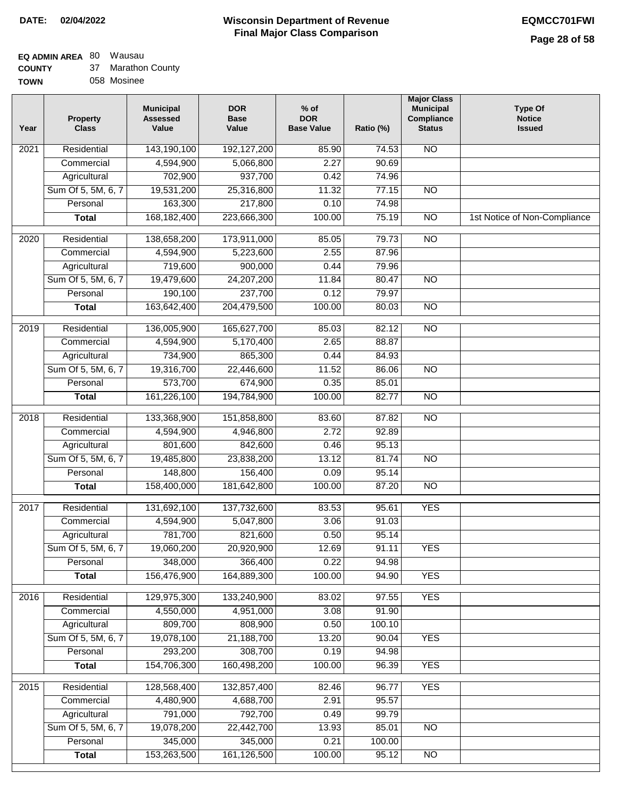## **EQ ADMIN AREA** 80 Wausau

| <b>COUNTY</b> | 37 Marathon County |
|---------------|--------------------|
| <b>TOWN</b>   | 058 Mosinee        |

| Year              | <b>Property</b><br><b>Class</b> | <b>Municipal</b><br><b>Assessed</b><br>Value | <b>DOR</b><br><b>Base</b><br>Value | $%$ of<br><b>DOR</b><br><b>Base Value</b> | Ratio (%) | <b>Major Class</b><br><b>Municipal</b><br>Compliance<br><b>Status</b> | <b>Type Of</b><br><b>Notice</b><br><b>Issued</b> |
|-------------------|---------------------------------|----------------------------------------------|------------------------------------|-------------------------------------------|-----------|-----------------------------------------------------------------------|--------------------------------------------------|
| $\overline{202}1$ | Residential                     | 143,190,100                                  | 192,127,200                        | 85.90                                     | 74.53     | N <sub>O</sub>                                                        |                                                  |
|                   | Commercial                      | 4,594,900                                    | 5,066,800                          | 2.27                                      | 90.69     |                                                                       |                                                  |
|                   | Agricultural                    | 702,900                                      | 937,700                            | 0.42                                      | 74.96     |                                                                       |                                                  |
|                   | Sum Of 5, 5M, 6, 7              | 19,531,200                                   | 25,316,800                         | 11.32                                     | 77.15     | $\overline{NO}$                                                       |                                                  |
|                   | Personal                        | 163,300                                      | 217,800                            | 0.10                                      | 74.98     |                                                                       |                                                  |
|                   | <b>Total</b>                    | 168, 182, 400                                | 223,666,300                        | 100.00                                    | 75.19     | $\overline{NO}$                                                       | 1st Notice of Non-Compliance                     |
| $\overline{2020}$ | Residential                     | 138,658,200                                  | 173,911,000                        | 85.05                                     | 79.73     | $\overline{NO}$                                                       |                                                  |
|                   | Commercial                      | 4,594,900                                    | 5,223,600                          | 2.55                                      | 87.96     |                                                                       |                                                  |
|                   | Agricultural                    | 719,600                                      | 900,000                            | 0.44                                      | 79.96     |                                                                       |                                                  |
|                   | Sum Of 5, 5M, 6, 7              | 19,479,600                                   | 24,207,200                         | 11.84                                     | 80.47     | $\overline{NO}$                                                       |                                                  |
|                   | Personal                        | 190,100                                      | 237,700                            | 0.12                                      | 79.97     |                                                                       |                                                  |
|                   | <b>Total</b>                    | 163,642,400                                  | 204,479,500                        | 100.00                                    | 80.03     | $\overline{NO}$                                                       |                                                  |
| 2019              | Residential                     | 136,005,900                                  | 165,627,700                        | 85.03                                     | 82.12     | $\overline{NO}$                                                       |                                                  |
|                   | Commercial                      | 4,594,900                                    | 5,170,400                          | 2.65                                      | 88.87     |                                                                       |                                                  |
|                   | Agricultural                    | 734,900                                      | 865,300                            | 0.44                                      | 84.93     |                                                                       |                                                  |
|                   | Sum Of 5, 5M, 6, 7              | 19,316,700                                   | 22,446,600                         | 11.52                                     | 86.06     | $\overline{NO}$                                                       |                                                  |
|                   | Personal                        | 573,700                                      | 674,900                            | 0.35                                      | 85.01     |                                                                       |                                                  |
|                   | <b>Total</b>                    | 161,226,100                                  | 194,784,900                        | 100.00                                    | 82.77     | $\overline{NO}$                                                       |                                                  |
| 2018              | Residential                     | 133,368,900                                  | 151,858,800                        | 83.60                                     | 87.82     | N <sub>O</sub>                                                        |                                                  |
|                   | Commercial                      | 4,594,900                                    | 4,946,800                          | 2.72                                      | 92.89     |                                                                       |                                                  |
|                   | Agricultural                    | 801,600                                      | 842,600                            | 0.46                                      | 95.13     |                                                                       |                                                  |
|                   | Sum Of 5, 5M, 6, 7              | 19,485,800                                   | 23,838,200                         | 13.12                                     | 81.74     | $\overline{10}$                                                       |                                                  |
|                   | Personal                        | 148,800                                      | 156,400                            | 0.09                                      | 95.14     |                                                                       |                                                  |
|                   | <b>Total</b>                    | 158,400,000                                  | 181,642,800                        | 100.00                                    | 87.20     | <b>NO</b>                                                             |                                                  |
| $\overline{2017}$ | Residential                     | 131,692,100                                  | 137,732,600                        | 83.53                                     | 95.61     | <b>YES</b>                                                            |                                                  |
|                   | Commercial                      | 4,594,900                                    | 5,047,800                          | 3.06                                      | 91.03     |                                                                       |                                                  |
|                   | Agricultural                    | 781,700                                      | 821,600                            | 0.50                                      | 95.14     |                                                                       |                                                  |
|                   | Sum Of 5, 5M, 6, 7              | 19,060,200                                   | 20,920,900                         | 12.69                                     | 91.11     | <b>YES</b>                                                            |                                                  |
|                   | Personal                        | 348,000                                      | 366,400                            | 0.22                                      | 94.98     |                                                                       |                                                  |
|                   | <b>Total</b>                    | 156,476,900                                  | 164,889,300                        | 100.00                                    | 94.90     | <b>YES</b>                                                            |                                                  |
| 2016              | Residential                     | 129,975,300                                  | 133,240,900                        | 83.02                                     | 97.55     | <b>YES</b>                                                            |                                                  |
|                   | Commercial                      | 4,550,000                                    | 4,951,000                          | 3.08                                      | 91.90     |                                                                       |                                                  |
|                   | Agricultural                    | 809,700                                      | 808,900                            | 0.50                                      | 100.10    |                                                                       |                                                  |
|                   | Sum Of 5, 5M, 6, 7              | 19,078,100                                   | 21,188,700                         | 13.20                                     | 90.04     | <b>YES</b>                                                            |                                                  |
|                   | Personal                        | 293,200                                      | 308,700                            | 0.19                                      | 94.98     |                                                                       |                                                  |
|                   | <b>Total</b>                    | 154,706,300                                  | 160,498,200                        | 100.00                                    | 96.39     | <b>YES</b>                                                            |                                                  |
| 2015              | Residential                     | 128,568,400                                  | 132,857,400                        | 82.46                                     | 96.77     | <b>YES</b>                                                            |                                                  |
|                   | Commercial                      | 4,480,900                                    | 4,688,700                          | 2.91                                      | 95.57     |                                                                       |                                                  |
|                   | Agricultural                    | 791,000                                      | 792,700                            | 0.49                                      | 99.79     |                                                                       |                                                  |
|                   | Sum Of 5, 5M, 6, 7              | 19,078,200                                   | 22,442,700                         | 13.93                                     | 85.01     | <b>NO</b>                                                             |                                                  |
|                   | Personal                        | 345,000                                      | 345,000                            | 0.21                                      | 100.00    |                                                                       |                                                  |
|                   | <b>Total</b>                    | 153,263,500                                  | 161,126,500                        | 100.00                                    | 95.12     | <b>NO</b>                                                             |                                                  |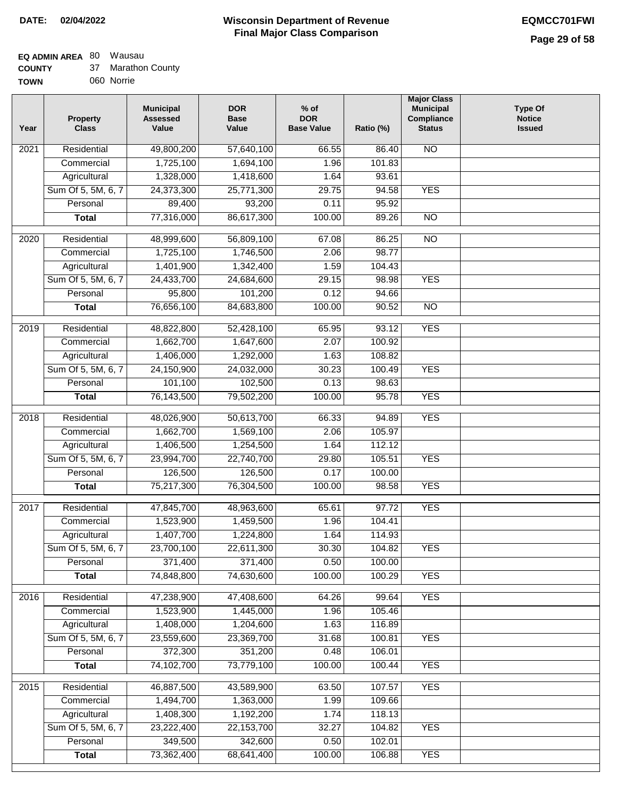#### **EQ ADMIN AREA** 80 Wausau  $\sim$

| <b>COUNTY</b> | 37 Marathon County |
|---------------|--------------------|
| <b>TOWN</b>   | 060 Norrie         |

| Year              | <b>Property</b><br><b>Class</b> | <b>Municipal</b><br><b>Assessed</b><br>Value | <b>DOR</b><br><b>Base</b><br>Value | $%$ of<br><b>DOR</b><br><b>Base Value</b> | Ratio (%) | <b>Major Class</b><br><b>Municipal</b><br>Compliance<br><b>Status</b> | <b>Type Of</b><br><b>Notice</b><br><b>Issued</b> |
|-------------------|---------------------------------|----------------------------------------------|------------------------------------|-------------------------------------------|-----------|-----------------------------------------------------------------------|--------------------------------------------------|
| 2021              | Residential                     | 49,800,200                                   | 57,640,100                         | 66.55                                     | 86.40     | N <sub>O</sub>                                                        |                                                  |
|                   | Commercial                      | 1,725,100                                    | 1,694,100                          | 1.96                                      | 101.83    |                                                                       |                                                  |
|                   | Agricultural                    | 1,328,000                                    | 1,418,600                          | 1.64                                      | 93.61     |                                                                       |                                                  |
|                   | Sum Of 5, 5M, 6, 7              | 24,373,300                                   | 25,771,300                         | 29.75                                     | 94.58     | <b>YES</b>                                                            |                                                  |
|                   | Personal                        | 89,400                                       | 93,200                             | 0.11                                      | 95.92     |                                                                       |                                                  |
|                   | <b>Total</b>                    | 77,316,000                                   | 86,617,300                         | 100.00                                    | 89.26     | $\overline{NO}$                                                       |                                                  |
| 2020              | Residential                     | 48,999,600                                   | 56,809,100                         | 67.08                                     | 86.25     | $\overline{NO}$                                                       |                                                  |
|                   | Commercial                      | 1,725,100                                    | 1,746,500                          | 2.06                                      | 98.77     |                                                                       |                                                  |
|                   | Agricultural                    | 1,401,900                                    | 1,342,400                          | 1.59                                      | 104.43    |                                                                       |                                                  |
|                   | Sum Of 5, 5M, 6, 7              | 24,433,700                                   | 24,684,600                         | 29.15                                     | 98.98     | <b>YES</b>                                                            |                                                  |
|                   | Personal                        | 95,800                                       | 101,200                            | 0.12                                      | 94.66     |                                                                       |                                                  |
|                   | <b>Total</b>                    | 76,656,100                                   | 84,683,800                         | 100.00                                    | 90.52     | $\overline{NO}$                                                       |                                                  |
| 2019              | Residential                     | 48,822,800                                   | 52,428,100                         | 65.95                                     | 93.12     | <b>YES</b>                                                            |                                                  |
|                   | Commercial                      | 1,662,700                                    | 1,647,600                          | 2.07                                      | 100.92    |                                                                       |                                                  |
|                   | Agricultural                    | 1,406,000                                    | 1,292,000                          | 1.63                                      | 108.82    |                                                                       |                                                  |
|                   | Sum Of 5, 5M, 6, 7              | 24,150,900                                   | 24,032,000                         | 30.23                                     | 100.49    | <b>YES</b>                                                            |                                                  |
|                   | Personal                        | 101,100                                      | 102,500                            | 0.13                                      | 98.63     |                                                                       |                                                  |
|                   | <b>Total</b>                    | 76,143,500                                   | 79,502,200                         | 100.00                                    | 95.78     | <b>YES</b>                                                            |                                                  |
|                   |                                 |                                              |                                    |                                           |           |                                                                       |                                                  |
| $\overline{2018}$ | Residential                     | 48,026,900                                   | 50,613,700                         | 66.33                                     | 94.89     | <b>YES</b>                                                            |                                                  |
|                   | Commercial                      | 1,662,700                                    | 1,569,100                          | 2.06                                      | 105.97    |                                                                       |                                                  |
|                   | Agricultural                    | 1,406,500                                    | 1,254,500                          | 1.64                                      | 112.12    |                                                                       |                                                  |
|                   | Sum Of 5, 5M, 6, 7              | 23,994,700                                   | 22,740,700                         | 29.80                                     | 105.51    | <b>YES</b>                                                            |                                                  |
|                   | Personal                        | 126,500                                      | 126,500                            | 0.17                                      | 100.00    |                                                                       |                                                  |
|                   | <b>Total</b>                    | 75,217,300                                   | 76,304,500                         | 100.00                                    | 98.58     | <b>YES</b>                                                            |                                                  |
| 2017              | Residential                     | 47,845,700                                   | 48,963,600                         | 65.61                                     | 97.72     | <b>YES</b>                                                            |                                                  |
|                   | Commercial                      | 1,523,900                                    | 1,459,500                          | 1.96                                      | 104.41    |                                                                       |                                                  |
|                   | Agricultural                    | 1,407,700                                    | 1,224,800                          | 1.64                                      | 114.93    |                                                                       |                                                  |
|                   | Sum Of 5, 5M, 6, 7              | 23,700,100                                   | 22,611,300                         | 30.30                                     | 104.82    | <b>YES</b>                                                            |                                                  |
|                   | Personal                        | 371,400                                      | 371,400                            | 0.50                                      | 100.00    |                                                                       |                                                  |
|                   | <b>Total</b>                    | 74,848,800                                   | 74,630,600                         | 100.00                                    | 100.29    | <b>YES</b>                                                            |                                                  |
| 2016              | Residential                     | 47,238,900                                   | 47,408,600                         | 64.26                                     | 99.64     | <b>YES</b>                                                            |                                                  |
|                   | Commercial                      | 1,523,900                                    | 1,445,000                          | 1.96                                      | 105.46    |                                                                       |                                                  |
|                   | Agricultural                    | 1,408,000                                    | 1,204,600                          | 1.63                                      | 116.89    |                                                                       |                                                  |
|                   | Sum Of 5, 5M, 6, 7              | 23,559,600                                   | 23,369,700                         | 31.68                                     | 100.81    | <b>YES</b>                                                            |                                                  |
|                   | Personal                        | 372,300                                      | 351,200                            | 0.48                                      | 106.01    |                                                                       |                                                  |
|                   | <b>Total</b>                    | 74,102,700                                   | 73,779,100                         | 100.00                                    | 100.44    | <b>YES</b>                                                            |                                                  |
| 2015              | Residential                     | 46,887,500                                   | 43,589,900                         | 63.50                                     | 107.57    | <b>YES</b>                                                            |                                                  |
|                   | Commercial                      | 1,494,700                                    | 1,363,000                          | 1.99                                      | 109.66    |                                                                       |                                                  |
|                   | Agricultural                    | 1,408,300                                    | 1,192,200                          | 1.74                                      | 118.13    |                                                                       |                                                  |
|                   | Sum Of 5, 5M, 6, 7              | 23,222,400                                   | 22,153,700                         | 32.27                                     | 104.82    | <b>YES</b>                                                            |                                                  |
|                   | Personal                        | 349,500                                      | 342,600                            | 0.50                                      | 102.01    |                                                                       |                                                  |
|                   | <b>Total</b>                    | 73,362,400                                   | 68,641,400                         | 100.00                                    | 106.88    | <b>YES</b>                                                            |                                                  |
|                   |                                 |                                              |                                    |                                           |           |                                                                       |                                                  |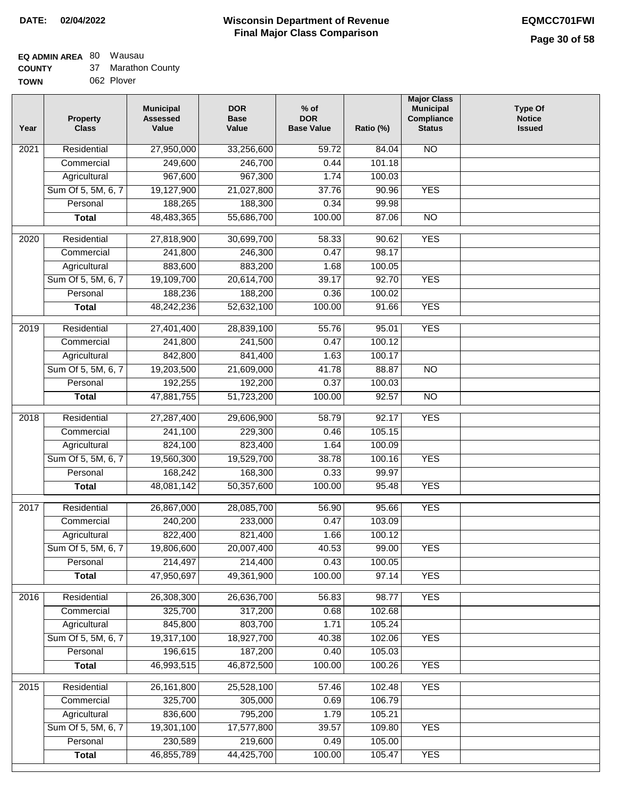#### **Wisconsin Department of Revenue Final Major Class Comparison DATE: 02/04/2022 EQMCC701FWI**

# **EQ ADMIN AREA** 80 Wausau

| <b>COUNTY</b> | 37 Marathon County |
|---------------|--------------------|
| <b>TOWN</b>   | 062 Plover         |

| Year | <b>Property</b><br><b>Class</b> | <b>Municipal</b><br><b>Assessed</b><br>Value | <b>DOR</b><br><b>Base</b><br>Value | $%$ of<br><b>DOR</b><br><b>Base Value</b> | Ratio (%) | <b>Major Class</b><br><b>Municipal</b><br>Compliance<br><b>Status</b> | <b>Type Of</b><br><b>Notice</b><br><b>Issued</b> |
|------|---------------------------------|----------------------------------------------|------------------------------------|-------------------------------------------|-----------|-----------------------------------------------------------------------|--------------------------------------------------|
| 2021 | Residential                     | 27,950,000                                   | 33,256,600                         | 59.72                                     | 84.04     | $\overline{N}$                                                        |                                                  |
|      | Commercial                      | 249,600                                      | 246,700                            | 0.44                                      | 101.18    |                                                                       |                                                  |
|      | Agricultural                    | 967,600                                      | 967,300                            | 1.74                                      | 100.03    |                                                                       |                                                  |
|      | Sum Of 5, 5M, 6, 7              | 19,127,900                                   | 21,027,800                         | 37.76                                     | 90.96     | <b>YES</b>                                                            |                                                  |
|      | Personal                        | 188,265                                      | 188,300                            | 0.34                                      | 99.98     |                                                                       |                                                  |
|      | <b>Total</b>                    | 48,483,365                                   | 55,686,700                         | 100.00                                    | 87.06     | <b>NO</b>                                                             |                                                  |
| 2020 | Residential                     | 27,818,900                                   | 30,699,700                         | 58.33                                     | 90.62     | <b>YES</b>                                                            |                                                  |
|      | Commercial                      | 241,800                                      | 246,300                            | 0.47                                      | 98.17     |                                                                       |                                                  |
|      | Agricultural                    | 883,600                                      | 883,200                            | 1.68                                      | 100.05    |                                                                       |                                                  |
|      | Sum Of 5, 5M, 6, 7              | 19,109,700                                   | 20,614,700                         | 39.17                                     | 92.70     | <b>YES</b>                                                            |                                                  |
|      | Personal                        | 188,236                                      | 188,200                            | 0.36                                      | 100.02    |                                                                       |                                                  |
|      | <b>Total</b>                    | 48,242,236                                   | 52,632,100                         | 100.00                                    | 91.66     | <b>YES</b>                                                            |                                                  |
| 2019 | Residential                     | 27,401,400                                   | 28,839,100                         | 55.76                                     | 95.01     | <b>YES</b>                                                            |                                                  |
|      | Commercial                      | 241,800                                      | 241,500                            | 0.47                                      | 100.12    |                                                                       |                                                  |
|      | Agricultural                    | 842,800                                      | 841,400                            | 1.63                                      | 100.17    |                                                                       |                                                  |
|      | Sum Of 5, 5M, 6, 7              | 19,203,500                                   | 21,609,000                         | 41.78                                     | 88.87     | $\overline{NO}$                                                       |                                                  |
|      | Personal                        | 192,255                                      | 192,200                            | 0.37                                      | 100.03    |                                                                       |                                                  |
|      | <b>Total</b>                    | 47,881,755                                   | 51,723,200                         | 100.00                                    | 92.57     | $\overline{N}$                                                        |                                                  |
| 2018 |                                 |                                              |                                    |                                           |           | <b>YES</b>                                                            |                                                  |
|      | Residential                     | 27,287,400                                   | 29,606,900                         | 58.79                                     | 92.17     |                                                                       |                                                  |
|      | Commercial                      | 241,100                                      | 229,300                            | 0.46                                      | 105.15    |                                                                       |                                                  |
|      | Agricultural                    | 824,100                                      | 823,400                            | 1.64                                      | 100.09    |                                                                       |                                                  |
|      | Sum Of 5, 5M, 6, 7              | 19,560,300                                   | 19,529,700                         | 38.78                                     | 100.16    | <b>YES</b>                                                            |                                                  |
|      | Personal                        | 168,242                                      | 168,300                            | 0.33                                      | 99.97     | <b>YES</b>                                                            |                                                  |
|      | <b>Total</b>                    | 48,081,142                                   | 50,357,600                         | 100.00                                    | 95.48     |                                                                       |                                                  |
| 2017 | Residential                     | 26,867,000                                   | 28,085,700                         | 56.90                                     | 95.66     | <b>YES</b>                                                            |                                                  |
|      | Commercial                      | 240,200                                      | 233,000                            | 0.47                                      | 103.09    |                                                                       |                                                  |
|      | Agricultural                    | 822,400                                      | 821,400                            | 1.66                                      | 100.12    |                                                                       |                                                  |
|      | Sum Of 5, 5M, 6, 7              | 19,806,600                                   | 20,007,400                         | 40.53                                     | 99.00     | YES                                                                   |                                                  |
|      | Personal                        | 214,497                                      | 214,400                            | 0.43                                      | 100.05    |                                                                       |                                                  |
|      | <b>Total</b>                    | 47,950,697                                   | 49,361,900                         | 100.00                                    | 97.14     | <b>YES</b>                                                            |                                                  |
| 2016 | Residential                     | 26,308,300                                   | 26,636,700                         | 56.83                                     | 98.77     | <b>YES</b>                                                            |                                                  |
|      | Commercial                      | 325,700                                      | 317,200                            | 0.68                                      | 102.68    |                                                                       |                                                  |
|      | Agricultural                    | 845,800                                      | 803,700                            | 1.71                                      | 105.24    |                                                                       |                                                  |
|      | Sum Of 5, 5M, 6, 7              | 19,317,100                                   | 18,927,700                         | 40.38                                     | 102.06    | <b>YES</b>                                                            |                                                  |
|      | Personal                        | 196,615                                      | 187,200                            | 0.40                                      | 105.03    |                                                                       |                                                  |
|      | <b>Total</b>                    | 46,993,515                                   | 46,872,500                         | 100.00                                    | 100.26    | <b>YES</b>                                                            |                                                  |
| 2015 | Residential                     | 26, 161, 800                                 | 25,528,100                         | 57.46                                     | 102.48    | <b>YES</b>                                                            |                                                  |
|      | Commercial                      | 325,700                                      | 305,000                            | 0.69                                      | 106.79    |                                                                       |                                                  |
|      | Agricultural                    | 836,600                                      | 795,200                            | 1.79                                      | 105.21    |                                                                       |                                                  |
|      | Sum Of 5, 5M, 6, 7              | 19,301,100                                   | 17,577,800                         | 39.57                                     | 109.80    | <b>YES</b>                                                            |                                                  |
|      | Personal                        | 230,589                                      | 219,600                            | 0.49                                      | 105.00    |                                                                       |                                                  |
|      | <b>Total</b>                    | 46,855,789                                   | 44,425,700                         | 100.00                                    | 105.47    | <b>YES</b>                                                            |                                                  |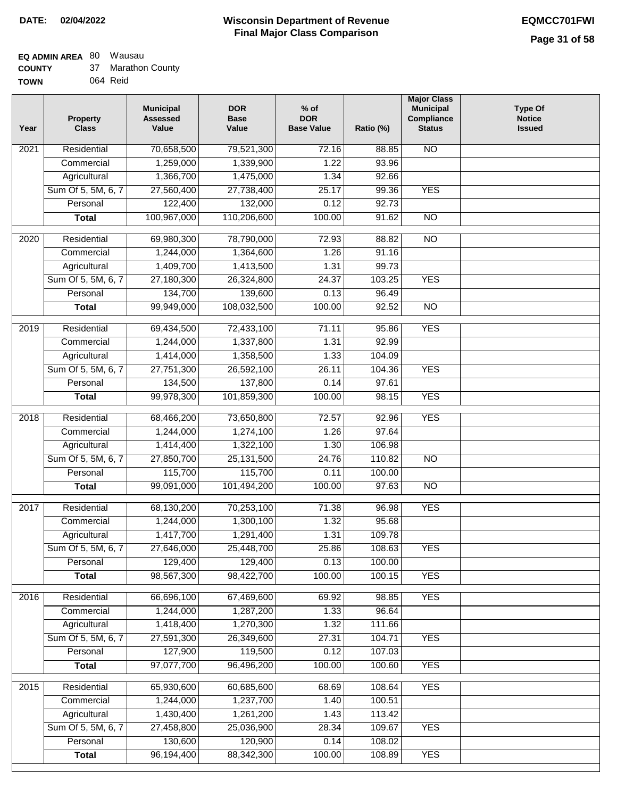#### **EQ ADMIN AREA** 80 Wausau 5

| 37 Marathon County<br><b>COUNTY</b> |  |
|-------------------------------------|--|

**TOWN** 064 Reid

| Year              | <b>Property</b><br><b>Class</b> | <b>Municipal</b><br><b>Assessed</b><br>Value | <b>DOR</b><br><b>Base</b><br>Value | % of<br><b>DOR</b><br><b>Base Value</b> | Ratio (%) | <b>Major Class</b><br><b>Municipal</b><br>Compliance<br><b>Status</b> | <b>Type Of</b><br><b>Notice</b><br><b>Issued</b> |
|-------------------|---------------------------------|----------------------------------------------|------------------------------------|-----------------------------------------|-----------|-----------------------------------------------------------------------|--------------------------------------------------|
| $\overline{202}1$ | Residential                     | 70,658,500                                   | 79,521,300                         | 72.16                                   | 88.85     | $\overline{NO}$                                                       |                                                  |
|                   | Commercial                      | 1,259,000                                    | 1,339,900                          | 1.22                                    | 93.96     |                                                                       |                                                  |
|                   | Agricultural                    | 1,366,700                                    | 1,475,000                          | 1.34                                    | 92.66     |                                                                       |                                                  |
|                   | Sum Of 5, 5M, 6, 7              | 27,560,400                                   | 27,738,400                         | 25.17                                   | 99.36     | <b>YES</b>                                                            |                                                  |
|                   | Personal                        | 122,400                                      | 132,000                            | 0.12                                    | 92.73     |                                                                       |                                                  |
|                   | <b>Total</b>                    | 100,967,000                                  | 110,206,600                        | 100.00                                  | 91.62     | $\overline{NO}$                                                       |                                                  |
| $\overline{2020}$ | Residential                     | 69,980,300                                   | 78,790,000                         | 72.93                                   | 88.82     | $\overline{NO}$                                                       |                                                  |
|                   | Commercial                      | 1,244,000                                    | 1,364,600                          | 1.26                                    | 91.16     |                                                                       |                                                  |
|                   | Agricultural                    | 1,409,700                                    | 1,413,500                          | 1.31                                    | 99.73     |                                                                       |                                                  |
|                   | Sum Of 5, 5M, 6, 7              | 27,180,300                                   | 26,324,800                         | 24.37                                   | 103.25    | <b>YES</b>                                                            |                                                  |
|                   | Personal                        | 134,700                                      | 139,600                            | 0.13                                    | 96.49     |                                                                       |                                                  |
|                   | <b>Total</b>                    | 99,949,000                                   | 108,032,500                        | 100.00                                  | 92.52     | $\overline{NO}$                                                       |                                                  |
| 2019              | Residential                     | 69,434,500                                   | 72,433,100                         | 71.11                                   | 95.86     | <b>YES</b>                                                            |                                                  |
|                   | Commercial                      | 1,244,000                                    | 1,337,800                          | 1.31                                    | 92.99     |                                                                       |                                                  |
|                   | Agricultural                    | 1,414,000                                    | 1,358,500                          | 1.33                                    | 104.09    |                                                                       |                                                  |
|                   | Sum Of 5, 5M, 6, 7              | 27,751,300                                   | 26,592,100                         | 26.11                                   | 104.36    | <b>YES</b>                                                            |                                                  |
|                   | Personal                        | 134,500                                      | 137,800                            | 0.14                                    | 97.61     |                                                                       |                                                  |
|                   | <b>Total</b>                    | 99,978,300                                   | 101,859,300                        | 100.00                                  | 98.15     | <b>YES</b>                                                            |                                                  |
|                   |                                 |                                              |                                    |                                         |           |                                                                       |                                                  |
| 2018              | Residential                     | 68,466,200                                   | 73,650,800                         | 72.57                                   | 92.96     | <b>YES</b>                                                            |                                                  |
|                   | Commercial                      | 1,244,000                                    | 1,274,100                          | 1.26                                    | 97.64     |                                                                       |                                                  |
|                   | Agricultural                    | 1,414,400                                    | 1,322,100                          | 1.30                                    | 106.98    |                                                                       |                                                  |
|                   | Sum Of 5, 5M, 6, 7              | 27,850,700                                   | 25, 131, 500                       | 24.76                                   | 110.82    | $\overline{10}$                                                       |                                                  |
|                   | Personal                        | 115,700                                      | 115,700                            | 0.11                                    | 100.00    |                                                                       |                                                  |
|                   | <b>Total</b>                    | 99,091,000                                   | 101,494,200                        | 100.00                                  | 97.63     | <b>NO</b>                                                             |                                                  |
| 2017              | Residential                     | 68,130,200                                   | 70,253,100                         | 71.38                                   | 96.98     | <b>YES</b>                                                            |                                                  |
|                   | Commercial                      | 1,244,000                                    | 1,300,100                          | 1.32                                    | 95.68     |                                                                       |                                                  |
|                   | Agricultural                    | 1,417,700                                    | 1,291,400                          | 1.31                                    | 109.78    |                                                                       |                                                  |
|                   | Sum Of 5, 5M, 6, 7              | 27,646,000                                   | 25,448,700                         | 25.86                                   | 108.63    | <b>YES</b>                                                            |                                                  |
|                   | Personal                        | 129,400                                      | 129,400                            | 0.13                                    | 100.00    |                                                                       |                                                  |
|                   | <b>Total</b>                    | 98,567,300                                   | 98,422,700                         | 100.00                                  | 100.15    | <b>YES</b>                                                            |                                                  |
| 2016              | Residential                     | 66,696,100                                   | 67,469,600                         | 69.92                                   | 98.85     | <b>YES</b>                                                            |                                                  |
|                   | Commercial                      | 1,244,000                                    | 1,287,200                          | 1.33                                    | 96.64     |                                                                       |                                                  |
|                   | Agricultural                    | 1,418,400                                    | 1,270,300                          | 1.32                                    | 111.66    |                                                                       |                                                  |
|                   | Sum Of 5, 5M, 6, 7              | 27,591,300                                   | 26,349,600                         | 27.31                                   | 104.71    | <b>YES</b>                                                            |                                                  |
|                   | Personal                        | 127,900                                      | 119,500                            | 0.12                                    | 107.03    |                                                                       |                                                  |
|                   | <b>Total</b>                    | 97,077,700                                   | 96,496,200                         | 100.00                                  | 100.60    | <b>YES</b>                                                            |                                                  |
| 2015              | Residential                     | 65,930,600                                   | 60,685,600                         | 68.69                                   | 108.64    | <b>YES</b>                                                            |                                                  |
|                   | Commercial                      | 1,244,000                                    | 1,237,700                          | 1.40                                    | 100.51    |                                                                       |                                                  |
|                   | Agricultural                    | 1,430,400                                    | 1,261,200                          | 1.43                                    | 113.42    |                                                                       |                                                  |
|                   | Sum Of 5, 5M, 6, 7              | 27,458,800                                   | 25,036,900                         | 28.34                                   | 109.67    | <b>YES</b>                                                            |                                                  |
|                   | Personal                        | 130,600                                      | 120,900                            | 0.14                                    | 108.02    |                                                                       |                                                  |
|                   | <b>Total</b>                    | 96,194,400                                   | 88,342,300                         | 100.00                                  | 108.89    | <b>YES</b>                                                            |                                                  |
|                   |                                 |                                              |                                    |                                         |           |                                                                       |                                                  |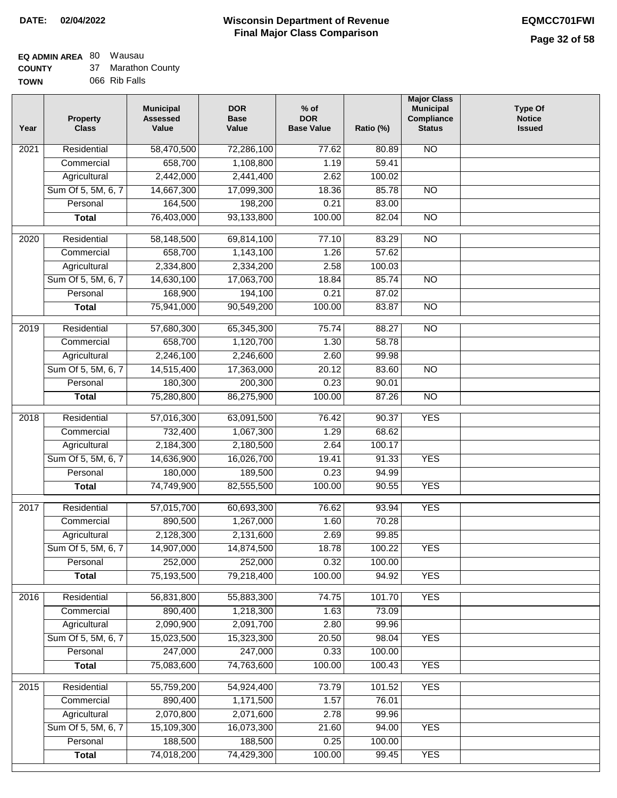#### **EQ ADMIN AREA** 80 Wausau **COUNTY**

| <b>COUNTY</b> | 37 Marathon County |
|---------------|--------------------|
| <b>TOWN</b>   | 066 Rib Falls      |

| Year | <b>Property</b><br><b>Class</b> | <b>Municipal</b><br><b>Assessed</b><br>Value | <b>DOR</b><br><b>Base</b><br>Value | $%$ of<br><b>DOR</b><br><b>Base Value</b> | Ratio (%) | <b>Major Class</b><br><b>Municipal</b><br>Compliance<br><b>Status</b> | <b>Type Of</b><br><b>Notice</b><br><b>Issued</b> |
|------|---------------------------------|----------------------------------------------|------------------------------------|-------------------------------------------|-----------|-----------------------------------------------------------------------|--------------------------------------------------|
| 2021 | Residential                     | 58,470,500                                   | 72,286,100                         | 77.62                                     | 80.89     | <b>NO</b>                                                             |                                                  |
|      | Commercial                      | 658,700                                      | 1,108,800                          | 1.19                                      | 59.41     |                                                                       |                                                  |
|      | Agricultural                    | 2,442,000                                    | 2,441,400                          | 2.62                                      | 100.02    |                                                                       |                                                  |
|      | Sum Of 5, 5M, 6, 7              | 14,667,300                                   | 17,099,300                         | 18.36                                     | 85.78     | $\overline{NO}$                                                       |                                                  |
|      | Personal                        | 164,500                                      | 198,200                            | 0.21                                      | 83.00     |                                                                       |                                                  |
|      | <b>Total</b>                    | 76,403,000                                   | 93,133,800                         | 100.00                                    | 82.04     | $\overline{NO}$                                                       |                                                  |
| 2020 | Residential                     | 58,148,500                                   | 69,814,100                         | 77.10                                     | 83.29     | $\overline{10}$                                                       |                                                  |
|      | Commercial                      | 658,700                                      | 1,143,100                          | 1.26                                      | 57.62     |                                                                       |                                                  |
|      | Agricultural                    | 2,334,800                                    | 2,334,200                          | 2.58                                      | 100.03    |                                                                       |                                                  |
|      | Sum Of 5, 5M, 6, 7              | 14,630,100                                   | 17,063,700                         | 18.84                                     | 85.74     | $\overline{NO}$                                                       |                                                  |
|      | Personal                        | 168,900                                      | 194,100                            | 0.21                                      | 87.02     |                                                                       |                                                  |
|      | <b>Total</b>                    | 75,941,000                                   | 90,549,200                         | 100.00                                    | 83.87     | $\overline{NO}$                                                       |                                                  |
|      |                                 |                                              |                                    |                                           |           |                                                                       |                                                  |
| 2019 | Residential                     | 57,680,300                                   | 65,345,300                         | 75.74                                     | 88.27     | $\overline{NO}$                                                       |                                                  |
|      | Commercial                      | 658,700                                      | 1,120,700                          | 1.30                                      | 58.78     |                                                                       |                                                  |
|      | Agricultural                    | 2,246,100                                    | 2,246,600                          | 2.60                                      | 99.98     |                                                                       |                                                  |
|      | Sum Of 5, 5M, 6, 7              | 14,515,400                                   | 17,363,000                         | 20.12                                     | 83.60     | $\overline{NO}$                                                       |                                                  |
|      | Personal                        | 180,300                                      | 200,300                            | 0.23                                      | 90.01     |                                                                       |                                                  |
|      | <b>Total</b>                    | 75,280,800                                   | 86,275,900                         | 100.00                                    | 87.26     | $\overline{NO}$                                                       |                                                  |
| 2018 | Residential                     | 57,016,300                                   | 63,091,500                         | 76.42                                     | 90.37     | <b>YES</b>                                                            |                                                  |
|      | Commercial                      | 732,400                                      | 1,067,300                          | 1.29                                      | 68.62     |                                                                       |                                                  |
|      | Agricultural                    | 2,184,300                                    | 2,180,500                          | 2.64                                      | 100.17    |                                                                       |                                                  |
|      | Sum Of 5, 5M, 6, 7              | 14,636,900                                   | 16,026,700                         | 19.41                                     | 91.33     | <b>YES</b>                                                            |                                                  |
|      | Personal                        | 180,000                                      | 189,500                            | 0.23                                      | 94.99     |                                                                       |                                                  |
|      | <b>Total</b>                    | 74,749,900                                   | 82,555,500                         | 100.00                                    | 90.55     | <b>YES</b>                                                            |                                                  |
| 2017 | Residential                     | 57,015,700                                   | 60,693,300                         | 76.62                                     | 93.94     | <b>YES</b>                                                            |                                                  |
|      | Commercial                      | 890,500                                      | 1,267,000                          | 1.60                                      | 70.28     |                                                                       |                                                  |
|      | Agricultural                    | 2,128,300                                    | 2,131,600                          | 2.69                                      | 99.85     |                                                                       |                                                  |
|      | Sum Of 5, 5M, 6, 7              | 14,907,000                                   | 14,874,500                         | 18.78                                     | 100.22    | <b>YES</b>                                                            |                                                  |
|      | Personal                        | 252,000                                      | 252,000                            | 0.32                                      | 100.00    |                                                                       |                                                  |
|      | <b>Total</b>                    | 75,193,500                                   | 79,218,400                         | 100.00                                    | 94.92     | <b>YES</b>                                                            |                                                  |
| 2016 | Residential                     | 56,831,800                                   | 55,883,300                         | 74.75                                     | 101.70    | <b>YES</b>                                                            |                                                  |
|      | Commercial                      | 890,400                                      | 1,218,300                          | 1.63                                      | 73.09     |                                                                       |                                                  |
|      | Agricultural                    | 2,090,900                                    | 2,091,700                          | 2.80                                      | 99.96     |                                                                       |                                                  |
|      | Sum Of 5, 5M, 6, 7              | 15,023,500                                   | 15,323,300                         | 20.50                                     | 98.04     | <b>YES</b>                                                            |                                                  |
|      | Personal                        | 247,000                                      | 247,000                            | 0.33                                      | 100.00    |                                                                       |                                                  |
|      | <b>Total</b>                    | 75,083,600                                   | 74,763,600                         | 100.00                                    | 100.43    | <b>YES</b>                                                            |                                                  |
|      |                                 |                                              |                                    |                                           |           |                                                                       |                                                  |
| 2015 | Residential                     | 55,759,200                                   | 54,924,400                         | 73.79                                     | 101.52    | <b>YES</b>                                                            |                                                  |
|      | Commercial                      | 890,400                                      | 1,171,500                          | 1.57                                      | 76.01     |                                                                       |                                                  |
|      | Agricultural                    | 2,070,800                                    | 2,071,600                          | 2.78                                      | 99.96     |                                                                       |                                                  |
|      | Sum Of 5, 5M, 6, 7              | 15,109,300                                   | 16,073,300                         | 21.60                                     | 94.00     | <b>YES</b>                                                            |                                                  |
|      | Personal                        | 188,500                                      | 188,500                            | 0.25                                      | 100.00    |                                                                       |                                                  |
|      | <b>Total</b>                    | 74,018,200                                   | 74,429,300                         | 100.00                                    | 99.45     | <b>YES</b>                                                            |                                                  |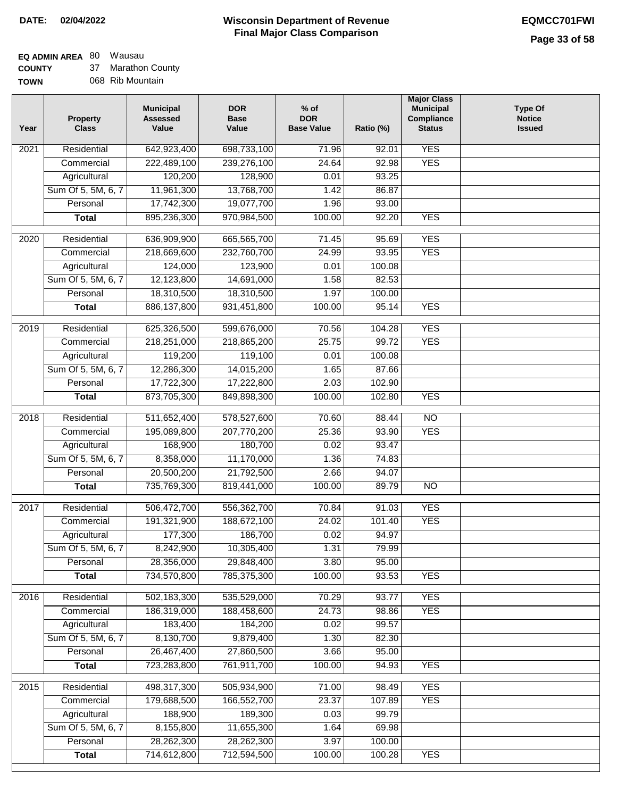**EQ ADMIN AREA** 80 Wausau

**COUNTY TOWN** 37 Marathon County 068 Rib Mountain

| Year             | <b>Property</b><br><b>Class</b> | <b>Municipal</b><br><b>Assessed</b><br>Value | <b>DOR</b><br><b>Base</b><br>Value | $%$ of<br><b>DOR</b><br><b>Base Value</b> | Ratio (%) | <b>Major Class</b><br><b>Municipal</b><br>Compliance<br><b>Status</b> | <b>Type Of</b><br><b>Notice</b><br><b>Issued</b> |
|------------------|---------------------------------|----------------------------------------------|------------------------------------|-------------------------------------------|-----------|-----------------------------------------------------------------------|--------------------------------------------------|
| 2021             | Residential                     | 642,923,400                                  | 698,733,100                        | 71.96                                     | 92.01     | <b>YES</b>                                                            |                                                  |
|                  | Commercial                      | 222,489,100                                  | 239,276,100                        | 24.64                                     | 92.98     | <b>YES</b>                                                            |                                                  |
|                  | Agricultural                    | 120,200                                      | 128,900                            | 0.01                                      | 93.25     |                                                                       |                                                  |
|                  | Sum Of 5, 5M, 6, 7              | 11,961,300                                   | 13,768,700                         | 1.42                                      | 86.87     |                                                                       |                                                  |
|                  | Personal                        | 17,742,300                                   | 19,077,700                         | 1.96                                      | 93.00     |                                                                       |                                                  |
|                  | <b>Total</b>                    | 895,236,300                                  | 970,984,500                        | 100.00                                    | 92.20     | <b>YES</b>                                                            |                                                  |
| $\frac{1}{2020}$ | Residential                     | 636,909,900                                  | 665,565,700                        | 71.45                                     | 95.69     | <b>YES</b>                                                            |                                                  |
|                  | Commercial                      | 218,669,600                                  | 232,760,700                        | 24.99                                     | 93.95     | <b>YES</b>                                                            |                                                  |
|                  | Agricultural                    | 124,000                                      | 123,900                            | 0.01                                      | 100.08    |                                                                       |                                                  |
|                  | Sum Of 5, 5M, 6, 7              | 12,123,800                                   | 14,691,000                         | 1.58                                      | 82.53     |                                                                       |                                                  |
|                  | Personal                        | 18,310,500                                   | 18,310,500                         | 1.97                                      | 100.00    |                                                                       |                                                  |
|                  | <b>Total</b>                    | 886,137,800                                  | 931,451,800                        | 100.00                                    | 95.14     | <b>YES</b>                                                            |                                                  |
|                  |                                 |                                              |                                    |                                           |           |                                                                       |                                                  |
| 2019             | Residential                     | 625,326,500                                  | 599,676,000                        | 70.56                                     | 104.28    | <b>YES</b>                                                            |                                                  |
|                  | Commercial                      | 218,251,000                                  | 218,865,200                        | 25.75                                     | 99.72     | <b>YES</b>                                                            |                                                  |
|                  | Agricultural                    | 119,200                                      | 119,100                            | 0.01                                      | 100.08    |                                                                       |                                                  |
|                  | Sum Of 5, 5M, 6, 7              | 12,286,300                                   | 14,015,200                         | 1.65                                      | 87.66     |                                                                       |                                                  |
|                  | Personal                        | 17,722,300                                   | 17,222,800                         | 2.03                                      | 102.90    |                                                                       |                                                  |
|                  | <b>Total</b>                    | 873,705,300                                  | 849,898,300                        | 100.00                                    | 102.80    | <b>YES</b>                                                            |                                                  |
| 2018             | Residential                     | 511,652,400                                  | 578,527,600                        | 70.60                                     | 88.44     | $\overline{NO}$                                                       |                                                  |
|                  | Commercial                      | 195,089,800                                  | 207,770,200                        | 25.36                                     | 93.90     | <b>YES</b>                                                            |                                                  |
|                  | Agricultural                    | 168,900                                      | 180,700                            | 0.02                                      | 93.47     |                                                                       |                                                  |
|                  | Sum Of 5, 5M, 6, 7              | 8,358,000                                    | 11,170,000                         | 1.36                                      | 74.83     |                                                                       |                                                  |
|                  | Personal                        | 20,500,200                                   | 21,792,500                         | 2.66                                      | 94.07     |                                                                       |                                                  |
|                  | <b>Total</b>                    | 735,769,300                                  | 819,441,000                        | 100.00                                    | 89.79     | $\overline{10}$                                                       |                                                  |
| 2017             | Residential                     | 506,472,700                                  | 556,362,700                        | 70.84                                     | 91.03     | <b>YES</b>                                                            |                                                  |
|                  | Commercial                      | 191,321,900                                  | 188,672,100                        | 24.02                                     | 101.40    | <b>YES</b>                                                            |                                                  |
|                  | Agricultural                    | 177,300                                      | 186,700                            | 0.02                                      | 94.97     |                                                                       |                                                  |
|                  | Sum Of 5, 5M, 6, 7              | 8,242,900                                    | 10,305,400                         | 1.31                                      | 79.99     |                                                                       |                                                  |
|                  | Personal                        | 28,356,000                                   | 29,848,400                         | 3.80                                      | 95.00     |                                                                       |                                                  |
|                  | <b>Total</b>                    | 734,570,800                                  | 785,375,300                        | 100.00                                    | 93.53     | <b>YES</b>                                                            |                                                  |
|                  |                                 |                                              |                                    |                                           |           |                                                                       |                                                  |
| 2016             | Residential                     | 502,183,300                                  | 535,529,000                        | 70.29                                     | 93.77     | <b>YES</b>                                                            |                                                  |
|                  | Commercial                      | 186,319,000                                  | 188,458,600                        | 24.73                                     | 98.86     | <b>YES</b>                                                            |                                                  |
|                  | Agricultural                    | 183,400                                      | 184,200                            | 0.02                                      | 99.57     |                                                                       |                                                  |
|                  | Sum Of 5, 5M, 6, 7              | 8,130,700                                    | 9,879,400                          | 1.30                                      | 82.30     |                                                                       |                                                  |
|                  | Personal                        | 26,467,400                                   | 27,860,500                         | 3.66                                      | 95.00     |                                                                       |                                                  |
|                  | <b>Total</b>                    | 723,283,800                                  | 761,911,700                        | 100.00                                    | 94.93     | <b>YES</b>                                                            |                                                  |
| 2015             | Residential                     | 498,317,300                                  | 505,934,900                        | 71.00                                     | 98.49     | <b>YES</b>                                                            |                                                  |
|                  | Commercial                      | 179,688,500                                  | 166,552,700                        | 23.37                                     | 107.89    | <b>YES</b>                                                            |                                                  |
|                  | Agricultural                    | 188,900                                      | 189,300                            | 0.03                                      | 99.79     |                                                                       |                                                  |
|                  | Sum Of 5, 5M, 6, 7              | 8,155,800                                    | 11,655,300                         | 1.64                                      | 69.98     |                                                                       |                                                  |
|                  | Personal                        | 28,262,300                                   | 28,262,300                         | 3.97                                      | 100.00    |                                                                       |                                                  |
|                  | <b>Total</b>                    | 714,612,800                                  | 712,594,500                        | 100.00                                    | 100.28    | <b>YES</b>                                                            |                                                  |
|                  |                                 |                                              |                                    |                                           |           |                                                                       |                                                  |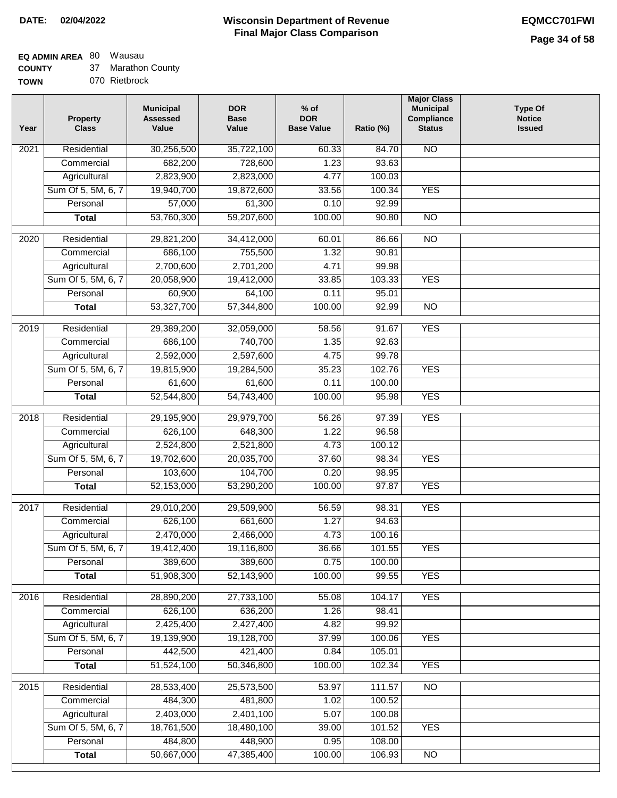### **EQ ADMIN AREA** 80 Wausau

**COUNTY** 37 Marathon County

| <b>TOWN</b> | 070 Rietbrock |
|-------------|---------------|

| Year              | <b>Property</b><br><b>Class</b> | <b>Municipal</b><br><b>Assessed</b><br>Value | <b>DOR</b><br><b>Base</b><br>Value | % of<br><b>DOR</b><br><b>Base Value</b> | Ratio (%) | <b>Major Class</b><br><b>Municipal</b><br>Compliance<br><b>Status</b> | <b>Type Of</b><br><b>Notice</b><br><b>Issued</b> |
|-------------------|---------------------------------|----------------------------------------------|------------------------------------|-----------------------------------------|-----------|-----------------------------------------------------------------------|--------------------------------------------------|
| 2021              | Residential                     | 30,256,500                                   | 35,722,100                         | 60.33                                   | 84.70     | N <sub>O</sub>                                                        |                                                  |
|                   | Commercial                      | 682,200                                      | 728,600                            | 1.23                                    | 93.63     |                                                                       |                                                  |
|                   | Agricultural                    | 2,823,900                                    | 2,823,000                          | 4.77                                    | 100.03    |                                                                       |                                                  |
|                   | Sum Of 5, 5M, 6, 7              | 19,940,700                                   | 19,872,600                         | 33.56                                   | 100.34    | <b>YES</b>                                                            |                                                  |
|                   | Personal                        | 57,000                                       | 61,300                             | 0.10                                    | 92.99     |                                                                       |                                                  |
|                   | <b>Total</b>                    | 53,760,300                                   | 59,207,600                         | 100.00                                  | 90.80     | $\overline{NO}$                                                       |                                                  |
| 2020              | Residential                     | 29,821,200                                   | 34,412,000                         | 60.01                                   | 86.66     | $\overline{NO}$                                                       |                                                  |
|                   | Commercial                      | 686,100                                      | 755,500                            | 1.32                                    | 90.81     |                                                                       |                                                  |
|                   | Agricultural                    | 2,700,600                                    | 2,701,200                          | 4.71                                    | 99.98     |                                                                       |                                                  |
|                   | Sum Of 5, 5M, 6, 7              | 20,058,900                                   | 19,412,000                         | 33.85                                   | 103.33    | <b>YES</b>                                                            |                                                  |
|                   | Personal                        | 60,900                                       | 64,100                             | 0.11                                    | 95.01     |                                                                       |                                                  |
|                   | <b>Total</b>                    | 53,327,700                                   | 57,344,800                         | 100.00                                  | 92.99     | $\overline{NO}$                                                       |                                                  |
|                   |                                 |                                              |                                    |                                         |           |                                                                       |                                                  |
| 2019              | Residential                     | 29,389,200                                   | 32,059,000                         | 58.56                                   | 91.67     | <b>YES</b>                                                            |                                                  |
|                   | Commercial                      | 686,100                                      | 740,700                            | 1.35                                    | 92.63     |                                                                       |                                                  |
|                   | Agricultural                    | 2,592,000                                    | 2,597,600                          | 4.75                                    | 99.78     |                                                                       |                                                  |
|                   | Sum Of 5, 5M, 6, 7              | 19,815,900                                   | 19,284,500                         | 35.23                                   | 102.76    | <b>YES</b>                                                            |                                                  |
|                   | Personal                        | 61,600                                       | 61,600                             | 0.11                                    | 100.00    |                                                                       |                                                  |
|                   | <b>Total</b>                    | 52,544,800                                   | 54,743,400                         | 100.00                                  | 95.98     | <b>YES</b>                                                            |                                                  |
| 2018              | Residential                     | 29,195,900                                   | 29,979,700                         | 56.26                                   | 97.39     | <b>YES</b>                                                            |                                                  |
|                   | Commercial                      | 626,100                                      | 648,300                            | 1.22                                    | 96.58     |                                                                       |                                                  |
|                   | Agricultural                    | 2,524,800                                    | 2,521,800                          | 4.73                                    | 100.12    |                                                                       |                                                  |
|                   | Sum Of 5, 5M, 6, 7              | 19,702,600                                   | 20,035,700                         | 37.60                                   | 98.34     | <b>YES</b>                                                            |                                                  |
|                   | Personal                        | 103,600                                      | 104,700                            | 0.20                                    | 98.95     |                                                                       |                                                  |
|                   | <b>Total</b>                    | 52,153,000                                   | 53,290,200                         | 100.00                                  | 97.87     | <b>YES</b>                                                            |                                                  |
| 2017              | Residential                     | 29,010,200                                   | 29,509,900                         | 56.59                                   | 98.31     | <b>YES</b>                                                            |                                                  |
|                   | Commercial                      | 626,100                                      | 661,600                            | 1.27                                    | 94.63     |                                                                       |                                                  |
|                   | Agricultural                    | 2,470,000                                    | 2,466,000                          | 4.73                                    | 100.16    |                                                                       |                                                  |
|                   | Sum Of 5, 5M, 6, 7              | 19,412,400                                   | 19,116,800                         | 36.66                                   | 101.55    | YES                                                                   |                                                  |
|                   | Personal                        | 389,600                                      | 389,600                            | 0.75                                    | 100.00    |                                                                       |                                                  |
|                   | <b>Total</b>                    | 51,908,300                                   | 52,143,900                         | 100.00                                  | 99.55     | <b>YES</b>                                                            |                                                  |
| 2016              | Residential                     | 28,890,200                                   | 27,733,100                         | 55.08                                   | 104.17    | <b>YES</b>                                                            |                                                  |
|                   | Commercial                      | 626,100                                      | 636,200                            | 1.26                                    | 98.41     |                                                                       |                                                  |
|                   | Agricultural                    | 2,425,400                                    | 2,427,400                          | 4.82                                    | 99.92     |                                                                       |                                                  |
|                   | Sum Of 5, 5M, 6, 7              | 19,139,900                                   | 19,128,700                         | 37.99                                   | 100.06    | <b>YES</b>                                                            |                                                  |
|                   | Personal                        | 442,500                                      | 421,400                            | 0.84                                    | 105.01    |                                                                       |                                                  |
|                   | <b>Total</b>                    | 51,524,100                                   | 50,346,800                         | 100.00                                  | 102.34    | <b>YES</b>                                                            |                                                  |
|                   |                                 |                                              |                                    |                                         |           |                                                                       |                                                  |
| $\overline{2015}$ | Residential                     | 28,533,400                                   | 25,573,500                         | 53.97                                   | 111.57    | N <sub>O</sub>                                                        |                                                  |
|                   | Commercial                      | 484,300                                      | 481,800                            | 1.02                                    | 100.52    |                                                                       |                                                  |
|                   | Agricultural                    | 2,403,000                                    | 2,401,100                          | 5.07                                    | 100.08    |                                                                       |                                                  |
|                   | Sum Of 5, 5M, 6, 7              | 18,761,500                                   | 18,480,100                         | 39.00                                   | 101.52    | <b>YES</b>                                                            |                                                  |
|                   | Personal                        | 484,800                                      | 448,900                            | 0.95                                    | 108.00    |                                                                       |                                                  |
|                   | <b>Total</b>                    | 50,667,000                                   | 47,385,400                         | 100.00                                  | 106.93    | N <sub>O</sub>                                                        |                                                  |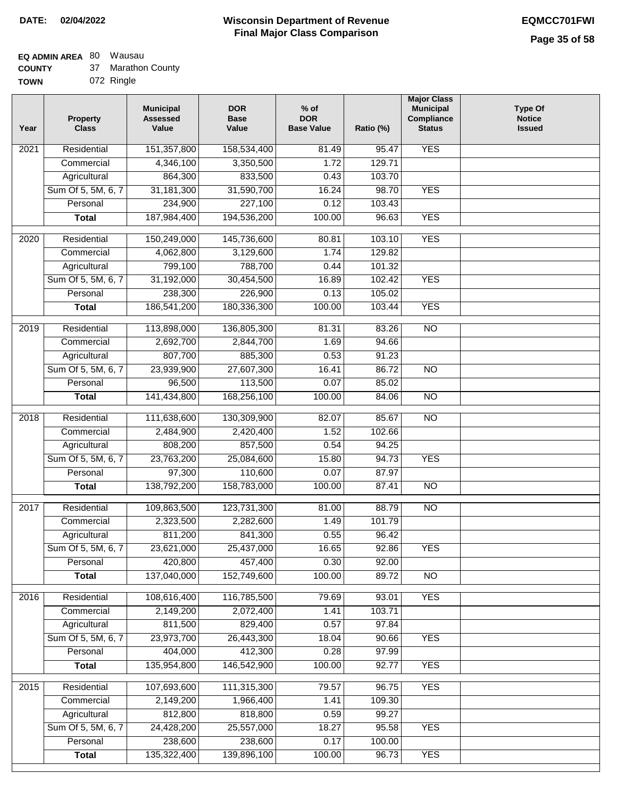# **EQ ADMIN AREA** 80 Wausau

| <b>COUNTY</b> |  | Marathon County |  |
|---------------|--|-----------------|--|
|---------------|--|-----------------|--|

**TOWN** 072 Ringle

| Year | <b>Property</b><br><b>Class</b> | <b>Municipal</b><br><b>Assessed</b><br>Value | <b>DOR</b><br><b>Base</b><br>Value | $%$ of<br><b>DOR</b><br><b>Base Value</b> | Ratio (%) | <b>Major Class</b><br><b>Municipal</b><br>Compliance<br><b>Status</b> | <b>Type Of</b><br><b>Notice</b><br><b>Issued</b> |
|------|---------------------------------|----------------------------------------------|------------------------------------|-------------------------------------------|-----------|-----------------------------------------------------------------------|--------------------------------------------------|
| 2021 | Residential                     | 151,357,800                                  | 158,534,400                        | 81.49                                     | 95.47     | <b>YES</b>                                                            |                                                  |
|      | Commercial                      | 4,346,100                                    | 3,350,500                          | 1.72                                      | 129.71    |                                                                       |                                                  |
|      | Agricultural                    | 864,300                                      | 833,500                            | 0.43                                      | 103.70    |                                                                       |                                                  |
|      | Sum Of 5, 5M, 6, 7              | 31, 181, 300                                 | 31,590,700                         | 16.24                                     | 98.70     | <b>YES</b>                                                            |                                                  |
|      | Personal                        | 234,900                                      | 227,100                            | 0.12                                      | 103.43    |                                                                       |                                                  |
|      | <b>Total</b>                    | 187,984,400                                  | 194,536,200                        | 100.00                                    | 96.63     | <b>YES</b>                                                            |                                                  |
| 2020 | Residential                     | 150,249,000                                  | 145,736,600                        | 80.81                                     | 103.10    | <b>YES</b>                                                            |                                                  |
|      | Commercial                      | 4,062,800                                    | 3,129,600                          | 1.74                                      | 129.82    |                                                                       |                                                  |
|      | Agricultural                    | 799,100                                      | 788,700                            | 0.44                                      | 101.32    |                                                                       |                                                  |
|      | Sum Of 5, 5M, 6, 7              | 31,192,000                                   | 30,454,500                         | 16.89                                     | 102.42    | <b>YES</b>                                                            |                                                  |
|      | Personal                        | 238,300                                      | 226,900                            | 0.13                                      | 105.02    |                                                                       |                                                  |
|      | <b>Total</b>                    | 186,541,200                                  | 180,336,300                        | 100.00                                    | 103.44    | <b>YES</b>                                                            |                                                  |
| 2019 | Residential                     | 113,898,000                                  | 136,805,300                        | 81.31                                     | 83.26     | <b>NO</b>                                                             |                                                  |
|      | Commercial                      | 2,692,700                                    | 2,844,700                          | 1.69                                      | 94.66     |                                                                       |                                                  |
|      | Agricultural                    | 807,700                                      | 885,300                            | 0.53                                      | 91.23     |                                                                       |                                                  |
|      | Sum Of 5, 5M, 6, 7              | 23,939,900                                   | 27,607,300                         | 16.41                                     | 86.72     | <b>NO</b>                                                             |                                                  |
|      | Personal                        | 96,500                                       | 113,500                            | 0.07                                      | 85.02     |                                                                       |                                                  |
|      | <b>Total</b>                    | 141,434,800                                  | 168,256,100                        | 100.00                                    | 84.06     | $\overline{NO}$                                                       |                                                  |
| 2018 | Residential                     | 111,638,600                                  | 130,309,900                        | 82.07                                     | 85.67     | <b>NO</b>                                                             |                                                  |
|      | Commercial                      | 2,484,900                                    | 2,420,400                          | 1.52                                      | 102.66    |                                                                       |                                                  |
|      | Agricultural                    | 808,200                                      | 857,500                            | 0.54                                      | 94.25     |                                                                       |                                                  |
|      | Sum Of 5, 5M, 6, 7              | 23,763,200                                   | 25,084,600                         | 15.80                                     | 94.73     | <b>YES</b>                                                            |                                                  |
|      | Personal                        | 97,300                                       | 110,600                            | 0.07                                      | 87.97     |                                                                       |                                                  |
|      | <b>Total</b>                    | 138,792,200                                  | 158,783,000                        | 100.00                                    | 87.41     | <b>NO</b>                                                             |                                                  |
| 2017 | Residential                     | 109,863,500                                  | 123,731,300                        | 81.00                                     | 88.79     | $\overline{NO}$                                                       |                                                  |
|      | Commercial                      | 2,323,500                                    | 2,282,600                          | 1.49                                      | 101.79    |                                                                       |                                                  |
|      | Agricultural                    | 811,200                                      | 841,300                            | 0.55                                      | 96.42     |                                                                       |                                                  |
|      | Sum Of 5, 5M, 6, 7              | 23,621,000                                   | 25,437,000                         | 16.65                                     | 92.86     | <b>YES</b>                                                            |                                                  |
|      | Personal                        | 420,800                                      | 457,400                            | 0.30                                      | 92.00     |                                                                       |                                                  |
|      | <b>Total</b>                    | 137,040,000                                  | 152,749,600                        | 100.00                                    | 89.72     | <b>NO</b>                                                             |                                                  |
| 2016 | Residential                     | 108,616,400                                  | 116,785,500                        | 79.69                                     | 93.01     | <b>YES</b>                                                            |                                                  |
|      | Commercial                      | 2,149,200                                    | 2,072,400                          | 1.41                                      | 103.71    |                                                                       |                                                  |
|      | Agricultural                    | 811,500                                      | 829,400                            | 0.57                                      | 97.84     |                                                                       |                                                  |
|      | Sum Of 5, 5M, 6, 7              | 23,973,700                                   | 26,443,300                         | 18.04                                     | 90.66     | <b>YES</b>                                                            |                                                  |
|      | Personal                        | 404,000                                      | 412,300                            | 0.28                                      | 97.99     |                                                                       |                                                  |
|      | <b>Total</b>                    | 135,954,800                                  | 146,542,900                        | 100.00                                    | 92.77     | <b>YES</b>                                                            |                                                  |
| 2015 | Residential                     | 107,693,600                                  | 111,315,300                        | 79.57                                     | 96.75     | <b>YES</b>                                                            |                                                  |
|      | Commercial                      | 2,149,200                                    | 1,966,400                          | 1.41                                      | 109.30    |                                                                       |                                                  |
|      | Agricultural                    | 812,800                                      | 818,800                            | 0.59                                      | 99.27     |                                                                       |                                                  |
|      | Sum Of 5, 5M, 6, 7              | 24,428,200                                   | 25,557,000                         | 18.27                                     | 95.58     | <b>YES</b>                                                            |                                                  |
|      | Personal                        | 238,600                                      | 238,600                            | 0.17                                      | 100.00    |                                                                       |                                                  |
|      | <b>Total</b>                    | 135,322,400                                  | 139,896,100                        | 100.00                                    | 96.73     | <b>YES</b>                                                            |                                                  |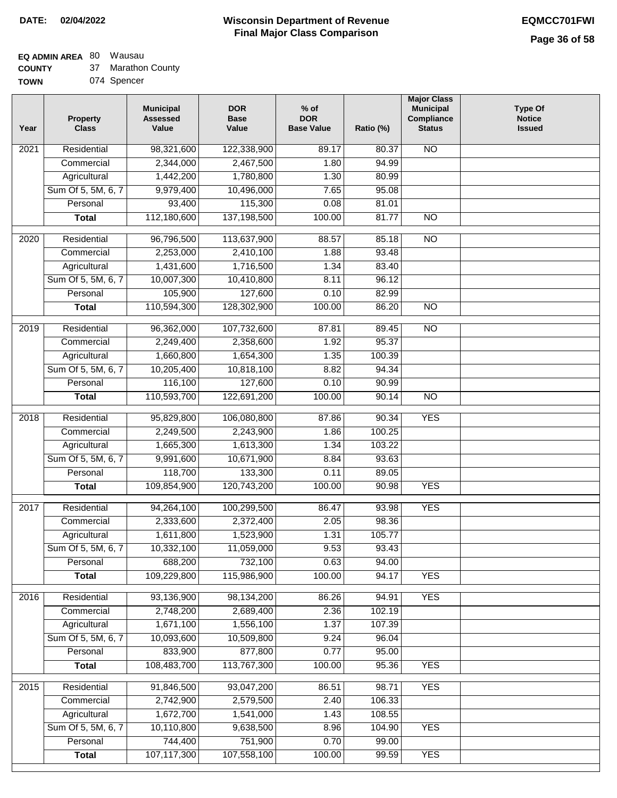**Major Class Municipal Compliance**

**Type Of Notice** 

# **EQ ADMIN AREA** 80 Wausau

**COUNTY TOWN** 37 Marathon County

| <b>TOWN</b> | 074 Spencer              |                                              |                                    |                                           |           |
|-------------|--------------------------|----------------------------------------------|------------------------------------|-------------------------------------------|-----------|
| Year        | Property<br><b>Class</b> | <b>Municipal</b><br><b>Assessed</b><br>Value | <b>DOR</b><br><b>Base</b><br>Value | $%$ of<br><b>DOR</b><br><b>Base Value</b> | Ratio (%) |
| 2021        | Residential              | 98,321,600                                   | 122,338,900                        | 89.17                                     | 80.3      |
|             | Commercial               | 2,344,000                                    | 2,467,500                          | 1.80                                      | 94.       |
|             | Agricultural             | 1,442,200                                    | 1,780,800                          | 1.30                                      | 80.       |
|             | Sum Of 5, 5M, 6, 7       | 9,979,400                                    | 10,496,000                         | 7.65                                      | 95.0      |
|             | Personal                 | 93,400                                       | 115,300                            | 0.08                                      | 81.1      |
|             | <b>Total</b>             | 112,180,600                                  | 137,198,500                        | 100.00                                    | 81.       |
|             |                          |                                              |                                    |                                           |           |
| 2020        | Residential              | 96,796,500                                   | 113,637,900                        | 88.57                                     | 85.       |
|             | Commercial               | 2,253,000                                    | 2,410,100                          | 1.88                                      | 93.4      |
|             | Agricultural             | 1,431,600                                    | 1,716,500                          | 1.34                                      | 83.4      |
|             | Sum Of 5, 5M, 6, 7       | 10,007,300                                   | 10,410,800                         | 8.11                                      | 96.       |
|             | Personal                 | 105,900                                      | 127,600                            | 0.10                                      | 82.9      |
|             | Total                    | 110,594,300                                  | 128,302,900                        | 100.00                                    | 86.3      |
| 2019        | Residential              | 96,362,000                                   | 107,732,600                        | 87.81                                     | 89.4      |
|             |                          |                                              |                                    |                                           |           |
|             | Commercial               | 2,249,400                                    | 2,358,600                          | 1.92                                      | 95.3      |

| Year              | <b>Class</b>       | Value       | Value       | <b>Base Value</b> | Ratio (%) | <b>Status</b>   | <b>Issued</b> |
|-------------------|--------------------|-------------|-------------|-------------------|-----------|-----------------|---------------|
| 2021              | Residential        | 98,321,600  | 122,338,900 | 89.17             | 80.37     | $\overline{NO}$ |               |
|                   | Commercial         | 2,344,000   | 2,467,500   | 1.80              | 94.99     |                 |               |
|                   | Agricultural       | 1,442,200   | 1,780,800   | 1.30              | 80.99     |                 |               |
|                   | Sum Of 5, 5M, 6, 7 | 9,979,400   | 10,496,000  | 7.65              | 95.08     |                 |               |
|                   | Personal           | 93,400      | 115,300     | 0.08              | 81.01     |                 |               |
|                   | <b>Total</b>       | 112,180,600 | 137,198,500 | 100.00            | 81.77     | $\overline{NO}$ |               |
| 2020              | Residential        | 96,796,500  | 113,637,900 | 88.57             | 85.18     | $\overline{NO}$ |               |
|                   | Commercial         | 2,253,000   | 2,410,100   | 1.88              | 93.48     |                 |               |
|                   | Agricultural       | 1,431,600   | 1,716,500   | 1.34              | 83.40     |                 |               |
|                   | Sum Of 5, 5M, 6, 7 | 10,007,300  | 10,410,800  | 8.11              | 96.12     |                 |               |
|                   | Personal           | 105,900     | 127,600     | 0.10              | 82.99     |                 |               |
|                   | <b>Total</b>       | 110,594,300 | 128,302,900 | 100.00            | 86.20     | $\overline{NO}$ |               |
| $\overline{2019}$ | Residential        | 96,362,000  | 107,732,600 | 87.81             | 89.45     | $\overline{NO}$ |               |
|                   | Commercial         | 2,249,400   | 2,358,600   | 1.92              | 95.37     |                 |               |
|                   | Agricultural       | 1,660,800   | 1,654,300   | 1.35              | 100.39    |                 |               |
|                   | Sum Of 5, 5M, 6, 7 | 10,205,400  | 10,818,100  | 8.82              | 94.34     |                 |               |
|                   | Personal           | 116,100     | 127,600     | 0.10              | 90.99     |                 |               |
|                   | <b>Total</b>       | 110,593,700 | 122,691,200 | 100.00            | 90.14     | $\overline{NO}$ |               |
|                   |                    |             |             |                   |           |                 |               |
| $\overline{2018}$ | Residential        | 95,829,800  | 106,080,800 | 87.86             | 90.34     | <b>YES</b>      |               |
|                   | Commercial         | 2,249,500   | 2,243,900   | 1.86              | 100.25    |                 |               |
|                   | Agricultural       | 1,665,300   | 1,613,300   | 1.34              | 103.22    |                 |               |
|                   | Sum Of 5, 5M, 6, 7 | 9,991,600   | 10,671,900  | 8.84              | 93.63     |                 |               |
|                   | Personal           | 118,700     | 133,300     | 0.11              | 89.05     |                 |               |
|                   | <b>Total</b>       | 109,854,900 | 120,743,200 | 100.00            | 90.98     | <b>YES</b>      |               |
| 2017              | Residential        | 94,264,100  | 100,299,500 | 86.47             | 93.98     | <b>YES</b>      |               |
|                   | Commercial         | 2,333,600   | 2,372,400   | 2.05              | 98.36     |                 |               |
|                   | Agricultural       | 1,611,800   | 1,523,900   | 1.31              | 105.77    |                 |               |
|                   | Sum Of 5, 5M, 6, 7 | 10,332,100  | 11,059,000  | 9.53              | 93.43     |                 |               |
|                   | Personal           | 688,200     | 732,100     | 0.63              | 94.00     |                 |               |
|                   | <b>Total</b>       | 109,229,800 | 115,986,900 | 100.00            | 94.17     | <b>YES</b>      |               |
| $\overline{2016}$ | Residential        | 93,136,900  | 98,134,200  | 86.26             | 94.91     | <b>YES</b>      |               |
|                   | Commercial         | 2,748,200   | 2,689,400   | 2.36              | 102.19    |                 |               |
|                   | Agricultural       | 1,671,100   | 1,556,100   | 1.37              | 107.39    |                 |               |
|                   | Sum Of 5, 5M, 6, 7 | 10,093,600  | 10,509,800  | 9.24              | 96.04     |                 |               |
|                   | Personal           | 833,900     | 877,800     | 0.77              | 95.00     |                 |               |
|                   | <b>Total</b>       | 108,483,700 | 113,767,300 | 100.00            | 95.36     | <b>YES</b>      |               |
| 2015              | Residential        | 91,846,500  | 93,047,200  | 86.51             | 98.71     | <b>YES</b>      |               |
|                   | Commercial         | 2,742,900   | 2,579,500   | 2.40              | 106.33    |                 |               |
|                   | Agricultural       | 1,672,700   | 1,541,000   | 1.43              | 108.55    |                 |               |
|                   | Sum Of 5, 5M, 6, 7 | 10,110,800  | 9,638,500   | 8.96              | 104.90    | <b>YES</b>      |               |
|                   | Personal           | 744,400     | 751,900     | 0.70              | 99.00     |                 |               |
|                   | <b>Total</b>       | 107,117,300 | 107,558,100 | 100.00            | 99.59     | <b>YES</b>      |               |
|                   |                    |             |             |                   |           |                 |               |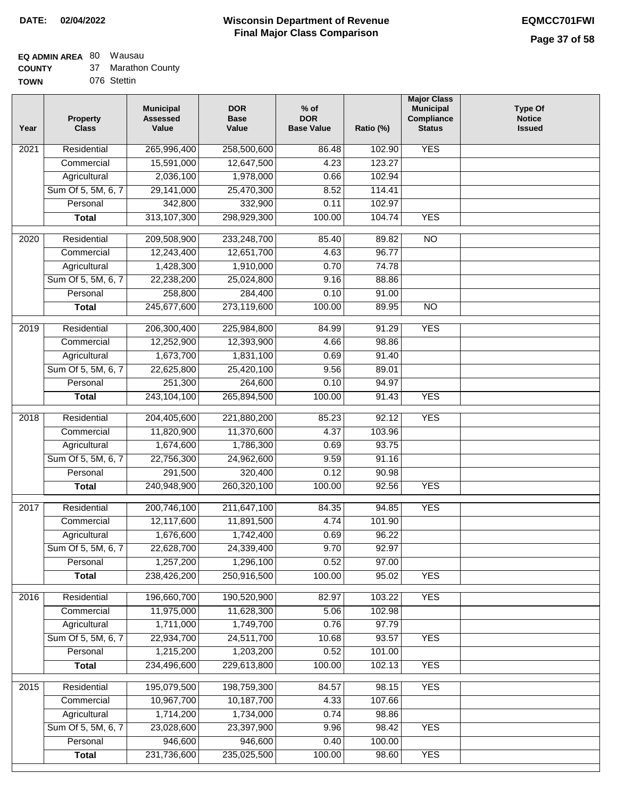### **Wisconsin Department of Revenue DATE: 02/04/2022 EQMCC701FWI Final Major Class Comparison**

**Major Class**

# **EQ ADMIN AREA** 80 Wausau

| <b>COUNTY</b> | 37 Marathon County |
|---------------|--------------------|
| <b>TOWN</b>   | 076 Stettin        |

| Year              | <b>Property</b><br><b>Class</b> | <b>Municipal</b><br><b>Assessed</b><br>Value | <b>DOR</b><br><b>Base</b><br>Value | $%$ of<br><b>DOR</b><br><b>Base Value</b> | Ratio (%) | majul Ulass<br><b>Municipal</b><br>Compliance<br><b>Status</b> | <b>Type Of</b><br><b>Notice</b><br><b>Issued</b> |
|-------------------|---------------------------------|----------------------------------------------|------------------------------------|-------------------------------------------|-----------|----------------------------------------------------------------|--------------------------------------------------|
| $\overline{2021}$ | Residential                     | 265,996,400                                  | 258,500,600                        | 86.48                                     | 102.90    | <b>YES</b>                                                     |                                                  |
|                   | Commercial                      | 15,591,000                                   | 12,647,500                         | 4.23                                      | 123.27    |                                                                |                                                  |
|                   | Agricultural                    | 2,036,100                                    | 1,978,000                          | 0.66                                      | 102.94    |                                                                |                                                  |
|                   | Sum Of 5, 5M, 6, 7              | 29,141,000                                   | 25,470,300                         | 8.52                                      | 114.41    |                                                                |                                                  |
|                   | Personal                        | 342,800                                      | 332,900                            | 0.11                                      | 102.97    |                                                                |                                                  |
|                   | <b>Total</b>                    | 313, 107, 300                                | 298,929,300                        | 100.00                                    | 104.74    | <b>YES</b>                                                     |                                                  |
| $\overline{2020}$ | Residential                     | 209,508,900                                  | 233,248,700                        | 85.40                                     | 89.82     | $\overline{10}$                                                |                                                  |
|                   | Commercial                      | 12,243,400                                   | 12,651,700                         | 4.63                                      | 96.77     |                                                                |                                                  |
|                   | Agricultural                    | 1,428,300                                    | 1,910,000                          | 0.70                                      | 74.78     |                                                                |                                                  |
|                   | Sum Of 5, 5M, 6, 7              | 22,238,200                                   | 25,024,800                         | 9.16                                      | 88.86     |                                                                |                                                  |
|                   | Personal                        | 258,800                                      | 284,400                            | 0.10                                      | 91.00     |                                                                |                                                  |
|                   | <b>Total</b>                    | 245,677,600                                  | 273,119,600                        | 100.00                                    | 89.95     | $\overline{NO}$                                                |                                                  |
|                   |                                 |                                              |                                    |                                           |           |                                                                |                                                  |
| $\frac{2019}{ }$  | Residential                     | 206,300,400                                  | 225,984,800                        | 84.99                                     | 91.29     | <b>YES</b>                                                     |                                                  |
|                   | Commercial                      | 12,252,900                                   | 12,393,900                         | 4.66                                      | 98.86     |                                                                |                                                  |
|                   | Agricultural                    | 1,673,700                                    | 1,831,100                          | 0.69                                      | 91.40     |                                                                |                                                  |
|                   | Sum Of 5, 5M, 6, 7              | 22,625,800                                   | 25,420,100                         | 9.56                                      | 89.01     |                                                                |                                                  |
|                   | Personal                        | 251,300                                      | 264,600                            | 0.10                                      | 94.97     |                                                                |                                                  |
|                   | <b>Total</b>                    | 243,104,100                                  | 265,894,500                        | 100.00                                    | 91.43     | <b>YES</b>                                                     |                                                  |
| 2018              | Residential                     | 204,405,600                                  | 221,880,200                        | 85.23                                     | 92.12     | <b>YES</b>                                                     |                                                  |
|                   | Commercial                      | 11,820,900                                   | 11,370,600                         | 4.37                                      | 103.96    |                                                                |                                                  |
|                   | Agricultural                    | 1,674,600                                    | 1,786,300                          | 0.69                                      | 93.75     |                                                                |                                                  |
|                   | Sum Of 5, 5M, 6, 7              | 22,756,300                                   | 24,962,600                         | 9.59                                      | 91.16     |                                                                |                                                  |
|                   | Personal                        | 291,500                                      | 320,400                            | 0.12                                      | 90.98     |                                                                |                                                  |
|                   | <b>Total</b>                    | 240,948,900                                  | 260,320,100                        | 100.00                                    | 92.56     | <b>YES</b>                                                     |                                                  |
| 2017              | Residential                     | 200,746,100                                  | 211,647,100                        | 84.35                                     | 94.85     | <b>YES</b>                                                     |                                                  |
|                   | Commercial                      | 12,117,600                                   | 11,891,500                         | 4.74                                      | 101.90    |                                                                |                                                  |
|                   | Agricultural                    | 1,676,600                                    | 1,742,400                          | 0.69                                      | 96.22     |                                                                |                                                  |
|                   | Sum Of 5, 5M, 6, 7              | 22,628,700                                   | 24,339,400                         | 9.70                                      | 92.97     |                                                                |                                                  |
|                   | Personal                        | 1,257,200                                    | 1,296,100                          | 0.52                                      | 97.00     |                                                                |                                                  |
|                   | <b>Total</b>                    | 238,426,200                                  | 250,916,500                        | 100.00                                    | 95.02     | <b>YES</b>                                                     |                                                  |
| 2016              | Residential                     | 196,660,700                                  | 190,520,900                        | 82.97                                     | 103.22    | <b>YES</b>                                                     |                                                  |
|                   | Commercial                      | 11,975,000                                   | 11,628,300                         | 5.06                                      | 102.98    |                                                                |                                                  |
|                   | Agricultural                    | 1,711,000                                    | 1,749,700                          | 0.76                                      | 97.79     |                                                                |                                                  |
|                   | Sum Of 5, 5M, 6, 7              | 22,934,700                                   | 24,511,700                         | 10.68                                     | 93.57     | <b>YES</b>                                                     |                                                  |
|                   | Personal                        | 1,215,200                                    | 1,203,200                          | 0.52                                      | 101.00    |                                                                |                                                  |
|                   | <b>Total</b>                    | 234,496,600                                  | 229,613,800                        | 100.00                                    | 102.13    | <b>YES</b>                                                     |                                                  |
| $\overline{2015}$ | Residential                     | 195,079,500                                  | 198,759,300                        | 84.57                                     | 98.15     | <b>YES</b>                                                     |                                                  |
|                   | Commercial                      | 10,967,700                                   | 10,187,700                         | 4.33                                      | 107.66    |                                                                |                                                  |
|                   | Agricultural                    | 1,714,200                                    | 1,734,000                          | 0.74                                      | 98.86     |                                                                |                                                  |
|                   | Sum Of 5, 5M, 6, 7              | 23,028,600                                   | 23,397,900                         | 9.96                                      | 98.42     | <b>YES</b>                                                     |                                                  |
|                   | Personal                        | 946,600                                      | 946,600                            | 0.40                                      | 100.00    |                                                                |                                                  |
|                   | <b>Total</b>                    | 231,736,600                                  | 235,025,500                        | 100.00                                    | 98.60     | <b>YES</b>                                                     |                                                  |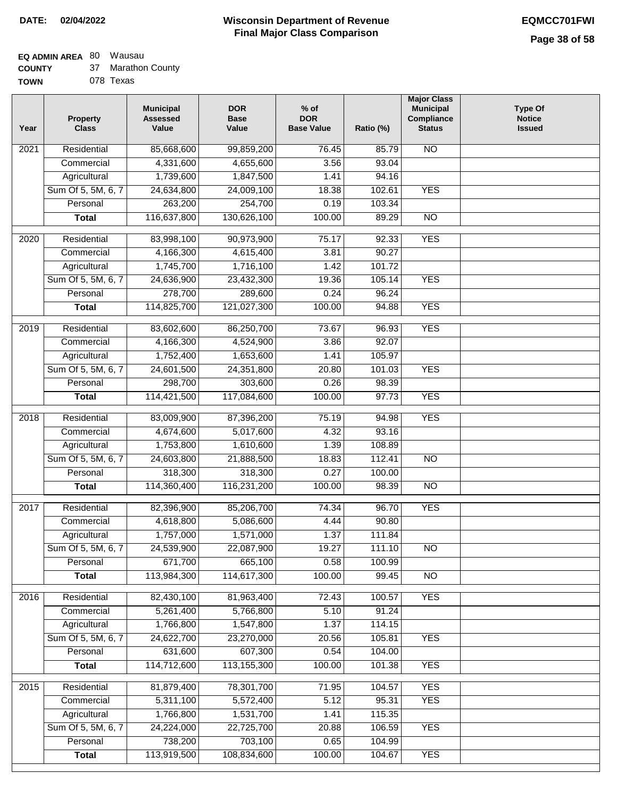## **EQ ADMIN AREA** 80 Wausau

**COUNTY** 37 Marathon County

**TOWN** 078 Texas

| Year              | <b>Property</b><br><b>Class</b> | <b>Municipal</b><br><b>Assessed</b><br>Value | <b>DOR</b><br><b>Base</b><br>Value | $%$ of<br><b>DOR</b><br><b>Base Value</b> | Ratio (%) | <b>Major Class</b><br><b>Municipal</b><br>Compliance<br><b>Status</b> | <b>Type Of</b><br><b>Notice</b><br><b>Issued</b> |
|-------------------|---------------------------------|----------------------------------------------|------------------------------------|-------------------------------------------|-----------|-----------------------------------------------------------------------|--------------------------------------------------|
| $\overline{202}1$ | Residential                     | 85,668,600                                   | 99,859,200                         | 76.45                                     | 85.79     | N <sub>O</sub>                                                        |                                                  |
|                   | Commercial                      | 4,331,600                                    | 4,655,600                          | 3.56                                      | 93.04     |                                                                       |                                                  |
|                   | Agricultural                    | 1,739,600                                    | 1,847,500                          | 1.41                                      | 94.16     |                                                                       |                                                  |
|                   | Sum Of 5, 5M, 6, 7              | 24,634,800                                   | 24,009,100                         | 18.38                                     | 102.61    | <b>YES</b>                                                            |                                                  |
|                   | Personal                        | 263,200                                      | 254,700                            | 0.19                                      | 103.34    |                                                                       |                                                  |
|                   | <b>Total</b>                    | 116,637,800                                  | 130,626,100                        | 100.00                                    | 89.29     | $\overline{NO}$                                                       |                                                  |
| $\overline{2020}$ | Residential                     | 83,998,100                                   | 90,973,900                         | 75.17                                     | 92.33     | <b>YES</b>                                                            |                                                  |
|                   | Commercial                      | 4,166,300                                    | 4,615,400                          | 3.81                                      | 90.27     |                                                                       |                                                  |
|                   | Agricultural                    | 1,745,700                                    | 1,716,100                          | 1.42                                      | 101.72    |                                                                       |                                                  |
|                   | Sum Of 5, 5M, 6, 7              | 24,636,900                                   | 23,432,300                         | 19.36                                     | 105.14    | <b>YES</b>                                                            |                                                  |
|                   | Personal                        | 278,700                                      | 289,600                            | 0.24                                      | 96.24     |                                                                       |                                                  |
|                   | <b>Total</b>                    | 114,825,700                                  | 121,027,300                        | 100.00                                    | 94.88     | <b>YES</b>                                                            |                                                  |
| 2019              | Residential                     | 83,602,600                                   | 86,250,700                         | 73.67                                     | 96.93     | <b>YES</b>                                                            |                                                  |
|                   | Commercial                      | 4,166,300                                    | 4,524,900                          | 3.86                                      | 92.07     |                                                                       |                                                  |
|                   | Agricultural                    | 1,752,400                                    | 1,653,600                          | 1.41                                      | 105.97    |                                                                       |                                                  |
|                   | Sum Of 5, 5M, 6, 7              | 24,601,500                                   | 24,351,800                         | 20.80                                     | 101.03    | <b>YES</b>                                                            |                                                  |
|                   | Personal                        | 298,700                                      | 303,600                            | 0.26                                      | 98.39     |                                                                       |                                                  |
|                   | <b>Total</b>                    | 114,421,500                                  | 117,084,600                        | 100.00                                    | 97.73     | <b>YES</b>                                                            |                                                  |
| 2018              | Residential                     | 83,009,900                                   | 87,396,200                         | 75.19                                     | 94.98     | <b>YES</b>                                                            |                                                  |
|                   | Commercial                      | 4,674,600                                    | 5,017,600                          | 4.32                                      | 93.16     |                                                                       |                                                  |
|                   | Agricultural                    | 1,753,800                                    | 1,610,600                          | 1.39                                      | 108.89    |                                                                       |                                                  |
|                   | Sum Of 5, 5M, 6, 7              | 24,603,800                                   | 21,888,500                         | 18.83                                     | 112.41    | $\overline{10}$                                                       |                                                  |
|                   | Personal                        | 318,300                                      | 318,300                            | 0.27                                      | 100.00    |                                                                       |                                                  |
|                   | <b>Total</b>                    | 114,360,400                                  | 116,231,200                        | 100.00                                    | 98.39     | $\overline{10}$                                                       |                                                  |
| 2017              | Residential                     | 82,396,900                                   | 85,206,700                         | 74.34                                     | 96.70     | <b>YES</b>                                                            |                                                  |
|                   | Commercial                      | 4,618,800                                    | 5,086,600                          | 4.44                                      | 90.80     |                                                                       |                                                  |
|                   | Agricultural                    | 1,757,000                                    | 1,571,000                          | 1.37                                      | 111.84    |                                                                       |                                                  |
|                   | Sum Of 5, 5M, 6, 7              | 24,539,900                                   | 22,087,900                         | 19.27                                     | 111.10    | NO                                                                    |                                                  |
|                   | Personal                        | 671,700                                      | 665,100                            | 0.58                                      | 100.99    |                                                                       |                                                  |
|                   | <b>Total</b>                    | 113,984,300                                  | 114,617,300                        | 100.00                                    | 99.45     | <b>NO</b>                                                             |                                                  |
| 2016              | Residential                     | 82,430,100                                   | 81,963,400                         | 72.43                                     | 100.57    | <b>YES</b>                                                            |                                                  |
|                   | Commercial                      | 5,261,400                                    | 5,766,800                          | 5.10                                      | 91.24     |                                                                       |                                                  |
|                   | Agricultural                    | 1,766,800                                    | 1,547,800                          | 1.37                                      | 114.15    |                                                                       |                                                  |
|                   | Sum Of 5, 5M, 6, 7              | 24,622,700                                   | 23,270,000                         | 20.56                                     | 105.81    | <b>YES</b>                                                            |                                                  |
|                   | Personal                        | 631,600                                      | 607,300                            | 0.54                                      | 104.00    |                                                                       |                                                  |
|                   | <b>Total</b>                    | 114,712,600                                  | 113, 155, 300                      | 100.00                                    | 101.38    | <b>YES</b>                                                            |                                                  |
| 2015              | Residential                     | 81,879,400                                   | 78,301,700                         | 71.95                                     | 104.57    | <b>YES</b>                                                            |                                                  |
|                   | Commercial                      | 5,311,100                                    | 5,572,400                          | 5.12                                      | 95.31     | <b>YES</b>                                                            |                                                  |
|                   | Agricultural                    | 1,766,800                                    | 1,531,700                          | 1.41                                      | 115.35    |                                                                       |                                                  |
|                   | Sum Of 5, 5M, 6, 7              | 24,224,000                                   | 22,725,700                         | 20.88                                     | 106.59    | <b>YES</b>                                                            |                                                  |
|                   | Personal                        | 738,200                                      | 703,100                            | 0.65                                      | 104.99    |                                                                       |                                                  |
|                   | <b>Total</b>                    | 113,919,500                                  | 108,834,600                        | 100.00                                    | 104.67    | <b>YES</b>                                                            |                                                  |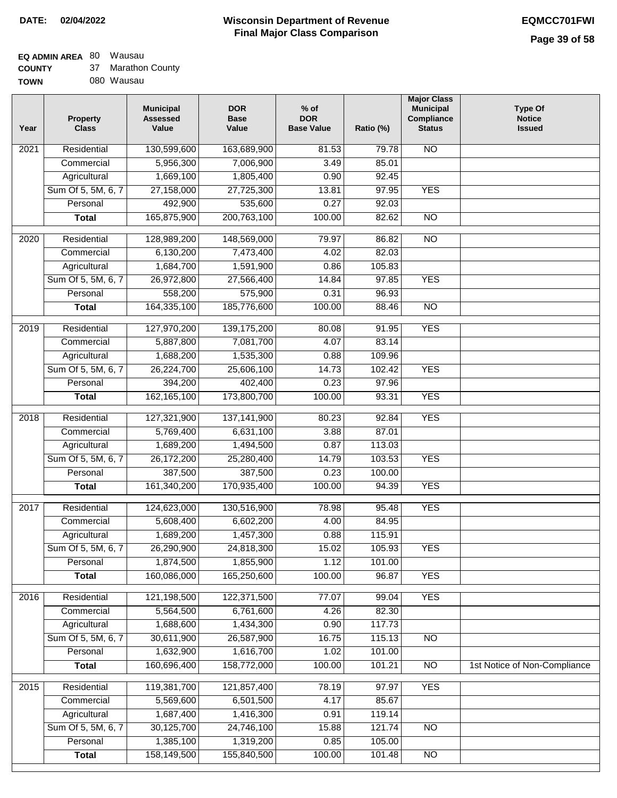#### **Wisconsin Department of Revenue Final Major Class Comparison DATE: 02/04/2022 EQMCC701FWI**

# **EQ ADMIN AREA** 80 Wausau

| <b>COUNTY</b> | 37 Marathon County |
|---------------|--------------------|
| <b>TOWN</b>   | 080 Wausau         |

| Year              | <b>Property</b><br><b>Class</b> | <b>Municipal</b><br><b>Assessed</b><br>Value | <b>DOR</b><br><b>Base</b><br>Value | $%$ of<br><b>DOR</b><br><b>Base Value</b> | Ratio (%)        | <b>Major Class</b><br><b>Municipal</b><br>Compliance<br><b>Status</b> | <b>Type Of</b><br><b>Notice</b><br><b>Issued</b> |
|-------------------|---------------------------------|----------------------------------------------|------------------------------------|-------------------------------------------|------------------|-----------------------------------------------------------------------|--------------------------------------------------|
| 2021              | Residential                     | 130,599,600                                  | 163,689,900                        | 81.53                                     | 79.78            | $\overline{NO}$                                                       |                                                  |
|                   | Commercial                      | 5,956,300                                    | 7,006,900                          | 3.49                                      | 85.01            |                                                                       |                                                  |
|                   | Agricultural                    | 1,669,100                                    | 1,805,400                          | 0.90                                      | 92.45            |                                                                       |                                                  |
|                   | Sum Of 5, 5M, 6, 7              | 27,158,000                                   | 27,725,300                         | 13.81                                     | 97.95            | <b>YES</b>                                                            |                                                  |
|                   | Personal                        | 492,900                                      | 535,600                            | 0.27                                      | 92.03            |                                                                       |                                                  |
|                   | <b>Total</b>                    | 165,875,900                                  | 200,763,100                        | 100.00                                    | 82.62            | $\overline{NO}$                                                       |                                                  |
| $\overline{2020}$ | Residential                     | 128,989,200                                  | 148,569,000                        | 79.97                                     |                  | $\overline{10}$                                                       |                                                  |
|                   | Commercial                      | 6,130,200                                    | 7,473,400                          | 4.02                                      | 86.82<br>82.03   |                                                                       |                                                  |
|                   | Agricultural                    | 1,684,700                                    |                                    | 0.86                                      | 105.83           |                                                                       |                                                  |
|                   | Sum Of 5, 5M, 6, 7              |                                              | 1,591,900<br>27,566,400            | 14.84                                     | 97.85            | <b>YES</b>                                                            |                                                  |
|                   | Personal                        | 26,972,800                                   |                                    | 0.31                                      | 96.93            |                                                                       |                                                  |
|                   |                                 | 558,200                                      | 575,900                            |                                           |                  |                                                                       |                                                  |
|                   | <b>Total</b>                    | 164,335,100                                  | 185,776,600                        | 100.00                                    | 88.46            | $\overline{NO}$                                                       |                                                  |
| 2019              | Residential                     | 127,970,200                                  | 139, 175, 200                      | 80.08                                     | 91.95            | <b>YES</b>                                                            |                                                  |
|                   | Commercial                      | 5,887,800                                    | 7,081,700                          | 4.07                                      | 83.14            |                                                                       |                                                  |
|                   | Agricultural                    | 1,688,200                                    | 1,535,300                          | 0.88                                      | 109.96           |                                                                       |                                                  |
|                   | Sum Of 5, 5M, 6, 7              | 26,224,700                                   | 25,606,100                         | 14.73                                     | 102.42           | <b>YES</b>                                                            |                                                  |
|                   | Personal                        | 394,200                                      | 402,400                            | 0.23                                      | 97.96            |                                                                       |                                                  |
|                   | <b>Total</b>                    | 162, 165, 100                                | 173,800,700                        | 100.00                                    | 93.31            | <b>YES</b>                                                            |                                                  |
| 2018              | Residential                     | 127,321,900                                  | 137,141,900                        | 80.23                                     | 92.84            | <b>YES</b>                                                            |                                                  |
|                   | Commercial                      | 5,769,400                                    | 6,631,100                          | 3.88                                      | 87.01            |                                                                       |                                                  |
|                   | Agricultural                    | 1,689,200                                    | 1,494,500                          | 0.87                                      | 113.03           |                                                                       |                                                  |
|                   | Sum Of 5, 5M, 6, 7              | 26,172,200                                   | 25,280,400                         | 14.79                                     | 103.53           | <b>YES</b>                                                            |                                                  |
|                   | Personal                        | 387,500                                      | 387,500                            | 0.23                                      | 100.00           |                                                                       |                                                  |
|                   | <b>Total</b>                    | 161,340,200                                  | 170,935,400                        | 100.00                                    | 94.39            | <b>YES</b>                                                            |                                                  |
| 2017              | Residential                     | 124,623,000                                  | 130,516,900                        | 78.98                                     | 95.48            | <b>YES</b>                                                            |                                                  |
|                   | Commercial                      | 5,608,400                                    | 6,602,200                          | 4.00                                      | 84.95            |                                                                       |                                                  |
|                   | Agricultural                    | 1,689,200                                    | 1,457,300                          | 0.88                                      | 115.91           |                                                                       |                                                  |
|                   | Sum Of 5, 5M, 6, 7              |                                              |                                    |                                           |                  |                                                                       |                                                  |
|                   | Personal                        | 26,290,900<br>1,874,500                      | 24,818,300<br>1,855,900            | 15.02<br>1.12                             | 105.93<br>101.00 | YES                                                                   |                                                  |
|                   | <b>Total</b>                    | 160,086,000                                  | 165,250,600                        | 100.00                                    | 96.87            | <b>YES</b>                                                            |                                                  |
|                   |                                 |                                              |                                    |                                           |                  |                                                                       |                                                  |
| 2016              | Residential                     | 121,198,500                                  | 122,371,500                        | 77.07                                     | 99.04            | <b>YES</b>                                                            |                                                  |
|                   | Commercial                      | 5,564,500                                    | 6,761,600                          | 4.26                                      | 82.30            |                                                                       |                                                  |
|                   | Agricultural                    | 1,688,600                                    | 1,434,300                          | 0.90                                      | 117.73           |                                                                       |                                                  |
|                   | Sum Of 5, 5M, 6, 7              | 30,611,900                                   | 26,587,900                         | 16.75                                     | 115.13           | <b>NO</b>                                                             |                                                  |
|                   | Personal                        | 1,632,900                                    | 1,616,700                          | 1.02                                      | 101.00           |                                                                       |                                                  |
|                   | <b>Total</b>                    | 160,696,400                                  | 158,772,000                        | 100.00                                    | 101.21           | N <sub>O</sub>                                                        | 1st Notice of Non-Compliance                     |
| 2015              | Residential                     | 119,381,700                                  | 121,857,400                        | 78.19                                     | 97.97            | <b>YES</b>                                                            |                                                  |
|                   | Commercial                      | 5,569,600                                    | 6,501,500                          | 4.17                                      | 85.67            |                                                                       |                                                  |
|                   | Agricultural                    | 1,687,400                                    | 1,416,300                          | 0.91                                      | 119.14           |                                                                       |                                                  |
|                   | Sum Of 5, 5M, 6, 7              | 30,125,700                                   | 24,746,100                         | 15.88                                     | 121.74           | $\overline{NO}$                                                       |                                                  |
|                   | Personal                        | 1,385,100                                    | 1,319,200                          | 0.85                                      | 105.00           |                                                                       |                                                  |
|                   | <b>Total</b>                    | 158,149,500                                  | 155,840,500                        | 100.00                                    | 101.48           | N <sub>O</sub>                                                        |                                                  |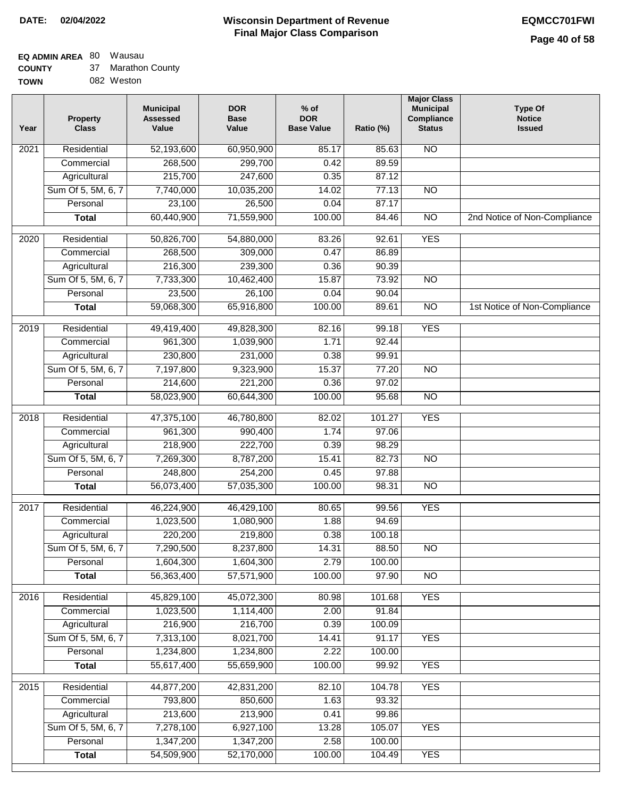### **EQ ADMIN AREA** 80 Wausau

**COUNTY** 37 Marathon County

| <b>TOWN</b> | 082 Weston |
|-------------|------------|
|             |            |

| Year              | <b>Property</b><br><b>Class</b>    | <b>Municipal</b><br><b>Assessed</b><br>Value | <b>DOR</b><br><b>Base</b><br>Value | $%$ of<br><b>DOR</b><br><b>Base Value</b> | Ratio (%)      | <b>Major Class</b><br><b>Municipal</b><br>Compliance<br><b>Status</b> | <b>Type Of</b><br><b>Notice</b><br><b>Issued</b> |
|-------------------|------------------------------------|----------------------------------------------|------------------------------------|-------------------------------------------|----------------|-----------------------------------------------------------------------|--------------------------------------------------|
| 2021              | Residential                        | 52,193,600                                   | 60,950,900                         | 85.17                                     | 85.63          | N <sub>O</sub>                                                        |                                                  |
|                   | Commercial                         | 268,500                                      | 299,700                            | 0.42                                      | 89.59          |                                                                       |                                                  |
|                   | Agricultural                       | 215,700                                      | 247,600                            | 0.35                                      | 87.12          |                                                                       |                                                  |
|                   | Sum Of 5, 5M, 6, 7                 | 7,740,000                                    | 10,035,200                         | 14.02                                     | 77.13          | $\overline{NO}$                                                       |                                                  |
|                   | Personal                           | 23,100                                       | 26,500                             | 0.04                                      | 87.17          |                                                                       |                                                  |
|                   | <b>Total</b>                       | 60,440,900                                   | 71,559,900                         | 100.00                                    | 84.46          | $\overline{NO}$                                                       | 2nd Notice of Non-Compliance                     |
| $\overline{2020}$ | Residential                        | 50,826,700                                   | 54,880,000                         | 83.26                                     | 92.61          | <b>YES</b>                                                            |                                                  |
|                   | Commercial                         | 268,500                                      | 309,000                            | 0.47                                      | 86.89          |                                                                       |                                                  |
|                   | Agricultural                       | 216,300                                      | 239,300                            | 0.36                                      | 90.39          |                                                                       |                                                  |
|                   | Sum Of 5, 5M, 6, 7                 | 7,733,300                                    | 10,462,400                         | 15.87                                     | 73.92          | $\overline{NO}$                                                       |                                                  |
|                   | Personal                           | 23,500                                       | 26,100                             | 0.04                                      | 90.04          |                                                                       |                                                  |
|                   | <b>Total</b>                       | 59,068,300                                   | 65,916,800                         | 100.00                                    | 89.61          | $\overline{NO}$                                                       | 1st Notice of Non-Compliance                     |
| 2019              | Residential                        | 49,419,400                                   | 49,828,300                         | 82.16                                     | 99.18          | <b>YES</b>                                                            |                                                  |
|                   | Commercial                         | 961,300                                      | 1,039,900                          | 1.71                                      | 92.44          |                                                                       |                                                  |
|                   | Agricultural                       | 230,800                                      | 231,000                            | 0.38                                      | 99.91          |                                                                       |                                                  |
|                   | Sum Of 5, 5M, 6, 7                 | 7,197,800                                    | 9,323,900                          | 15.37                                     | 77.20          | $\overline{NO}$                                                       |                                                  |
|                   | Personal                           | 214,600                                      | 221,200                            | 0.36                                      | 97.02          |                                                                       |                                                  |
|                   | <b>Total</b>                       | 58,023,900                                   | 60,644,300                         | 100.00                                    | 95.68          | $\overline{N}$                                                        |                                                  |
|                   |                                    |                                              |                                    |                                           |                |                                                                       |                                                  |
| 2018              | Residential                        | 47,375,100                                   | 46,780,800                         | 82.02                                     | 101.27         | <b>YES</b>                                                            |                                                  |
|                   | Commercial                         | 961,300                                      | 990,400<br>222,700                 | 1.74<br>0.39                              | 97.06<br>98.29 |                                                                       |                                                  |
|                   | Agricultural<br>Sum Of 5, 5M, 6, 7 | 218,900<br>7,269,300                         | 8,787,200                          | 15.41                                     | 82.73          | $\overline{10}$                                                       |                                                  |
|                   | Personal                           | 248,800                                      | 254,200                            | 0.45                                      | 97.88          |                                                                       |                                                  |
|                   | <b>Total</b>                       | 56,073,400                                   | 57,035,300                         | 100.00                                    | 98.31          | <b>NO</b>                                                             |                                                  |
|                   |                                    |                                              |                                    |                                           |                |                                                                       |                                                  |
| 2017              | Residential                        | 46,224,900                                   | 46,429,100                         | 80.65                                     | 99.56          | <b>YES</b>                                                            |                                                  |
|                   | Commercial                         | 1,023,500                                    | 1,080,900                          | 1.88                                      | 94.69          |                                                                       |                                                  |
|                   | Agricultural                       | 220,200                                      | 219,800                            | 0.38                                      | 100.18         |                                                                       |                                                  |
|                   | Sum Of 5, 5M, 6, 7                 | 7,290,500                                    | 8,237,800                          | 14.31                                     | 88.50          | NO.                                                                   |                                                  |
|                   | Personal                           | 1,604,300                                    | 1,604,300                          | 2.79                                      | 100.00         |                                                                       |                                                  |
|                   | <b>Total</b>                       | 56,363,400                                   | 57,571,900                         | 100.00                                    | 97.90          | <b>NO</b>                                                             |                                                  |
| 2016              | Residential                        | 45,829,100                                   | 45,072,300                         | 80.98                                     | 101.68         | <b>YES</b>                                                            |                                                  |
|                   | Commercial                         | 1,023,500                                    | 1,114,400                          | 2.00                                      | 91.84          |                                                                       |                                                  |
|                   | Agricultural                       | 216,900                                      | 216,700                            | 0.39                                      | 100.09         |                                                                       |                                                  |
|                   | Sum Of 5, 5M, 6, 7                 | 7,313,100                                    | 8,021,700                          | 14.41                                     | 91.17          | <b>YES</b>                                                            |                                                  |
|                   | Personal                           | 1,234,800                                    | 1,234,800                          | 2.22                                      | 100.00         |                                                                       |                                                  |
|                   | <b>Total</b>                       | 55,617,400                                   | 55,659,900                         | 100.00                                    | 99.92          | <b>YES</b>                                                            |                                                  |
| 2015              | Residential                        | 44,877,200                                   | 42,831,200                         | 82.10                                     | 104.78         | <b>YES</b>                                                            |                                                  |
|                   | Commercial                         | 793,800                                      | 850,600                            | 1.63                                      | 93.32          |                                                                       |                                                  |
|                   | Agricultural                       | 213,600                                      | 213,900                            | 0.41                                      | 99.86          |                                                                       |                                                  |
|                   | Sum Of 5, 5M, 6, 7                 | 7,278,100                                    | 6,927,100                          | 13.28                                     | 105.07         | <b>YES</b>                                                            |                                                  |
|                   | Personal                           | 1,347,200                                    | 1,347,200                          | 2.58                                      | 100.00         |                                                                       |                                                  |
|                   | <b>Total</b>                       | 54,509,900                                   | 52,170,000                         | 100.00                                    | 104.49         | <b>YES</b>                                                            |                                                  |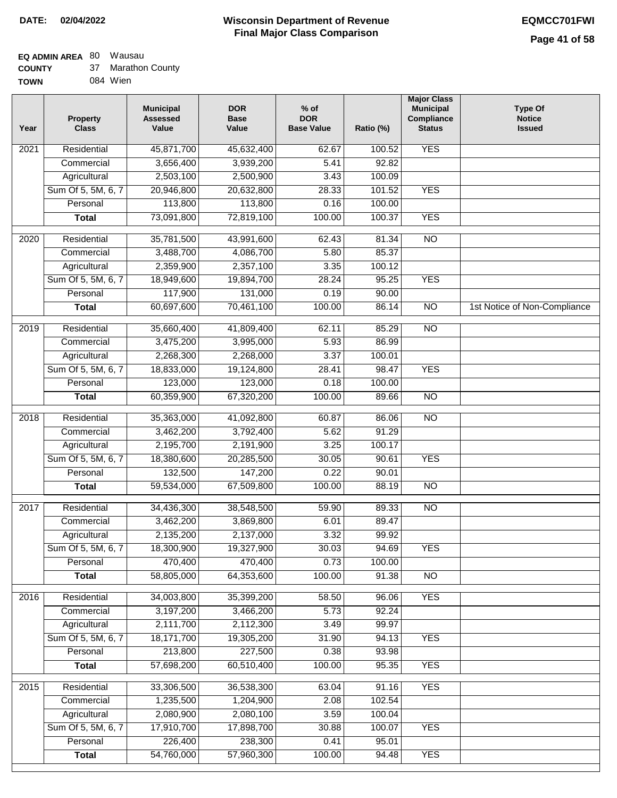#### **EQ ADMIN AREA** 80 Wausau 27 Mo

| <b>COUNTY</b> | 37 | Marathon County |
|---------------|----|-----------------|
| <b>TOWN</b>   |    | 084 Wien        |

| Year              | <b>Property</b><br><b>Class</b> | <b>Municipal</b><br><b>Assessed</b><br>Value | <b>DOR</b><br><b>Base</b><br>Value | $%$ of<br><b>DOR</b><br><b>Base Value</b> | Ratio (%)       | <b>Major Class</b><br><b>Municipal</b><br>Compliance<br><b>Status</b> | <b>Type Of</b><br><b>Notice</b><br><b>Issued</b> |
|-------------------|---------------------------------|----------------------------------------------|------------------------------------|-------------------------------------------|-----------------|-----------------------------------------------------------------------|--------------------------------------------------|
| $\overline{202}1$ | Residential                     | 45,871,700                                   | 45,632,400                         | 62.67                                     | 100.52          | <b>YES</b>                                                            |                                                  |
|                   | Commercial                      | 3,656,400                                    | 3,939,200                          | 5.41                                      | 92.82           |                                                                       |                                                  |
|                   | Agricultural                    | 2,503,100                                    | 2,500,900                          | 3.43                                      | 100.09          |                                                                       |                                                  |
|                   | Sum Of 5, 5M, 6, 7              | 20,946,800                                   | 20,632,800                         | 28.33                                     | 101.52          | <b>YES</b>                                                            |                                                  |
|                   | Personal                        | 113,800                                      | 113,800                            | 0.16                                      | 100.00          |                                                                       |                                                  |
|                   | <b>Total</b>                    | 73,091,800                                   | 72,819,100                         | 100.00                                    | 100.37          | <b>YES</b>                                                            |                                                  |
| $\overline{2020}$ | Residential                     | 35,781,500                                   | 43,991,600                         | 62.43                                     | 81.34           | $\overline{NO}$                                                       |                                                  |
|                   | Commercial                      | 3,488,700                                    | 4,086,700                          | 5.80                                      | 85.37           |                                                                       |                                                  |
|                   | Agricultural                    | 2,359,900                                    | 2,357,100                          | 3.35                                      | 100.12          |                                                                       |                                                  |
|                   | Sum Of 5, 5M, 6, 7              | 18,949,600                                   | 19,894,700                         | 28.24                                     | 95.25           | <b>YES</b>                                                            |                                                  |
|                   | Personal                        | 117,900                                      | 131,000                            | 0.19                                      | 90.00           |                                                                       |                                                  |
|                   | <b>Total</b>                    | 60,697,600                                   | 70,461,100                         | 100.00                                    | 86.14           | $\overline{NO}$                                                       | 1st Notice of Non-Compliance                     |
|                   |                                 |                                              |                                    |                                           |                 |                                                                       |                                                  |
| 2019              | Residential                     | 35,660,400                                   | 41,809,400                         | 62.11                                     | 85.29           | $\overline{NO}$                                                       |                                                  |
|                   | Commercial                      | 3,475,200                                    | 3,995,000                          | 5.93                                      | 86.99           |                                                                       |                                                  |
|                   | Agricultural                    | 2,268,300                                    | 2,268,000                          | 3.37<br>28.41                             | 100.01<br>98.47 | <b>YES</b>                                                            |                                                  |
|                   | Sum Of 5, 5M, 6, 7<br>Personal  | 18,833,000<br>123,000                        | 19,124,800<br>123,000              | 0.18                                      | 100.00          |                                                                       |                                                  |
|                   | <b>Total</b>                    | 60,359,900                                   | 67,320,200                         | 100.00                                    | 89.66           | $\overline{NO}$                                                       |                                                  |
|                   |                                 |                                              |                                    |                                           |                 |                                                                       |                                                  |
| 2018              | Residential                     | 35,363,000                                   | 41,092,800                         | 60.87                                     | 86.06           | $\overline{10}$                                                       |                                                  |
|                   | Commercial                      | 3,462,200                                    | 3,792,400                          | 5.62                                      | 91.29           |                                                                       |                                                  |
|                   | Agricultural                    | 2,195,700                                    | 2,191,900                          | 3.25                                      | 100.17          |                                                                       |                                                  |
|                   | Sum Of 5, 5M, 6, 7              | 18,380,600                                   | 20,285,500                         | 30.05                                     | 90.61           | <b>YES</b>                                                            |                                                  |
|                   | Personal                        | 132,500                                      | 147,200                            | 0.22                                      | 90.01           |                                                                       |                                                  |
|                   | <b>Total</b>                    | 59,534,000                                   | 67,509,800                         | 100.00                                    | 88.19           | <b>NO</b>                                                             |                                                  |
| 2017              | Residential                     | 34,436,300                                   | 38,548,500                         | 59.90                                     | 89.33           | <b>NO</b>                                                             |                                                  |
|                   | Commercial                      | 3,462,200                                    | 3,869,800                          | 6.01                                      | 89.47           |                                                                       |                                                  |
|                   | Agricultural                    | 2,135,200                                    | 2,137,000                          | 3.32                                      | 99.92           |                                                                       |                                                  |
|                   | Sum Of 5, 5M, 6, 7              | 18,300,900                                   | 19,327,900                         | 30.03                                     | 94.69           | <b>YES</b>                                                            |                                                  |
|                   | Personal                        | 470,400                                      | 470,400                            | 0.73                                      | 100.00          |                                                                       |                                                  |
|                   | <b>Total</b>                    | 58,805,000                                   | 64,353,600                         | 100.00                                    | 91.38           | <b>NO</b>                                                             |                                                  |
| 2016              | Residential                     | 34,003,800                                   | 35,399,200                         |                                           | 96.06           | <b>YES</b>                                                            |                                                  |
|                   | Commercial                      | 3,197,200                                    | 3,466,200                          | 58.50<br>5.73                             | 92.24           |                                                                       |                                                  |
|                   | Agricultural                    | 2,111,700                                    | 2,112,300                          | 3.49                                      | 99.97           |                                                                       |                                                  |
|                   | Sum Of 5, 5M, 6, 7              | 18,171,700                                   | 19,305,200                         | 31.90                                     | 94.13           | <b>YES</b>                                                            |                                                  |
|                   | Personal                        | 213,800                                      | 227,500                            | 0.38                                      | 93.98           |                                                                       |                                                  |
|                   | <b>Total</b>                    | 57,698,200                                   | 60,510,400                         | 100.00                                    | 95.35           | <b>YES</b>                                                            |                                                  |
|                   |                                 |                                              |                                    |                                           |                 |                                                                       |                                                  |
| 2015              | Residential                     | 33,306,500                                   | 36,538,300                         | 63.04                                     | 91.16           | <b>YES</b>                                                            |                                                  |
|                   | Commercial                      | 1,235,500                                    | 1,204,900                          | 2.08                                      | 102.54          |                                                                       |                                                  |
|                   | Agricultural                    | 2,080,900                                    | 2,080,100                          | 3.59                                      | 100.04          |                                                                       |                                                  |
|                   | Sum Of 5, 5M, 6, 7              | 17,910,700                                   | 17,898,700                         | 30.88                                     | 100.07          | <b>YES</b>                                                            |                                                  |
|                   | Personal                        | 226,400                                      | 238,300                            | 0.41                                      | 95.01           |                                                                       |                                                  |
|                   | <b>Total</b>                    | 54,760,000                                   | 57,960,300                         | 100.00                                    | 94.48           | <b>YES</b>                                                            |                                                  |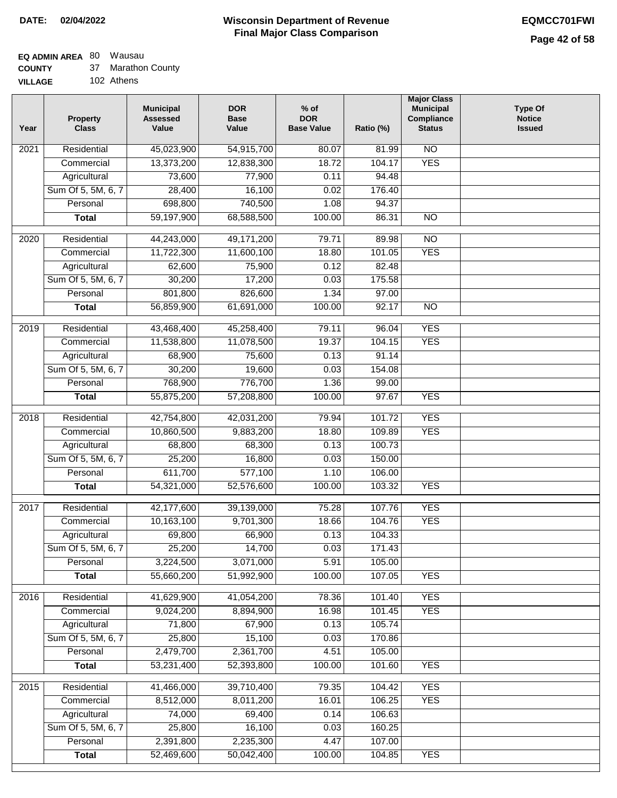# **EQ ADMIN AREA** 80 Wausau

**COUNTY** 37 Marathon County

**VILLAGE** 102 Athens

| Year              | <b>Property</b><br><b>Class</b>    | <b>Municipal</b><br><b>Assessed</b><br>Value | <b>DOR</b><br><b>Base</b><br>Value | $%$ of<br><b>DOR</b><br><b>Base Value</b> | Ratio (%) | <b>Major Class</b><br><b>Municipal</b><br>Compliance<br><b>Status</b> | <b>Type Of</b><br><b>Notice</b><br><b>Issued</b> |
|-------------------|------------------------------------|----------------------------------------------|------------------------------------|-------------------------------------------|-----------|-----------------------------------------------------------------------|--------------------------------------------------|
| $\overline{202}1$ | Residential                        | 45,023,900                                   | 54,915,700                         | 80.07                                     | 81.99     | $\overline{NO}$                                                       |                                                  |
|                   | Commercial                         | 13,373,200                                   | 12,838,300                         | 18.72                                     | 104.17    | <b>YES</b>                                                            |                                                  |
|                   | Agricultural                       | 73,600                                       | 77,900                             | 0.11                                      | 94.48     |                                                                       |                                                  |
|                   | Sum Of 5, 5M, 6, 7                 | 28,400                                       | 16,100                             | 0.02                                      | 176.40    |                                                                       |                                                  |
|                   | Personal                           | 698,800                                      | 740,500                            | 1.08                                      | 94.37     |                                                                       |                                                  |
|                   | <b>Total</b>                       | 59,197,900                                   | 68,588,500                         | 100.00                                    | 86.31     | $\overline{NO}$                                                       |                                                  |
| 2020              | Residential                        | 44,243,000                                   | 49,171,200                         | 79.71                                     | 89.98     | $\overline{NO}$                                                       |                                                  |
|                   | Commercial                         | 11,722,300                                   | 11,600,100                         | 18.80                                     | 101.05    | <b>YES</b>                                                            |                                                  |
|                   | Agricultural                       | 62,600                                       | 75,900                             | 0.12                                      | 82.48     |                                                                       |                                                  |
|                   | Sum Of 5, 5M, 6, 7                 | 30,200                                       | 17,200                             | 0.03                                      | 175.58    |                                                                       |                                                  |
|                   | Personal                           | 801,800                                      | 826,600                            | 1.34                                      | 97.00     |                                                                       |                                                  |
|                   | <b>Total</b>                       | 56,859,900                                   | 61,691,000                         | 100.00                                    | 92.17     | $\overline{NO}$                                                       |                                                  |
| 2019              | Residential                        |                                              | 45,258,400                         | 79.11                                     | 96.04     | <b>YES</b>                                                            |                                                  |
|                   | Commercial                         | 43,468,400<br>11,538,800                     | 11,078,500                         | 19.37                                     | 104.15    | <b>YES</b>                                                            |                                                  |
|                   |                                    | 68,900                                       | 75,600                             | 0.13                                      | 91.14     |                                                                       |                                                  |
|                   | Agricultural<br>Sum Of 5, 5M, 6, 7 | 30,200                                       | 19,600                             | 0.03                                      | 154.08    |                                                                       |                                                  |
|                   | Personal                           | 768,900                                      | 776,700                            | 1.36                                      | 99.00     |                                                                       |                                                  |
|                   | <b>Total</b>                       | 55,875,200                                   | 57,208,800                         | 100.00                                    | 97.67     | <b>YES</b>                                                            |                                                  |
|                   |                                    |                                              |                                    |                                           |           |                                                                       |                                                  |
| 2018              | Residential                        | 42,754,800                                   | 42,031,200                         | 79.94                                     | 101.72    | <b>YES</b>                                                            |                                                  |
|                   | Commercial                         | 10,860,500                                   | 9,883,200                          | 18.80                                     | 109.89    | <b>YES</b>                                                            |                                                  |
|                   | Agricultural                       | 68,800                                       | 68,300                             | 0.13                                      | 100.73    |                                                                       |                                                  |
|                   | Sum Of 5, 5M, 6, 7                 | 25,200                                       | 16,800                             | 0.03                                      | 150.00    |                                                                       |                                                  |
|                   | Personal                           | 611,700                                      | 577,100                            | 1.10                                      | 106.00    |                                                                       |                                                  |
|                   | <b>Total</b>                       | 54,321,000                                   | 52,576,600                         | 100.00                                    | 103.32    | <b>YES</b>                                                            |                                                  |
| $\overline{2017}$ | Residential                        | 42,177,600                                   | 39,139,000                         | 75.28                                     | 107.76    | <b>YES</b>                                                            |                                                  |
|                   | Commercial                         | 10,163,100                                   | 9,701,300                          | 18.66                                     | 104.76    | <b>YES</b>                                                            |                                                  |
|                   | Agricultural                       | 69,800                                       | 66,900                             | 0.13                                      | 104.33    |                                                                       |                                                  |
|                   | Sum Of 5, 5M, 6, 7                 | 25,200                                       | 14,700                             | 0.03                                      | 171.43    |                                                                       |                                                  |
|                   | Personal                           | 3,224,500                                    | 3,071,000                          | 5.91                                      | 105.00    |                                                                       |                                                  |
|                   | <b>Total</b>                       | 55,660,200                                   | 51,992,900                         | 100.00                                    | 107.05    | <b>YES</b>                                                            |                                                  |
| 2016              | Residential                        | 41,629,900                                   | 41,054,200                         | 78.36                                     | 101.40    | <b>YES</b>                                                            |                                                  |
|                   | Commercial                         | 9,024,200                                    | 8,894,900                          | 16.98                                     | 101.45    | <b>YES</b>                                                            |                                                  |
|                   | Agricultural                       | 71,800                                       | 67,900                             | 0.13                                      | 105.74    |                                                                       |                                                  |
|                   | Sum Of 5, 5M, 6, 7                 | 25,800                                       | 15,100                             | 0.03                                      | 170.86    |                                                                       |                                                  |
|                   | Personal                           | 2,479,700                                    | 2,361,700                          | 4.51                                      | 105.00    |                                                                       |                                                  |
|                   | <b>Total</b>                       | 53,231,400                                   | 52,393,800                         | 100.00                                    | 101.60    | <b>YES</b>                                                            |                                                  |
| 2015              | Residential                        | 41,466,000                                   | 39,710,400                         | 79.35                                     | 104.42    | <b>YES</b>                                                            |                                                  |
|                   | Commercial                         | 8,512,000                                    | 8,011,200                          | 16.01                                     | 106.25    | <b>YES</b>                                                            |                                                  |
|                   | Agricultural                       | 74,000                                       | 69,400                             | 0.14                                      | 106.63    |                                                                       |                                                  |
|                   | Sum Of 5, 5M, 6, 7                 | 25,800                                       | 16,100                             | 0.03                                      | 160.25    |                                                                       |                                                  |
|                   | Personal                           | 2,391,800                                    | 2,235,300                          | 4.47                                      | 107.00    |                                                                       |                                                  |
|                   | <b>Total</b>                       | 52,469,600                                   | 50,042,400                         | 100.00                                    | 104.85    | <b>YES</b>                                                            |                                                  |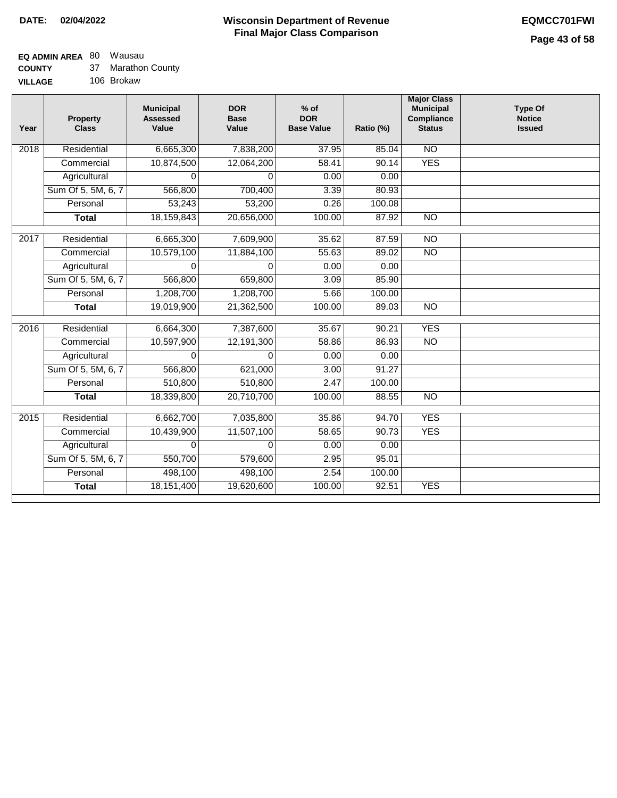### **EQ ADMIN AREA** 80 Wausau

| <b>COUNTY</b> |  | Marathon County |
|---------------|--|-----------------|
|---------------|--|-----------------|

**VILLAGE** 106 Brokaw

| Year | <b>Property</b><br><b>Class</b> | <b>Municipal</b><br><b>Assessed</b><br>Value | <b>DOR</b><br><b>Base</b><br>Value | $%$ of<br><b>DOR</b><br><b>Base Value</b> | Ratio (%) | <b>Major Class</b><br><b>Municipal</b><br>Compliance<br><b>Status</b> | <b>Type Of</b><br><b>Notice</b><br><b>Issued</b> |
|------|---------------------------------|----------------------------------------------|------------------------------------|-------------------------------------------|-----------|-----------------------------------------------------------------------|--------------------------------------------------|
| 2018 | Residential                     | 6,665,300                                    | 7,838,200                          | 37.95                                     | 85.04     | N <sub>O</sub>                                                        |                                                  |
|      | Commercial                      | 10,874,500                                   | 12,064,200                         | 58.41                                     | 90.14     | <b>YES</b>                                                            |                                                  |
|      | Agricultural                    | 0                                            | 0                                  | 0.00                                      | 0.00      |                                                                       |                                                  |
|      | Sum Of 5, 5M, 6, 7              | 566,800                                      | 700,400                            | 3.39                                      | 80.93     |                                                                       |                                                  |
|      | Personal                        | 53,243                                       | 53,200                             | 0.26                                      | 100.08    |                                                                       |                                                  |
|      | <b>Total</b>                    | 18,159,843                                   | 20,656,000                         | 100.00                                    | 87.92     | $\overline{NO}$                                                       |                                                  |
| 2017 | Residential                     | 6,665,300                                    | 7,609,900                          | 35.62                                     | 87.59     | <b>NO</b>                                                             |                                                  |
|      | Commercial                      | 10,579,100                                   | 11,884,100                         | 55.63                                     | 89.02     | $\overline{NO}$                                                       |                                                  |
|      | Agricultural                    | 0                                            | $\Omega$                           | 0.00                                      | 0.00      |                                                                       |                                                  |
|      | Sum Of 5, 5M, 6, 7              | 566,800                                      | 659,800                            | 3.09                                      | 85.90     |                                                                       |                                                  |
|      | Personal                        | 1,208,700                                    | 1,208,700                          | 5.66                                      | 100.00    |                                                                       |                                                  |
|      | <b>Total</b>                    | 19,019,900                                   | 21,362,500                         | 100.00                                    | 89.03     | <b>NO</b>                                                             |                                                  |
| 2016 | Residential                     | 6,664,300                                    | 7,387,600                          | 35.67                                     | 90.21     | <b>YES</b>                                                            |                                                  |
|      | Commercial                      | 10,597,900                                   | 12,191,300                         | 58.86                                     | 86.93     | $\overline{NO}$                                                       |                                                  |
|      | Agricultural                    | 0                                            | $\Omega$                           | 0.00                                      | 0.00      |                                                                       |                                                  |
|      | Sum Of 5, 5M, 6, 7              | 566,800                                      | 621,000                            | 3.00                                      | 91.27     |                                                                       |                                                  |
|      | Personal                        | 510,800                                      | 510,800                            | 2.47                                      | 100.00    |                                                                       |                                                  |
|      | <b>Total</b>                    | 18,339,800                                   | 20,710,700                         | 100.00                                    | 88.55     | $\overline{NO}$                                                       |                                                  |
| 2015 | Residential                     | 6,662,700                                    | 7,035,800                          | 35.86                                     | 94.70     | <b>YES</b>                                                            |                                                  |
|      | Commercial                      | 10,439,900                                   | 11,507,100                         | 58.65                                     | 90.73     | <b>YES</b>                                                            |                                                  |
|      | Agricultural                    | $\Omega$                                     | 0                                  | 0.00                                      | 0.00      |                                                                       |                                                  |
|      | Sum Of 5, 5M, 6, 7              | 550,700                                      | 579,600                            | 2.95                                      | 95.01     |                                                                       |                                                  |
|      | Personal                        | 498,100                                      | 498,100                            | 2.54                                      | 100.00    |                                                                       |                                                  |
|      | <b>Total</b>                    | 18,151,400                                   | 19,620,600                         | 100.00                                    | 92.51     | <b>YES</b>                                                            |                                                  |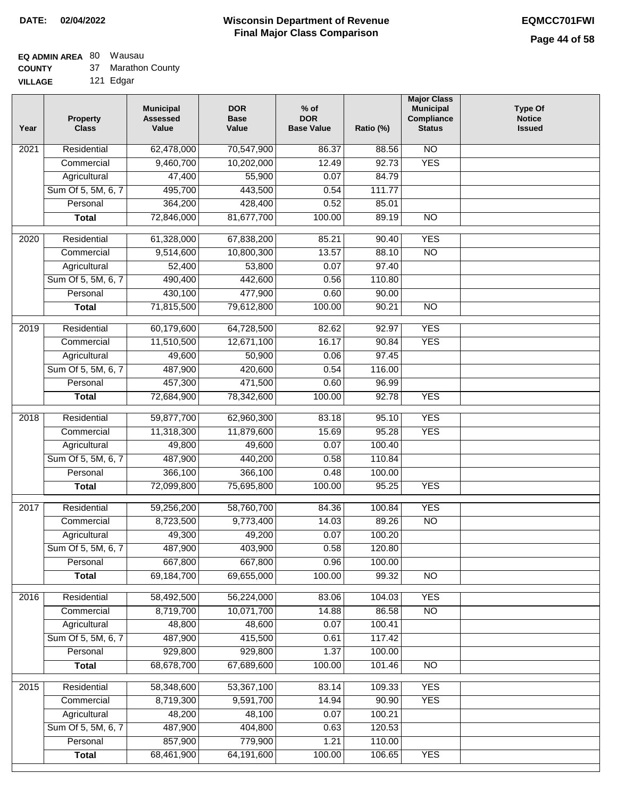## **EQ ADMIN AREA** 80 Wausau

**COUNTY** 37 Marathon County

| <b>COUNTI</b>  | ີ | warathon vount |
|----------------|---|----------------|
| <b>VILLAGE</b> |   | 121 Edgar      |
|                |   |                |

| Year              | <b>Property</b><br><b>Class</b> | <b>Municipal</b><br><b>Assessed</b><br>Value | <b>DOR</b><br><b>Base</b><br>Value | $%$ of<br><b>DOR</b><br><b>Base Value</b> | Ratio (%)       | <b>Major Class</b><br><b>Municipal</b><br>Compliance<br><b>Status</b> | <b>Type Of</b><br><b>Notice</b><br><b>Issued</b> |
|-------------------|---------------------------------|----------------------------------------------|------------------------------------|-------------------------------------------|-----------------|-----------------------------------------------------------------------|--------------------------------------------------|
| $\overline{202}1$ | Residential                     | 62,478,000                                   | 70,547,900                         | 86.37                                     | 88.56           | $\overline{NO}$                                                       |                                                  |
|                   | Commercial                      | 9,460,700                                    | 10,202,000                         | 12.49                                     | 92.73           | <b>YES</b>                                                            |                                                  |
|                   | Agricultural                    | 47,400                                       | 55,900                             | 0.07                                      | 84.79           |                                                                       |                                                  |
|                   | Sum Of 5, 5M, 6, 7              | 495,700                                      | 443,500                            | 0.54                                      | 111.77          |                                                                       |                                                  |
|                   | Personal                        | 364,200                                      | 428,400                            | 0.52                                      | 85.01           |                                                                       |                                                  |
|                   | <b>Total</b>                    | 72,846,000                                   | 81,677,700                         | 100.00                                    | 89.19           | $\overline{NO}$                                                       |                                                  |
| 2020              | Residential                     | 61,328,000                                   | 67,838,200                         | 85.21                                     | 90.40           | <b>YES</b>                                                            |                                                  |
|                   | Commercial                      | 9,514,600                                    | 10,800,300                         | 13.57                                     | 88.10           | $\overline{NO}$                                                       |                                                  |
|                   | Agricultural                    | 52,400                                       | 53,800                             | 0.07                                      | 97.40           |                                                                       |                                                  |
|                   | Sum Of 5, 5M, 6, 7              | 490,400                                      | 442,600                            | 0.56                                      | 110.80          |                                                                       |                                                  |
|                   | Personal                        | 430,100                                      | 477,900                            | 0.60                                      | 90.00           |                                                                       |                                                  |
|                   | <b>Total</b>                    | 71,815,500                                   | 79,612,800                         | 100.00                                    | 90.21           | $\overline{NO}$                                                       |                                                  |
|                   |                                 |                                              |                                    |                                           |                 |                                                                       |                                                  |
| $\frac{1}{2019}$  | Residential                     | 60,179,600                                   | 64,728,500                         | 82.62                                     | 92.97           | <b>YES</b>                                                            |                                                  |
|                   | Commercial                      | 11,510,500                                   | 12,671,100                         | 16.17                                     | 90.84           | <b>YES</b>                                                            |                                                  |
|                   | Agricultural                    | 49,600                                       | 50,900                             | 0.06                                      | 97.45           |                                                                       |                                                  |
|                   | Sum Of 5, 5M, 6, 7              | 487,900                                      | 420,600                            | 0.54                                      | 116.00          |                                                                       |                                                  |
|                   | Personal                        | 457,300                                      | 471,500                            | 0.60                                      | 96.99           |                                                                       |                                                  |
|                   | <b>Total</b>                    | 72,684,900                                   | 78,342,600                         | 100.00                                    | 92.78           | <b>YES</b>                                                            |                                                  |
| 2018              | Residential                     | 59,877,700                                   | 62,960,300                         | 83.18                                     | 95.10           | <b>YES</b>                                                            |                                                  |
|                   | Commercial                      | 11,318,300                                   | 11,879,600                         | 15.69                                     | 95.28           | <b>YES</b>                                                            |                                                  |
|                   | Agricultural                    | 49,800                                       | 49,600                             | 0.07                                      | 100.40          |                                                                       |                                                  |
|                   | Sum Of 5, 5M, 6, 7              | 487,900                                      | 440,200                            | 0.58                                      | 110.84          |                                                                       |                                                  |
|                   | Personal                        | 366,100                                      | 366,100                            | 0.48                                      | 100.00          |                                                                       |                                                  |
|                   | <b>Total</b>                    | 72,099,800                                   | 75,695,800                         | 100.00                                    | 95.25           | <b>YES</b>                                                            |                                                  |
| 2017              | Residential                     | 59,256,200                                   | 58,760,700                         | 84.36                                     | 100.84          | <b>YES</b>                                                            |                                                  |
|                   | Commercial                      | 8,723,500                                    | 9,773,400                          | 14.03                                     | 89.26           | N <sub>O</sub>                                                        |                                                  |
|                   | Agricultural                    | 49,300                                       | 49,200                             | 0.07                                      | 100.20          |                                                                       |                                                  |
|                   | Sum Of 5, 5M, 6, 7              | 487,900                                      | 403,900                            | 0.58                                      | 120.80          |                                                                       |                                                  |
|                   | Personal                        | 667,800                                      | 667,800                            | 0.96                                      | 100.00          |                                                                       |                                                  |
|                   | <b>Total</b>                    | 69,184,700                                   | 69,655,000                         | 100.00                                    | 99.32           | $\overline{N}$                                                        |                                                  |
| 2016              | Residential                     | 58,492,500                                   | 56,224,000                         | 83.06                                     | 104.03          | <b>YES</b>                                                            |                                                  |
|                   | Commercial                      | 8,719,700                                    | 10,071,700                         | 14.88                                     | 86.58           | $\overline{NO}$                                                       |                                                  |
|                   | Agricultural                    | 48,800                                       | 48,600                             | 0.07                                      | 100.41          |                                                                       |                                                  |
|                   | Sum Of 5, 5M, 6, 7              | 487,900                                      | 415,500                            | 0.61                                      | 117.42          |                                                                       |                                                  |
|                   | Personal                        | 929,800                                      | 929,800                            | 1.37                                      | 100.00          |                                                                       |                                                  |
|                   | <b>Total</b>                    | 68,678,700                                   | 67,689,600                         | 100.00                                    | 101.46          | $\overline{NO}$                                                       |                                                  |
|                   |                                 |                                              |                                    | 83.14                                     |                 | <b>YES</b>                                                            |                                                  |
| 2015              | Residential<br>Commercial       | 58,348,600<br>8,719,300                      | 53,367,100<br>9,591,700            | 14.94                                     | 109.33<br>90.90 | <b>YES</b>                                                            |                                                  |
|                   | Agricultural                    | 48,200                                       | 48,100                             | 0.07                                      | 100.21          |                                                                       |                                                  |
|                   | Sum Of 5, 5M, 6, 7              | 487,900                                      | 404,800                            | 0.63                                      | 120.53          |                                                                       |                                                  |
|                   | Personal                        | 857,900                                      | 779,900                            | 1.21                                      | 110.00          |                                                                       |                                                  |
|                   | <b>Total</b>                    | 68,461,900                                   | 64,191,600                         | 100.00                                    | 106.65          | <b>YES</b>                                                            |                                                  |
|                   |                                 |                                              |                                    |                                           |                 |                                                                       |                                                  |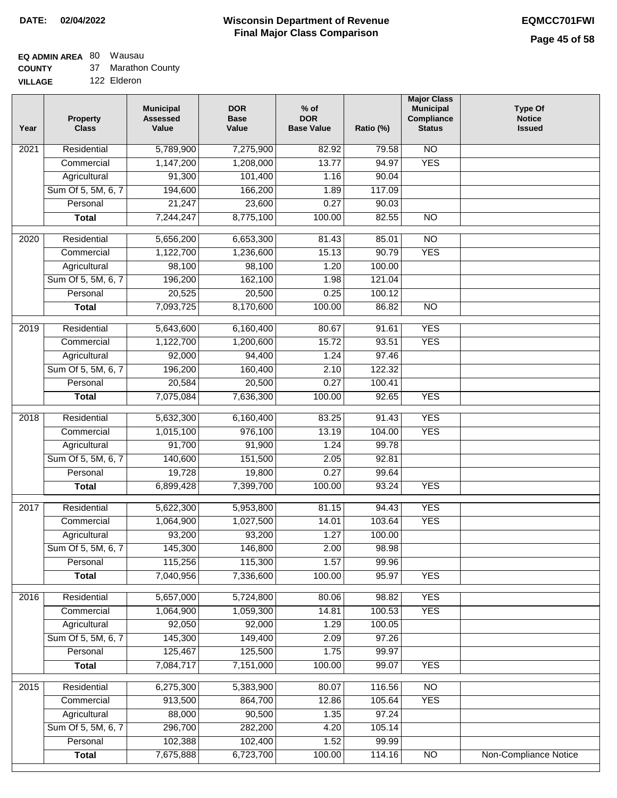## **EQ ADMIN AREA** 80 Wausau

**COUNTY** 37 Marathon County

**VILLAGE** 122 Elderon

| Year              | <b>Property</b><br><b>Class</b> | <b>Municipal</b><br><b>Assessed</b><br>Value | <b>DOR</b><br><b>Base</b><br>Value | $%$ of<br><b>DOR</b><br><b>Base Value</b> | Ratio (%) | <b>Major Class</b><br><b>Municipal</b><br>Compliance<br><b>Status</b> | <b>Type Of</b><br><b>Notice</b><br><b>Issued</b> |
|-------------------|---------------------------------|----------------------------------------------|------------------------------------|-------------------------------------------|-----------|-----------------------------------------------------------------------|--------------------------------------------------|
| $\overline{202}1$ | Residential                     | 5,789,900                                    | 7,275,900                          | 82.92                                     | 79.58     | $\overline{NO}$                                                       |                                                  |
|                   | Commercial                      | 1,147,200                                    | 1,208,000                          | 13.77                                     | 94.97     | <b>YES</b>                                                            |                                                  |
|                   | Agricultural                    | 91,300                                       | 101,400                            | 1.16                                      | 90.04     |                                                                       |                                                  |
|                   | Sum Of 5, 5M, 6, 7              | 194,600                                      | 166,200                            | 1.89                                      | 117.09    |                                                                       |                                                  |
|                   | Personal                        | 21,247                                       | 23,600                             | 0.27                                      | 90.03     |                                                                       |                                                  |
|                   | <b>Total</b>                    | 7,244,247                                    | 8,775,100                          | 100.00                                    | 82.55     | <b>NO</b>                                                             |                                                  |
| 2020              | Residential                     | 5,656,200                                    | 6,653,300                          | 81.43                                     | 85.01     | $\overline{NO}$                                                       |                                                  |
|                   | Commercial                      | 1,122,700                                    | 1,236,600                          | 15.13                                     | 90.79     | <b>YES</b>                                                            |                                                  |
|                   | Agricultural                    | 98,100                                       | 98,100                             | 1.20                                      | 100.00    |                                                                       |                                                  |
|                   | Sum Of 5, 5M, 6, 7              | 196,200                                      | 162,100                            | 1.98                                      | 121.04    |                                                                       |                                                  |
|                   | Personal                        | 20,525                                       | 20,500                             | 0.25                                      | 100.12    |                                                                       |                                                  |
|                   | <b>Total</b>                    | 7,093,725                                    | 8,170,600                          | 100.00                                    | 86.82     | $\overline{NO}$                                                       |                                                  |
| 2019              | Residential                     | 5,643,600                                    | 6,160,400                          | 80.67                                     | 91.61     | <b>YES</b>                                                            |                                                  |
|                   | Commercial                      | 1,122,700                                    | 1,200,600                          | 15.72                                     | 93.51     | <b>YES</b>                                                            |                                                  |
|                   | Agricultural                    | 92,000                                       | 94,400                             | 1.24                                      | 97.46     |                                                                       |                                                  |
|                   | Sum Of 5, 5M, 6, 7              | 196,200                                      | 160,400                            | 2.10                                      | 122.32    |                                                                       |                                                  |
|                   | Personal                        | 20,584                                       | 20,500                             | 0.27                                      | 100.41    |                                                                       |                                                  |
|                   | <b>Total</b>                    | 7,075,084                                    | 7,636,300                          | 100.00                                    | 92.65     | <b>YES</b>                                                            |                                                  |
|                   |                                 |                                              |                                    |                                           |           |                                                                       |                                                  |
| 2018              | Residential                     | 5,632,300                                    | 6,160,400                          | 83.25                                     | 91.43     | <b>YES</b>                                                            |                                                  |
|                   | Commercial                      | 1,015,100                                    | 976,100                            | 13.19                                     | 104.00    | <b>YES</b>                                                            |                                                  |
|                   | Agricultural                    | 91,700                                       | 91,900                             | 1.24                                      | 99.78     |                                                                       |                                                  |
|                   | Sum Of 5, 5M, 6, 7              | 140,600                                      | 151,500                            | 2.05                                      | 92.81     |                                                                       |                                                  |
|                   | Personal                        | 19,728                                       | 19,800                             | 0.27                                      | 99.64     |                                                                       |                                                  |
|                   | <b>Total</b>                    | 6,899,428                                    | 7,399,700                          | 100.00                                    | 93.24     | <b>YES</b>                                                            |                                                  |
| $\overline{2017}$ | Residential                     | 5,622,300                                    | 5,953,800                          | 81.15                                     | 94.43     | <b>YES</b>                                                            |                                                  |
|                   | Commercial                      | 1,064,900                                    | 1,027,500                          | 14.01                                     | 103.64    | <b>YES</b>                                                            |                                                  |
|                   | Agricultural                    | 93,200                                       | 93,200                             | 1.27                                      | 100.00    |                                                                       |                                                  |
|                   | Sum Of 5, 5M, 6, 7              | 145,300                                      | 146,800                            | 2.00                                      | 98.98     |                                                                       |                                                  |
|                   | Personal                        | 115,256                                      | 115,300                            | 1.57                                      | 99.96     |                                                                       |                                                  |
|                   | <b>Total</b>                    | 7,040,956                                    | 7,336,600                          | 100.00                                    | 95.97     | <b>YES</b>                                                            |                                                  |
| 2016              | Residential                     | 5,657,000                                    | 5,724,800                          | 80.06                                     | 98.82     | <b>YES</b>                                                            |                                                  |
|                   | Commercial                      | 1,064,900                                    | 1,059,300                          | 14.81                                     | 100.53    | <b>YES</b>                                                            |                                                  |
|                   | Agricultural                    | 92,050                                       | 92,000                             | 1.29                                      | 100.05    |                                                                       |                                                  |
|                   | Sum Of 5, 5M, 6, 7              | 145,300                                      | 149,400                            | 2.09                                      | 97.26     |                                                                       |                                                  |
|                   | Personal                        | 125,467                                      | 125,500                            | 1.75                                      | 99.97     |                                                                       |                                                  |
|                   | <b>Total</b>                    | 7,084,717                                    | 7,151,000                          | 100.00                                    | 99.07     | <b>YES</b>                                                            |                                                  |
| 2015              | Residential                     | 6,275,300                                    | 5,383,900                          | 80.07                                     | 116.56    | $\overline{NO}$                                                       |                                                  |
|                   | Commercial                      | 913,500                                      | 864,700                            | 12.86                                     | 105.64    | <b>YES</b>                                                            |                                                  |
|                   | Agricultural                    | 88,000                                       | 90,500                             | 1.35                                      | 97.24     |                                                                       |                                                  |
|                   | Sum Of 5, 5M, 6, 7              | 296,700                                      | 282,200                            | 4.20                                      | 105.14    |                                                                       |                                                  |
|                   | Personal                        | 102,388                                      | 102,400                            | 1.52                                      | 99.99     |                                                                       |                                                  |
|                   | <b>Total</b>                    | 7,675,888                                    | 6,723,700                          | 100.00                                    | 114.16    | N <sub>O</sub>                                                        | <b>Non-Compliance Notice</b>                     |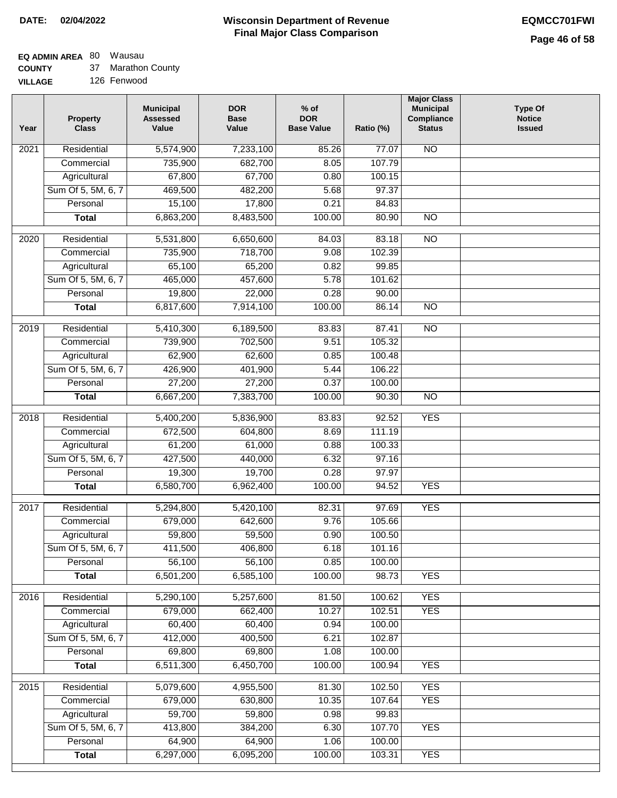## **EQ ADMIN AREA** 80 Wausau

**COUNTY** 37 Marathon County

**VILLAGE** 126 Fenwood

| Year | <b>Property</b><br><b>Class</b> | <b>Municipal</b><br><b>Assessed</b><br>Value | <b>DOR</b><br><b>Base</b><br>Value | $%$ of<br><b>DOR</b><br><b>Base Value</b> | Ratio (%) | <b>Major Class</b><br><b>Municipal</b><br>Compliance<br><b>Status</b> | <b>Type Of</b><br><b>Notice</b><br><b>Issued</b> |
|------|---------------------------------|----------------------------------------------|------------------------------------|-------------------------------------------|-----------|-----------------------------------------------------------------------|--------------------------------------------------|
| 2021 | Residential                     | 5,574,900                                    | 7,233,100                          | 85.26                                     | 77.07     | <b>NO</b>                                                             |                                                  |
|      | Commercial                      | 735,900                                      | 682,700                            | 8.05                                      | 107.79    |                                                                       |                                                  |
|      | Agricultural                    | 67,800                                       | 67,700                             | 0.80                                      | 100.15    |                                                                       |                                                  |
|      | Sum Of 5, 5M, 6, 7              | 469,500                                      | 482,200                            | 5.68                                      | 97.37     |                                                                       |                                                  |
|      | Personal                        | 15,100                                       | 17,800                             | 0.21                                      | 84.83     |                                                                       |                                                  |
|      | <b>Total</b>                    | 6,863,200                                    | 8,483,500                          | 100.00                                    | 80.90     | $\overline{NO}$                                                       |                                                  |
| 2020 | Residential                     | 5,531,800                                    | 6,650,600                          | 84.03                                     | 83.18     | $\overline{NO}$                                                       |                                                  |
|      | Commercial                      | 735,900                                      | 718,700                            | 9.08                                      | 102.39    |                                                                       |                                                  |
|      | Agricultural                    | 65,100                                       | 65,200                             | 0.82                                      | 99.85     |                                                                       |                                                  |
|      | Sum Of 5, 5M, 6, 7              | 465,000                                      | 457,600                            | 5.78                                      | 101.62    |                                                                       |                                                  |
|      | Personal                        | 19,800                                       | 22,000                             | 0.28                                      | 90.00     |                                                                       |                                                  |
|      | <b>Total</b>                    | 6,817,600                                    | 7,914,100                          | 100.00                                    | 86.14     | $\overline{NO}$                                                       |                                                  |
|      |                                 |                                              |                                    |                                           |           |                                                                       |                                                  |
| 2019 | Residential                     | 5,410,300                                    | 6,189,500                          | 83.83                                     | 87.41     | $\overline{3}$                                                        |                                                  |
|      | Commercial                      | 739,900                                      | 702,500                            | 9.51                                      | 105.32    |                                                                       |                                                  |
|      | Agricultural                    | 62,900                                       | 62,600                             | 0.85                                      | 100.48    |                                                                       |                                                  |
|      | Sum Of 5, 5M, 6, 7              | 426,900                                      | 401,900                            | 5.44                                      | 106.22    |                                                                       |                                                  |
|      | Personal                        | 27,200                                       | 27,200                             | 0.37                                      | 100.00    |                                                                       |                                                  |
|      | <b>Total</b>                    | 6,667,200                                    | 7,383,700                          | 100.00                                    | 90.30     | $\overline{NO}$                                                       |                                                  |
| 2018 | Residential                     | 5,400,200                                    | 5,836,900                          | 83.83                                     | 92.52     | <b>YES</b>                                                            |                                                  |
|      | Commercial                      | 672,500                                      | 604,800                            | 8.69                                      | 111.19    |                                                                       |                                                  |
|      | Agricultural                    | 61,200                                       | 61,000                             | 0.88                                      | 100.33    |                                                                       |                                                  |
|      | Sum Of 5, 5M, 6, 7              | 427,500                                      | 440,000                            | 6.32                                      | 97.16     |                                                                       |                                                  |
|      | Personal                        | 19,300                                       | 19,700                             | 0.28                                      | 97.97     |                                                                       |                                                  |
|      | <b>Total</b>                    | 6,580,700                                    | 6,962,400                          | 100.00                                    | 94.52     | <b>YES</b>                                                            |                                                  |
| 2017 | Residential                     | 5,294,800                                    | 5,420,100                          | 82.31                                     | 97.69     | <b>YES</b>                                                            |                                                  |
|      | Commercial                      | 679,000                                      | 642,600                            | 9.76                                      | 105.66    |                                                                       |                                                  |
|      | Agricultural                    | 59,800                                       | 59,500                             | 0.90                                      | 100.50    |                                                                       |                                                  |
|      | Sum Of 5, 5M, 6, 7              | 411,500                                      | 406,800                            | 6.18                                      | 101.16    |                                                                       |                                                  |
|      | Personal                        | 56,100                                       | 56,100                             | 0.85                                      | 100.00    |                                                                       |                                                  |
|      | <b>Total</b>                    | 6,501,200                                    | 6,585,100                          | 100.00                                    | 98.73     | <b>YES</b>                                                            |                                                  |
| 2016 | Residential                     | 5,290,100                                    | 5,257,600                          | 81.50                                     | 100.62    | <b>YES</b>                                                            |                                                  |
|      | Commercial                      | 679,000                                      | 662,400                            | 10.27                                     | 102.51    | <b>YES</b>                                                            |                                                  |
|      | Agricultural                    | 60,400                                       | 60,400                             | 0.94                                      | 100.00    |                                                                       |                                                  |
|      | Sum Of 5, 5M, 6, 7              | 412,000                                      | 400,500                            | 6.21                                      | 102.87    |                                                                       |                                                  |
|      | Personal                        | 69,800                                       | 69,800                             | 1.08                                      | 100.00    |                                                                       |                                                  |
|      | <b>Total</b>                    | 6,511,300                                    | 6,450,700                          | 100.00                                    | 100.94    | <b>YES</b>                                                            |                                                  |
| 2015 | Residential                     | 5,079,600                                    | 4,955,500                          | 81.30                                     | 102.50    | <b>YES</b>                                                            |                                                  |
|      | Commercial                      | 679,000                                      | 630,800                            | 10.35                                     | 107.64    | <b>YES</b>                                                            |                                                  |
|      | Agricultural                    | 59,700                                       | 59,800                             | 0.98                                      | 99.83     |                                                                       |                                                  |
|      | Sum Of 5, 5M, 6, 7              | 413,800                                      | 384,200                            | 6.30                                      | 107.70    | <b>YES</b>                                                            |                                                  |
|      | Personal                        | 64,900                                       | 64,900                             | 1.06                                      | 100.00    |                                                                       |                                                  |
|      | <b>Total</b>                    | 6,297,000                                    | 6,095,200                          | 100.00                                    | 103.31    | <b>YES</b>                                                            |                                                  |
|      |                                 |                                              |                                    |                                           |           |                                                                       |                                                  |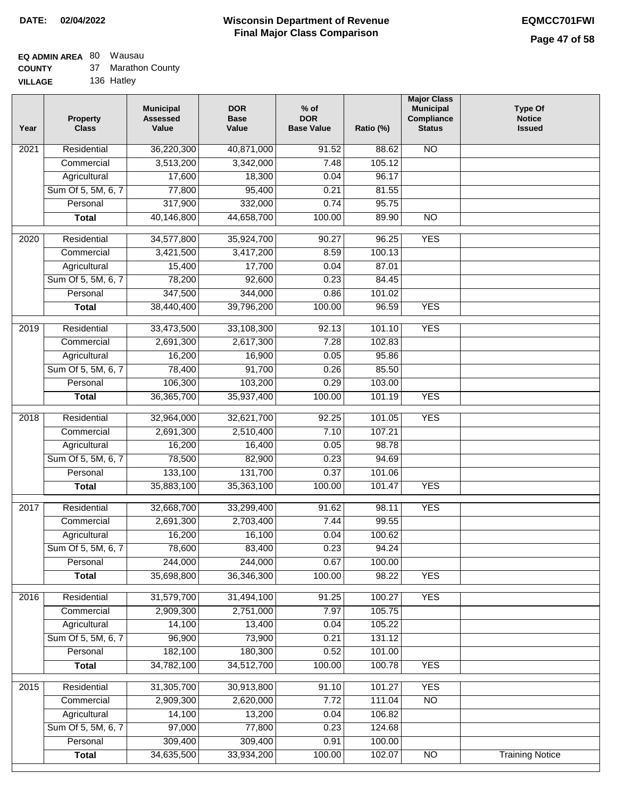# **EQ ADMIN AREA** 80 Wausau

|  | <b>COUNTY</b> |  | Marathon County |
|--|---------------|--|-----------------|
|--|---------------|--|-----------------|

**VILLAGE** 136 Hatley

| Year              | <b>Property</b><br><b>Class</b> | <b>Municipal</b><br><b>Assessed</b><br>Value | <b>DOR</b><br><b>Base</b><br>Value | $%$ of<br><b>DOR</b><br><b>Base Value</b> | Ratio (%) | <b>Major Class</b><br><b>Municipal</b><br>Compliance<br><b>Status</b> | <b>Type Of</b><br><b>Notice</b><br><b>Issued</b> |
|-------------------|---------------------------------|----------------------------------------------|------------------------------------|-------------------------------------------|-----------|-----------------------------------------------------------------------|--------------------------------------------------|
| $\overline{202}1$ | Residential                     | 36,220,300                                   | 40,871,000                         | 91.52                                     | 88.62     | $\overline{NO}$                                                       |                                                  |
|                   | Commercial                      | 3,513,200                                    | 3,342,000                          | 7.48                                      | 105.12    |                                                                       |                                                  |
|                   | Agricultural                    | 17,600                                       | 18,300                             | 0.04                                      | 96.17     |                                                                       |                                                  |
|                   | Sum Of 5, 5M, 6, 7              | 77,800                                       | 95,400                             | 0.21                                      | 81.55     |                                                                       |                                                  |
|                   | Personal                        | 317,900                                      | 332,000                            | 0.74                                      | 95.75     |                                                                       |                                                  |
|                   | <b>Total</b>                    | 40,146,800                                   | 44,658,700                         | 100.00                                    | 89.90     | $\overline{NO}$                                                       |                                                  |
| 2020              | Residential                     | 34,577,800                                   | 35,924,700                         | 90.27                                     | 96.25     | <b>YES</b>                                                            |                                                  |
|                   | Commercial                      | 3,421,500                                    | 3,417,200                          | 8.59                                      | 100.13    |                                                                       |                                                  |
|                   | Agricultural                    | 15,400                                       | 17,700                             | 0.04                                      | 87.01     |                                                                       |                                                  |
|                   | Sum Of 5, 5M, 6, 7              | 78,200                                       | 92,600                             | 0.23                                      | 84.45     |                                                                       |                                                  |
|                   | Personal                        | 347,500                                      | 344,000                            | 0.86                                      | 101.02    |                                                                       |                                                  |
|                   | <b>Total</b>                    | 38,440,400                                   | 39,796,200                         | 100.00                                    | 96.59     | <b>YES</b>                                                            |                                                  |
| 2019              | Residential                     | 33,473,500                                   | 33,108,300                         | 92.13                                     | 101.10    | <b>YES</b>                                                            |                                                  |
|                   | Commercial                      | 2,691,300                                    | 2,617,300                          | 7.28                                      | 102.83    |                                                                       |                                                  |
|                   | Agricultural                    | 16,200                                       | 16,900                             | 0.05                                      | 95.86     |                                                                       |                                                  |
|                   | Sum Of 5, 5M, 6, 7              | 78,400                                       | 91,700                             | 0.26                                      | 85.50     |                                                                       |                                                  |
|                   | Personal                        | 106,300                                      | 103,200                            | 0.29                                      | 103.00    |                                                                       |                                                  |
|                   | <b>Total</b>                    | 36,365,700                                   | 35,937,400                         | 100.00                                    | 101.19    | <b>YES</b>                                                            |                                                  |
|                   |                                 |                                              |                                    |                                           |           |                                                                       |                                                  |
| 2018              | Residential                     | 32,964,000                                   | 32,621,700                         | 92.25                                     | 101.05    | <b>YES</b>                                                            |                                                  |
|                   | Commercial                      | 2,691,300                                    | 2,510,400                          | 7.10                                      | 107.21    |                                                                       |                                                  |
|                   | Agricultural                    | 16,200                                       | 16,400                             | 0.05                                      | 98.78     |                                                                       |                                                  |
|                   | Sum Of 5, 5M, 6, 7              | 78,500                                       | 82,900                             | 0.23                                      | 94.69     |                                                                       |                                                  |
|                   | Personal                        | 133,100                                      | 131,700                            | 0.37                                      | 101.06    |                                                                       |                                                  |
|                   | <b>Total</b>                    | 35,883,100                                   | 35,363,100                         | 100.00                                    | 101.47    | <b>YES</b>                                                            |                                                  |
| $\overline{2017}$ | Residential                     | 32,668,700                                   | 33,299,400                         | 91.62                                     | 98.11     | <b>YES</b>                                                            |                                                  |
|                   | Commercial                      | 2,691,300                                    | 2,703,400                          | 7.44                                      | 99.55     |                                                                       |                                                  |
|                   | Agricultural                    | 16,200                                       | 16,100                             | 0.04                                      | 100.62    |                                                                       |                                                  |
|                   | Sum Of 5, 5M, 6, 7              | 78,600                                       | 83,400                             | 0.23                                      | 94.24     |                                                                       |                                                  |
|                   | Personal                        | 244,000                                      | 244,000                            | 0.67                                      | 100.00    |                                                                       |                                                  |
|                   | <b>Total</b>                    | 35,698,800                                   | 36,346,300                         | 100.00                                    | 98.22     | <b>YES</b>                                                            |                                                  |
| 2016              | Residential                     | 31,579,700                                   | 31,494,100                         | 91.25                                     | 100.27    | <b>YES</b>                                                            |                                                  |
|                   | Commercial                      | 2,909,300                                    | 2,751,000                          | 7.97                                      | 105.75    |                                                                       |                                                  |
|                   | Agricultural                    | 14,100                                       | 13,400                             | 0.04                                      | 105.22    |                                                                       |                                                  |
|                   | Sum Of 5, 5M, 6, 7              | 96,900                                       | 73,900                             | 0.21                                      | 131.12    |                                                                       |                                                  |
|                   | Personal                        | 182,100                                      | 180,300                            | 0.52                                      | 101.00    |                                                                       |                                                  |
|                   | <b>Total</b>                    | 34,782,100                                   | 34,512,700                         | 100.00                                    | 100.78    | <b>YES</b>                                                            |                                                  |
|                   |                                 |                                              |                                    |                                           |           |                                                                       |                                                  |
| 2015              | Residential                     | 31,305,700                                   | 30,913,800                         | 91.10                                     | 101.27    | <b>YES</b>                                                            |                                                  |
|                   | Commercial                      | 2,909,300                                    | 2,620,000                          | 7.72                                      | 111.04    | $\overline{NO}$                                                       |                                                  |
|                   | Agricultural                    | 14,100                                       | 13,200                             | 0.04                                      | 106.82    |                                                                       |                                                  |
|                   | Sum Of 5, 5M, 6, 7              | 97,000                                       | 77,800                             | 0.23                                      | 124.68    |                                                                       |                                                  |
|                   | Personal                        | 309,400                                      | 309,400                            | 0.91                                      | 100.00    |                                                                       |                                                  |
|                   | <b>Total</b>                    | 34,635,500                                   | 33,934,200                         | 100.00                                    | 102.07    | N <sub>O</sub>                                                        | <b>Training Notice</b>                           |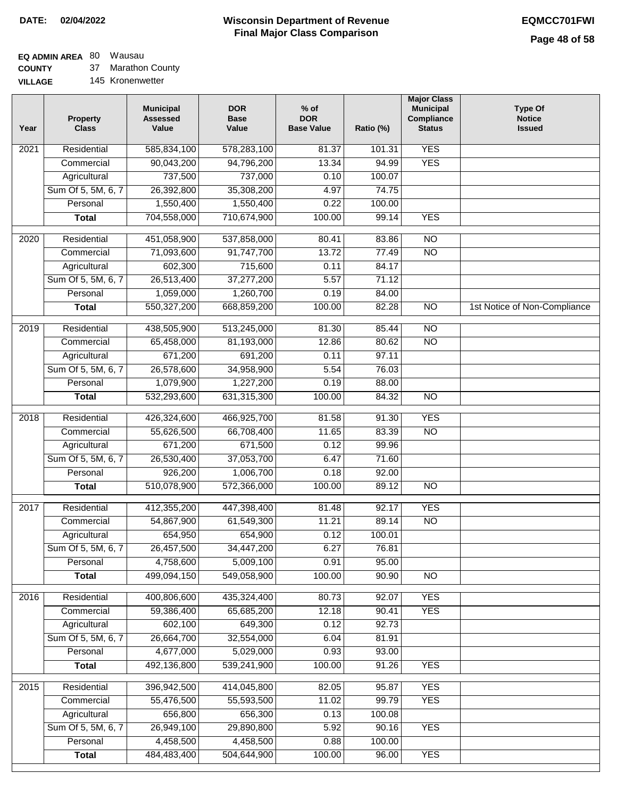## **EQ ADMIN AREA** 80 Wausau

**COUNTY VILLAGE** 37 Marathon County

|  | 145 Kronenwetter |
|--|------------------|
|  |                  |

| <b>YES</b><br>Residential<br>585,834,100<br>578,283,100<br>81.37<br>101.31<br>2021<br>90,043,200<br>94,796,200<br>13.34<br>94.99<br><b>YES</b><br>Commercial<br>737,500<br>737,000<br>0.10<br>100.07<br>Agricultural<br>Sum Of 5, 5M, 6, 7<br>26,392,800<br>35,308,200<br>4.97<br>74.75<br>Personal<br>1,550,400<br>1,550,400<br>0.22<br>100.00<br>704,558,000<br>710,674,900<br>100.00<br><b>YES</b><br>99.14<br><b>Total</b><br>$\overline{2020}$<br>Residential<br>451,058,900<br>537,858,000<br>83.86<br>$\overline{10}$<br>80.41<br>91,747,700<br>13.72<br>77.49<br>$\overline{NO}$<br>Commercial<br>71,093,600<br>602,300<br>84.17<br>Agricultural<br>715,600<br>0.11<br>Sum Of 5, 5M, 6, 7<br>26,513,400<br>37,277,200<br>5.57<br>71.12<br>Personal<br>1,059,000<br>1,260,700<br>0.19<br>84.00<br>$\overline{NO}$<br>550,327,200<br>668,859,200<br>100.00<br>82.28<br>1st Notice of Non-Compliance<br><b>Total</b><br>$\overline{NO}$<br>Residential<br>438,505,900<br>513,245,000<br>81.30<br>2019<br>85.44<br>$\overline{NO}$<br>Commercial<br>65,458,000<br>81,193,000<br>12.86<br>80.62<br>671,200<br>691,200<br>0.11<br>97.11<br>Agricultural<br>Sum Of 5, 5M, 6, 7<br>34,958,900<br>26,578,600<br>5.54<br>76.03<br>0.19<br>Personal<br>1,079,900<br>1,227,200<br>88.00<br>532,293,600<br>631,315,300<br>100.00<br>84.32<br>$\overline{NO}$<br><b>Total</b><br><b>YES</b><br>Residential<br>426,324,600<br>466,925,700<br>81.58<br>91.30<br>2018<br><b>NO</b><br>Commercial<br>55,626,500<br>66,708,400<br>11.65<br>83.39<br>Agricultural<br>671,200<br>671,500<br>0.12<br>99.96<br>Sum Of 5, 5M, 6, 7<br>26,530,400<br>37,053,700<br>6.47<br>71.60<br>Personal<br>926,200<br>1,006,700<br>0.18<br>92.00<br>510,078,900<br>572,366,000<br>100.00<br>89.12<br>N <sub>O</sub><br><b>Total</b><br><b>YES</b><br>Residential<br>412,355,200<br>447,398,400<br>81.48<br>92.17<br>2017<br><b>NO</b><br>54,867,900<br>61,549,300<br>11.21<br>89.14<br>Commercial<br>654,950<br>654,900<br>0.12<br>100.01<br>Agricultural<br>Sum Of 5, 5M, 6, 7<br>26,457,500<br>34,447,200<br>6.27<br>76.81 |  |
|--------------------------------------------------------------------------------------------------------------------------------------------------------------------------------------------------------------------------------------------------------------------------------------------------------------------------------------------------------------------------------------------------------------------------------------------------------------------------------------------------------------------------------------------------------------------------------------------------------------------------------------------------------------------------------------------------------------------------------------------------------------------------------------------------------------------------------------------------------------------------------------------------------------------------------------------------------------------------------------------------------------------------------------------------------------------------------------------------------------------------------------------------------------------------------------------------------------------------------------------------------------------------------------------------------------------------------------------------------------------------------------------------------------------------------------------------------------------------------------------------------------------------------------------------------------------------------------------------------------------------------------------------------------------------------------------------------------------------------------------------------------------------------------------------------------------------------------------------------------------------------------------------------------------------------------------------------------------------------------------------------------------------------------------------------------------------------------------------|--|
|                                                                                                                                                                                                                                                                                                                                                                                                                                                                                                                                                                                                                                                                                                                                                                                                                                                                                                                                                                                                                                                                                                                                                                                                                                                                                                                                                                                                                                                                                                                                                                                                                                                                                                                                                                                                                                                                                                                                                                                                                                                                                                  |  |
|                                                                                                                                                                                                                                                                                                                                                                                                                                                                                                                                                                                                                                                                                                                                                                                                                                                                                                                                                                                                                                                                                                                                                                                                                                                                                                                                                                                                                                                                                                                                                                                                                                                                                                                                                                                                                                                                                                                                                                                                                                                                                                  |  |
|                                                                                                                                                                                                                                                                                                                                                                                                                                                                                                                                                                                                                                                                                                                                                                                                                                                                                                                                                                                                                                                                                                                                                                                                                                                                                                                                                                                                                                                                                                                                                                                                                                                                                                                                                                                                                                                                                                                                                                                                                                                                                                  |  |
|                                                                                                                                                                                                                                                                                                                                                                                                                                                                                                                                                                                                                                                                                                                                                                                                                                                                                                                                                                                                                                                                                                                                                                                                                                                                                                                                                                                                                                                                                                                                                                                                                                                                                                                                                                                                                                                                                                                                                                                                                                                                                                  |  |
|                                                                                                                                                                                                                                                                                                                                                                                                                                                                                                                                                                                                                                                                                                                                                                                                                                                                                                                                                                                                                                                                                                                                                                                                                                                                                                                                                                                                                                                                                                                                                                                                                                                                                                                                                                                                                                                                                                                                                                                                                                                                                                  |  |
|                                                                                                                                                                                                                                                                                                                                                                                                                                                                                                                                                                                                                                                                                                                                                                                                                                                                                                                                                                                                                                                                                                                                                                                                                                                                                                                                                                                                                                                                                                                                                                                                                                                                                                                                                                                                                                                                                                                                                                                                                                                                                                  |  |
|                                                                                                                                                                                                                                                                                                                                                                                                                                                                                                                                                                                                                                                                                                                                                                                                                                                                                                                                                                                                                                                                                                                                                                                                                                                                                                                                                                                                                                                                                                                                                                                                                                                                                                                                                                                                                                                                                                                                                                                                                                                                                                  |  |
|                                                                                                                                                                                                                                                                                                                                                                                                                                                                                                                                                                                                                                                                                                                                                                                                                                                                                                                                                                                                                                                                                                                                                                                                                                                                                                                                                                                                                                                                                                                                                                                                                                                                                                                                                                                                                                                                                                                                                                                                                                                                                                  |  |
|                                                                                                                                                                                                                                                                                                                                                                                                                                                                                                                                                                                                                                                                                                                                                                                                                                                                                                                                                                                                                                                                                                                                                                                                                                                                                                                                                                                                                                                                                                                                                                                                                                                                                                                                                                                                                                                                                                                                                                                                                                                                                                  |  |
|                                                                                                                                                                                                                                                                                                                                                                                                                                                                                                                                                                                                                                                                                                                                                                                                                                                                                                                                                                                                                                                                                                                                                                                                                                                                                                                                                                                                                                                                                                                                                                                                                                                                                                                                                                                                                                                                                                                                                                                                                                                                                                  |  |
|                                                                                                                                                                                                                                                                                                                                                                                                                                                                                                                                                                                                                                                                                                                                                                                                                                                                                                                                                                                                                                                                                                                                                                                                                                                                                                                                                                                                                                                                                                                                                                                                                                                                                                                                                                                                                                                                                                                                                                                                                                                                                                  |  |
|                                                                                                                                                                                                                                                                                                                                                                                                                                                                                                                                                                                                                                                                                                                                                                                                                                                                                                                                                                                                                                                                                                                                                                                                                                                                                                                                                                                                                                                                                                                                                                                                                                                                                                                                                                                                                                                                                                                                                                                                                                                                                                  |  |
|                                                                                                                                                                                                                                                                                                                                                                                                                                                                                                                                                                                                                                                                                                                                                                                                                                                                                                                                                                                                                                                                                                                                                                                                                                                                                                                                                                                                                                                                                                                                                                                                                                                                                                                                                                                                                                                                                                                                                                                                                                                                                                  |  |
|                                                                                                                                                                                                                                                                                                                                                                                                                                                                                                                                                                                                                                                                                                                                                                                                                                                                                                                                                                                                                                                                                                                                                                                                                                                                                                                                                                                                                                                                                                                                                                                                                                                                                                                                                                                                                                                                                                                                                                                                                                                                                                  |  |
|                                                                                                                                                                                                                                                                                                                                                                                                                                                                                                                                                                                                                                                                                                                                                                                                                                                                                                                                                                                                                                                                                                                                                                                                                                                                                                                                                                                                                                                                                                                                                                                                                                                                                                                                                                                                                                                                                                                                                                                                                                                                                                  |  |
|                                                                                                                                                                                                                                                                                                                                                                                                                                                                                                                                                                                                                                                                                                                                                                                                                                                                                                                                                                                                                                                                                                                                                                                                                                                                                                                                                                                                                                                                                                                                                                                                                                                                                                                                                                                                                                                                                                                                                                                                                                                                                                  |  |
|                                                                                                                                                                                                                                                                                                                                                                                                                                                                                                                                                                                                                                                                                                                                                                                                                                                                                                                                                                                                                                                                                                                                                                                                                                                                                                                                                                                                                                                                                                                                                                                                                                                                                                                                                                                                                                                                                                                                                                                                                                                                                                  |  |
|                                                                                                                                                                                                                                                                                                                                                                                                                                                                                                                                                                                                                                                                                                                                                                                                                                                                                                                                                                                                                                                                                                                                                                                                                                                                                                                                                                                                                                                                                                                                                                                                                                                                                                                                                                                                                                                                                                                                                                                                                                                                                                  |  |
|                                                                                                                                                                                                                                                                                                                                                                                                                                                                                                                                                                                                                                                                                                                                                                                                                                                                                                                                                                                                                                                                                                                                                                                                                                                                                                                                                                                                                                                                                                                                                                                                                                                                                                                                                                                                                                                                                                                                                                                                                                                                                                  |  |
|                                                                                                                                                                                                                                                                                                                                                                                                                                                                                                                                                                                                                                                                                                                                                                                                                                                                                                                                                                                                                                                                                                                                                                                                                                                                                                                                                                                                                                                                                                                                                                                                                                                                                                                                                                                                                                                                                                                                                                                                                                                                                                  |  |
|                                                                                                                                                                                                                                                                                                                                                                                                                                                                                                                                                                                                                                                                                                                                                                                                                                                                                                                                                                                                                                                                                                                                                                                                                                                                                                                                                                                                                                                                                                                                                                                                                                                                                                                                                                                                                                                                                                                                                                                                                                                                                                  |  |
|                                                                                                                                                                                                                                                                                                                                                                                                                                                                                                                                                                                                                                                                                                                                                                                                                                                                                                                                                                                                                                                                                                                                                                                                                                                                                                                                                                                                                                                                                                                                                                                                                                                                                                                                                                                                                                                                                                                                                                                                                                                                                                  |  |
|                                                                                                                                                                                                                                                                                                                                                                                                                                                                                                                                                                                                                                                                                                                                                                                                                                                                                                                                                                                                                                                                                                                                                                                                                                                                                                                                                                                                                                                                                                                                                                                                                                                                                                                                                                                                                                                                                                                                                                                                                                                                                                  |  |
|                                                                                                                                                                                                                                                                                                                                                                                                                                                                                                                                                                                                                                                                                                                                                                                                                                                                                                                                                                                                                                                                                                                                                                                                                                                                                                                                                                                                                                                                                                                                                                                                                                                                                                                                                                                                                                                                                                                                                                                                                                                                                                  |  |
|                                                                                                                                                                                                                                                                                                                                                                                                                                                                                                                                                                                                                                                                                                                                                                                                                                                                                                                                                                                                                                                                                                                                                                                                                                                                                                                                                                                                                                                                                                                                                                                                                                                                                                                                                                                                                                                                                                                                                                                                                                                                                                  |  |
|                                                                                                                                                                                                                                                                                                                                                                                                                                                                                                                                                                                                                                                                                                                                                                                                                                                                                                                                                                                                                                                                                                                                                                                                                                                                                                                                                                                                                                                                                                                                                                                                                                                                                                                                                                                                                                                                                                                                                                                                                                                                                                  |  |
|                                                                                                                                                                                                                                                                                                                                                                                                                                                                                                                                                                                                                                                                                                                                                                                                                                                                                                                                                                                                                                                                                                                                                                                                                                                                                                                                                                                                                                                                                                                                                                                                                                                                                                                                                                                                                                                                                                                                                                                                                                                                                                  |  |
|                                                                                                                                                                                                                                                                                                                                                                                                                                                                                                                                                                                                                                                                                                                                                                                                                                                                                                                                                                                                                                                                                                                                                                                                                                                                                                                                                                                                                                                                                                                                                                                                                                                                                                                                                                                                                                                                                                                                                                                                                                                                                                  |  |
|                                                                                                                                                                                                                                                                                                                                                                                                                                                                                                                                                                                                                                                                                                                                                                                                                                                                                                                                                                                                                                                                                                                                                                                                                                                                                                                                                                                                                                                                                                                                                                                                                                                                                                                                                                                                                                                                                                                                                                                                                                                                                                  |  |
| Personal<br>4,758,600<br>5,009,100<br>0.91<br>95.00                                                                                                                                                                                                                                                                                                                                                                                                                                                                                                                                                                                                                                                                                                                                                                                                                                                                                                                                                                                                                                                                                                                                                                                                                                                                                                                                                                                                                                                                                                                                                                                                                                                                                                                                                                                                                                                                                                                                                                                                                                              |  |
| 499,094,150<br>549,058,900<br>100.00<br>$\overline{NO}$<br><b>Total</b><br>90.90                                                                                                                                                                                                                                                                                                                                                                                                                                                                                                                                                                                                                                                                                                                                                                                                                                                                                                                                                                                                                                                                                                                                                                                                                                                                                                                                                                                                                                                                                                                                                                                                                                                                                                                                                                                                                                                                                                                                                                                                                 |  |
| <b>YES</b><br>2016<br>Residential<br>400,806,600<br>435,324,400<br>80.73<br>92.07                                                                                                                                                                                                                                                                                                                                                                                                                                                                                                                                                                                                                                                                                                                                                                                                                                                                                                                                                                                                                                                                                                                                                                                                                                                                                                                                                                                                                                                                                                                                                                                                                                                                                                                                                                                                                                                                                                                                                                                                                |  |
| 12.18<br><b>YES</b><br>Commercial<br>59,386,400<br>65,685,200<br>90.41                                                                                                                                                                                                                                                                                                                                                                                                                                                                                                                                                                                                                                                                                                                                                                                                                                                                                                                                                                                                                                                                                                                                                                                                                                                                                                                                                                                                                                                                                                                                                                                                                                                                                                                                                                                                                                                                                                                                                                                                                           |  |
| 602,100<br>649,300<br>92.73<br>Agricultural<br>0.12                                                                                                                                                                                                                                                                                                                                                                                                                                                                                                                                                                                                                                                                                                                                                                                                                                                                                                                                                                                                                                                                                                                                                                                                                                                                                                                                                                                                                                                                                                                                                                                                                                                                                                                                                                                                                                                                                                                                                                                                                                              |  |
| Sum Of 5, 5M, 6, 7<br>26,664,700<br>32,554,000<br>6.04<br>81.91                                                                                                                                                                                                                                                                                                                                                                                                                                                                                                                                                                                                                                                                                                                                                                                                                                                                                                                                                                                                                                                                                                                                                                                                                                                                                                                                                                                                                                                                                                                                                                                                                                                                                                                                                                                                                                                                                                                                                                                                                                  |  |
| 4,677,000<br>5,029,000<br>Personal<br>0.93<br>93.00                                                                                                                                                                                                                                                                                                                                                                                                                                                                                                                                                                                                                                                                                                                                                                                                                                                                                                                                                                                                                                                                                                                                                                                                                                                                                                                                                                                                                                                                                                                                                                                                                                                                                                                                                                                                                                                                                                                                                                                                                                              |  |
| 492,136,800<br>539,241,900<br>100.00<br>91.26<br><b>YES</b><br><b>Total</b>                                                                                                                                                                                                                                                                                                                                                                                                                                                                                                                                                                                                                                                                                                                                                                                                                                                                                                                                                                                                                                                                                                                                                                                                                                                                                                                                                                                                                                                                                                                                                                                                                                                                                                                                                                                                                                                                                                                                                                                                                      |  |
| 396,942,500<br>414,045,800<br><b>YES</b><br>2015<br>Residential<br>82.05<br>95.87                                                                                                                                                                                                                                                                                                                                                                                                                                                                                                                                                                                                                                                                                                                                                                                                                                                                                                                                                                                                                                                                                                                                                                                                                                                                                                                                                                                                                                                                                                                                                                                                                                                                                                                                                                                                                                                                                                                                                                                                                |  |
| 11.02<br>99.79<br><b>YES</b><br>Commercial<br>55,476,500<br>55,593,500                                                                                                                                                                                                                                                                                                                                                                                                                                                                                                                                                                                                                                                                                                                                                                                                                                                                                                                                                                                                                                                                                                                                                                                                                                                                                                                                                                                                                                                                                                                                                                                                                                                                                                                                                                                                                                                                                                                                                                                                                           |  |
| 656,800<br>Agricultural<br>656,300<br>100.08<br>0.13                                                                                                                                                                                                                                                                                                                                                                                                                                                                                                                                                                                                                                                                                                                                                                                                                                                                                                                                                                                                                                                                                                                                                                                                                                                                                                                                                                                                                                                                                                                                                                                                                                                                                                                                                                                                                                                                                                                                                                                                                                             |  |
| Sum Of 5, 5M, 6, 7<br>26,949,100<br>29,890,800<br>5.92<br>90.16<br><b>YES</b>                                                                                                                                                                                                                                                                                                                                                                                                                                                                                                                                                                                                                                                                                                                                                                                                                                                                                                                                                                                                                                                                                                                                                                                                                                                                                                                                                                                                                                                                                                                                                                                                                                                                                                                                                                                                                                                                                                                                                                                                                    |  |
| Personal<br>4,458,500<br>4,458,500<br>100.00<br>0.88                                                                                                                                                                                                                                                                                                                                                                                                                                                                                                                                                                                                                                                                                                                                                                                                                                                                                                                                                                                                                                                                                                                                                                                                                                                                                                                                                                                                                                                                                                                                                                                                                                                                                                                                                                                                                                                                                                                                                                                                                                             |  |
| 100.00<br><b>YES</b><br>484,483,400<br>504,644,900<br>96.00<br><b>Total</b>                                                                                                                                                                                                                                                                                                                                                                                                                                                                                                                                                                                                                                                                                                                                                                                                                                                                                                                                                                                                                                                                                                                                                                                                                                                                                                                                                                                                                                                                                                                                                                                                                                                                                                                                                                                                                                                                                                                                                                                                                      |  |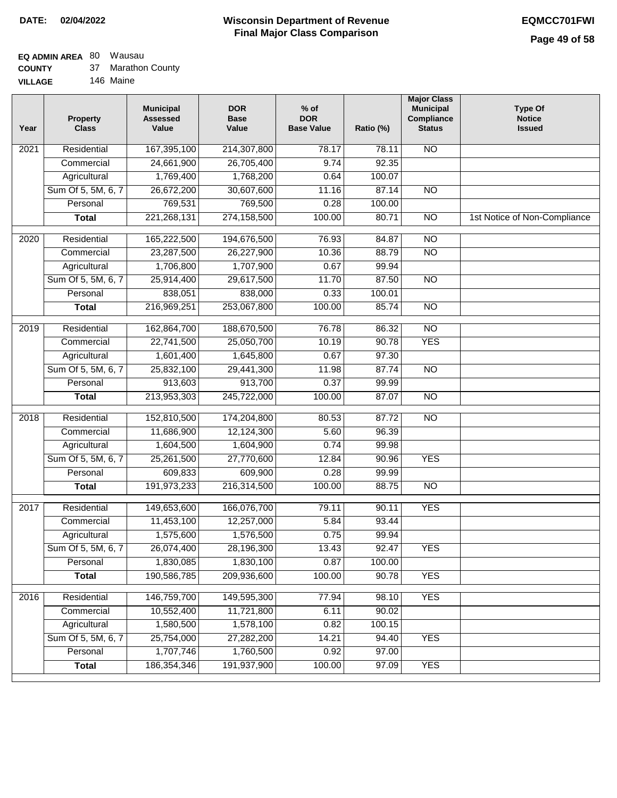### **EQ ADMIN AREA** 80 Wausau

| <b>COUNTY</b> |  | Marathon County |
|---------------|--|-----------------|
|---------------|--|-----------------|

**VILLAGE** 146 Maine

| Year              | <b>Property</b><br><b>Class</b> | <b>Municipal</b><br><b>Assessed</b><br>Value | <b>DOR</b><br><b>Base</b><br>Value | % of<br><b>DOR</b><br><b>Base Value</b> | Ratio (%) | <b>Major Class</b><br><b>Municipal</b><br>Compliance<br><b>Status</b> | <b>Type Of</b><br><b>Notice</b><br><b>Issued</b> |
|-------------------|---------------------------------|----------------------------------------------|------------------------------------|-----------------------------------------|-----------|-----------------------------------------------------------------------|--------------------------------------------------|
| $\overline{202}1$ | Residential                     | 167,395,100                                  | 214,307,800                        | 78.17                                   | 78.11     | <b>NO</b>                                                             |                                                  |
|                   | Commercial                      | 24,661,900                                   | 26,705,400                         | 9.74                                    | 92.35     |                                                                       |                                                  |
|                   | Agricultural                    | 1,769,400                                    | 1,768,200                          | 0.64                                    | 100.07    |                                                                       |                                                  |
|                   | Sum Of 5, 5M, 6, 7              | 26,672,200                                   | 30,607,600                         | 11.16                                   | 87.14     | $\overline{NO}$                                                       |                                                  |
|                   | Personal                        | 769,531                                      | 769,500                            | 0.28                                    | 100.00    |                                                                       |                                                  |
|                   | <b>Total</b>                    | 221,268,131                                  | 274,158,500                        | 100.00                                  | 80.71     | $\overline{NO}$                                                       | 1st Notice of Non-Compliance                     |
| $\overline{2020}$ | Residential                     | 165,222,500                                  | 194,676,500                        | 76.93                                   | 84.87     | $\overline{10}$                                                       |                                                  |
|                   | Commercial                      | 23,287,500                                   | 26,227,900                         | 10.36                                   | 88.79     | $\overline{NO}$                                                       |                                                  |
|                   | Agricultural                    | 1,706,800                                    | 1,707,900                          | 0.67                                    | 99.94     |                                                                       |                                                  |
|                   | Sum Of 5, 5M, 6, 7              | 25,914,400                                   | 29,617,500                         | 11.70                                   | 87.50     | $\overline{NO}$                                                       |                                                  |
|                   | Personal                        | 838,051                                      | 838,000                            | 0.33                                    | 100.01    |                                                                       |                                                  |
|                   | <b>Total</b>                    | 216,969,251                                  | 253,067,800                        | 100.00                                  | 85.74     | $\overline{NO}$                                                       |                                                  |
| 2019              | Residential                     | 162,864,700                                  | 188,670,500                        | 76.78                                   | 86.32     | $\overline{3}$                                                        |                                                  |
|                   | Commercial                      | 22,741,500                                   | 25,050,700                         | 10.19                                   | 90.78     | <b>YES</b>                                                            |                                                  |
|                   | Agricultural                    | 1,601,400                                    | 1,645,800                          | 0.67                                    | 97.30     |                                                                       |                                                  |
|                   | Sum Of 5, 5M, 6, 7              | 25,832,100                                   | 29,441,300                         | 11.98                                   | 87.74     | $\overline{NO}$                                                       |                                                  |
|                   | Personal                        | 913,603                                      | 913,700                            | 0.37                                    | 99.99     |                                                                       |                                                  |
|                   | <b>Total</b>                    | 213,953,303                                  | 245,722,000                        | 100.00                                  | 87.07     | $\overline{NO}$                                                       |                                                  |
| 2018              | Residential                     | 152,810,500                                  | 174,204,800                        | 80.53                                   | 87.72     | $\overline{10}$                                                       |                                                  |
|                   | Commercial                      | 11,686,900                                   | 12,124,300                         | 5.60                                    | 96.39     |                                                                       |                                                  |
|                   | Agricultural                    | 1,604,500                                    | 1,604,900                          | 0.74                                    | 99.98     |                                                                       |                                                  |
|                   | Sum Of 5, 5M, 6, 7              | 25,261,500                                   | 27,770,600                         | 12.84                                   | 90.96     | <b>YES</b>                                                            |                                                  |
|                   | Personal                        | 609,833                                      | 609,900                            | 0.28                                    | 99.99     |                                                                       |                                                  |
|                   | <b>Total</b>                    | 191,973,233                                  | 216,314,500                        | 100.00                                  | 88.75     | <b>NO</b>                                                             |                                                  |
| 2017              | Residential                     | 149,653,600                                  | 166,076,700                        | 79.11                                   | 90.11     | <b>YES</b>                                                            |                                                  |
|                   | Commercial                      | 11,453,100                                   | 12,257,000                         | 5.84                                    | 93.44     |                                                                       |                                                  |
|                   | Agricultural                    | 1,575,600                                    | 1,576,500                          | 0.75                                    | 99.94     |                                                                       |                                                  |
|                   | Sum Of 5, 5M, 6, 7              | 26,074,400                                   | 28,196,300                         | 13.43                                   | 92.47     | <b>YES</b>                                                            |                                                  |
|                   | Personal                        | 1,830,085                                    | 1,830,100                          | 0.87                                    | 100.00    |                                                                       |                                                  |
|                   | <b>Total</b>                    | 190,586,785                                  | 209,936,600                        | 100.00                                  | 90.78     | <b>YES</b>                                                            |                                                  |
| 2016              | Residential                     | 146,759,700                                  | 149,595,300                        | 77.94                                   | 98.10     | <b>YES</b>                                                            |                                                  |
|                   | Commercial                      | 10,552,400                                   | 11,721,800                         | 6.11                                    | 90.02     |                                                                       |                                                  |
|                   | Agricultural                    | 1,580,500                                    | 1,578,100                          | 0.82                                    | 100.15    |                                                                       |                                                  |
|                   | Sum Of 5, 5M, 6, 7              | 25,754,000                                   | 27,282,200                         | 14.21                                   | 94.40     | <b>YES</b>                                                            |                                                  |
|                   | Personal                        | 1,707,746                                    | 1,760,500                          | 0.92                                    | 97.00     |                                                                       |                                                  |
|                   | <b>Total</b>                    | 186, 354, 346                                | 191,937,900                        | 100.00                                  | 97.09     | <b>YES</b>                                                            |                                                  |
|                   |                                 |                                              |                                    |                                         |           |                                                                       |                                                  |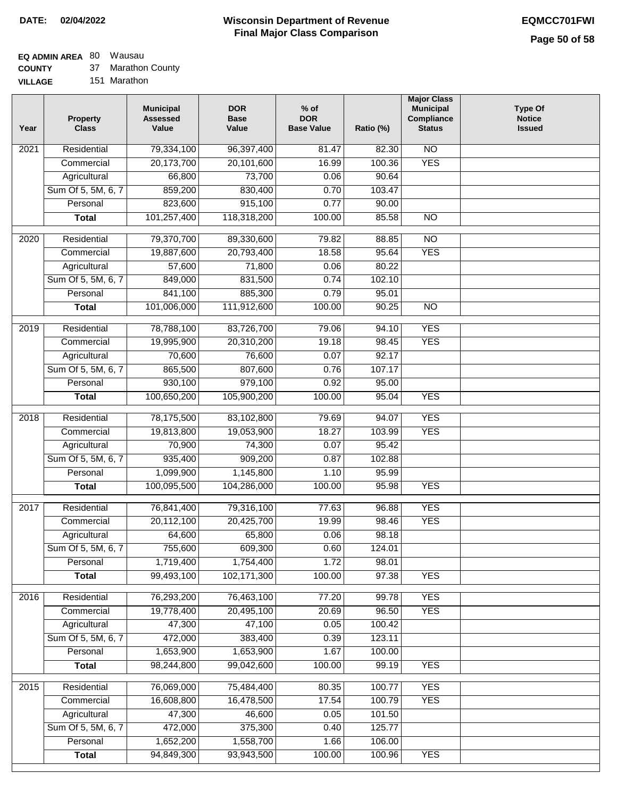### **EQ ADMIN AREA** 80 Wausau

**COUNTY** 37 Marathon County

**VILLAGE** 151 Marathon

| Year              | <b>Property</b><br><b>Class</b> | <b>Municipal</b><br><b>Assessed</b><br>Value | <b>DOR</b><br><b>Base</b><br>Value | $%$ of<br><b>DOR</b><br><b>Base Value</b> | Ratio (%) | <b>Major Class</b><br><b>Municipal</b><br>Compliance<br><b>Status</b> | <b>Type Of</b><br><b>Notice</b><br><b>Issued</b> |
|-------------------|---------------------------------|----------------------------------------------|------------------------------------|-------------------------------------------|-----------|-----------------------------------------------------------------------|--------------------------------------------------|
| $\overline{202}1$ | Residential                     | 79,334,100                                   | 96,397,400                         | 81.47                                     | 82.30     | N <sub>O</sub>                                                        |                                                  |
|                   | Commercial                      | 20,173,700                                   | 20,101,600                         | 16.99                                     | 100.36    | <b>YES</b>                                                            |                                                  |
|                   | Agricultural                    | 66,800                                       | 73,700                             | 0.06                                      | 90.64     |                                                                       |                                                  |
|                   | Sum Of 5, 5M, 6, 7              | 859,200                                      | 830,400                            | 0.70                                      | 103.47    |                                                                       |                                                  |
|                   | Personal                        | 823,600                                      | 915,100                            | 0.77                                      | 90.00     |                                                                       |                                                  |
|                   | <b>Total</b>                    | 101,257,400                                  | 118,318,200                        | 100.00                                    | 85.58     | $\overline{NO}$                                                       |                                                  |
| $\overline{2020}$ | Residential                     | 79,370,700                                   | 89,330,600                         | 79.82                                     | 88.85     | $\overline{NO}$                                                       |                                                  |
|                   | Commercial                      | 19,887,600                                   | 20,793,400                         | 18.58                                     | 95.64     | <b>YES</b>                                                            |                                                  |
|                   | Agricultural                    | 57,600                                       | 71,800                             | 0.06                                      | 80.22     |                                                                       |                                                  |
|                   | Sum Of 5, 5M, 6, 7              | 849,000                                      | 831,500                            | 0.74                                      | 102.10    |                                                                       |                                                  |
|                   | Personal                        | 841,100                                      | 885,300                            | 0.79                                      | 95.01     |                                                                       |                                                  |
|                   | <b>Total</b>                    | 101,006,000                                  | 111,912,600                        | 100.00                                    | 90.25     | $\overline{NO}$                                                       |                                                  |
| 2019              | Residential                     | 78,788,100                                   | 83,726,700                         | 79.06                                     | 94.10     | <b>YES</b>                                                            |                                                  |
|                   | Commercial                      | 19,995,900                                   | 20,310,200                         | 19.18                                     | 98.45     | <b>YES</b>                                                            |                                                  |
|                   | Agricultural                    | 70,600                                       | 76,600                             | 0.07                                      | 92.17     |                                                                       |                                                  |
|                   | Sum Of 5, 5M, 6, 7              | 865,500                                      | 807,600                            | 0.76                                      | 107.17    |                                                                       |                                                  |
|                   | Personal                        | 930,100                                      | 979,100                            | 0.92                                      | 95.00     |                                                                       |                                                  |
|                   | <b>Total</b>                    | 100,650,200                                  | 105,900,200                        | 100.00                                    | 95.04     | <b>YES</b>                                                            |                                                  |
| 2018              | Residential                     | 78,175,500                                   | 83,102,800                         | 79.69                                     | 94.07     | <b>YES</b>                                                            |                                                  |
|                   | Commercial                      | 19,813,800                                   | 19,053,900                         | 18.27                                     | 103.99    | <b>YES</b>                                                            |                                                  |
|                   | Agricultural                    | 70,900                                       | 74,300                             | 0.07                                      | 95.42     |                                                                       |                                                  |
|                   | Sum Of 5, 5M, 6, 7              | 935,400                                      | 909,200                            | 0.87                                      | 102.88    |                                                                       |                                                  |
|                   | Personal                        | 1,099,900                                    | 1,145,800                          | 1.10                                      | 95.99     |                                                                       |                                                  |
|                   | <b>Total</b>                    | 100,095,500                                  | 104,286,000                        | 100.00                                    | 95.98     | <b>YES</b>                                                            |                                                  |
| 2017              | Residential                     | 76,841,400                                   |                                    |                                           | 96.88     | <b>YES</b>                                                            |                                                  |
|                   | Commercial                      | 20,112,100                                   | 79,316,100<br>20,425,700           | 77.63<br>19.99                            | 98.46     | <b>YES</b>                                                            |                                                  |
|                   | Agricultural                    | 64,600                                       | 65,800                             | 0.06                                      | 98.18     |                                                                       |                                                  |
|                   | Sum Of 5, 5M, 6, 7              | 755,600                                      | 609,300                            | 0.60                                      | 124.01    |                                                                       |                                                  |
|                   | Personal                        | 1,719,400                                    | 1,754,400                          | 1.72                                      | 98.01     |                                                                       |                                                  |
|                   | <b>Total</b>                    | 99,493,100                                   | 102,171,300                        | 100.00                                    | 97.38     | <b>YES</b>                                                            |                                                  |
|                   |                                 |                                              |                                    |                                           |           |                                                                       |                                                  |
| 2016              | Residential                     | 76,293,200                                   | 76,463,100                         | 77.20                                     | 99.78     | <b>YES</b>                                                            |                                                  |
|                   | Commercial                      | 19,778,400                                   | 20,495,100                         | 20.69                                     | 96.50     | <b>YES</b>                                                            |                                                  |
|                   | Agricultural                    | 47,300                                       | 47,100                             | 0.05                                      | 100.42    |                                                                       |                                                  |
|                   | Sum Of 5, 5M, 6, 7              | 472,000                                      | 383,400                            | 0.39                                      | 123.11    |                                                                       |                                                  |
|                   | Personal                        | 1,653,900                                    | 1,653,900                          | 1.67                                      | 100.00    |                                                                       |                                                  |
|                   | <b>Total</b>                    | 98,244,800                                   | 99,042,600                         | 100.00                                    | 99.19     | <b>YES</b>                                                            |                                                  |
| 2015              | Residential                     | 76,069,000                                   | 75,484,400                         | 80.35                                     | 100.77    | <b>YES</b>                                                            |                                                  |
|                   | Commercial                      | 16,608,800                                   | 16,478,500                         | 17.54                                     | 100.79    | <b>YES</b>                                                            |                                                  |
|                   | Agricultural                    | 47,300                                       | 46,600                             | 0.05                                      | 101.50    |                                                                       |                                                  |
|                   | Sum Of 5, 5M, 6, 7              | 472,000                                      | 375,300                            | 0.40                                      | 125.77    |                                                                       |                                                  |
|                   | Personal                        | 1,652,200                                    | 1,558,700                          | 1.66                                      | 106.00    |                                                                       |                                                  |
|                   | <b>Total</b>                    | 94,849,300                                   | 93,943,500                         | 100.00                                    | 100.96    | <b>YES</b>                                                            |                                                  |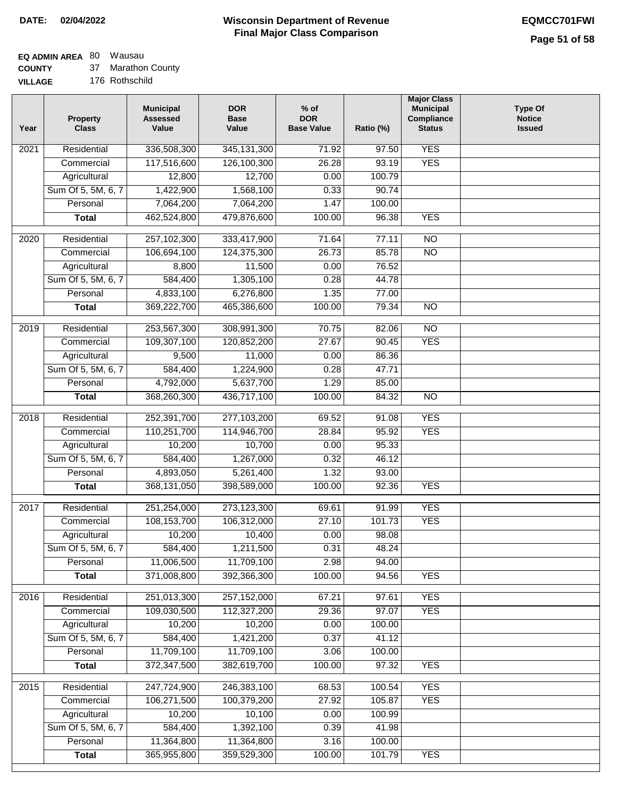## **EQ ADMIN AREA** 80 Wausau

**COUNTY** 37 Marathon County

**VILLAGE** 176 Rothschild

| <b>YES</b><br>Residential<br>336,508,300<br>$\overline{202}1$<br>345, 131, 300<br>71.92<br>97.50<br>117,516,600<br>126,100,300<br>26.28<br>93.19<br><b>YES</b><br>Commercial<br>Agricultural<br>12,800<br>12,700<br>0.00<br>100.79<br>Sum Of 5, 5M, 6, 7<br>1,422,900<br>1,568,100<br>0.33<br>90.74<br>7,064,200<br>7,064,200<br>Personal<br>1.47<br>100.00<br>462,524,800<br>479,876,600<br>96.38<br><b>YES</b><br><b>Total</b><br>100.00<br>71.64<br>$\overline{NO}$<br>$\overline{2020}$<br>Residential<br>257,102,300<br>333,417,900<br>77.11<br>106,694,100<br>124,375,300<br>$\overline{NO}$<br>Commercial<br>26.73<br>85.78<br>8,800<br>11,500<br>0.00<br>76.52<br>Agricultural<br>Sum Of 5, 5M, 6, 7<br>584,400<br>1,305,100<br>0.28<br>44.78<br>4,833,100<br>6,276,800<br>1.35<br>77.00<br>Personal<br>369,222,700<br>465,386,600<br>100.00<br>79.34<br>$\overline{NO}$<br><b>Total</b><br>2019<br>Residential<br>253,567,300<br>308,991,300<br>70.75<br>82.06<br>$\overline{NO}$<br><b>YES</b><br>109,307,100<br>120,852,200<br>27.67<br>90.45<br>Commercial<br>86.36<br>9,500<br>11,000<br>0.00<br>Agricultural<br>Sum Of 5, 5M, 6, 7<br>584,400<br>1,224,900<br>0.28<br>47.71<br>4,792,000<br>5,637,700<br>1.29<br>Personal<br>85.00<br>436,717,100<br>100.00<br>84.32<br>$\overline{NO}$<br><b>Total</b><br>368,260,300<br>Residential<br>252,391,700<br>277,103,200<br>69.52<br><b>YES</b><br>2018<br>91.08<br>110,251,700<br>114,946,700<br><b>YES</b><br>Commercial<br>28.84<br>95.92<br>10,700<br>95.33<br>Agricultural<br>10,200<br>0.00<br>Sum Of 5, 5M, 6, 7<br>584,400<br>1,267,000<br>0.32<br>46.12<br>Personal<br>4,893,050<br>5,261,400<br>1.32<br>93.00<br>368,131,050<br>398,589,000<br>100.00<br>92.36<br><b>YES</b><br><b>Total</b><br>2017<br>Residential<br>251,254,000<br>273,123,300<br>91.99<br><b>YES</b><br>69.61<br><b>YES</b><br>Commercial<br>108,153,700<br>106,312,000<br>27.10<br>101.73<br>10,200<br>10,400<br>0.00<br>98.08<br>Agricultural<br>1,211,500<br>0.31<br>Sum Of 5, 5M, 6, 7<br>584,400<br>48.24<br>2.98<br>Personal<br>11,006,500<br>11,709,100<br>94.00<br>371,008,800<br>392,366,300<br>100.00<br>94.56<br><b>YES</b><br><b>Total</b><br><b>YES</b><br>Residential<br>251,013,300<br>257,152,000<br>2016<br>67.21<br>97.61<br>109,030,500<br>112,327,200<br>29.36<br>97.07<br><b>YES</b><br>Commercial<br>10,200<br>10,200<br>0.00<br>100.00<br>Agricultural<br>Sum Of 5, 5M, 6, 7<br>584,400<br>1,421,200<br>41.12<br>0.37<br>11,709,100<br>11,709,100<br>Personal<br>3.06<br>100.00<br>100.00<br>372,347,500<br>382,619,700<br>97.32<br><b>YES</b><br><b>Total</b><br>Residential<br><b>YES</b><br>247,724,900<br>246,383,100<br>68.53<br>100.54<br>2015<br>106,271,500<br>100,379,200<br>27.92<br>105.87<br><b>YES</b><br>Commercial<br>10,100<br>10,200<br>0.00<br>100.99<br>Agricultural<br>Sum Of 5, 5M, 6, 7<br>584,400<br>1,392,100<br>0.39<br>41.98<br>11,364,800<br>11,364,800<br>3.16<br>100.00<br>Personal<br>365,955,800<br>359,529,300<br>100.00<br><b>YES</b><br><b>Total</b><br>101.79 | Year | <b>Property</b><br><b>Class</b> | <b>Municipal</b><br><b>Assessed</b><br>Value | <b>DOR</b><br><b>Base</b><br>Value | % of<br><b>DOR</b><br><b>Base Value</b> | Ratio (%) | <b>Major Class</b><br><b>Municipal</b><br>Compliance<br><b>Status</b> | <b>Type Of</b><br><b>Notice</b><br><b>Issued</b> |
|----------------------------------------------------------------------------------------------------------------------------------------------------------------------------------------------------------------------------------------------------------------------------------------------------------------------------------------------------------------------------------------------------------------------------------------------------------------------------------------------------------------------------------------------------------------------------------------------------------------------------------------------------------------------------------------------------------------------------------------------------------------------------------------------------------------------------------------------------------------------------------------------------------------------------------------------------------------------------------------------------------------------------------------------------------------------------------------------------------------------------------------------------------------------------------------------------------------------------------------------------------------------------------------------------------------------------------------------------------------------------------------------------------------------------------------------------------------------------------------------------------------------------------------------------------------------------------------------------------------------------------------------------------------------------------------------------------------------------------------------------------------------------------------------------------------------------------------------------------------------------------------------------------------------------------------------------------------------------------------------------------------------------------------------------------------------------------------------------------------------------------------------------------------------------------------------------------------------------------------------------------------------------------------------------------------------------------------------------------------------------------------------------------------------------------------------------------------------------------------------------------------------------------------------------------------------------------------------------------------------------------------------------------------------------------------------------------------------------------------------------------------------------------------------------------------------------------------------------------------------------------------------------------------------------------------------------------------------------------------------------------------------------------------------------------------|------|---------------------------------|----------------------------------------------|------------------------------------|-----------------------------------------|-----------|-----------------------------------------------------------------------|--------------------------------------------------|
|                                                                                                                                                                                                                                                                                                                                                                                                                                                                                                                                                                                                                                                                                                                                                                                                                                                                                                                                                                                                                                                                                                                                                                                                                                                                                                                                                                                                                                                                                                                                                                                                                                                                                                                                                                                                                                                                                                                                                                                                                                                                                                                                                                                                                                                                                                                                                                                                                                                                                                                                                                                                                                                                                                                                                                                                                                                                                                                                                                                                                                                                |      |                                 |                                              |                                    |                                         |           |                                                                       |                                                  |
|                                                                                                                                                                                                                                                                                                                                                                                                                                                                                                                                                                                                                                                                                                                                                                                                                                                                                                                                                                                                                                                                                                                                                                                                                                                                                                                                                                                                                                                                                                                                                                                                                                                                                                                                                                                                                                                                                                                                                                                                                                                                                                                                                                                                                                                                                                                                                                                                                                                                                                                                                                                                                                                                                                                                                                                                                                                                                                                                                                                                                                                                |      |                                 |                                              |                                    |                                         |           |                                                                       |                                                  |
|                                                                                                                                                                                                                                                                                                                                                                                                                                                                                                                                                                                                                                                                                                                                                                                                                                                                                                                                                                                                                                                                                                                                                                                                                                                                                                                                                                                                                                                                                                                                                                                                                                                                                                                                                                                                                                                                                                                                                                                                                                                                                                                                                                                                                                                                                                                                                                                                                                                                                                                                                                                                                                                                                                                                                                                                                                                                                                                                                                                                                                                                |      |                                 |                                              |                                    |                                         |           |                                                                       |                                                  |
|                                                                                                                                                                                                                                                                                                                                                                                                                                                                                                                                                                                                                                                                                                                                                                                                                                                                                                                                                                                                                                                                                                                                                                                                                                                                                                                                                                                                                                                                                                                                                                                                                                                                                                                                                                                                                                                                                                                                                                                                                                                                                                                                                                                                                                                                                                                                                                                                                                                                                                                                                                                                                                                                                                                                                                                                                                                                                                                                                                                                                                                                |      |                                 |                                              |                                    |                                         |           |                                                                       |                                                  |
|                                                                                                                                                                                                                                                                                                                                                                                                                                                                                                                                                                                                                                                                                                                                                                                                                                                                                                                                                                                                                                                                                                                                                                                                                                                                                                                                                                                                                                                                                                                                                                                                                                                                                                                                                                                                                                                                                                                                                                                                                                                                                                                                                                                                                                                                                                                                                                                                                                                                                                                                                                                                                                                                                                                                                                                                                                                                                                                                                                                                                                                                |      |                                 |                                              |                                    |                                         |           |                                                                       |                                                  |
|                                                                                                                                                                                                                                                                                                                                                                                                                                                                                                                                                                                                                                                                                                                                                                                                                                                                                                                                                                                                                                                                                                                                                                                                                                                                                                                                                                                                                                                                                                                                                                                                                                                                                                                                                                                                                                                                                                                                                                                                                                                                                                                                                                                                                                                                                                                                                                                                                                                                                                                                                                                                                                                                                                                                                                                                                                                                                                                                                                                                                                                                |      |                                 |                                              |                                    |                                         |           |                                                                       |                                                  |
|                                                                                                                                                                                                                                                                                                                                                                                                                                                                                                                                                                                                                                                                                                                                                                                                                                                                                                                                                                                                                                                                                                                                                                                                                                                                                                                                                                                                                                                                                                                                                                                                                                                                                                                                                                                                                                                                                                                                                                                                                                                                                                                                                                                                                                                                                                                                                                                                                                                                                                                                                                                                                                                                                                                                                                                                                                                                                                                                                                                                                                                                |      |                                 |                                              |                                    |                                         |           |                                                                       |                                                  |
|                                                                                                                                                                                                                                                                                                                                                                                                                                                                                                                                                                                                                                                                                                                                                                                                                                                                                                                                                                                                                                                                                                                                                                                                                                                                                                                                                                                                                                                                                                                                                                                                                                                                                                                                                                                                                                                                                                                                                                                                                                                                                                                                                                                                                                                                                                                                                                                                                                                                                                                                                                                                                                                                                                                                                                                                                                                                                                                                                                                                                                                                |      |                                 |                                              |                                    |                                         |           |                                                                       |                                                  |
|                                                                                                                                                                                                                                                                                                                                                                                                                                                                                                                                                                                                                                                                                                                                                                                                                                                                                                                                                                                                                                                                                                                                                                                                                                                                                                                                                                                                                                                                                                                                                                                                                                                                                                                                                                                                                                                                                                                                                                                                                                                                                                                                                                                                                                                                                                                                                                                                                                                                                                                                                                                                                                                                                                                                                                                                                                                                                                                                                                                                                                                                |      |                                 |                                              |                                    |                                         |           |                                                                       |                                                  |
|                                                                                                                                                                                                                                                                                                                                                                                                                                                                                                                                                                                                                                                                                                                                                                                                                                                                                                                                                                                                                                                                                                                                                                                                                                                                                                                                                                                                                                                                                                                                                                                                                                                                                                                                                                                                                                                                                                                                                                                                                                                                                                                                                                                                                                                                                                                                                                                                                                                                                                                                                                                                                                                                                                                                                                                                                                                                                                                                                                                                                                                                |      |                                 |                                              |                                    |                                         |           |                                                                       |                                                  |
|                                                                                                                                                                                                                                                                                                                                                                                                                                                                                                                                                                                                                                                                                                                                                                                                                                                                                                                                                                                                                                                                                                                                                                                                                                                                                                                                                                                                                                                                                                                                                                                                                                                                                                                                                                                                                                                                                                                                                                                                                                                                                                                                                                                                                                                                                                                                                                                                                                                                                                                                                                                                                                                                                                                                                                                                                                                                                                                                                                                                                                                                |      |                                 |                                              |                                    |                                         |           |                                                                       |                                                  |
|                                                                                                                                                                                                                                                                                                                                                                                                                                                                                                                                                                                                                                                                                                                                                                                                                                                                                                                                                                                                                                                                                                                                                                                                                                                                                                                                                                                                                                                                                                                                                                                                                                                                                                                                                                                                                                                                                                                                                                                                                                                                                                                                                                                                                                                                                                                                                                                                                                                                                                                                                                                                                                                                                                                                                                                                                                                                                                                                                                                                                                                                |      |                                 |                                              |                                    |                                         |           |                                                                       |                                                  |
|                                                                                                                                                                                                                                                                                                                                                                                                                                                                                                                                                                                                                                                                                                                                                                                                                                                                                                                                                                                                                                                                                                                                                                                                                                                                                                                                                                                                                                                                                                                                                                                                                                                                                                                                                                                                                                                                                                                                                                                                                                                                                                                                                                                                                                                                                                                                                                                                                                                                                                                                                                                                                                                                                                                                                                                                                                                                                                                                                                                                                                                                |      |                                 |                                              |                                    |                                         |           |                                                                       |                                                  |
|                                                                                                                                                                                                                                                                                                                                                                                                                                                                                                                                                                                                                                                                                                                                                                                                                                                                                                                                                                                                                                                                                                                                                                                                                                                                                                                                                                                                                                                                                                                                                                                                                                                                                                                                                                                                                                                                                                                                                                                                                                                                                                                                                                                                                                                                                                                                                                                                                                                                                                                                                                                                                                                                                                                                                                                                                                                                                                                                                                                                                                                                |      |                                 |                                              |                                    |                                         |           |                                                                       |                                                  |
|                                                                                                                                                                                                                                                                                                                                                                                                                                                                                                                                                                                                                                                                                                                                                                                                                                                                                                                                                                                                                                                                                                                                                                                                                                                                                                                                                                                                                                                                                                                                                                                                                                                                                                                                                                                                                                                                                                                                                                                                                                                                                                                                                                                                                                                                                                                                                                                                                                                                                                                                                                                                                                                                                                                                                                                                                                                                                                                                                                                                                                                                |      |                                 |                                              |                                    |                                         |           |                                                                       |                                                  |
|                                                                                                                                                                                                                                                                                                                                                                                                                                                                                                                                                                                                                                                                                                                                                                                                                                                                                                                                                                                                                                                                                                                                                                                                                                                                                                                                                                                                                                                                                                                                                                                                                                                                                                                                                                                                                                                                                                                                                                                                                                                                                                                                                                                                                                                                                                                                                                                                                                                                                                                                                                                                                                                                                                                                                                                                                                                                                                                                                                                                                                                                |      |                                 |                                              |                                    |                                         |           |                                                                       |                                                  |
|                                                                                                                                                                                                                                                                                                                                                                                                                                                                                                                                                                                                                                                                                                                                                                                                                                                                                                                                                                                                                                                                                                                                                                                                                                                                                                                                                                                                                                                                                                                                                                                                                                                                                                                                                                                                                                                                                                                                                                                                                                                                                                                                                                                                                                                                                                                                                                                                                                                                                                                                                                                                                                                                                                                                                                                                                                                                                                                                                                                                                                                                |      |                                 |                                              |                                    |                                         |           |                                                                       |                                                  |
|                                                                                                                                                                                                                                                                                                                                                                                                                                                                                                                                                                                                                                                                                                                                                                                                                                                                                                                                                                                                                                                                                                                                                                                                                                                                                                                                                                                                                                                                                                                                                                                                                                                                                                                                                                                                                                                                                                                                                                                                                                                                                                                                                                                                                                                                                                                                                                                                                                                                                                                                                                                                                                                                                                                                                                                                                                                                                                                                                                                                                                                                |      |                                 |                                              |                                    |                                         |           |                                                                       |                                                  |
|                                                                                                                                                                                                                                                                                                                                                                                                                                                                                                                                                                                                                                                                                                                                                                                                                                                                                                                                                                                                                                                                                                                                                                                                                                                                                                                                                                                                                                                                                                                                                                                                                                                                                                                                                                                                                                                                                                                                                                                                                                                                                                                                                                                                                                                                                                                                                                                                                                                                                                                                                                                                                                                                                                                                                                                                                                                                                                                                                                                                                                                                |      |                                 |                                              |                                    |                                         |           |                                                                       |                                                  |
|                                                                                                                                                                                                                                                                                                                                                                                                                                                                                                                                                                                                                                                                                                                                                                                                                                                                                                                                                                                                                                                                                                                                                                                                                                                                                                                                                                                                                                                                                                                                                                                                                                                                                                                                                                                                                                                                                                                                                                                                                                                                                                                                                                                                                                                                                                                                                                                                                                                                                                                                                                                                                                                                                                                                                                                                                                                                                                                                                                                                                                                                |      |                                 |                                              |                                    |                                         |           |                                                                       |                                                  |
|                                                                                                                                                                                                                                                                                                                                                                                                                                                                                                                                                                                                                                                                                                                                                                                                                                                                                                                                                                                                                                                                                                                                                                                                                                                                                                                                                                                                                                                                                                                                                                                                                                                                                                                                                                                                                                                                                                                                                                                                                                                                                                                                                                                                                                                                                                                                                                                                                                                                                                                                                                                                                                                                                                                                                                                                                                                                                                                                                                                                                                                                |      |                                 |                                              |                                    |                                         |           |                                                                       |                                                  |
|                                                                                                                                                                                                                                                                                                                                                                                                                                                                                                                                                                                                                                                                                                                                                                                                                                                                                                                                                                                                                                                                                                                                                                                                                                                                                                                                                                                                                                                                                                                                                                                                                                                                                                                                                                                                                                                                                                                                                                                                                                                                                                                                                                                                                                                                                                                                                                                                                                                                                                                                                                                                                                                                                                                                                                                                                                                                                                                                                                                                                                                                |      |                                 |                                              |                                    |                                         |           |                                                                       |                                                  |
|                                                                                                                                                                                                                                                                                                                                                                                                                                                                                                                                                                                                                                                                                                                                                                                                                                                                                                                                                                                                                                                                                                                                                                                                                                                                                                                                                                                                                                                                                                                                                                                                                                                                                                                                                                                                                                                                                                                                                                                                                                                                                                                                                                                                                                                                                                                                                                                                                                                                                                                                                                                                                                                                                                                                                                                                                                                                                                                                                                                                                                                                |      |                                 |                                              |                                    |                                         |           |                                                                       |                                                  |
|                                                                                                                                                                                                                                                                                                                                                                                                                                                                                                                                                                                                                                                                                                                                                                                                                                                                                                                                                                                                                                                                                                                                                                                                                                                                                                                                                                                                                                                                                                                                                                                                                                                                                                                                                                                                                                                                                                                                                                                                                                                                                                                                                                                                                                                                                                                                                                                                                                                                                                                                                                                                                                                                                                                                                                                                                                                                                                                                                                                                                                                                |      |                                 |                                              |                                    |                                         |           |                                                                       |                                                  |
|                                                                                                                                                                                                                                                                                                                                                                                                                                                                                                                                                                                                                                                                                                                                                                                                                                                                                                                                                                                                                                                                                                                                                                                                                                                                                                                                                                                                                                                                                                                                                                                                                                                                                                                                                                                                                                                                                                                                                                                                                                                                                                                                                                                                                                                                                                                                                                                                                                                                                                                                                                                                                                                                                                                                                                                                                                                                                                                                                                                                                                                                |      |                                 |                                              |                                    |                                         |           |                                                                       |                                                  |
|                                                                                                                                                                                                                                                                                                                                                                                                                                                                                                                                                                                                                                                                                                                                                                                                                                                                                                                                                                                                                                                                                                                                                                                                                                                                                                                                                                                                                                                                                                                                                                                                                                                                                                                                                                                                                                                                                                                                                                                                                                                                                                                                                                                                                                                                                                                                                                                                                                                                                                                                                                                                                                                                                                                                                                                                                                                                                                                                                                                                                                                                |      |                                 |                                              |                                    |                                         |           |                                                                       |                                                  |
|                                                                                                                                                                                                                                                                                                                                                                                                                                                                                                                                                                                                                                                                                                                                                                                                                                                                                                                                                                                                                                                                                                                                                                                                                                                                                                                                                                                                                                                                                                                                                                                                                                                                                                                                                                                                                                                                                                                                                                                                                                                                                                                                                                                                                                                                                                                                                                                                                                                                                                                                                                                                                                                                                                                                                                                                                                                                                                                                                                                                                                                                |      |                                 |                                              |                                    |                                         |           |                                                                       |                                                  |
|                                                                                                                                                                                                                                                                                                                                                                                                                                                                                                                                                                                                                                                                                                                                                                                                                                                                                                                                                                                                                                                                                                                                                                                                                                                                                                                                                                                                                                                                                                                                                                                                                                                                                                                                                                                                                                                                                                                                                                                                                                                                                                                                                                                                                                                                                                                                                                                                                                                                                                                                                                                                                                                                                                                                                                                                                                                                                                                                                                                                                                                                |      |                                 |                                              |                                    |                                         |           |                                                                       |                                                  |
|                                                                                                                                                                                                                                                                                                                                                                                                                                                                                                                                                                                                                                                                                                                                                                                                                                                                                                                                                                                                                                                                                                                                                                                                                                                                                                                                                                                                                                                                                                                                                                                                                                                                                                                                                                                                                                                                                                                                                                                                                                                                                                                                                                                                                                                                                                                                                                                                                                                                                                                                                                                                                                                                                                                                                                                                                                                                                                                                                                                                                                                                |      |                                 |                                              |                                    |                                         |           |                                                                       |                                                  |
|                                                                                                                                                                                                                                                                                                                                                                                                                                                                                                                                                                                                                                                                                                                                                                                                                                                                                                                                                                                                                                                                                                                                                                                                                                                                                                                                                                                                                                                                                                                                                                                                                                                                                                                                                                                                                                                                                                                                                                                                                                                                                                                                                                                                                                                                                                                                                                                                                                                                                                                                                                                                                                                                                                                                                                                                                                                                                                                                                                                                                                                                |      |                                 |                                              |                                    |                                         |           |                                                                       |                                                  |
|                                                                                                                                                                                                                                                                                                                                                                                                                                                                                                                                                                                                                                                                                                                                                                                                                                                                                                                                                                                                                                                                                                                                                                                                                                                                                                                                                                                                                                                                                                                                                                                                                                                                                                                                                                                                                                                                                                                                                                                                                                                                                                                                                                                                                                                                                                                                                                                                                                                                                                                                                                                                                                                                                                                                                                                                                                                                                                                                                                                                                                                                |      |                                 |                                              |                                    |                                         |           |                                                                       |                                                  |
|                                                                                                                                                                                                                                                                                                                                                                                                                                                                                                                                                                                                                                                                                                                                                                                                                                                                                                                                                                                                                                                                                                                                                                                                                                                                                                                                                                                                                                                                                                                                                                                                                                                                                                                                                                                                                                                                                                                                                                                                                                                                                                                                                                                                                                                                                                                                                                                                                                                                                                                                                                                                                                                                                                                                                                                                                                                                                                                                                                                                                                                                |      |                                 |                                              |                                    |                                         |           |                                                                       |                                                  |
|                                                                                                                                                                                                                                                                                                                                                                                                                                                                                                                                                                                                                                                                                                                                                                                                                                                                                                                                                                                                                                                                                                                                                                                                                                                                                                                                                                                                                                                                                                                                                                                                                                                                                                                                                                                                                                                                                                                                                                                                                                                                                                                                                                                                                                                                                                                                                                                                                                                                                                                                                                                                                                                                                                                                                                                                                                                                                                                                                                                                                                                                |      |                                 |                                              |                                    |                                         |           |                                                                       |                                                  |
|                                                                                                                                                                                                                                                                                                                                                                                                                                                                                                                                                                                                                                                                                                                                                                                                                                                                                                                                                                                                                                                                                                                                                                                                                                                                                                                                                                                                                                                                                                                                                                                                                                                                                                                                                                                                                                                                                                                                                                                                                                                                                                                                                                                                                                                                                                                                                                                                                                                                                                                                                                                                                                                                                                                                                                                                                                                                                                                                                                                                                                                                |      |                                 |                                              |                                    |                                         |           |                                                                       |                                                  |
|                                                                                                                                                                                                                                                                                                                                                                                                                                                                                                                                                                                                                                                                                                                                                                                                                                                                                                                                                                                                                                                                                                                                                                                                                                                                                                                                                                                                                                                                                                                                                                                                                                                                                                                                                                                                                                                                                                                                                                                                                                                                                                                                                                                                                                                                                                                                                                                                                                                                                                                                                                                                                                                                                                                                                                                                                                                                                                                                                                                                                                                                |      |                                 |                                              |                                    |                                         |           |                                                                       |                                                  |
|                                                                                                                                                                                                                                                                                                                                                                                                                                                                                                                                                                                                                                                                                                                                                                                                                                                                                                                                                                                                                                                                                                                                                                                                                                                                                                                                                                                                                                                                                                                                                                                                                                                                                                                                                                                                                                                                                                                                                                                                                                                                                                                                                                                                                                                                                                                                                                                                                                                                                                                                                                                                                                                                                                                                                                                                                                                                                                                                                                                                                                                                |      |                                 |                                              |                                    |                                         |           |                                                                       |                                                  |
|                                                                                                                                                                                                                                                                                                                                                                                                                                                                                                                                                                                                                                                                                                                                                                                                                                                                                                                                                                                                                                                                                                                                                                                                                                                                                                                                                                                                                                                                                                                                                                                                                                                                                                                                                                                                                                                                                                                                                                                                                                                                                                                                                                                                                                                                                                                                                                                                                                                                                                                                                                                                                                                                                                                                                                                                                                                                                                                                                                                                                                                                |      |                                 |                                              |                                    |                                         |           |                                                                       |                                                  |
|                                                                                                                                                                                                                                                                                                                                                                                                                                                                                                                                                                                                                                                                                                                                                                                                                                                                                                                                                                                                                                                                                                                                                                                                                                                                                                                                                                                                                                                                                                                                                                                                                                                                                                                                                                                                                                                                                                                                                                                                                                                                                                                                                                                                                                                                                                                                                                                                                                                                                                                                                                                                                                                                                                                                                                                                                                                                                                                                                                                                                                                                |      |                                 |                                              |                                    |                                         |           |                                                                       |                                                  |
|                                                                                                                                                                                                                                                                                                                                                                                                                                                                                                                                                                                                                                                                                                                                                                                                                                                                                                                                                                                                                                                                                                                                                                                                                                                                                                                                                                                                                                                                                                                                                                                                                                                                                                                                                                                                                                                                                                                                                                                                                                                                                                                                                                                                                                                                                                                                                                                                                                                                                                                                                                                                                                                                                                                                                                                                                                                                                                                                                                                                                                                                |      |                                 |                                              |                                    |                                         |           |                                                                       |                                                  |
|                                                                                                                                                                                                                                                                                                                                                                                                                                                                                                                                                                                                                                                                                                                                                                                                                                                                                                                                                                                                                                                                                                                                                                                                                                                                                                                                                                                                                                                                                                                                                                                                                                                                                                                                                                                                                                                                                                                                                                                                                                                                                                                                                                                                                                                                                                                                                                                                                                                                                                                                                                                                                                                                                                                                                                                                                                                                                                                                                                                                                                                                |      |                                 |                                              |                                    |                                         |           |                                                                       |                                                  |
|                                                                                                                                                                                                                                                                                                                                                                                                                                                                                                                                                                                                                                                                                                                                                                                                                                                                                                                                                                                                                                                                                                                                                                                                                                                                                                                                                                                                                                                                                                                                                                                                                                                                                                                                                                                                                                                                                                                                                                                                                                                                                                                                                                                                                                                                                                                                                                                                                                                                                                                                                                                                                                                                                                                                                                                                                                                                                                                                                                                                                                                                |      |                                 |                                              |                                    |                                         |           |                                                                       |                                                  |
|                                                                                                                                                                                                                                                                                                                                                                                                                                                                                                                                                                                                                                                                                                                                                                                                                                                                                                                                                                                                                                                                                                                                                                                                                                                                                                                                                                                                                                                                                                                                                                                                                                                                                                                                                                                                                                                                                                                                                                                                                                                                                                                                                                                                                                                                                                                                                                                                                                                                                                                                                                                                                                                                                                                                                                                                                                                                                                                                                                                                                                                                |      |                                 |                                              |                                    |                                         |           |                                                                       |                                                  |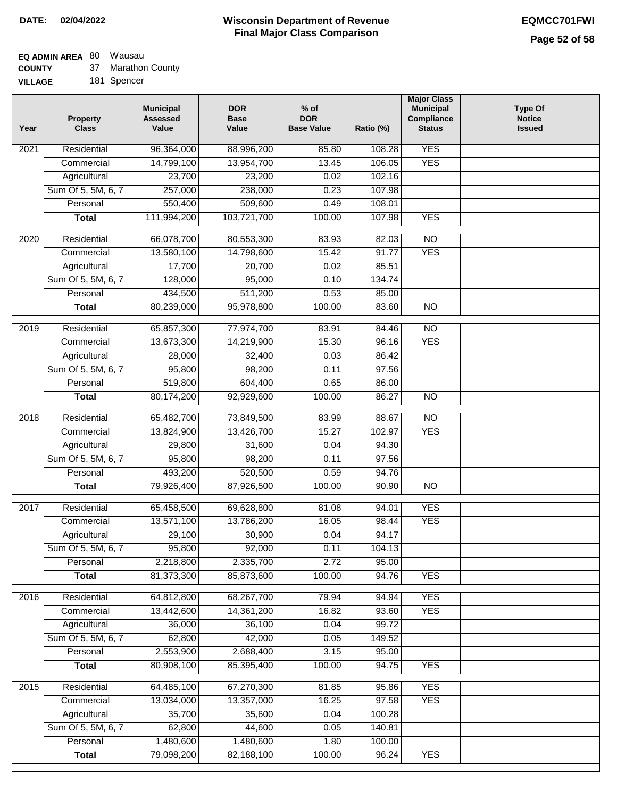# **EQ ADMIN AREA** 80 Wausau

**COUNTY** 37 Marathon County

**VILLAGE** 181 Spencer

| Year              | <b>Property</b><br><b>Class</b> | <b>Municipal</b><br><b>Assessed</b><br>Value | <b>DOR</b><br><b>Base</b><br>Value | % of<br><b>DOR</b><br><b>Base Value</b> | Ratio (%)       | <b>Major Class</b><br><b>Municipal</b><br>Compliance<br><b>Status</b> | <b>Type Of</b><br><b>Notice</b><br><b>Issued</b> |
|-------------------|---------------------------------|----------------------------------------------|------------------------------------|-----------------------------------------|-----------------|-----------------------------------------------------------------------|--------------------------------------------------|
| $\overline{202}1$ | Residential                     | 96,364,000                                   | 88,996,200                         | 85.80                                   | 108.28          | <b>YES</b>                                                            |                                                  |
|                   | Commercial                      | 14,799,100                                   | 13,954,700                         | 13.45                                   | 106.05          | <b>YES</b>                                                            |                                                  |
|                   | Agricultural                    | 23,700                                       | 23,200                             | 0.02                                    | 102.16          |                                                                       |                                                  |
|                   | Sum Of 5, 5M, 6, 7              | 257,000                                      | 238,000                            | 0.23                                    | 107.98          |                                                                       |                                                  |
|                   | Personal                        | 550,400                                      | 509,600                            | 0.49                                    | 108.01          |                                                                       |                                                  |
|                   | <b>Total</b>                    | 111,994,200                                  | 103,721,700                        | 100.00                                  | 107.98          | <b>YES</b>                                                            |                                                  |
| $\overline{2020}$ | Residential                     | 66,078,700                                   | 80,553,300                         | 83.93                                   | 82.03           | $\overline{NO}$                                                       |                                                  |
|                   | Commercial                      | 13,580,100                                   | 14,798,600                         | 15.42                                   | 91.77           | <b>YES</b>                                                            |                                                  |
|                   | Agricultural                    | 17,700                                       | 20,700                             | 0.02                                    | 85.51           |                                                                       |                                                  |
|                   | Sum Of 5, 5M, 6, 7              | 128,000                                      | 95,000                             | 0.10                                    | 134.74          |                                                                       |                                                  |
|                   | Personal                        | 434,500                                      | 511,200                            | 0.53                                    | 85.00           |                                                                       |                                                  |
|                   | <b>Total</b>                    | 80,239,000                                   | 95,978,800                         | 100.00                                  | 83.60           | $\overline{NO}$                                                       |                                                  |
| 2019              | Residential                     | 65,857,300                                   | 77,974,700                         | 83.91                                   | 84.46           | $\overline{NO}$                                                       |                                                  |
|                   | Commercial                      | 13,673,300                                   | 14,219,900                         | 15.30                                   | 96.16           | <b>YES</b>                                                            |                                                  |
|                   | Agricultural                    | 28,000                                       | 32,400                             | 0.03                                    | 86.42           |                                                                       |                                                  |
|                   | Sum Of 5, 5M, 6, 7              | 95,800                                       | 98,200                             | 0.11                                    | 97.56           |                                                                       |                                                  |
|                   | Personal                        | 519,800                                      | 604,400                            | 0.65                                    | 86.00           |                                                                       |                                                  |
|                   | <b>Total</b>                    | 80,174,200                                   | 92,929,600                         | 100.00                                  | 86.27           | $\overline{NO}$                                                       |                                                  |
|                   | Residential                     |                                              |                                    |                                         |                 | $\overline{NO}$                                                       |                                                  |
| 2018              | Commercial                      | 65,482,700<br>13,824,900                     | 73,849,500<br>13,426,700           | 83.99<br>15.27                          | 88.67<br>102.97 | <b>YES</b>                                                            |                                                  |
|                   | Agricultural                    | 29,800                                       | 31,600                             | 0.04                                    | 94.30           |                                                                       |                                                  |
|                   | Sum Of 5, 5M, 6, 7              | 95,800                                       | 98,200                             | 0.11                                    | 97.56           |                                                                       |                                                  |
|                   | Personal                        | 493,200                                      | 520,500                            | 0.59                                    | 94.76           |                                                                       |                                                  |
|                   | <b>Total</b>                    | 79,926,400                                   | 87,926,500                         | 100.00                                  | 90.90           | <b>NO</b>                                                             |                                                  |
|                   |                                 |                                              |                                    |                                         |                 |                                                                       |                                                  |
| 2017              | Residential                     | 65,458,500                                   | 69,628,800                         | 81.08                                   | 94.01           | <b>YES</b>                                                            |                                                  |
|                   | Commercial                      | 13,571,100                                   | 13,786,200                         | 16.05                                   | 98.44           | <b>YES</b>                                                            |                                                  |
|                   | Agricultural                    | 29,100                                       | 30,900                             | 0.04                                    | 94.17           |                                                                       |                                                  |
|                   | Sum Of 5, 5M, 6, 7              | 95,800                                       | 92,000                             | 0.11                                    | 104.13          |                                                                       |                                                  |
|                   | Personal                        | 2,218,800                                    | 2,335,700                          | 2.72                                    | 95.00           |                                                                       |                                                  |
|                   | <b>Total</b>                    | 81,373,300                                   | 85,873,600                         | 100.00                                  | 94.76           | <b>YES</b>                                                            |                                                  |
| 2016              | Residential                     | 64,812,800                                   | 68,267,700                         | 79.94                                   | 94.94           | <b>YES</b>                                                            |                                                  |
|                   | Commercial                      | 13,442,600                                   | 14,361,200                         | 16.82                                   | 93.60           | <b>YES</b>                                                            |                                                  |
|                   | Agricultural                    | 36,000                                       | 36,100                             | 0.04                                    | 99.72           |                                                                       |                                                  |
|                   | Sum Of 5, 5M, 6, 7              | 62,800                                       | 42,000                             | 0.05                                    | 149.52          |                                                                       |                                                  |
|                   | Personal                        | 2,553,900                                    | 2,688,400                          | 3.15                                    | 95.00           |                                                                       |                                                  |
|                   | <b>Total</b>                    | 80,908,100                                   | 85,395,400                         | 100.00                                  | 94.75           | <b>YES</b>                                                            |                                                  |
| 2015              | Residential                     | 64,485,100                                   | 67,270,300                         | 81.85                                   | 95.86           | <b>YES</b>                                                            |                                                  |
|                   | Commercial                      | 13,034,000                                   | 13,357,000                         | 16.25                                   | 97.58           | <b>YES</b>                                                            |                                                  |
|                   | Agricultural                    | 35,700                                       | 35,600                             | 0.04                                    | 100.28          |                                                                       |                                                  |
|                   | Sum Of 5, 5M, 6, 7              | 62,800                                       | 44,600                             | 0.05                                    | 140.81          |                                                                       |                                                  |
|                   | Personal                        | 1,480,600                                    | 1,480,600                          | 1.80                                    | 100.00          |                                                                       |                                                  |
|                   | <b>Total</b>                    | 79,098,200                                   | 82,188,100                         | 100.00                                  | 96.24           | <b>YES</b>                                                            |                                                  |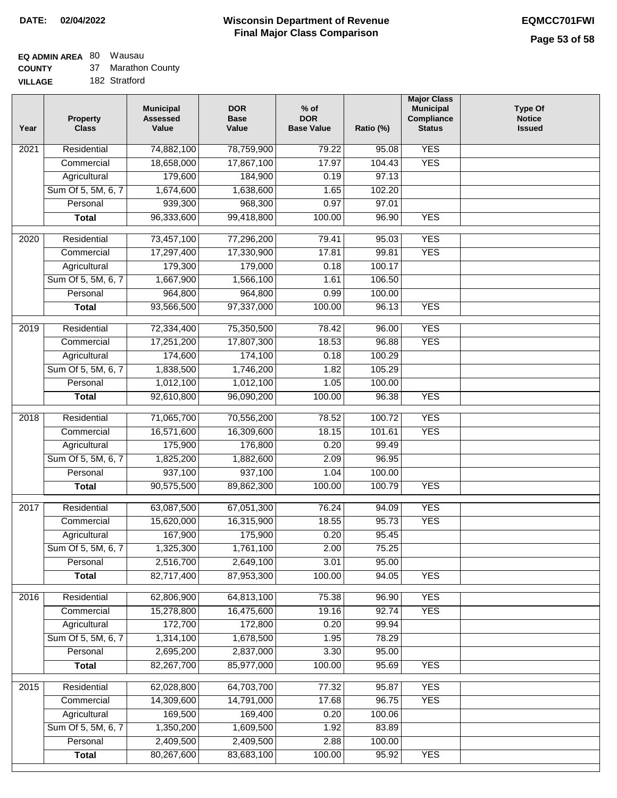# **EQ ADMIN AREA** 80 Wausau

|  | <b>COUNTY</b> |  | Marathon County |
|--|---------------|--|-----------------|
|--|---------------|--|-----------------|

**VILLAGE** 182 Stratford

| Year | <b>Property</b><br><b>Class</b> | <b>Municipal</b><br><b>Assessed</b><br>Value | <b>DOR</b><br><b>Base</b><br>Value | $%$ of<br><b>DOR</b><br><b>Base Value</b> | Ratio (%)        | <b>Major Class</b><br><b>Municipal</b><br>Compliance<br><b>Status</b> | <b>Type Of</b><br><b>Notice</b><br><b>Issued</b> |
|------|---------------------------------|----------------------------------------------|------------------------------------|-------------------------------------------|------------------|-----------------------------------------------------------------------|--------------------------------------------------|
| 2021 | Residential                     | 74,882,100                                   | 78,759,900                         | 79.22                                     | 95.08            | <b>YES</b>                                                            |                                                  |
|      | Commercial                      | 18,658,000                                   | 17,867,100                         | 17.97                                     | 104.43           | <b>YES</b>                                                            |                                                  |
|      | Agricultural                    | 179,600                                      | 184,900                            | 0.19                                      | 97.13            |                                                                       |                                                  |
|      | Sum Of 5, 5M, 6, 7              | 1,674,600                                    | 1,638,600                          | 1.65                                      | 102.20           |                                                                       |                                                  |
|      | Personal                        | 939,300                                      | 968,300                            | 0.97                                      | 97.01            |                                                                       |                                                  |
|      | <b>Total</b>                    | 96,333,600                                   | 99,418,800                         | 100.00                                    | 96.90            | <b>YES</b>                                                            |                                                  |
| 2020 | Residential                     | 73,457,100                                   | 77,296,200                         | 79.41                                     | 95.03            | <b>YES</b>                                                            |                                                  |
|      | Commercial                      | 17,297,400                                   | 17,330,900                         | 17.81                                     | 99.81            | <b>YES</b>                                                            |                                                  |
|      | Agricultural                    | 179,300                                      | 179,000                            | 0.18                                      | 100.17           |                                                                       |                                                  |
|      | Sum Of 5, 5M, 6, 7              | 1,667,900                                    | 1,566,100                          | 1.61                                      | 106.50           |                                                                       |                                                  |
|      | Personal                        | 964,800                                      | 964,800                            | 0.99                                      | 100.00           |                                                                       |                                                  |
|      | <b>Total</b>                    | 93,566,500                                   | 97,337,000                         | 100.00                                    | 96.13            | <b>YES</b>                                                            |                                                  |
| 2019 | Residential                     | 72,334,400                                   | 75,350,500                         | 78.42                                     | 96.00            | <b>YES</b>                                                            |                                                  |
|      | Commercial                      | 17,251,200                                   | 17,807,300                         | 18.53                                     | 96.88            | <b>YES</b>                                                            |                                                  |
|      | Agricultural                    | 174,600                                      | 174,100                            | 0.18                                      | 100.29           |                                                                       |                                                  |
|      | Sum Of 5, 5M, 6, 7              | 1,838,500                                    | 1,746,200                          | 1.82                                      | 105.29           |                                                                       |                                                  |
|      | Personal                        | 1,012,100                                    | 1,012,100                          | 1.05                                      | 100.00           |                                                                       |                                                  |
|      | <b>Total</b>                    | 92,610,800                                   | 96,090,200                         | 100.00                                    | 96.38            | <b>YES</b>                                                            |                                                  |
|      |                                 |                                              |                                    |                                           |                  |                                                                       |                                                  |
| 2018 | Residential                     | 71,065,700                                   | 70,556,200                         | 78.52                                     | 100.72           | <b>YES</b>                                                            |                                                  |
|      | Commercial                      | 16,571,600                                   | 16,309,600                         | 18.15                                     | 101.61           | <b>YES</b>                                                            |                                                  |
|      | Agricultural                    | 175,900                                      | 176,800                            | 0.20                                      | 99.49            |                                                                       |                                                  |
|      | Sum Of 5, 5M, 6, 7              | 1,825,200                                    | 1,882,600                          | 2.09                                      | 96.95            |                                                                       |                                                  |
|      | Personal                        | 937,100                                      | 937,100                            | 1.04                                      | 100.00<br>100.79 | <b>YES</b>                                                            |                                                  |
|      | <b>Total</b>                    | 90,575,500                                   | 89,862,300                         | 100.00                                    |                  |                                                                       |                                                  |
| 2017 | Residential                     | 63,087,500                                   | 67,051,300                         | 76.24                                     | 94.09            | <b>YES</b>                                                            |                                                  |
|      | Commercial                      | 15,620,000                                   | 16,315,900                         | 18.55                                     | 95.73            | <b>YES</b>                                                            |                                                  |
|      | Agricultural                    | 167,900                                      | 175,900                            | 0.20                                      | 95.45            |                                                                       |                                                  |
|      | Sum Of 5, 5M, 6, 7              | 1,325,300                                    | 1,761,100                          | 2.00                                      | 75.25            |                                                                       |                                                  |
|      | Personal                        | 2,516,700                                    | 2,649,100                          | 3.01                                      | 95.00            |                                                                       |                                                  |
|      | <b>Total</b>                    | 82,717,400                                   | 87,953,300                         | 100.00                                    | 94.05            | <b>YES</b>                                                            |                                                  |
| 2016 | Residential                     | 62,806,900                                   | 64,813,100                         | 75.38                                     | 96.90            | <b>YES</b>                                                            |                                                  |
|      | Commercial                      | 15,278,800                                   | 16,475,600                         | 19.16                                     | 92.74            | <b>YES</b>                                                            |                                                  |
|      | Agricultural                    | 172,700                                      | 172,800                            | 0.20                                      | 99.94            |                                                                       |                                                  |
|      | Sum Of 5, 5M, 6, 7              | 1,314,100                                    | 1,678,500                          | 1.95                                      | 78.29            |                                                                       |                                                  |
|      | Personal                        | 2,695,200                                    | 2,837,000                          | 3.30                                      | 95.00            |                                                                       |                                                  |
|      | <b>Total</b>                    | 82,267,700                                   | 85,977,000                         | 100.00                                    | 95.69            | <b>YES</b>                                                            |                                                  |
| 2015 | Residential                     | 62,028,800                                   | 64,703,700                         | 77.32                                     | 95.87            | <b>YES</b>                                                            |                                                  |
|      | Commercial                      | 14,309,600                                   | 14,791,000                         | 17.68                                     | 96.75            | <b>YES</b>                                                            |                                                  |
|      | Agricultural                    | 169,500                                      | 169,400                            | 0.20                                      | 100.06           |                                                                       |                                                  |
|      | Sum Of 5, 5M, 6, 7              | 1,350,200                                    | 1,609,500                          | 1.92                                      | 83.89            |                                                                       |                                                  |
|      | Personal                        | 2,409,500                                    | 2,409,500                          | 2.88                                      | 100.00           |                                                                       |                                                  |
|      | <b>Total</b>                    | 80,267,600                                   | 83,683,100                         | 100.00                                    | 95.92            | <b>YES</b>                                                            |                                                  |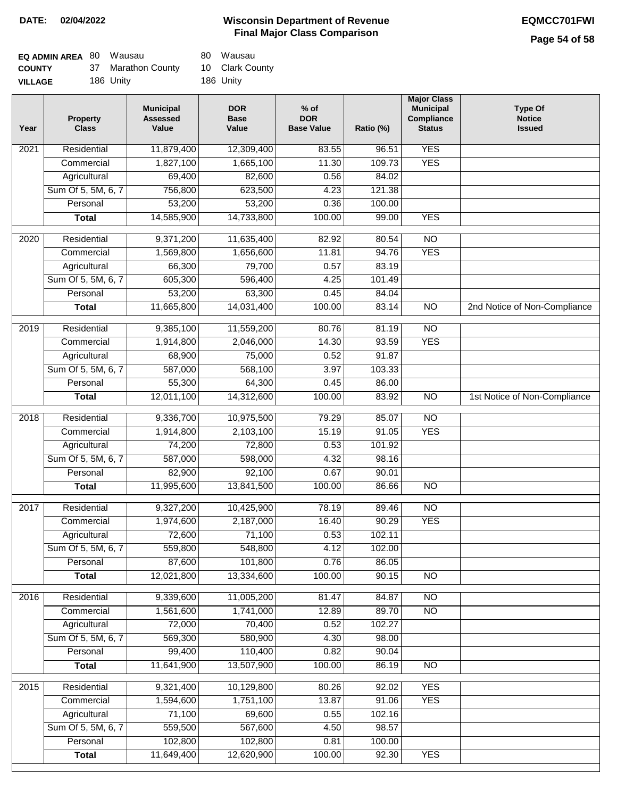### **Page 54 of 58**

| <b>EQ ADMIN AREA 80 Wausau</b> |                    | 80 Wausau       |
|--------------------------------|--------------------|-----------------|
| <b>COUNTY</b>                  | 37 Marathon County | 10 Clark County |
| <b>VILLAGE</b>                 | 186 Unity          | 186 Unity       |

| Year | <b>Property</b><br><b>Class</b> | <b>Municipal</b><br><b>Assessed</b><br>Value | <b>DOR</b><br><b>Base</b><br>Value | % of<br><b>DOR</b><br><b>Base Value</b> | Ratio (%)      | <b>Major Class</b><br><b>Municipal</b><br>Compliance<br><b>Status</b> | <b>Type Of</b><br><b>Notice</b><br><b>Issued</b> |
|------|---------------------------------|----------------------------------------------|------------------------------------|-----------------------------------------|----------------|-----------------------------------------------------------------------|--------------------------------------------------|
| 2021 | Residential                     | 11,879,400                                   | 12,309,400                         | 83.55                                   | 96.51          | <b>YES</b>                                                            |                                                  |
|      | Commercial                      | 1,827,100                                    | 1,665,100                          | 11.30                                   | 109.73         | <b>YES</b>                                                            |                                                  |
|      | Agricultural                    | 69,400                                       | 82,600                             | 0.56                                    | 84.02          |                                                                       |                                                  |
|      | Sum Of 5, 5M, 6, 7              | 756,800                                      | 623,500                            | 4.23                                    | 121.38         |                                                                       |                                                  |
|      | Personal                        | 53,200                                       | 53,200                             | 0.36                                    | 100.00         |                                                                       |                                                  |
|      | <b>Total</b>                    | 14,585,900                                   | 14,733,800                         | 100.00                                  | 99.00          | <b>YES</b>                                                            |                                                  |
| 2020 | Residential                     | 9,371,200                                    | 11,635,400                         | 82.92                                   | 80.54          | $\overline{NO}$                                                       |                                                  |
|      | Commercial                      | 1,569,800                                    | 1,656,600                          | 11.81                                   | 94.76          | <b>YES</b>                                                            |                                                  |
|      | Agricultural                    | 66,300                                       | 79,700                             | 0.57                                    | 83.19          |                                                                       |                                                  |
|      | Sum Of 5, 5M, 6, 7              | 605,300                                      | 596,400                            | 4.25                                    | 101.49         |                                                                       |                                                  |
|      | Personal                        | 53,200                                       | 63,300                             | 0.45                                    | 84.04          |                                                                       |                                                  |
|      | <b>Total</b>                    | 11,665,800                                   | 14,031,400                         | 100.00                                  | 83.14          | $\overline{NO}$                                                       | 2nd Notice of Non-Compliance                     |
| 2019 | Residential                     | 9,385,100                                    | 11,559,200                         | 80.76                                   | 81.19          | $\overline{10}$                                                       |                                                  |
|      | Commercial                      | 1,914,800                                    | 2,046,000                          | 14.30                                   | 93.59          | <b>YES</b>                                                            |                                                  |
|      | Agricultural                    | 68,900                                       | 75,000                             | 0.52                                    | 91.87          |                                                                       |                                                  |
|      | Sum Of 5, 5M, 6, 7              | 587,000                                      | 568,100                            | 3.97                                    | 103.33         |                                                                       |                                                  |
|      | Personal                        | 55,300                                       | 64,300                             | 0.45                                    | 86.00          |                                                                       |                                                  |
|      | <b>Total</b>                    | 12,011,100                                   | 14,312,600                         | 100.00                                  | 83.92          | $\overline{NO}$                                                       | 1st Notice of Non-Compliance                     |
|      |                                 |                                              |                                    |                                         |                |                                                                       |                                                  |
| 2018 | Residential<br>Commercial       | 9,336,700<br>1,914,800                       | 10,975,500<br>2,103,100            | 79.29<br>15.19                          | 85.07<br>91.05 | $\overline{10}$<br><b>YES</b>                                         |                                                  |
|      | Agricultural                    | 74,200                                       | 72,800                             | 0.53                                    | 101.92         |                                                                       |                                                  |
|      | Sum Of 5, 5M, 6, 7              | 587,000                                      | 598,000                            | 4.32                                    | 98.16          |                                                                       |                                                  |
|      | Personal                        | 82,900                                       | 92,100                             | 0.67                                    | 90.01          |                                                                       |                                                  |
|      | <b>Total</b>                    | 11,995,600                                   | 13,841,500                         | 100.00                                  | 86.66          | $\overline{10}$                                                       |                                                  |
|      |                                 |                                              |                                    |                                         |                |                                                                       |                                                  |
| 2017 | Residential                     | 9,327,200                                    | 10,425,900                         | 78.19                                   | 89.46          | $\overline{NO}$                                                       |                                                  |
|      | Commercial                      | 1,974,600                                    | 2,187,000                          | 16.40                                   | 90.29          | <b>YES</b>                                                            |                                                  |
|      | Agricultural                    | 72,600                                       | 71,100                             | 0.53                                    | 102.11         |                                                                       |                                                  |
|      | Sum Of 5, 5M, 6, 7              | 559,800                                      | 548,800                            | 4.12                                    | 102.00         |                                                                       |                                                  |
|      | Personal                        | 87,600                                       | 101,800                            | 0.76                                    | 86.05          |                                                                       |                                                  |
|      | <b>Total</b>                    | 12,021,800                                   | 13,334,600                         | 100.00                                  | 90.15          | <b>NO</b>                                                             |                                                  |
| 2016 | Residential                     | 9,339,600                                    | 11,005,200                         | 81.47                                   | 84.87          | $\overline{NO}$                                                       |                                                  |
|      | Commercial                      | 1,561,600                                    | 1,741,000                          | 12.89                                   | 89.70          | N <sub>O</sub>                                                        |                                                  |
|      | Agricultural                    | 72,000                                       | 70,400                             | 0.52                                    | 102.27         |                                                                       |                                                  |
|      | Sum Of 5, 5M, 6, 7              | 569,300                                      | 580,900                            | 4.30                                    | 98.00          |                                                                       |                                                  |
|      | Personal                        | 99,400                                       | 110,400                            | 0.82                                    | 90.04          |                                                                       |                                                  |
|      | <b>Total</b>                    | 11,641,900                                   | 13,507,900                         | 100.00                                  | 86.19          | N <sub>O</sub>                                                        |                                                  |
| 2015 | Residential                     | 9,321,400                                    | 10,129,800                         | 80.26                                   | 92.02          | <b>YES</b>                                                            |                                                  |
|      | Commercial                      | 1,594,600                                    | 1,751,100                          | 13.87                                   | 91.06          | <b>YES</b>                                                            |                                                  |
|      | Agricultural                    | 71,100                                       | 69,600                             | 0.55                                    | 102.16         |                                                                       |                                                  |
|      | Sum Of 5, 5M, 6, 7              | 559,500                                      | 567,600                            | 4.50                                    | 98.57          |                                                                       |                                                  |
|      | Personal                        | 102,800                                      | 102,800                            | 0.81                                    | 100.00         |                                                                       |                                                  |
|      | <b>Total</b>                    | 11,649,400                                   | 12,620,900                         | 100.00                                  | 92.30          | <b>YES</b>                                                            |                                                  |
|      |                                 |                                              |                                    |                                         |                |                                                                       |                                                  |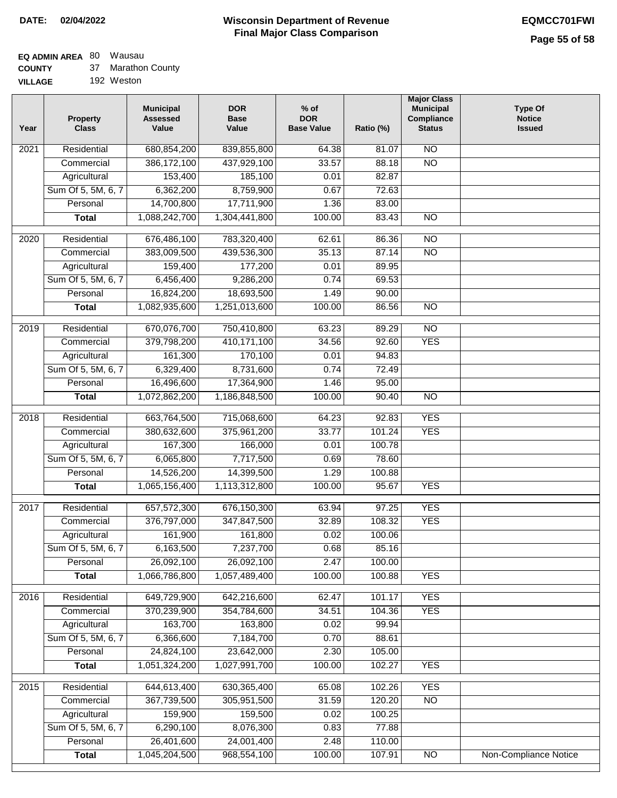### **EQ ADMIN AREA** 80 Wausau

**COUNTY** 37 Marathon County

**VILLAGE** 192 Weston

| Year              | <b>Property</b><br><b>Class</b>    | <b>Municipal</b><br><b>Assessed</b><br>Value | <b>DOR</b><br><b>Base</b><br>Value | % of<br><b>DOR</b><br><b>Base Value</b> | Ratio (%) | <b>Major Class</b><br><b>Municipal</b><br>Compliance<br><b>Status</b> | <b>Type Of</b><br><b>Notice</b><br><b>Issued</b> |
|-------------------|------------------------------------|----------------------------------------------|------------------------------------|-----------------------------------------|-----------|-----------------------------------------------------------------------|--------------------------------------------------|
| $\overline{202}1$ | Residential                        | 680, 854, 200                                | 839,855,800                        | 64.38                                   | 81.07     | N <sub>O</sub>                                                        |                                                  |
|                   | Commercial                         | 386, 172, 100                                | 437,929,100                        | 33.57                                   | 88.18     | $\overline{NO}$                                                       |                                                  |
|                   | Agricultural                       | 153,400                                      | 185,100                            | 0.01                                    | 82.87     |                                                                       |                                                  |
|                   | Sum Of 5, 5M, 6, 7                 | 6,362,200                                    | 8,759,900                          | 0.67                                    | 72.63     |                                                                       |                                                  |
|                   | Personal                           | 14,700,800                                   | 17,711,900                         | 1.36                                    | 83.00     |                                                                       |                                                  |
|                   | <b>Total</b>                       | 1,088,242,700                                | 1,304,441,800                      | 100.00                                  | 83.43     | $\overline{NO}$                                                       |                                                  |
| $\overline{2020}$ | Residential                        | 676,486,100                                  | 783,320,400                        | 62.61                                   | 86.36     | $\overline{NO}$                                                       |                                                  |
|                   | Commercial                         | 383,009,500                                  | 439,536,300                        | 35.13                                   | 87.14     | $\overline{NO}$                                                       |                                                  |
|                   | Agricultural                       | 159,400                                      | 177,200                            | 0.01                                    | 89.95     |                                                                       |                                                  |
|                   | Sum Of 5, 5M, 6, 7                 | 6,456,400                                    | 9,286,200                          | 0.74                                    | 69.53     |                                                                       |                                                  |
|                   | Personal                           | 16,824,200                                   | 18,693,500                         | 1.49                                    | 90.00     |                                                                       |                                                  |
|                   | <b>Total</b>                       | 1,082,935,600                                | 1,251,013,600                      | 100.00                                  | 86.56     | $\overline{NO}$                                                       |                                                  |
|                   |                                    |                                              |                                    |                                         |           |                                                                       |                                                  |
| $\frac{1}{2019}$  | Residential                        | 670,076,700                                  | 750,410,800                        | 63.23                                   | 89.29     | $\overline{10}$                                                       |                                                  |
|                   | Commercial                         | 379,798,200                                  | 410,171,100                        | 34.56                                   | 92.60     | <b>YES</b>                                                            |                                                  |
|                   | Agricultural                       | 161,300                                      | 170,100                            | 0.01                                    | 94.83     |                                                                       |                                                  |
|                   | Sum Of 5, 5M, 6, 7                 | 6,329,400                                    | 8,731,600                          | 0.74                                    | 72.49     |                                                                       |                                                  |
|                   | Personal                           | 16,496,600                                   | 17,364,900                         | 1.46                                    | 95.00     |                                                                       |                                                  |
|                   | <b>Total</b>                       | 1,072,862,200                                | 1,186,848,500                      | 100.00                                  | 90.40     | $\overline{NO}$                                                       |                                                  |
| 2018              | Residential                        | 663,764,500                                  | 715,068,600                        | 64.23                                   | 92.83     | <b>YES</b>                                                            |                                                  |
|                   | Commercial                         | 380,632,600                                  | 375,961,200                        | 33.77                                   | 101.24    | <b>YES</b>                                                            |                                                  |
|                   | Agricultural                       | 167,300                                      | 166,000                            | 0.01                                    | 100.78    |                                                                       |                                                  |
|                   | Sum Of 5, 5M, 6, 7                 | 6,065,800                                    | 7,717,500                          | 0.69                                    | 78.60     |                                                                       |                                                  |
|                   | Personal                           | 14,526,200                                   | 14,399,500                         | 1.29                                    | 100.88    |                                                                       |                                                  |
|                   | <b>Total</b>                       | 1,065,156,400                                | 1,113,312,800                      | 100.00                                  | 95.67     | <b>YES</b>                                                            |                                                  |
| $\overline{2017}$ | Residential                        | 657,572,300                                  | 676,150,300                        | 63.94                                   | 97.25     | <b>YES</b>                                                            |                                                  |
|                   | Commercial                         | 376,797,000                                  | 347,847,500                        | 32.89                                   | 108.32    | <b>YES</b>                                                            |                                                  |
|                   | Agricultural                       | 161,900                                      | 161,800                            | 0.02                                    | 100.06    |                                                                       |                                                  |
|                   | Sum Of 5, 5M, 6, 7                 | 6,163,500                                    | 7,237,700                          | 0.68                                    | 85.16     |                                                                       |                                                  |
|                   | Personal                           | 26,092,100                                   | 26,092,100                         | 2.47                                    | 100.00    |                                                                       |                                                  |
|                   | <b>Total</b>                       | 1,066,786,800                                | 1,057,489,400                      | 100.00                                  | 100.88    | <b>YES</b>                                                            |                                                  |
|                   |                                    |                                              |                                    |                                         |           |                                                                       |                                                  |
| 2016              | Residential                        | 649,729,900                                  | 642,216,600                        | 62.47                                   | 101.17    | <b>YES</b>                                                            |                                                  |
|                   | Commercial                         | 370,239,900                                  | 354,784,600                        | 34.51                                   | 104.36    | <b>YES</b>                                                            |                                                  |
|                   | Agricultural<br>Sum Of 5, 5M, 6, 7 | 163,700                                      | 163,800                            | 0.02<br>0.70                            | 99.94     |                                                                       |                                                  |
|                   |                                    | 6,366,600                                    | 7,184,700                          |                                         | 88.61     |                                                                       |                                                  |
|                   | Personal                           | 24,824,100                                   | 23,642,000                         | 2.30                                    | 105.00    |                                                                       |                                                  |
|                   | <b>Total</b>                       | 1,051,324,200                                | 1,027,991,700                      | 100.00                                  | 102.27    | <b>YES</b>                                                            |                                                  |
| 2015              | Residential                        | 644,613,400                                  | 630, 365, 400                      | 65.08                                   | 102.26    | <b>YES</b>                                                            |                                                  |
|                   | Commercial                         | 367,739,500                                  | 305,951,500                        | 31.59                                   | 120.20    | N <sub>O</sub>                                                        |                                                  |
|                   | Agricultural                       | 159,900                                      | 159,500                            | 0.02                                    | 100.25    |                                                                       |                                                  |
|                   | Sum Of 5, 5M, 6, 7                 | 6,290,100                                    | 8,076,300                          | 0.83                                    | 77.88     |                                                                       |                                                  |
|                   | Personal                           | 26,401,600                                   | 24,001,400                         | 2.48                                    | 110.00    |                                                                       |                                                  |
|                   | <b>Total</b>                       | 1,045,204,500                                | 968,554,100                        | 100.00                                  | 107.91    | N <sub>O</sub>                                                        | <b>Non-Compliance Notice</b>                     |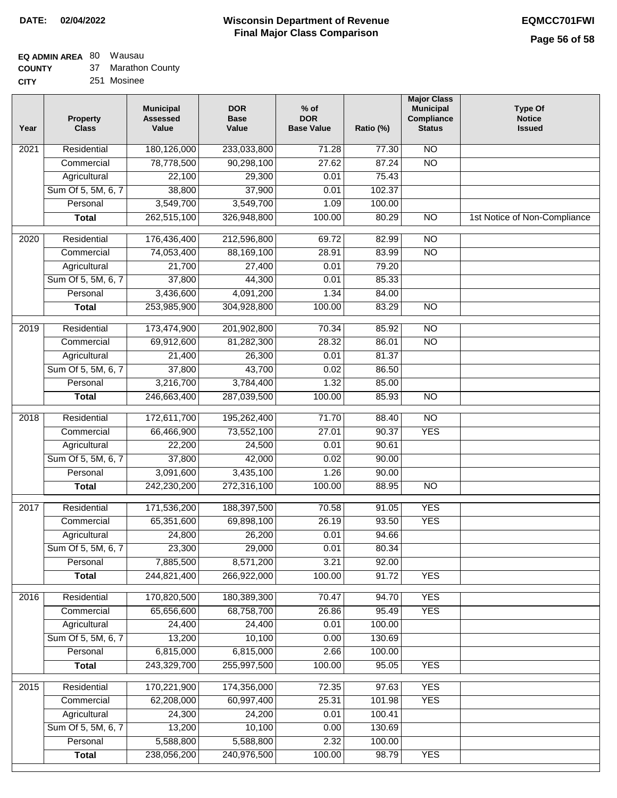# **EQ ADMIN AREA** 80 Wausau

**COUNTY CITY** 37 Marathon County

251 Mosinee

| Year              | <b>Property</b><br><b>Class</b>                                                                                                    | <b>Municipal</b><br><b>Assessed</b><br>Value                                                                             | <b>DOR</b><br><b>Base</b><br>Value                                                                             | $%$ of<br><b>DOR</b><br><b>Base Value</b>                        | Ratio (%)                                                                 | <b>Major Class</b><br><b>Municipal</b><br>Compliance<br><b>Status</b> | Type Of<br><b>Notice</b><br><b>Issued</b> |
|-------------------|------------------------------------------------------------------------------------------------------------------------------------|--------------------------------------------------------------------------------------------------------------------------|----------------------------------------------------------------------------------------------------------------|------------------------------------------------------------------|---------------------------------------------------------------------------|-----------------------------------------------------------------------|-------------------------------------------|
| 2021              | Residential                                                                                                                        | 180,126,000                                                                                                              | 233,033,800                                                                                                    | 71.28                                                            | 77.30                                                                     | $\overline{NO}$                                                       |                                           |
|                   | Commercial                                                                                                                         | 78,778,500                                                                                                               | 90,298,100                                                                                                     | 27.62                                                            | 87.24                                                                     | $\overline{NO}$                                                       |                                           |
|                   | Agricultural                                                                                                                       | 22,100                                                                                                                   | 29,300                                                                                                         | 0.01                                                             | 75.43                                                                     |                                                                       |                                           |
|                   | Sum Of 5, 5M, 6, 7                                                                                                                 | 38,800                                                                                                                   | 37,900                                                                                                         | 0.01                                                             | 102.37                                                                    |                                                                       |                                           |
|                   | Personal                                                                                                                           | 3,549,700                                                                                                                | 3,549,700                                                                                                      | 1.09                                                             | 100.00                                                                    |                                                                       |                                           |
|                   | <b>Total</b>                                                                                                                       | 262,515,100                                                                                                              | 326,948,800                                                                                                    | 100.00                                                           | 80.29                                                                     | $\overline{NO}$                                                       | 1st Notice of Non-Compliance              |
| 2020              | Residential                                                                                                                        | 176,436,400                                                                                                              | 212,596,800                                                                                                    | 69.72                                                            | 82.99                                                                     | $\overline{NO}$                                                       |                                           |
|                   | Commercial                                                                                                                         | 74,053,400                                                                                                               | 88,169,100                                                                                                     | 28.91                                                            | 83.99                                                                     | $\overline{NO}$                                                       |                                           |
|                   | Agricultural                                                                                                                       | 21,700                                                                                                                   | 27,400                                                                                                         | 0.01                                                             | 79.20                                                                     |                                                                       |                                           |
|                   | Sum Of 5, 5M, 6, 7                                                                                                                 | 37,800                                                                                                                   | 44,300                                                                                                         | 0.01                                                             | 85.33                                                                     |                                                                       |                                           |
|                   | Personal                                                                                                                           | 3,436,600                                                                                                                | 4,091,200                                                                                                      | 1.34                                                             | 84.00                                                                     |                                                                       |                                           |
|                   | <b>Total</b>                                                                                                                       | 253,985,900                                                                                                              | 304,928,800                                                                                                    | 100.00                                                           | 83.29                                                                     | $\overline{NO}$                                                       |                                           |
| 2019              | Residential                                                                                                                        | 173,474,900                                                                                                              | 201,902,800                                                                                                    | 70.34                                                            | 85.92                                                                     | $\overline{NO}$                                                       |                                           |
|                   | Commercial                                                                                                                         | 69,912,600                                                                                                               | 81,282,300                                                                                                     | 28.32                                                            | 86.01                                                                     | $\overline{NO}$                                                       |                                           |
|                   | Agricultural                                                                                                                       | 21,400                                                                                                                   | 26,300                                                                                                         | 0.01                                                             | 81.37                                                                     |                                                                       |                                           |
|                   | Sum Of 5, 5M, 6, 7                                                                                                                 | 37,800                                                                                                                   | 43,700                                                                                                         | 0.02                                                             | 86.50                                                                     |                                                                       |                                           |
|                   | Personal                                                                                                                           | 3,216,700                                                                                                                | 3,784,400                                                                                                      | 1.32                                                             | 85.00                                                                     |                                                                       |                                           |
|                   | <b>Total</b>                                                                                                                       | 246,663,400                                                                                                              | 287,039,500                                                                                                    | 100.00                                                           | 85.93                                                                     | $\overline{NO}$                                                       |                                           |
| 2018              | Residential                                                                                                                        | 172,611,700                                                                                                              | 195,262,400                                                                                                    | 71.70                                                            | 88.40                                                                     | $\overline{NO}$                                                       |                                           |
|                   | Commercial                                                                                                                         | 66,466,900                                                                                                               | 73,552,100                                                                                                     | 27.01                                                            | 90.37                                                                     | <b>YES</b>                                                            |                                           |
|                   | Agricultural                                                                                                                       | 22,200                                                                                                                   | 24,500                                                                                                         | 0.01                                                             | 90.61                                                                     |                                                                       |                                           |
|                   | Sum Of 5, 5M, 6, 7                                                                                                                 | 37,800                                                                                                                   | 42,000                                                                                                         | 0.02                                                             | 90.00                                                                     |                                                                       |                                           |
|                   | Personal                                                                                                                           | 3,091,600                                                                                                                | 3,435,100                                                                                                      | 1.26                                                             | 90.00                                                                     |                                                                       |                                           |
|                   | <b>Total</b>                                                                                                                       | 242,230,200                                                                                                              | 272,316,100                                                                                                    | 100.00                                                           | 88.95                                                                     | $\overline{NO}$                                                       |                                           |
| $\overline{2017}$ | Residential                                                                                                                        | 171,536,200                                                                                                              | 188,397,500                                                                                                    | 70.58                                                            | 91.05                                                                     | <b>YES</b>                                                            |                                           |
|                   | Commercial                                                                                                                         | 65,351,600                                                                                                               | 69,898,100                                                                                                     | 26.19                                                            | 93.50                                                                     | <b>YES</b>                                                            |                                           |
|                   | Agricultural                                                                                                                       | 24,800                                                                                                                   | 26,200                                                                                                         | 0.01                                                             | 94.66                                                                     |                                                                       |                                           |
|                   |                                                                                                                                    |                                                                                                                          | 29,000                                                                                                         | 0.01                                                             | 80.34                                                                     |                                                                       |                                           |
|                   | Personal                                                                                                                           | 7,885,500                                                                                                                | 8,571,200                                                                                                      | 3.21                                                             | 92.00                                                                     |                                                                       |                                           |
|                   | <b>Total</b>                                                                                                                       | 244,821,400                                                                                                              | 266,922,000                                                                                                    | 100.00                                                           | 91.72                                                                     | <b>YES</b>                                                            |                                           |
|                   |                                                                                                                                    |                                                                                                                          |                                                                                                                |                                                                  |                                                                           |                                                                       |                                           |
|                   |                                                                                                                                    |                                                                                                                          |                                                                                                                |                                                                  |                                                                           |                                                                       |                                           |
|                   |                                                                                                                                    |                                                                                                                          |                                                                                                                |                                                                  |                                                                           |                                                                       |                                           |
|                   |                                                                                                                                    |                                                                                                                          |                                                                                                                |                                                                  |                                                                           |                                                                       |                                           |
|                   | Personal                                                                                                                           |                                                                                                                          |                                                                                                                |                                                                  |                                                                           |                                                                       |                                           |
|                   | <b>Total</b>                                                                                                                       | 243,329,700                                                                                                              | 255,997,500                                                                                                    | 100.00                                                           | 95.05                                                                     | <b>YES</b>                                                            |                                           |
|                   |                                                                                                                                    |                                                                                                                          |                                                                                                                |                                                                  |                                                                           |                                                                       |                                           |
|                   |                                                                                                                                    |                                                                                                                          |                                                                                                                |                                                                  |                                                                           |                                                                       |                                           |
|                   |                                                                                                                                    |                                                                                                                          |                                                                                                                |                                                                  |                                                                           |                                                                       |                                           |
|                   | Sum Of 5, 5M, 6, 7                                                                                                                 | 13,200                                                                                                                   | 10,100                                                                                                         | 0.00                                                             | 130.69                                                                    |                                                                       |                                           |
|                   | Personal                                                                                                                           |                                                                                                                          |                                                                                                                | 2.32                                                             | 100.00                                                                    |                                                                       |                                           |
|                   | <b>Total</b>                                                                                                                       | 238,056,200                                                                                                              | 240,976,500                                                                                                    | 100.00                                                           | 98.79                                                                     | <b>YES</b>                                                            |                                           |
| 2016<br>2015      | Sum Of 5, 5M, 6, 7<br>Residential<br>Commercial<br>Agricultural<br>Sum Of 5, 5M, 6, 7<br>Residential<br>Commercial<br>Agricultural | 23,300<br>170,820,500<br>65,656,600<br>24,400<br>13,200<br>6,815,000<br>170,221,900<br>62,208,000<br>24,300<br>5,588,800 | 180,389,300<br>68,758,700<br>24,400<br>10,100<br>6,815,000<br>174,356,000<br>60,997,400<br>24,200<br>5,588,800 | 70.47<br>26.86<br>0.01<br>0.00<br>2.66<br>72.35<br>25.31<br>0.01 | 94.70<br>95.49<br>100.00<br>130.69<br>100.00<br>97.63<br>101.98<br>100.41 | <b>YES</b><br><b>YES</b><br><b>YES</b><br><b>YES</b>                  |                                           |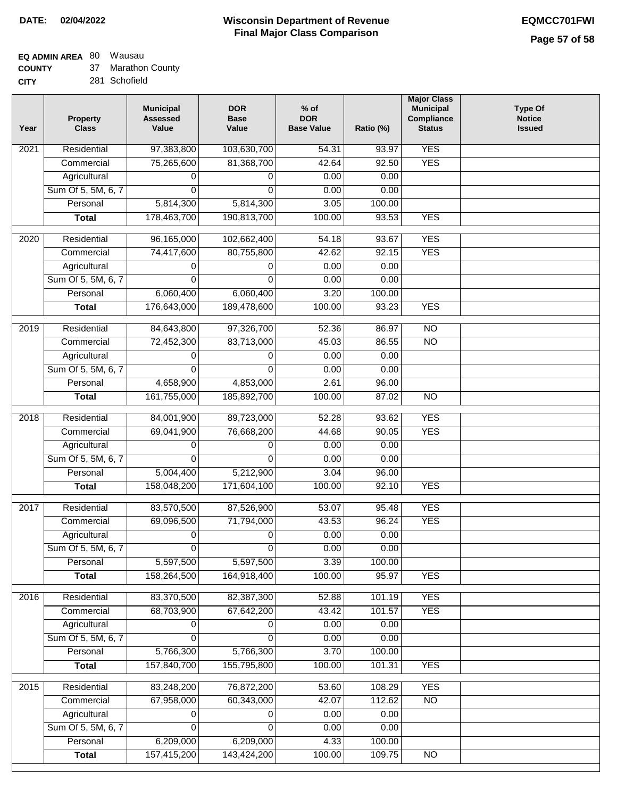# **EQ ADMIN AREA** 80 Wausau

**COUNTY CITY** 37 Marathon County

281 Schofield

| Year | <b>Property</b><br><b>Class</b> | <b>Municipal</b><br><b>Assessed</b><br>Value | <b>DOR</b><br><b>Base</b><br>Value | $%$ of<br><b>DOR</b><br><b>Base Value</b> | Ratio (%) | <b>Major Class</b><br><b>Municipal</b><br>Compliance<br><b>Status</b> | <b>Type Of</b><br><b>Notice</b><br><b>Issued</b> |
|------|---------------------------------|----------------------------------------------|------------------------------------|-------------------------------------------|-----------|-----------------------------------------------------------------------|--------------------------------------------------|
| 2021 | Residential                     | 97,383,800                                   | 103,630,700                        | $\frac{1}{54.31}$                         | 93.97     | <b>YES</b>                                                            |                                                  |
|      | Commercial                      | 75,265,600                                   | 81,368,700                         | 42.64                                     | 92.50     | <b>YES</b>                                                            |                                                  |
|      | Agricultural                    | 0                                            | 0                                  | 0.00                                      | 0.00      |                                                                       |                                                  |
|      | Sum Of 5, 5M, 6, 7              | 0                                            | $\mathbf{0}$                       | 0.00                                      | 0.00      |                                                                       |                                                  |
|      | Personal                        | 5,814,300                                    | 5,814,300                          | 3.05                                      | 100.00    |                                                                       |                                                  |
|      | <b>Total</b>                    | 178,463,700                                  | 190,813,700                        | 100.00                                    | 93.53     | <b>YES</b>                                                            |                                                  |
| 2020 | Residential                     | 96,165,000                                   | 102,662,400                        | 54.18                                     | 93.67     | <b>YES</b>                                                            |                                                  |
|      | Commercial                      | 74,417,600                                   | 80,755,800                         | 42.62                                     | 92.15     | <b>YES</b>                                                            |                                                  |
|      | Agricultural                    | 0                                            | 0                                  | 0.00                                      | 0.00      |                                                                       |                                                  |
|      | Sum Of 5, 5M, 6, 7              | $\Omega$                                     | 0                                  | 0.00                                      | 0.00      |                                                                       |                                                  |
|      | Personal                        | 6,060,400                                    | 6,060,400                          | 3.20                                      | 100.00    |                                                                       |                                                  |
|      | <b>Total</b>                    | 176,643,000                                  | 189,478,600                        | 100.00                                    | 93.23     | <b>YES</b>                                                            |                                                  |
|      |                                 |                                              |                                    |                                           |           |                                                                       |                                                  |
| 2019 | Residential                     | 84,643,800                                   | 97,326,700                         | 52.36                                     | 86.97     | $\overline{10}$                                                       |                                                  |
|      | Commercial                      | 72,452,300                                   | 83,713,000                         | 45.03                                     | 86.55     | $\overline{NO}$                                                       |                                                  |
|      | Agricultural                    | 0                                            | 0                                  | 0.00                                      | 0.00      |                                                                       |                                                  |
|      | Sum Of 5, 5M, 6, 7              | 0                                            | $\Omega$                           | 0.00                                      | 0.00      |                                                                       |                                                  |
|      | Personal                        | 4,658,900                                    | 4,853,000                          | 2.61                                      | 96.00     |                                                                       |                                                  |
|      | <b>Total</b>                    | 161,755,000                                  | 185,892,700                        | 100.00                                    | 87.02     | $\overline{NO}$                                                       |                                                  |
| 2018 | Residential                     | 84,001,900                                   | 89,723,000                         | 52.28                                     | 93.62     | <b>YES</b>                                                            |                                                  |
|      | Commercial                      | 69,041,900                                   | 76,668,200                         | 44.68                                     | 90.05     | <b>YES</b>                                                            |                                                  |
|      | Agricultural                    | 0                                            | 0                                  | 0.00                                      | 0.00      |                                                                       |                                                  |
|      | Sum Of 5, 5M, 6, 7              | 0                                            | 0                                  | 0.00                                      | 0.00      |                                                                       |                                                  |
|      | Personal                        | 5,004,400                                    | 5,212,900                          | 3.04                                      | 96.00     |                                                                       |                                                  |
|      | <b>Total</b>                    | 158,048,200                                  | 171,604,100                        | 100.00                                    | 92.10     | <b>YES</b>                                                            |                                                  |
| 2017 | Residential                     | 83,570,500                                   | 87,526,900                         | 53.07                                     | 95.48     | <b>YES</b>                                                            |                                                  |
|      | Commercial                      | 69,096,500                                   | 71,794,000                         | 43.53                                     | 96.24     | <b>YES</b>                                                            |                                                  |
|      | Agricultural                    | 0                                            | 0                                  | 0.00                                      | 0.00      |                                                                       |                                                  |
|      | Sum Of 5, 5M, 6, 7              | 0                                            | $\overline{0}$                     | 0.00                                      | 0.00      |                                                                       |                                                  |
|      | Personal                        | 5,597,500                                    | 5,597,500                          | 3.39                                      | 100.00    |                                                                       |                                                  |
|      | <b>Total</b>                    | 158,264,500                                  | 164,918,400                        | 100.00                                    | 95.97     | <b>YES</b>                                                            |                                                  |
| 2016 | Residential                     | 83,370,500                                   | 82,387,300                         |                                           | 101.19    | <b>YES</b>                                                            |                                                  |
|      | Commercial                      | 68,703,900                                   | 67,642,200                         | 52.88<br>43.42                            | 101.57    | <b>YES</b>                                                            |                                                  |
|      | Agricultural                    | 0                                            | 0                                  | 0.00                                      | 0.00      |                                                                       |                                                  |
|      | Sum Of 5, 5M, 6, 7              | 0                                            | $\Omega$                           | 0.00                                      | 0.00      |                                                                       |                                                  |
|      | Personal                        | 5,766,300                                    | 5,766,300                          | 3.70                                      | 100.00    |                                                                       |                                                  |
|      | <b>Total</b>                    | 157,840,700                                  | 155,795,800                        | 100.00                                    | 101.31    | <b>YES</b>                                                            |                                                  |
|      |                                 |                                              |                                    |                                           |           |                                                                       |                                                  |
| 2015 | Residential                     | 83,248,200                                   | 76,872,200                         | 53.60                                     | 108.29    | <b>YES</b>                                                            |                                                  |
|      | Commercial                      | 67,958,000                                   | 60,343,000                         | 42.07                                     | 112.62    | $\overline{NO}$                                                       |                                                  |
|      | Agricultural                    | 0                                            | 0                                  | 0.00                                      | 0.00      |                                                                       |                                                  |
|      | Sum Of 5, 5M, 6, 7              | 0                                            | 0                                  | 0.00                                      | 0.00      |                                                                       |                                                  |
|      | Personal                        | 6,209,000                                    | 6,209,000                          | 4.33                                      | 100.00    |                                                                       |                                                  |
|      | <b>Total</b>                    | 157,415,200                                  | 143,424,200                        | 100.00                                    | 109.75    | N <sub>O</sub>                                                        |                                                  |